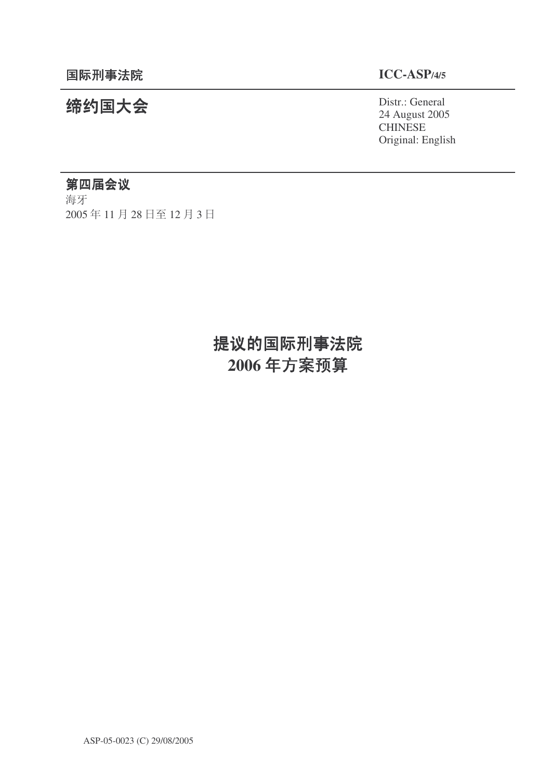# 㓨㑺Ӯ Distr.: General

24 August 2005 CHINESE Original: English

## 第四届会议

海牙 2005年11月28日至12月3日

# 提议的国际刑事法院 2006年方案预算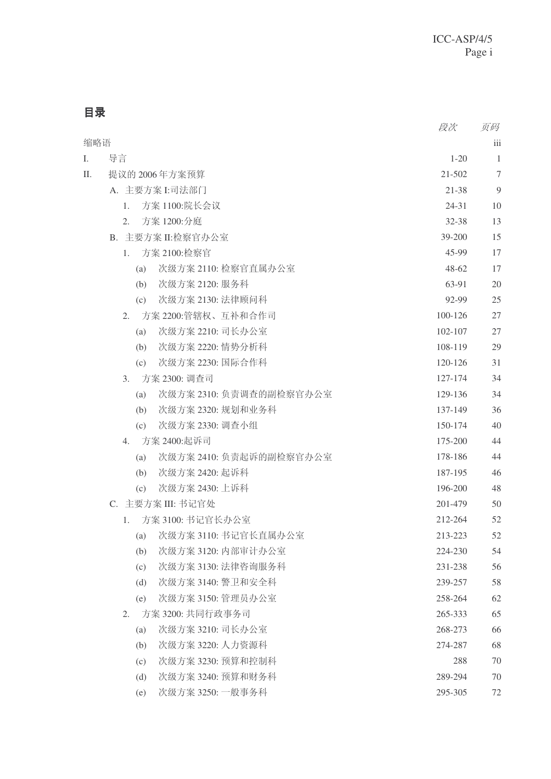目录

|     |                                | 段次        | 页码  |
|-----|--------------------------------|-----------|-----|
| 缩略语 |                                |           | iii |
| I.  | 导言                             | $1 - 20$  | 1   |
| П.  | 提议的 2006年方案预算                  | 21-502    | 7   |
|     | A. 主要方案 I:司法部门                 | 21-38     | 9   |
|     | 方案 1100:院长会议<br>1.             | $24 - 31$ | 10  |
|     | 方案 1200:分庭<br>2.               | 32-38     | 13  |
|     | B. 主要方案 II:检察官办公室              | 39-200    | 15  |
|     | 方案 2100:检察官<br>1.              | 45-99     | 17  |
|     | 次级方案 2110: 检察官直属办公室<br>(a)     | 48-62     | 17  |
|     | 次级方案 2120: 服务科<br>(b)          | 63-91     | 20  |
|     | 次级方案 2130: 法律顾问科<br>(c)        | 92-99     | 25  |
|     | 方案 2200:管辖权、互补和合作司<br>2.       | 100-126   | 27  |
|     | 次级方案 2210: 司长办公室<br>(a)        | 102-107   | 27  |
|     | 次级方案 2220: 情势分析科<br>(b)        | 108-119   | 29  |
|     | 次级方案 2230: 国际合作科<br>(c)        | 120-126   | 31  |
|     | 3.<br>方案 2300: 调查司             | 127-174   | 34  |
|     | 次级方案 2310: 负责调查的副检察官办公室<br>(a) | 129-136   | 34  |
|     | 次级方案 2320: 规划和业务科<br>(b)       | 137-149   | 36  |
|     | 次级方案 2330: 调查小组<br>(c)         | 150-174   | 40  |
|     | 方案 2400:起诉司<br>4.              | 175-200   | 44  |
|     | 次级方案 2410: 负责起诉的副检察官办公室<br>(a) | 178-186   | 44  |
|     | 次级方案 2420: 起诉科<br>(b)          | 187-195   | 46  |
|     | 次级方案 2430: 上诉科<br>(c)          | 196-200   | 48  |
|     | C. 主要方案 III: 书记官处              | 201-479   | 50  |
|     | 方案 3100: 书记官长办公室<br>1.         | 212-264   | 52  |
|     | (a) 次级方案 3110: 书记官长直属办公室       | 213-223   | 52  |
|     | 次级方案 3120: 内部审计办公室<br>(b)      | 224-230   | 54  |
|     | 次级方案 3130: 法律咨询服务科<br>(c)      | 231-238   | 56  |
|     | 次级方案 3140: 警卫和安全科<br>(d)       | 239-257   | 58  |
|     | 次级方案 3150: 管理员办公室<br>(e)       | 258-264   | 62  |
|     | 方案 3200: 共同行政事务司<br>2.         | 265-333   | 65  |
|     | 次级方案 3210: 司长办公室<br>(a)        | 268-273   | 66  |
|     | 次级方案 3220: 人力资源科<br>(b)        | 274-287   | 68  |
|     | 次级方案 3230: 预算和控制科<br>(c)       | 288       | 70  |
|     | 次级方案 3240: 预算和财务科<br>(d)       | 289-294   | 70  |
|     | 次级方案 3250: 一般事务科<br>(e)        | 295-305   | 72  |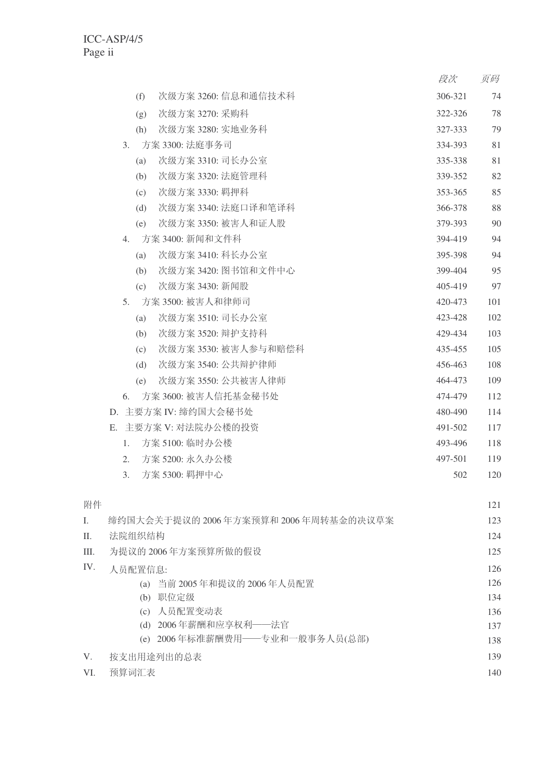|    |                  |     |                      | 段次      | 页码  |
|----|------------------|-----|----------------------|---------|-----|
|    |                  | (f) | 次级方案 3260: 信息和通信技术科  | 306-321 | 74  |
|    |                  | (g) | 次级方案 3270: 采购科       | 322-326 | 78  |
|    |                  | (h) | 次级方案 3280: 实地业务科     | 327-333 | 79  |
|    | $\mathfrak{Z}$ . |     | 方案 3300: 法庭事务司       | 334-393 | 81  |
|    |                  | (a) | 次级方案 3310: 司长办公室     | 335-338 | 81  |
|    |                  | (b) | 次级方案 3320: 法庭管理科     | 339-352 | 82  |
|    |                  | (c) | 次级方案 3330: 羁押科       | 353-365 | 85  |
|    |                  | (d) | 次级方案 3340: 法庭口译和笔译科  | 366-378 | 88  |
|    |                  | (e) | 次级方案 3350: 被害人和证人股   | 379-393 | 90  |
|    | $4_{\cdot}$      |     | 方案 3400: 新闻和文件科      | 394-419 | 94  |
|    |                  | (a) | 次级方案 3410: 科长办公室     | 395-398 | 94  |
|    |                  | (b) | 次级方案 3420: 图书馆和文件中心  | 399-404 | 95  |
|    |                  | (c) | 次级方案 3430: 新闻股       | 405-419 | 97  |
|    | 5 <sub>1</sub>   |     | 方案 3500: 被害人和律师司     | 420-473 | 101 |
|    |                  | (a) | 次级方案 3510: 司长办公室     | 423-428 | 102 |
|    |                  | (b) | 次级方案 3520: 辩护支持科     | 429-434 | 103 |
|    |                  | (c) | 次级方案 3530: 被害人参与和赔偿科 | 435-455 | 105 |
|    |                  | (d) | 次级方案 3540: 公共辩护律师    | 456-463 | 108 |
|    |                  | (e) | 次级方案 3550: 公共被害人律师   | 464-473 | 109 |
|    | 6.               |     | 方案 3600: 被害人信托基金秘书处  | 474-479 | 112 |
|    |                  |     | D. 主要方案 IV: 缔约国大会秘书处 | 480-490 | 114 |
| Е. |                  |     | 主要方案 V: 对法院办公楼的投资    | 491-502 | 117 |
|    | 1.               |     | 方案 5100: 临时办公楼       | 493-496 | 118 |
|    | 2.               |     | 方案 5200: 永久办公楼       | 497-501 | 119 |
|    | 3.               |     | 方案 5300: 羁押中心        | 502     | 120 |
|    |                  |     |                      |         |     |

| 附件          |                                      | 121 |
|-------------|--------------------------------------|-----|
| L.          | 缔约国大会关于提议的 2006年方案预算和 2006年周转基金的决议草案 | 123 |
| II.         | 法院组织结构                               | 124 |
| Ш.          | 为提议的 2006年方案预算所做的假设                  | 125 |
| IV.         | 人员配置信息:                              | 126 |
|             | (a) 当前 2005年和提议的 2006年人员配置           | 126 |
|             | 职位定级<br>(b)                          | 134 |
|             | (c) 人员配置变动表                          | 136 |
|             | (d) 2006年薪酬和应享权利——法官                 | 137 |
|             | (e) 2006年标准薪酬费用——专业和一般事务人员(总部)       | 138 |
| $V_{\cdot}$ | 按支出用途列出的总表                           | 139 |
| VI.         | 预算词汇表                                | 140 |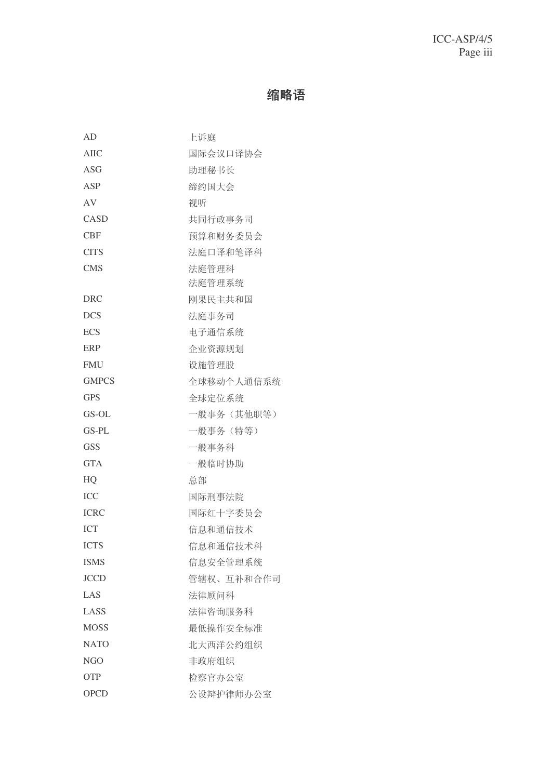## 缩略语

| AD           | 上诉庭        |
|--------------|------------|
| AIIC         | 国际会议口译协会   |
| ASG          | 助理秘书长      |
| ASP          | 缔约国大会      |
| AV           | 视听         |
| CASD         | 共同行政事务司    |
| <b>CBF</b>   | 预算和财务委员会   |
| <b>CITS</b>  | 法庭口译和笔译科   |
| <b>CMS</b>   | 法庭管理科      |
|              | 法庭管理系统     |
| DRC          | 刚果民主共和国    |
| <b>DCS</b>   | 法庭事务司      |
| <b>ECS</b>   | 电子通信系统     |
| <b>ERP</b>   | 企业资源规划     |
| <b>FMU</b>   | 设施管理股      |
| <b>GMPCS</b> | 全球移动个人通信系统 |
| <b>GPS</b>   | 全球定位系统     |
| GS-OL        | 一般事务(其他职等) |
| GS-PL        | 一般事务 (特等)  |
| <b>GSS</b>   | 一般事务科      |
| <b>GTA</b>   | 一般临时协助     |
| HQ           | 总部         |
| <b>ICC</b>   | 国际刑事法院     |
| <b>ICRC</b>  | 国际红十字委员会   |
| <b>ICT</b>   | 信息和通信技术    |
| <b>ICTS</b>  | 信息和通信技术科   |
| <b>ISMS</b>  | 信息安全管理系统   |
| <b>JCCD</b>  | 管辖权、互补和合作司 |
| LAS          | 法律顾问科      |
| LASS         | 法律咨询服务科    |
| <b>MOSS</b>  | 最低操作安全标准   |
| <b>NATO</b>  | 北大西洋公约组织   |
| NGO          | 非政府组织      |
| <b>OTP</b>   | 检察官办公室     |
| <b>OPCD</b>  | 公设辩护律师办公室  |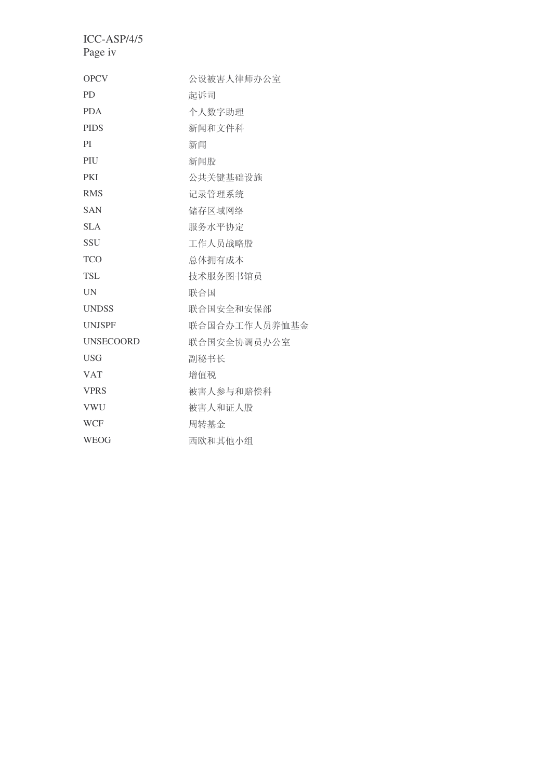| <b>OPCV</b>      | 公设被害人律师办公室    |
|------------------|---------------|
| <b>PD</b>        | 起诉司           |
| <b>PDA</b>       | 个人数字助理        |
| <b>PIDS</b>      | 新闻和文件科        |
| PI               | 新闻            |
| PIU              | 新闻股           |
| <b>PKI</b>       | 公共关键基础设施      |
| <b>RMS</b>       | 记录管理系统        |
| <b>SAN</b>       | 储存区域网络        |
| <b>SLA</b>       | 服务水平协定        |
| <b>SSU</b>       | 工作人员战略股       |
| <b>TCO</b>       | 总体拥有成本        |
| <b>TSL</b>       | 技术服务图书馆员      |
| <b>UN</b>        | 联合国           |
| <b>UNDSS</b>     | 联合国安全和安保部     |
| <b>UNJSPF</b>    | 联合国合办工作人员养恤基金 |
| <b>UNSECOORD</b> | 联合国安全协调员办公室   |
| <b>USG</b>       | 副秘书长          |
| <b>VAT</b>       | 增值税           |
| <b>VPRS</b>      | 被害人参与和赔偿科     |
| <b>VWU</b>       | 被害人和证人股       |
| <b>WCF</b>       | 周转基金          |
| <b>WEOG</b>      | 西欧和其他小组       |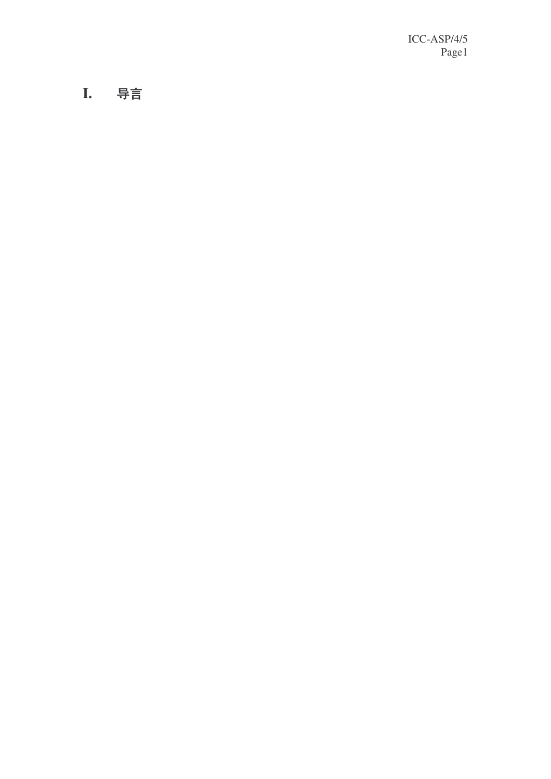**I .** ᇐ㿔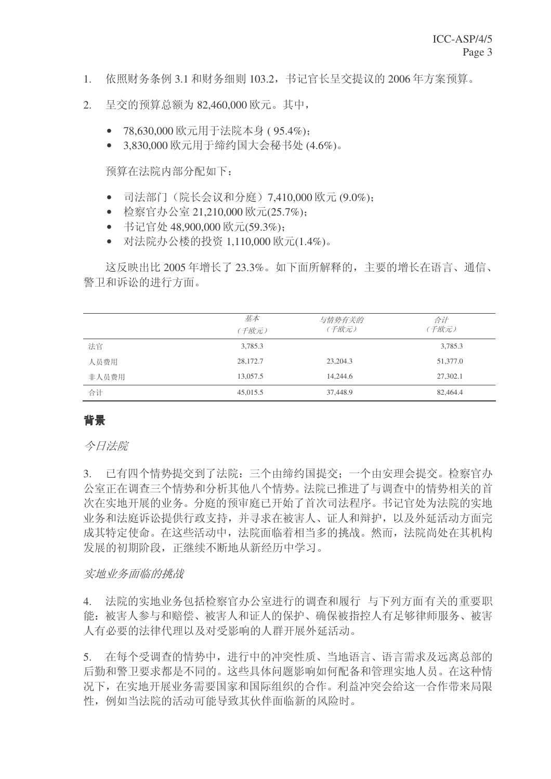- 1. 依照财务条例 3.1 和财务细则 103.2. 书记官长呈交提议的 2006 年方案预算。
- 2. 呈交的预算总额为 82,460,000 欧元。其中,
	- 78,630,000 欧元用于法院本身 (95.4%);
	- 3.830,000 欧元用于缔约国大会秘书处 (4.6%)。

预算在法院内部分配如下:

- 司法部门(院长会议和分庭)7,410,000 欧元 (9.0%);
- 检察官办公室 21,210,000 欧元(25.7%);
- 书记官处 48,900,000 欧元(59.3%);
- 对法院办公楼的投资 1,110,000 欧元(1.4%)。

这反映出比 2005年增长了 23.3%。如下面所解释的,主要的增长在语言、通信、 警卫和诉讼的进行方面。

|       | 基本<br>(千欧元) | 与情势有关的<br>(千欧元) | 合计<br>(千欧元) |
|-------|-------------|-----------------|-------------|
| 法官    | 3,785.3     |                 | 3,785.3     |
| 人员费用  | 28,172.7    | 23,204.3        | 51,377.0    |
| 非人员费用 | 13,057.5    | 14,244.6        | 27,302.1    |
| 合计    | 45,015.5    | 37,448.9        | 82,464.4    |

### 者景

今日法院

3. 已有四个情势提交到了法院: 三个由缔约国提交: 一个由安理会提交。检察官办 公室正在调查三个情势和分析其他八个情势。法院已推进了与调查中的情势相关的首 次在实地开展的业务。分庭的预审庭已开始了首次司法程序。书记官处为法院的实地 业务和法庭诉讼提供行政支持,并寻求在被害人、证人和辩护,以及外延活动方面完 成其特定使命。在这些活动中, 法院面临着相当多的挑战。然而, 法院尚处在其机构 发展的初期阶段,正继续不断地从新经历中学习。

#### 实地业务面临的挑战

4. 法院的实地业务包括检察官办公室进行的调查和履行 与下列方面有关的重要职 能: 被害人参与和赔偿、被害人和证人的保护、确保被指控人有足够律师服务、被害 人有必要的法律代理以及对受影响的人群开展外延活动。

5. 在每个受调查的情势中, 讲行中的冲突性质、当地语言、语言需求及远离总部的 后勤和警卫要求都是不同的。这些具体问题影响如何配备和管理实地人员。在这种情 况下, 在实地开展业务需要国家和国际组织的合作。利益冲突会给这一合作带来局限 性, 例如当法院的活动可能导致其伙伴面临新的风险时。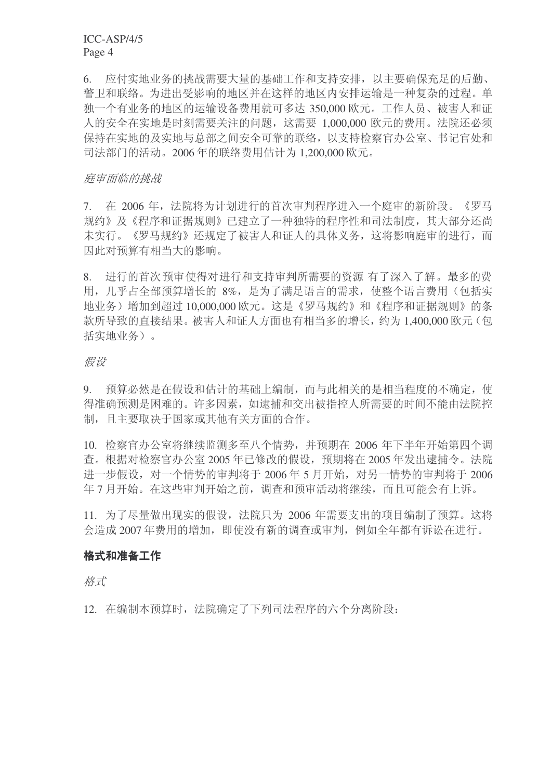6. 应付实地业务的挑战需要大量的基础工作和支持安排,以主要确保充足的后勤、 警卫和联络。为进出受影响的地区并在这样的地区内安排运输是一种复杂的过程。单 独一个有业务的地区的运输设备费用就可多达 350,000 欧元。工作人员、被害人和证 人的安全在实地是时刻需要关注的问题, 这需要 1,000,000 欧元的费用。法院还必须 保持在实地的及实地与总部之间安全可靠的联络,以支持检察官办公室、书记官处和 司法部门的活动。2006年的联络费用估计为1,200,000 欧元。

#### 庭审面临的挑战

7. 在 2006年, 法院将为计划进行的首次审判程序进入一个庭审的新阶段。《罗马 规约》及《程序和证据规则》已建立了一种独特的程序性和司法制度,其大部分还尚 未实行。《罗马规约》还规定了被害人和证人的具体义务,这将影响庭审的进行,而 因此对预算有相当大的影响。

8. 进行的首次预审使得对进行和支持审判所需要的资源 有了深入了解。最多的费 用, 几乎占全部预算增长的 8%, 是为了满足语言的需求, 使整个语言费用(包括实 地业务)增加到超过10,000,000 欧元。这是《罗马规约》和《程序和证据规则》的条 款所导致的直接结果。被害人和证人方面也有相当多的增长,约为1,400,000 欧元(包 括实地业务)。

#### 假设

9. 预算必然是在假设和估计的基础上编制,而与此相关的是相当程度的不确定,使 得准确预测是困难的。许多因素,如逮捕和交出被指控人所需要的时间不能由法院控 制,且主要取决于国家或其他有关方面的合作。

10. 检察官办公室将继续监测多至八个情势, 并预期在 2006 年下半年开始第四个调 杳。根据对检察官办公室 2005 年已修改的假设, 预期将在 2005 年发出逮捕令。法院 进一步假设, 对一个情势的审判将于 2006年 5 月开始, 对另一情势的审判将于 2006 年7月开始。在这些审判开始之前, 调查和预审活动将继续, 而且可能会有上诉。

11. 为了尽量做出现实的假设, 法院只为 2006 年需要支出的项目编制了预算。这将 会造成 2007 年费用的增加, 即使没有新的调查或审判, 例如全年都有诉讼在进行。

#### 格式和准备工作

格式

12. 在编制本预算时, 法院确定了下列司法程序的六个分离阶段: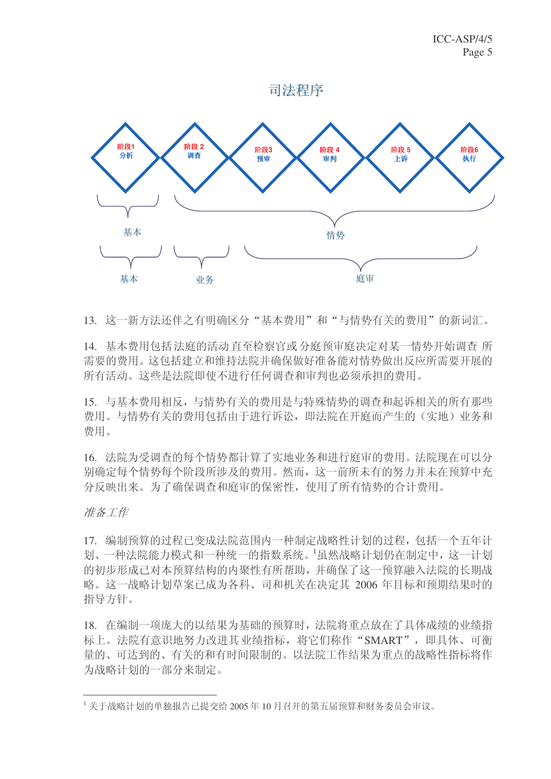

13. 这一新方法还伴之有明确区分"基本费用"和"与情势有关的费用"的新词汇。

14. 基本费用包括法庭的活动直至检察官或分庭预审庭决定对某一情势开始调查所 需要的费用。这包括建立和维持法院并确保做好准备能对情势做出反应所需要开展的 所有活动。这些是法院即使不讲行任何调杳和审判也必须承担的费用。

15. 与基本费用相反, 与情势有关的费用是与特殊情势的调查和起诉相关的所有那些 费用。与情势有关的费用包括由于进行诉讼,即法院在开庭而产生的(实地)业务和 费用。

16. 法院为受调查的每个情势都计算了实地业务和进行庭审的费用。法院现在可以分 别确定每个情势每个阶段所涉及的费用。然而, 这一前所未有的努力并未在预算中充 分反映出来。为了确保调杳和庭审的保密性, 使用了所有情势的合计费用。

准备工作

17. 编制预算的过程已变成法院范围内一种制定战略性计划的过程,包括一个五年计 划、一种法院能力模式和一种统一的指数系统。1虽然战略计划仍在制定中, 这一计划 的初步形成已对本预算结构的内聚性有所帮助,并确保了这一预算融入法院的长期战 略。这一战略计划草案已成为各科、司和机关在决定其 2006 年目标和预期结果时的 指导方针。

18. 在编制一项庞大的以结果为基础的预算时, 法院将重点放在了具体成绩的业绩指 标上。法院有意识地努力改进其业绩指标,将它们称作"SMART",即具体、可衡 量的、可达到的、有关的和有时间限制的。以法院工作结果为重点的战略性指标将作 为战略计划的一部分来制定。

 $^{-1}$ 关于战略计划的单独报告已提交给2005年10月召开的第五届预算和财务委员会审议。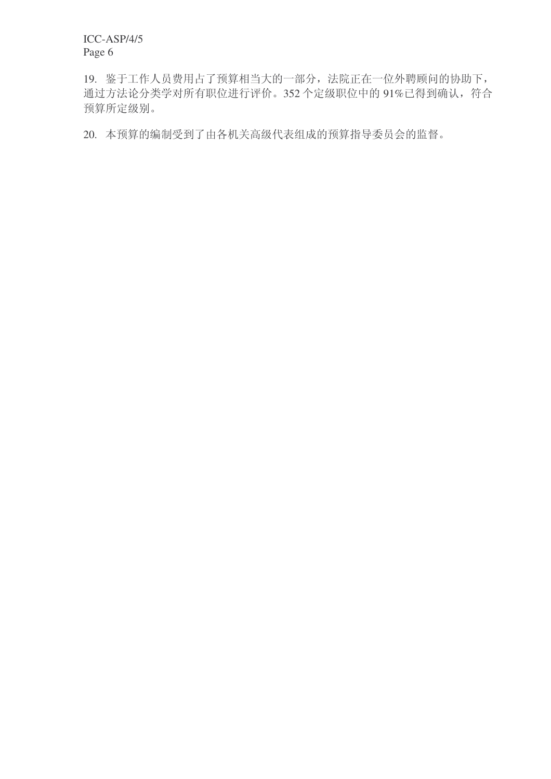19. 鉴于工作人员费用占了预算相当大的一部分,法院正在一位外聘顾问的协助下, 通过方法论分类学对所有职位进行评价。352 个定级职位中的 91%已得到确认, 符合 预算所定级别。

20. 本预算的编制受到了由各机关高级代表组成的预算指导委员会的监督。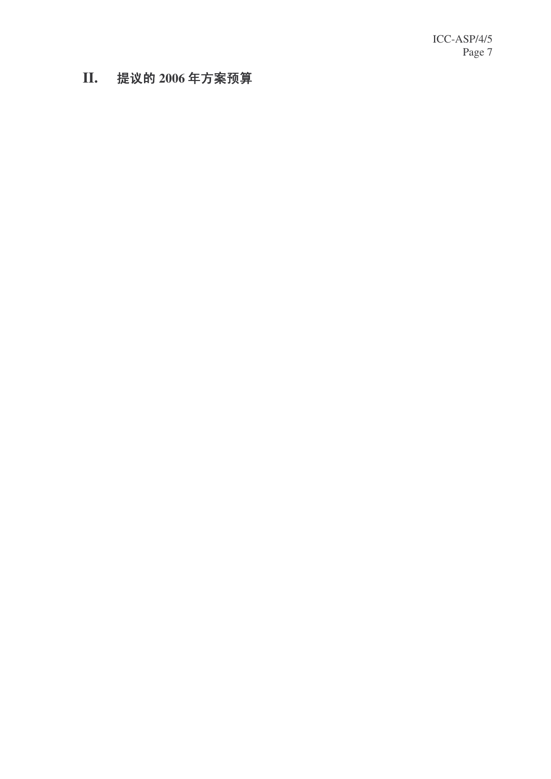**I I** . 提议的 2006年方案预算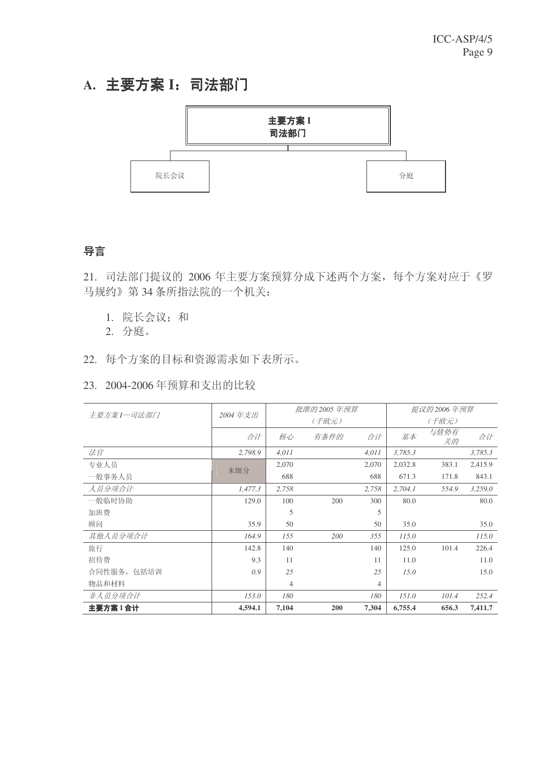# A. 主要方案 I: 司法部门



### 导言

21. 司法部门提议的 2006 年主要方案预算分成下述两个方案, 每个方案对应于《罗 马规约》第34条所指法院的一个机关:

1. 院长会议; 和

2. 分庭。

22. 每个方案的目标和资源需求如下表所示。

#### 23. 2004-2006年预算和支出的比较

| 主要方案I-司法部门  | 2004年支出 |       | 批准的 2005 年预算 |       |         | 提议的 2006 年预算 | 合计<br>3,785.3<br>2,415.9 |  |  |  |  |
|-------------|---------|-------|--------------|-------|---------|--------------|--------------------------|--|--|--|--|
|             |         |       | (千欧元)        |       |         | (千欧元)        |                          |  |  |  |  |
|             | 合计      | 核心    | 有条件的         | 合计    | 基本      | 与情势有<br>关的   |                          |  |  |  |  |
| 法官          | 2,798.9 | 4,011 |              | 4,011 | 3,785.3 |              |                          |  |  |  |  |
| 专业人员        | 未细分     | 2,070 |              | 2,070 | 2,032.8 | 383.1        |                          |  |  |  |  |
| 一般事务人员      |         | 688   |              | 688   | 671.3   | 171.8        | 843.1                    |  |  |  |  |
| 人员分项合计      | 1,477.3 | 2,758 |              | 2,758 | 2,704.1 | 554.9        | 3,259.0                  |  |  |  |  |
| 一般临时协助      | 129.0   | 100   | 200          | 300   | 80.0    |              | 80.0                     |  |  |  |  |
| 加班费         |         | 5     |              | 5     |         |              |                          |  |  |  |  |
| 顾问          | 35.9    | 50    |              | 50    | 35.0    |              | 35.0                     |  |  |  |  |
| 其他人员分项合计    | 164.9   | 155   | 200          | 355   | 115.0   |              | 115.0                    |  |  |  |  |
| 旅行          | 142.8   | 140   |              | 140   | 125.0   | 101.4        | 226.4                    |  |  |  |  |
| 招待费         | 9.3     | 11    |              | 11    | 11.0    |              | 11.0                     |  |  |  |  |
| 合同性服务, 包括培训 | 0.9     | 25    |              | 25    | 15.0    |              | 15.0                     |  |  |  |  |
| 物品和材料       |         | 4     |              | 4     |         |              |                          |  |  |  |  |
| 非人员分项合计     | 153.0   | 180   |              | 180   | 151.0   | 101.4        | 252.4                    |  |  |  |  |
| 主要方案 I 合计   | 4,594.1 | 7,104 | 200          | 7,304 | 6,755.4 | 656.3        | 7,411.7                  |  |  |  |  |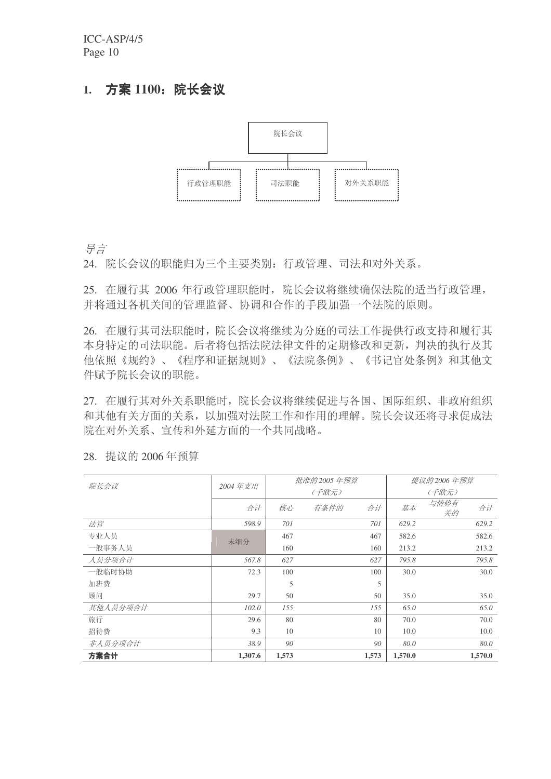### 1. 方案 1100: 院长会议



ᇐ㿔

24. 院长会议的职能归为三个主要类别: 行政管理、司法和对外关系。

25. 在履行其 2006 年行政管理职能时, 院长会议将继续确保法院的适当行政管理, 并将通过各机关间的管理监督、协调和合作的手段加强一个法院的原则。

26. 在履行其司法职能时,院长会议将继续为分庭的司法工作提供行政支持和履行其 本身特定的司法职能。后者将包括法院法律文件的定期修改和更新, 判决的执行及其 他依照《规约》、《程序和证据规则》、《法院条例》、《书记官处条例》和其他文 件赋予院长会议的职能。

27. 在履行其对外关系职能时,院长会议将继续促进与各国、国际组织、非政府组织 和其他有关方面的关系,以加强对法院工作和作用的理解。院长会议还将寻求促成法 院在对外关系、宣传和外延方面的一个共同战略。

| 院长会议     | 2004年支出 |       | 批准的 2005 年预算 |       |         | 提议的 2006 年预算 |         |
|----------|---------|-------|--------------|-------|---------|--------------|---------|
|          |         |       | (千欧元)        | (千欧元) |         |              |         |
|          | 合计      | 核心    | 有条件的         | 合计    | 基本      | 与情势有<br>关的   | 合计      |
| 法官       | 598.9   | 701   |              | 701   | 629.2   |              | 629.2   |
| 专业人员     | 未细分     | 467   |              | 467   | 582.6   |              | 582.6   |
| 一般事务人员   |         | 160   |              | 160   | 213.2   |              | 213.2   |
| 人员分项合计   | 567.8   | 627   |              | 627   | 795.8   |              | 795.8   |
| 一般临时协助   | 72.3    | 100   |              | 100   | 30.0    |              | 30.0    |
| 加班费      |         | 5     |              | 5     |         |              |         |
| 顾问       | 29.7    | 50    |              | 50    | 35.0    |              | 35.0    |
| 其他人员分项合计 | 102.0   | 155   |              | 155   | 65.0    |              | 65.0    |
| 旅行       | 29.6    | 80    |              | 80    | 70.0    |              | 70.0    |
| 招待费      | 9.3     | 10    |              | 10    | 10.0    |              | 10.0    |
| 非人员分项合计  | 38.9    | 90    |              | 90    | 80.0    |              | 80.0    |
| 方案合计     | 1,307.6 | 1,573 |              | 1,573 | 1,570.0 |              | 1,570.0 |

28. 提议的 2006年预算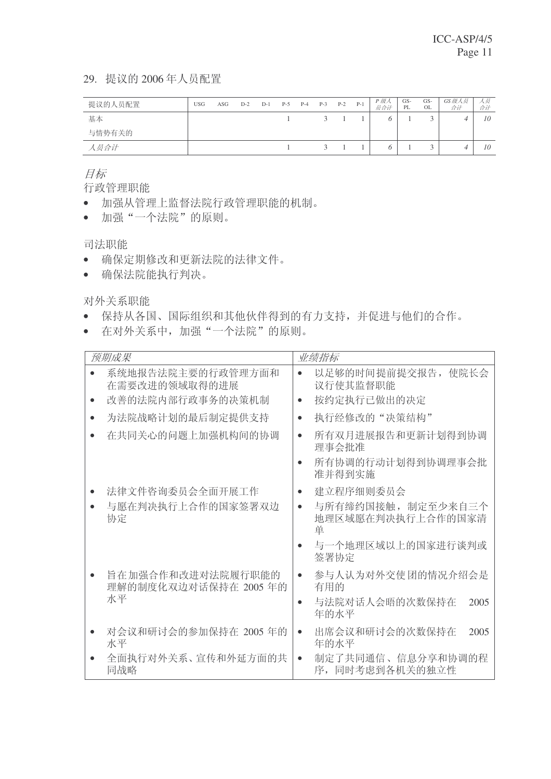#### 29. 提议的 2006年人员配置

| 提议的人员配置 | <b>USG</b> | ASG | $D-2$ | $D-1$ | $P-5$ | $P-4$ | $P-3$         | $P-2$ | $P-1$ | P 级人<br>员合计 | GS-<br>PL | GS-<br><b>OL</b> | GS级人员<br>合计 | 人员<br>合计 |
|---------|------------|-----|-------|-------|-------|-------|---------------|-------|-------|-------------|-----------|------------------|-------------|----------|
| 基本      |            |     |       |       |       |       | $\mathcal{R}$ |       |       |             |           |                  |             | 10       |
| 与情势有关的  |            |     |       |       |       |       |               |       |       |             |           |                  |             |          |
| 人员合计    |            |     |       |       |       |       | $\mathcal{R}$ |       |       |             |           |                  |             | 10       |

目标

行政管理职能

- 加强从管理上监督法院行政管理职能的机制。
- 加强"一个法院"的原则。

司法职能

- 确保定期修改和更新法院的法律文件。
- 确保法院能执行判决。

对外关系职能

- 保持从各国、国际组织和其他伙伴得到的有力支持,并促进与他们的合作。
- 在对外关系中, 加强"一个法院"的原则。

|           | 预期成果                                      | 业绩指标                                                      |
|-----------|-------------------------------------------|-----------------------------------------------------------|
|           | 系统地报告法院主要的行政管理方面和<br>在需要改进的领域取得的进展        | 以足够的时间提前提交报告, 使院长会<br>$\bullet$<br>议行使其监督职能               |
|           | 改善的法院内部行政事务的决策机制                          | 按约定执行已做出的决定<br>$\bullet$                                  |
| $\bullet$ | 为法院战略计划的最后制定提供支持                          | 执行经修改的"决策结构"<br>$\bullet$                                 |
|           | 在共同关心的问题上加强机构间的协调                         | 所有双月进展报告和更新计划得到协调<br>$\bullet$<br>理事会批准                   |
|           |                                           | 所有协调的行动计划得到协调理事会批<br>准并得到实施                               |
|           | 法律文件咨询委员会全面开展工作                           | 建立程序细则委员会<br>$\bullet$                                    |
|           | 与愿在判决执行上合作的国家签署双边<br>协定                   | 与所有缔约国接触, 制定至少来自三个<br>$\bullet$<br>地理区域愿在判决执行上合作的国家清<br>单 |
|           |                                           | 与一个地理区域以上的国家进行谈判或<br>$\bullet$<br>签署协定                    |
|           | 旨在加强合作和改进对法院履行职能的<br>理解的制度化双边对话保持在 2005年的 | 参与人认为对外交使团的情况介绍会是<br>$\bullet$<br>有用的                     |
|           | 水平                                        | 与法院对话人会晤的次数保持在<br>2005<br>$\bullet$<br>年的水平               |
|           | 对会议和研讨会的参加保持在 2005 年的<br>水平               | 出席会议和研讨会的次数保持在<br>2005<br>$\bullet$<br>年的水平               |
|           | 全面执行对外关系、宣传和外延方面的共<br>同战略                 | 制定了共同通信、信息分享和协调的程<br>$\bullet$<br>序,同时考虑到各机关的独立性          |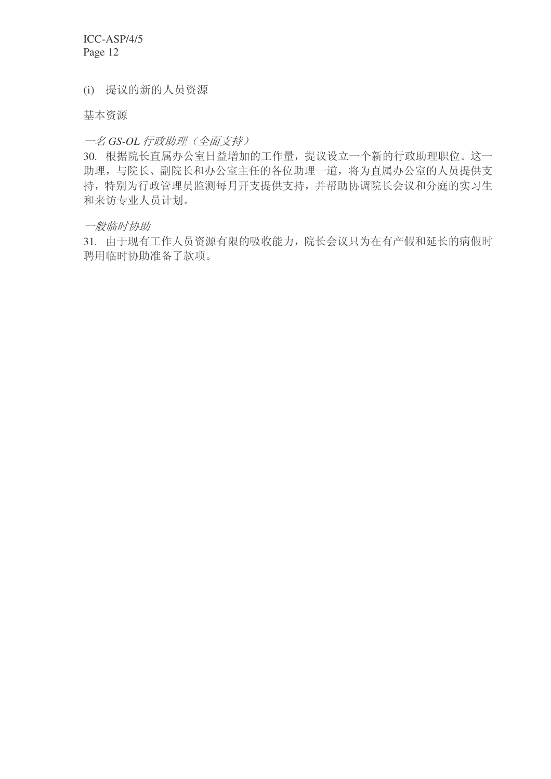(i) 提议的新的人员资源

基本资源

#### $-$ 名 GS-OL 行政助理 (全面支持)

30. 根据院长直属办公室日益增加的工作量, 提议设立一个新的行政助理职位。这一 助理,与院长、副院长和办公室主任的各位助理一道,将为直属办公室的人员提供支 持, 特别为行政管理员监测每月开支提供支持, 并帮助协调院长会议和分庭的实习生 和来访专业人员计划。

一般临时协助

31. 由于现有工作人员资源有限的吸收能力,院长会议只为在有产假和延长的病假时 聘用临时协助准备了款项。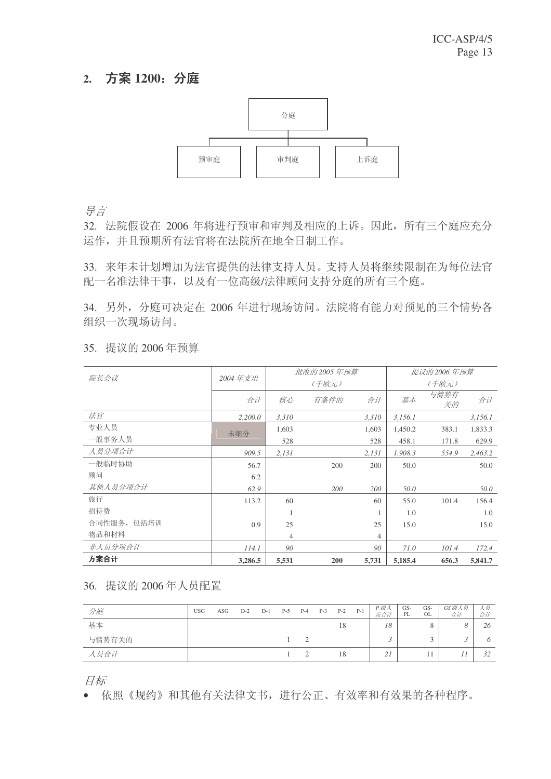### 2. 方案 1200: 分庭



ᇐ㿔

32. 法院假设在 2006 年将进行预审和审判及相应的上诉。因此, 所有三个庭应充分 运作,并且预期所有法官将在法院所在地全日制工作。

33. 来年未计划增加为法官提供的法律支持人员。支持人员将继续限制在为每位法官 配一名准法律干事,以及有一位高级/法律顾问支持分庭的所有三个庭。

34. 另外, 分庭可决定在 2006 年进行现场访问。法院将有能力对预见的三个情势各 组织一次现场访问。

| 院长会议        | 2004年支出 |                | 批准的 2005 年预算 |       |         | 提议的 2006 年预算 |         |
|-------------|---------|----------------|--------------|-------|---------|--------------|---------|
|             |         |                | (千欧元)        |       |         | (千欧元)        |         |
|             | 合计      | 核心             | 有条件的         | 合计    | 基本      | 与情势有<br>关的   | 合计      |
| 法官          | 2,200.0 | 3,310          |              | 3,310 | 3,156.1 |              | 3,156.1 |
| 专业人员        | 未细分     | 1,603          |              | 1,603 | 1,450.2 | 383.1        | 1,833.3 |
| 一般事务人员      |         | 528            |              | 528   | 458.1   | 171.8        | 629.9   |
| 人员分项合计      | 909.5   | 2,131          |              | 2,131 | 1,908.3 | 554.9        | 2,463.2 |
| 一般临时协助      | 56.7    |                | 200          | 200   | 50.0    |              | 50.0    |
| 顾问          | 6.2     |                |              |       |         |              |         |
| 其他人员分项合计    | 62.9    |                | 200          | 200   | 50.0    |              | 50.0    |
| 旅行          | 113.2   | 60             |              | 60    | 55.0    | 101.4        | 156.4   |
| 招待费         |         |                |              |       | 1.0     |              | 1.0     |
| 合同性服务, 包括培训 | 0.9     | 25             |              | 25    | 15.0    |              | 15.0    |
| 物品和材料       |         | $\overline{4}$ |              | 4     |         |              |         |
| 非人员分项合计     | 114.1   | 90             |              | 90    | 71.0    | 101.4        | 172.4   |
| 方案合计        | 3,286.5 | 5,531          | 200          | 5,731 | 5,185.4 | 656.3        | 5,841.7 |

35. 提议的 2006年预算

36. 提议的 2006年人员配置

| 分庭     | <b>USG</b> | ASG | $D-2$ | $D-1$ | $P-5$ | $P-4$ | $P-3$ | $P-2$ | $P-1$ | P 级人<br>员合计 | GS-<br>PL | GS-<br>OL | GS 级人员<br>合计 | 人员<br>合计 |
|--------|------------|-----|-------|-------|-------|-------|-------|-------|-------|-------------|-----------|-----------|--------------|----------|
| 基本     |            |     |       |       |       |       |       | 18    |       | 18          |           |           |              | 26       |
| 与情势有关的 |            |     |       |       |       |       |       |       |       |             |           |           |              |          |
| 人员合计   |            |     |       |       |       |       |       | 18    |       | 21          |           |           |              | 32       |

目标

• 依照《规约》和其他有关法律文书,进行公正、有效率和有效果的各种程序。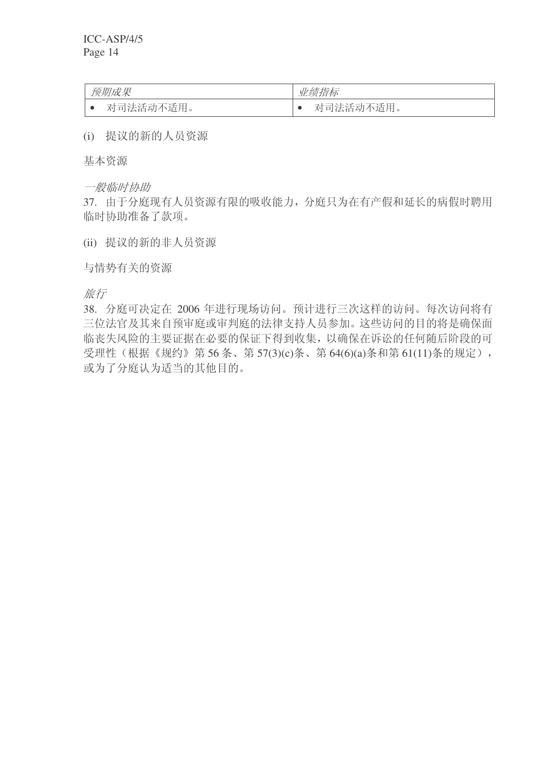| 预期成果      | 业绩指标           |
|-----------|----------------|
| 对司法活动不适用。 | "不适用。<br>对司法活动 |

(i) 提议的新的人员资源

基本资源

一般临时协助

37. 由于分庭现有人员资源有限的吸收能力, 分庭只为在有产假和延长的病假时聘用 临时协助准备了款项。

(ii) 提议的新的非人员资源

与情势有关的资源

旅行

38. 分庭可决定在 2006 年进行现场访问。预计进行三次这样的访问。每次访问将有 三位法官及其来自预审庭或审判庭的法律支持人员参加。这些访问的目的将是确保面 临丧失风险的主要证据在必要的保证下得到收集,以确保在诉讼的任何随后阶段的可 受理性(根据《规约》第56条、第57(3)(c)条、第64(6)(a)条和第61(11)条的规定), 或为了分庭认为适当的其他目的。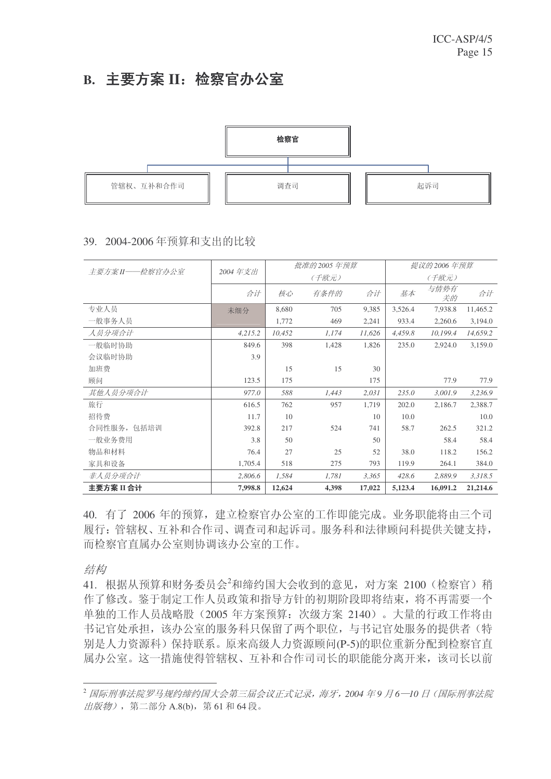# B. 主要方案 II: 检察官办公室



#### 39. 2004-2006年预算和支出的比较

| 主要方案 II——检察官办公室 | 2004年支出 |        | 批准的 2005 年预算 |        |         | 提议的 2006 年预算 |          |
|-----------------|---------|--------|--------------|--------|---------|--------------|----------|
|                 |         |        | (千欧元)        |        |         | (千欧元)        |          |
|                 | 合计      | 核心     | 有条件的         | 合计     | 基本      | 与情势有<br>关的   | 合计       |
| 专业人员            | 未细分     | 8,680  | 705          | 9,385  | 3,526.4 | 7,938.8      | 11,465.2 |
| 一般事务人员          |         | 1,772  | 469          | 2,241  | 933.4   | 2,260.6      | 3,194.0  |
| 人员分项合计          | 4,215.2 | 10,452 | 1,174        | 11,626 | 4,459.8 | 10,199.4     | 14,659.2 |
| 一般临时协助          | 849.6   | 398    | 1,428        | 1,826  | 235.0   | 2,924.0      | 3,159.0  |
| 会议临时协助          | 3.9     |        |              |        |         |              |          |
| 加班费             |         | 15     | 15           | 30     |         |              |          |
| 顾问              | 123.5   | 175    |              | 175    |         | 77.9         | 77.9     |
| 其他人员分项合计        | 977.0   | 588    | 1,443        | 2,031  | 235.0   | 3,001.9      | 3,236.9  |
| 旅行              | 616.5   | 762    | 957          | 1,719  | 202.0   | 2,186.7      | 2,388.7  |
| 招待费             | 11.7    | 10     |              | 10     | 10.0    |              | 10.0     |
| 合同性服务, 包括培训     | 392.8   | 217    | 524          | 741    | 58.7    | 262.5        | 321.2    |
| 一般业务费用          | 3.8     | 50     |              | 50     |         | 58.4         | 58.4     |
| 物品和材料           | 76.4    | 27     | 25           | 52     | 38.0    | 118.2        | 156.2    |
| 家具和设备           | 1,705.4 | 518    | 275          | 793    | 119.9   | 264.1        | 384.0    |
| 非人员分项合计         | 2,806.6 | 1,584  | 1,781        | 3,365  | 428.6   | 2,889.9      | 3,318.5  |
| 主要方案 II 合计      | 7,998.8 | 12,624 | 4,398        | 17,022 | 5,123.4 | 16,091.2     | 21,214.6 |

40. 有了 2006 年的预算, 建立检察官办公室的工作即能完成。业务职能将由三个司 履行:管辖权、互补和合作司、调查司和起诉司。服务科和法律顾问科提供关键支持, 而检察官直属办公室则协调该办公室的工作。

结构

41. 根据从预算和财务委员会2和缔约国大会收到的意见, 对方案 2100 (检察官) 稍 作了修改。鉴于制定工作人员政策和指导方针的初期阶段即将结束, 将不再需要一个 单独的工作人员战略股 (2005 年方案预算: 次级方案 2140)。 大量的行政工作将由 书记官处承担,该办公室的服务科只保留了两个职位,与书记官处服务的提供者(特 别是人力资源科) 保持联系。原来高级人力资源顾问(P-5)的职位重新分配到检察官直 属办公室。这一措施使得管辖权、互补和合作司司长的职能能分离开来,该司长以前

<sup>&</sup>lt;sup>2</sup> 国际刑事法院罗马规约缔约国大会第三届会议正式记录, 海牙, 2004 年9 月6-10 日 (国际刑事法院 出版物), 第二部分 A.8(b), 第 61 和 64 段。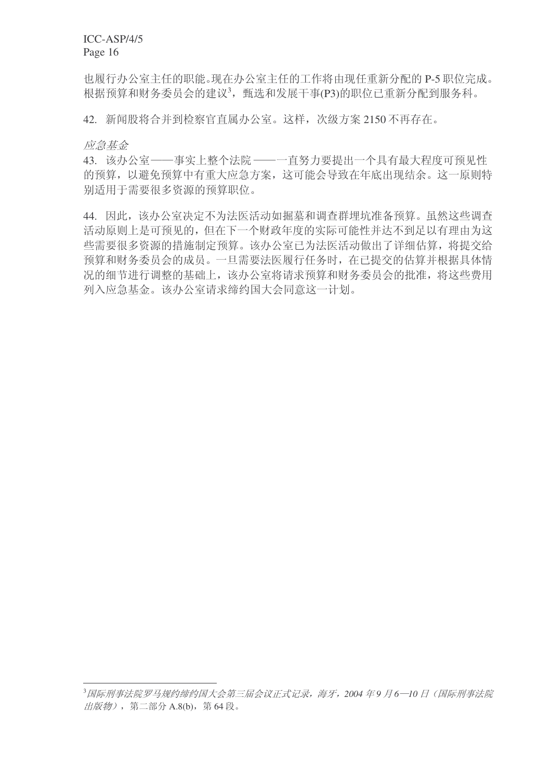也履行办公室主任的职能。现在办公室主任的工作将由现任重新分配的 P-5 职位完成。 根据预算和财务委员会的建议<sup>3</sup>,甄选和发展干事(P3)的职位已重新分配到服务科。

42. 新闻股将合并到检察官直属办公室。这样, 次级方案 2150 不再存在。

应急基金

43. 该办公室——事实上整个法院——一直努力要提出一个具有最大程度可预见性 的预算, 以避免预算中有重大应急方案, 这可能会导致在年底出现结余。这一原则特 别活用于需要很多资源的预算职位。

44. 因此,该办公室决定不为法医活动如掘墓和调查群埋坑准备预算。虽然这些调查 活动原则上是可预见的, 但在下一个财政年度的实际可能性并达不到足以有理由为这 些需要很多资源的措施制定预算。该办公室已为法医活动做出了详细估算,将提交给 预算和财务委员会的成员。一旦需要法医履行任务时, 在已提交的估算并根据具体情 况的细节讲行调整的基础上,该办公室将请求预算和财务委员会的批准,将这些费用 列入应急基金。该办公室请求缔约国大会同意这一计划。

<sup>&</sup>lt;sup>3</sup>国际刑事法院罗马规约缔约国大会第三届会议正式记录,海牙,2004年9月6─10日(国际刑事法院 出版物), 第二部分 A.8(b), 第 64 段。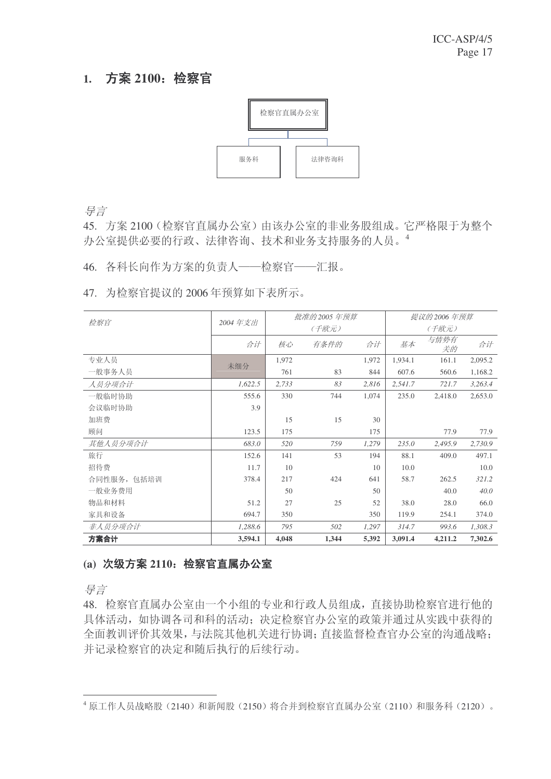### 1. 方案 2100: 检察官



ᇐ㿔

45. 方案 2100 (检察官直属办公室) 由该办公室的非业务股组成。它严格限于为整个 办公室提供必要的行政、法律咨询、技术和业务支持服务的人员。4

46. 各科长向作为方案的负责人——检察官——汇报。

47. 为检察官提议的 2006 年预算如下表所示。

| 检察官         |         |       | 批准的 2005 年预算 |       |         | 提议的 2006 年预算 |         |
|-------------|---------|-------|--------------|-------|---------|--------------|---------|
|             | 2004年支出 |       | (千欧元)        |       |         | (千欧元)        |         |
|             | 合计      | 核心    | 有条件的         | 合计    | 基本      | 与情势有<br>关的   | 合计      |
| 专业人员        | 未细分     | 1,972 |              | 1,972 | 1,934.1 | 161.1        | 2,095.2 |
| 一般事务人员      |         | 761   | 83           | 844   | 607.6   | 560.6        | 1,168.2 |
| 人员分项合计      | 1,622.5 | 2,733 | 83           | 2,816 | 2,541.7 | 721.7        | 3,263.4 |
| 一般临时协助      | 555.6   | 330   | 744          | 1,074 | 235.0   | 2,418.0      | 2,653.0 |
| 会议临时协助      | 3.9     |       |              |       |         |              |         |
| 加班费         |         | 15    | 15           | 30    |         |              |         |
| 顾问          | 123.5   | 175   |              | 175   |         | 77.9         | 77.9    |
| 其他人员分项合计    | 683.0   | 520   | 759          | 1,279 | 235.0   | 2,495.9      | 2,730.9 |
| 旅行          | 152.6   | 141   | 53           | 194   | 88.1    | 409.0        | 497.1   |
| 招待费         | 11.7    | 10    |              | 10    | 10.0    |              | 10.0    |
| 合同性服务, 包括培训 | 378.4   | 217   | 424          | 641   | 58.7    | 262.5        | 321.2   |
| 一般业务费用      |         | 50    |              | 50    |         | 40.0         | 40.0    |
| 物品和材料       | 51.2    | 27    | 25           | 52    | 38.0    | 28.0         | 66.0    |
| 家具和设备       | 694.7   | 350   |              | 350   | 119.9   | 254.1        | 374.0   |
| 非人员分项合计     | 1,288.6 | 795   | 502          | 1,297 | 314.7   | 993.6        | 1,308.3 |
| 方案合计        | 3,594.1 | 4,048 | 1,344        | 5,392 | 3,091.4 | 4,211.2      | 7,302.6 |

#### (a) 次级方案 2110: 检察官直属办公室

异言

48. 检察官直属办公室由一个小组的专业和行政人员组成, 直接协助检察官讲行他的 具体活动, 如协调各司和科的活动; 决定检察官办公室的政策并通过从实践中获得的 全面教训评价其效果,与法院其他机关进行协调; 直接监督检查官办公室的沟通战略; 并记录检察官的决定和随后执行的后续行动。

<sup>4</sup> 原工作人员战略股(2140) 和新闻股(2150) 将合并到检察官直属办公室(2110) 和服务科(2120)。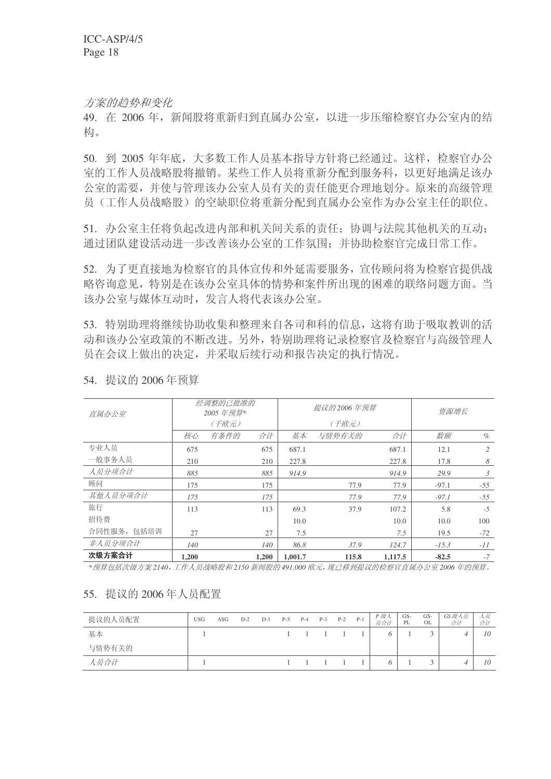方案的趋势和变化

49. 在 2006年, 新闻股将重新归到直属办公室, 以讲一步压缩检察官办公室内的结 构。

50. 到 2005 年年底, 大多数工作人员基本指导方针将已经通过。这样, 检察官办公 室的工作人员战略股将撤销。某些工作人员将重新分配到服务科,以更好地满足该办 公室的需要,并使与管理该办公室人员有关的责任能更合理地划分。原来的高级管理 员(工作人员战略股)的空缺职位将重新分配到直属办公室作为办公室主任的职位。

51. 办公室主任将负起改进内部和机关间关系的责任: 协调与法院其他机关的互动: 通过团队建设活动进一步改善该办公室的工作氛围: 并协助检察官完成日常工作。

52. 为了更直接地为检察官的具体宣传和外延需要服务, 宣传顾问将为检察官提供战 略咨询意见,特别是在该办公室具体的情势和案件所出现的困难的联络问题方面。当 该办公室与媒体互动时,发言人将代表该办公室。

53. 特别助理将继续协助收集和整理来自各司和科的信息, 这将有助于吸取教训的活 动和该办公室政策的不断改进。另外,特别助理将记录检察官及检察官与高级管理人 员在会议上做出的决定,并采取后续行动和报告决定的执行情况。

| 直属办公室       |       | 经调整的已批准的<br>2005年预算* |       |         | 提议的 2006 年预算 |         | 资源增长    |       |
|-------------|-------|----------------------|-------|---------|--------------|---------|---------|-------|
|             |       | (千欧元)                |       |         | (千欧元)        |         |         |       |
|             | 核心    | 有条件的                 | 合计    | 基本      | 与情势有关的       | 合计      | 数额      | $\%$  |
| 专业人员        | 675   |                      | 675   | 687.1   |              | 687.1   | 12.1    | 2     |
| 一般事务人员      | 210   |                      | 210   | 227.8   |              | 227.8   | 17.8    | 8     |
| 人员分项合计      | 885   |                      | 885   | 914.9   |              | 914.9   | 29.9    | 3     |
| 顾问          | 175   |                      | 175   |         | 77.9         | 77.9    | $-97.1$ | $-55$ |
| 其他人员分项合计    | 175   |                      | 175   |         | 77.9         | 77.9    | $-97.1$ | $-55$ |
| 旅行          | 113   |                      | 113   | 69.3    | 37.9         | 107.2   | 5.8     | $-5$  |
| 招待费         |       |                      |       | 10.0    |              | 10.0    | 10.0    | 100   |
| 合同性服务, 包括培训 | 27    |                      | 27    | 7.5     |              | 7.5     | 19.5    | $-72$ |
| 非人员分项合计     | 140   |                      | 140   | 86.8    | 37.9         | 124.7   | $-15.3$ | $-11$ |
| 次级方案合计      | 1.200 |                      | 1.200 | 1.001.7 | 115.8        | 1,117.5 | $-82.5$ | $-7$  |

54. 提议的 2006年预算

\*预算包括次级方案2140,工作人员战略股和2150 新闻股的491,000 欧元,现已移到提议的检察官直属办公室2006 年的预算。

#### 55. 提议的 2006年人员配置

| 提议的人员配置 | USG | ASG | $D-2$ | $D-1$ | $P-5$ | $P-4$ | $P-3$       | $P-2$ | $P-1$ | P 级人<br>员合计 | $GS-$<br>PL | GS-<br>OL | GS级人员<br>合计 | 人奴<br>合计 |
|---------|-----|-----|-------|-------|-------|-------|-------------|-------|-------|-------------|-------------|-----------|-------------|----------|
| 基本      |     |     |       |       |       |       | $1 \quad 1$ |       |       |             |             |           |             | 10       |
| 与情势有关的  |     |     |       |       |       |       |             |       |       |             |             |           |             |          |
| 人员合计    |     |     |       |       |       |       | $1 \quad 1$ |       |       |             |             |           |             | 10       |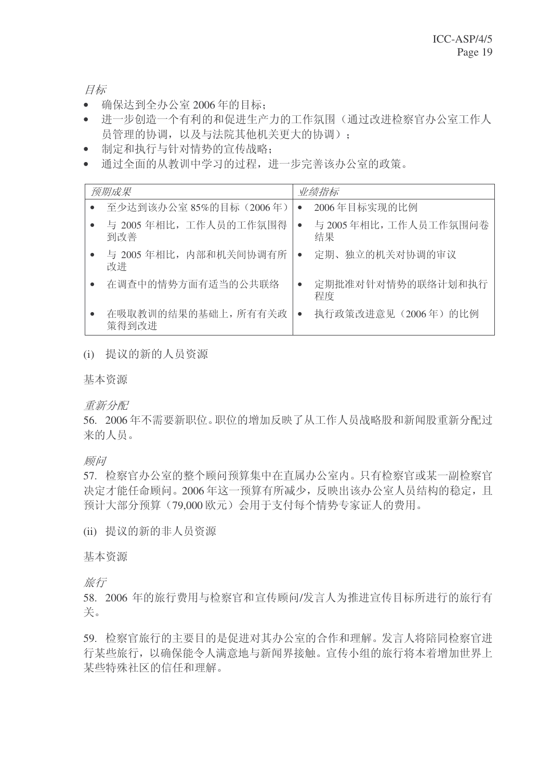```
目标
```
- 确保达到全办公室 2006 年的目标;
- 进一步创造一个有利的和促进生产力的工作氛围(通过改进检察官办公室工作人 员管理的协调,以及与法院其他机关更大的协调):
- 制定和执行与针对情势的宣传战略:
- 通过全面的从教训中学习的过程,进一步完善该办公室的政策。

| 预期成果                         | 业绩指标                              |
|------------------------------|-----------------------------------|
| 至少达到该办公室 85%的目标 (2006年)      | 2006年目标实现的比例<br>$\bullet$         |
| 与 2005年相比,工作人员的工作氛围得<br>到改善  | 与 2005年相比,工作人员工作氛围问卷<br>结果        |
| 与 2005 年相比, 内部和机关间协调有所<br>改进 | 定期、独立的机关对协调的审议<br>$\bullet$       |
| 在调查中的情势方面有适当的公共联络            | 定期批准对针对情势的联络计划和执行<br>程度           |
| 在吸取教训的结果的基础上,所有有关政<br>策得到改进  | 执行政策改进意见 (2006年) 的比例<br>$\bullet$ |

#### (i) 提议的新的人员资源

基本资源

重新分配

56. 2006年不需要新职位。职位的增加反映了从工作人员战略股和新闻股重新分配过 来的人员。

顾问

57. 检察官办公室的整个顾问预算集中在直属办公室内。只有检察官或某一副检察官 决定才能任命顾问。2006年这一预算有所减少,反映出该办公室人员结构的稳定,且 预计大部分预算(79,000 欧元)会用于支付每个情势专家证人的费用。

(ii) 提议的新的非人员资源

基本资源

旅行

58. 2006 年的旅行费用与检察官和宣传顾问/发言人为推进宣传目标所进行的旅行有 关。

59. 检察官旅行的主要目的是促进对其办公室的合作和理解。发言人将陪同检察官进 行某些旅行,以确保能令人满意地与新闻界接触。宣传小组的旅行将本着增加世界上 某些特殊社区的信任和理解。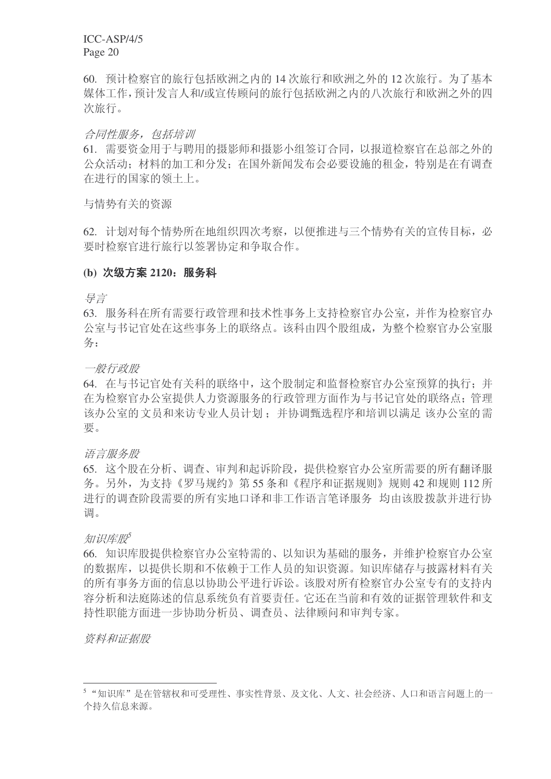60. 预计检察官的旅行包括欧洲之内的 14 次旅行和欧洲之外的 12 次旅行。为了基本 媒体工作, 预计发言人和/或宣传顾问的旅行包括欧洲之内的八次旅行和欧洲之外的四 次旅行。

#### 合同性服务, 包括培训

61. 需要资金用于与聘用的摄影师和摄影小组签订合同, 以报道检察官在总部之外的 公众活动: 材料的加工和分发: 在国外新闻发布会必要设施的和金, 特别是在有调查 在讲行的国家的领土上。

与情势有关的资源

62. 计划对每个情势所在地组织四次考察,以便推进与三个情势有关的宣传目标, 必 要时检察官进行旅行以签署协定和争取合作。

#### (b) 次级方案 2120: 服务科

ᇐ㿔

63. 服务科在所有需要行政管理和技术性事务上支持检察官办公室,并作为检察官办 公室与书记官处在这些事务上的联络点。该科由四个股组成, 为整个检察官办公室服 条:

一般行政股

64. 在与书记官处有关科的联络中, 这个股制定和监督检察官办公室预算的执行: 并 在为检察官办公室提供人力资源服务的行政管理方面作为与书记官处的联络点; 管理 该办公室的文员和来访专业人员计划: 并协调甄选程序和培训以满足 该办公室的需 要。

语言服务股

65. 这个股在分析、调查、审判和起诉阶段, 提供检察官办公室所需要的所有翻译服 务。另外,为支持《罗马规约》第55条和《程序和证据规则》规则42和规则112 所 进行的调查阶段需要的所有实地口译和非工作语言笔译服务 均由该股拨款并进行协 调。

ⶹ䆚ᑧ㙵*<sup>5</sup>*

66. 知识库股提供检察官办公室特需的、以知识为基础的服务, 并维护检察官办公室 的数据库,以提供长期和不依赖于工作人员的知识资源。知识库储存与披露材料有关 的所有事务方面的信息以协助公平进行诉讼。该股对所有检察官办公室专有的支持内 容分析和法庭陈述的信息系统负有首要责任。它还在当前和有效的证据管理软件和支 持性职能方面进一步协助分析员、调查员、法律顾问和审判专家。

资料和证据股

<sup>5 &</sup>quot;知识库"是在管辖权和可受理性、事实性背景、及文化、人文、社会经济、人口和语言问题上的一 个持久信息来源。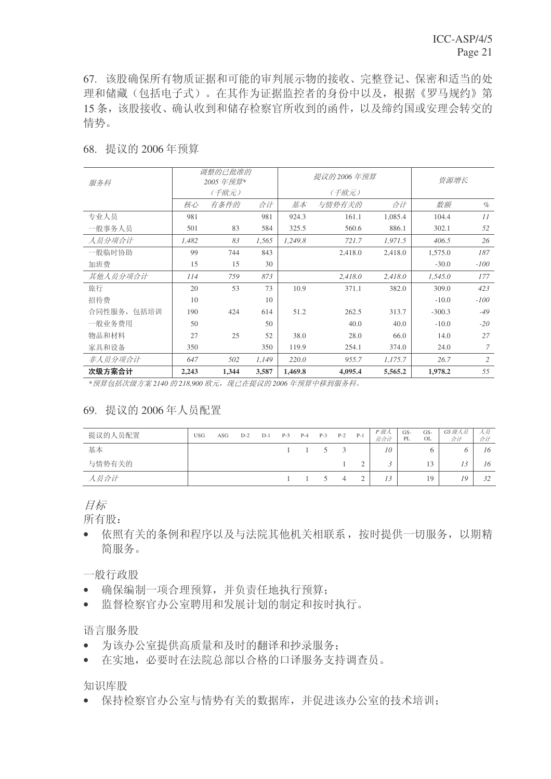67. 该股确保所有物质证据和可能的审判展示物的接收、完整登记、保密和适当的处 理和储藏(包括电子式)。在其作为证据监控者的身份中以及,根据《罗马规约》第 15 条, 该股接收、确认收到和储存检察官所收到的函件, 以及缔约国或安理会转交的 情势。

| 服务科         |       | 调整的己批准的<br>2005 年预算* |       |         | 提议的 2006 年预算 |         | 资源增长     |        |
|-------------|-------|----------------------|-------|---------|--------------|---------|----------|--------|
|             |       | (千欧元)                |       |         | (千欧元)        |         |          |        |
|             | 核心    | 有条件的                 | 合计    | 基本      | 与情势有关的       | 合计      | 数额       | $\%$   |
| 专业人员        | 981   |                      | 981   | 924.3   | 161.1        | 1,085.4 | 104.4    | 11     |
| 一般事务人员      | 501   | 83                   | 584   | 325.5   | 560.6        | 886.1   | 302.1    | 52     |
| 人员分项合计      | 1,482 | 83                   | 1,565 | 1,249.8 | 721.7        | 1,971.5 | 406.5    | 26     |
| 一般临时协助      | 99    | 744                  | 843   |         | 2,418.0      | 2,418.0 | 1,575.0  | 187    |
| 加班费         | 15    | 15                   | 30    |         |              |         | $-30.0$  | $-100$ |
| 其他人员分项合计    | 114   | 759                  | 873   |         | 2,418.0      | 2,418.0 | 1,545.0  | 177    |
| 旅行          | 20    | 53                   | 73    | 10.9    | 371.1        | 382.0   | 309.0    | 423    |
| 招待费         | 10    |                      | 10    |         |              |         | $-10.0$  | $-100$ |
| 合同性服务, 包括培训 | 190   | 424                  | 614   | 51.2    | 262.5        | 313.7   | $-300.3$ | $-49$  |
| 一般业务费用      | 50    |                      | 50    |         | 40.0         | 40.0    | $-10.0$  | $-20$  |
| 物品和材料       | 27    | 25                   | 52    | 38.0    | 28.0         | 66.0    | 14.0     | 27     |
| 家具和设备       | 350   |                      | 350   | 119.9   | 254.1        | 374.0   | 24.0     | 7      |
| 非人员分项合计     | 647   | 502                  | 1,149 | 220.0   | 955.7        | 1,175.7 | 26.7     | 2      |
| 次级方案合计      | 2,243 | 1,344                | 3,587 | 1,469.8 | 4,095.4      | 5,565.2 | 1,978.2  | 55     |

68. 提议的 2006年预算

**■ \*预算包括次级方案 2140 的 218,900 欧元, 现已在提议的 2006 年预算中移到服务科。** 

#### 69. 提议的 2006年人员配置

| 提议的人员配置 | <b>USG</b> | ASG | $D-2$ | $D-1$ | $P-5$ | $P-4$               | $P-3$  | $P-2$ | $P-1$     | P 级人<br>员合计 | GS-<br>PL | GS-<br>OL | GS级人员<br>合计 | 人员<br>合计 |
|---------|------------|-----|-------|-------|-------|---------------------|--------|-------|-----------|-------------|-----------|-----------|-------------|----------|
| 基本      |            |     |       |       |       | $1 \quad 1 \quad 5$ |        | - 3   |           | 10          |           |           |             | 16       |
| 与情势有关的  |            |     |       |       |       |                     |        |       |           |             |           | 13        |             | 16       |
| 人员合计    |            |     |       |       |       |                     | $\sim$ | 4     | $\bigcap$ | 13          |           | 19        | 19          | 32       |

目标

所有股:

• 依照有关的条例和程序以及与法院其他机关相联系,按时提供一切服务,以期精 简服务。

一般行政股

- 确保编制一项合理预算,并负责任地执行预算;
- 监督检察官办公室聘用和发展计划的制定和按时执行。

#### 语言服务股

- 为该办公室提供高质量和及时的翻译和抄录服务:
- 在实地, 必要时在法院总部以合格的口译服务支持调查员。

知识库股

• 保持检察官办公室与情势有关的数据库,并促进该办公室的技术培训: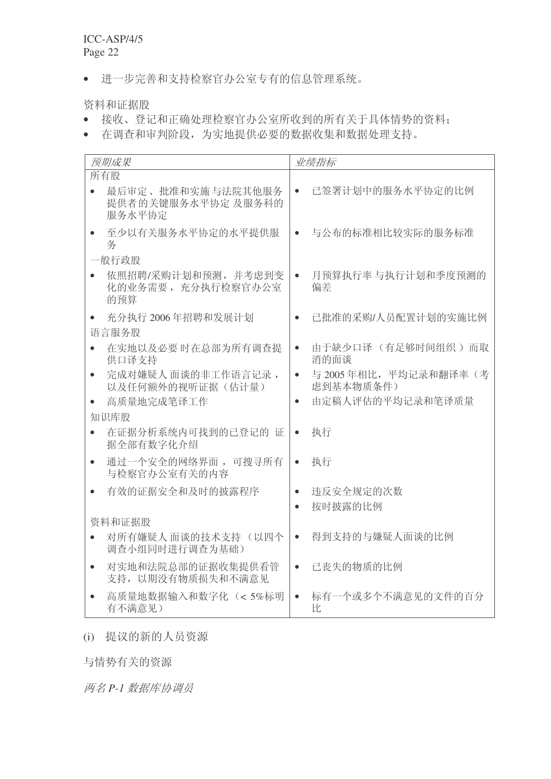• 进一步完善和支持检察官办公室专有的信息管理系统。

资料和证据股

- 接收、登记和正确处理检察官办公室所收到的所有关于具体情势的资料;
- 在调查和审判阶段,为实地提供必要的数据收集和数据处理支持。

| 预期成果                                                | 业绩指标                                           |
|-----------------------------------------------------|------------------------------------------------|
| 所有股                                                 |                                                |
| 最后审定、批准和实施与法院其他服务<br>提供者的关键服务水平协定 及服务科的<br>服务水平协定   | 已签署计划中的服务水平协定的比例<br>$\bullet$                  |
| 至少以有关服务水平协定的水平提供服<br>务                              | 与公布的标准相比较实际的服务标准<br>$\bullet$                  |
| 一般行政股                                               |                                                |
| 依照招聘/采购计划和预测,并考虑到变<br>化的业务需要, 充分执行检察官办公室<br>的预算     | 月预算执行率 与执行计划和季度预测的<br>$\bullet$<br>偏差          |
| 充分执行 2006年招聘和发展计划                                   | 已批准的采购/人员配置计划的实施比例<br>$\bullet$                |
| 语言服务股                                               |                                                |
| 在实地以及必要时在总部为所有调查提<br>供口译支持                          | 由于缺少口译 (有足够时间组织)而取<br>$\bullet$<br>消的面谈        |
| 完成对嫌疑人面谈的非工作语言记录,<br>$\bullet$<br>以及任何额外的视听证据(估计量)  | 与 2005年相比,平均记录和翻译率(考<br>$\bullet$<br>虑到基本物质条件) |
| 高质量地完成笔译工作                                          | 由定稿人评估的平均记录和笔译质量<br>$\bullet$                  |
| 知识库股                                                |                                                |
| 在证据分析系统内可找到的已登记的 证<br>据全部有数字化介绍                     | 执行<br>$\bullet$                                |
| 通过一个安全的网络界面, 可搜寻所有<br>$\bullet$<br>与检察官办公室有关的内容     | 执行<br>$\bullet$                                |
| 有效的证据安全和及时的披露程序                                     | 违反安全规定的次数<br>$\bullet$                         |
|                                                     | 按时披露的比例<br>$\bullet$                           |
| 资料和证据股                                              |                                                |
| 对所有嫌疑人 面谈的技术支持 (以四个<br>调查小组同时进行调查为基础)               | 得到支持的与嫌疑人面谈的比例<br>$\bullet$                    |
| 对实地和法院总部的证据收集提供看管<br>$\bullet$<br>支持, 以期没有物质损失和不满意见 | 已丧失的物质的比例<br>$\bullet$                         |
| 高质量地数据输入和数字化 (<5%标明<br>有不满意见)                       | 标有一个或多个不满意见的文件的百分<br>$\bullet$<br>比            |

### (i) 提议的新的人员资源

与情势有关的资源

两名 P-1 数据库协调员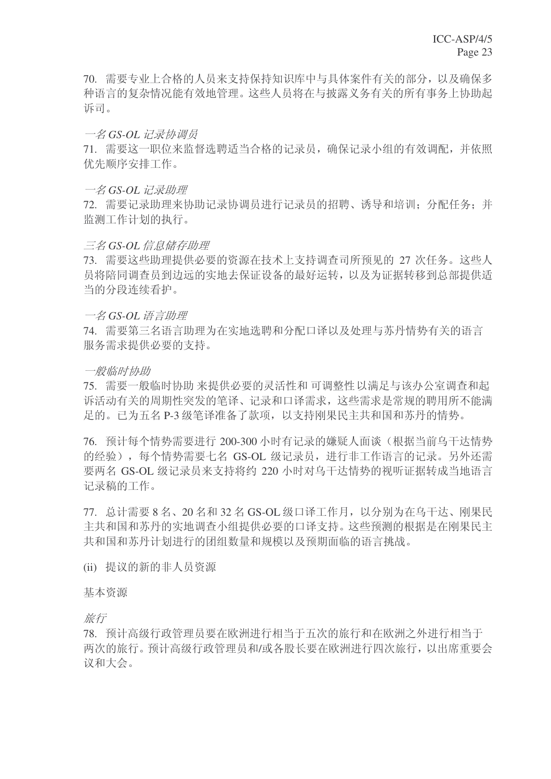70. 需要专业上合格的人员来支持保持知识库中与具体案件有关的部分, 以及确保多 种语言的复杂情况能有效地管理。这些人员将在与披露义务有关的所有事务上协助起 诉司。

#### 一名 GS-OL 记录协调员

71. 需要这一职位来监督选聘适当合格的记录员, 确保记录小组的有效调配, 并依照 优先顺序安排工作。

#### 一名 GS-OL 记录助理

72. 需要记录助理来协助记录协调员进行记录员的招聘、诱导和培训: 分配任务: 并 监测工作计划的执行。

#### 三名 GS-OL 信息储存助理

73. 需要这些助理提供必要的资源在技术上支持调查司所预见的 27 次任务。这些人 员将陪同调杳员到边远的实地夫保证设备的最好运转, 以及为证据转移到总部提供适 当的分段连续看护。

#### $-$ *Z* GS-OL 语言助理

74. 需要第三名语言助理为在实地选聘和分配口译以及处理与苏丹情势有关的语言 服务需求提供必要的支持。

#### 一般临时协助

75. 需要一般临时协助来提供必要的灵活性和可调整性以满足与该办公室调查和起 诉活动有关的周期性突发的笔译、记录和口译需求, 这些需求是常规的聘用所不能满 足的。已为五名 P-3 级笔译准备了款项,以支持刚果民主共和国和苏丹的情势。

76. 预计每个情势需要进行 200-300 小时有记录的嫌疑人面谈(根据当前乌干达情势 的经验), 每个情势需要七名 GS-OL 级记录员, 讲行非工作语言的记录。另外还需 要两名 GS-OL 级记录员来支持将约 220 小时对乌干达情势的视听证据转成当地语言 记录稿的工作。

 $77.$  总计需要 8 名、20 名和 32 名 GS-OL 级口译工作月, 以分别为在乌干达、刚果民 主共和国和苏丹的实地调杳小组提供必要的口译支持。这些预测的根据是在刚果民主 共和国和苏丹计划进行的团组数量和规模以及预期面临的语言挑战。

(ii) 提议的新的非人员资源

#### 基本资源

旅行

78. 预计高级行政管理员要在欧洲进行相当于五次的旅行和在欧洲之外进行相当于 两次的旅行。预计高级行政管理员和/或各股长要在欧洲讲行四次旅行,以出席重要会 议和大会。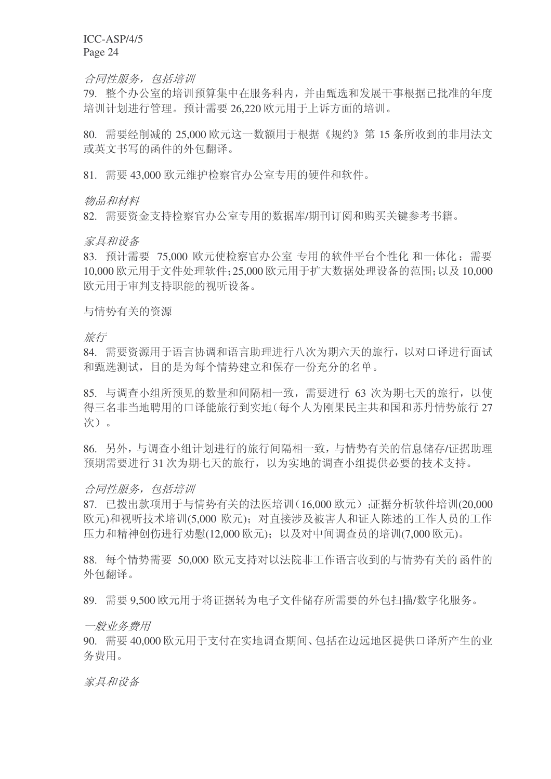#### 合同性服务, 包括培训

79. 整个办公室的培训预算集中在服务科内, 并由甄选和发展干事根据已批准的年度 培训计划讲行管理。预计需要 26.220 欧元用于上诉方面的培训。

80. 需要经削减的 25,000 欧元这一数额用于根据《规约》第 15 条所收到的非用法文 或英文书写的函件的外包翻译。

81. 需要 43,000 欧元维护检察官办公室专用的硬件和软件。

物品和材料

82. 需要资金支持检察官办公室专用的数据库/期刊订阅和购买关键参考书籍。

家县和设备

83. 预计需要 75,000 欧元使检察官办公室 专用的软件平台个性化 和一体化: 需要 10,000 欧元用于文件处理软件: 25,000 欧元用于扩大数据处理设备的范围: 以及 10,000 欧元用于审判支持职能的视听设备。

与情势有关的资源

旅行

84. 需要资源用于语言协调和语言助理进行八次为期六天的旅行, 以对口译进行面试 和甄选测试,目的是为每个情势建立和保存一份充分的名单。

85. 与调杳小组所预见的数量和间隔相一致,需要讲行 63 次为期七天的旅行, 以使 得三名非当地聘用的口译能旅行到实地(每个人为刚果民主共和国和苏丹情势旅行 27 次)。

86. 另外, 与调杳小组计划进行的旅行间隔相一致, 与情势有关的信息储存/证据助理 预期需要进行31次为期七天的旅行,以为实地的调查小组提供必要的技术支持。

#### 合同性服务, 包括培训

87. 已拨出款项用于与情势有关的法医培训(16,000 欧元) 证据分析软件培训(20,000 欧元)和视听技术培训(5,000 欧元); 对直接涉及被害人和证人陈述的工作人员的工作 压力和精神创伤进行劝慰(12,000 欧元);以及对中间调查员的培训(7,000 欧元)。

88. 每个情势需要 50,000 欧元支持对以法院非工作语言收到的与情势有关的函件的 外包翻译。

89. 需要 9.500 欧元用于将证据转为电子文件储存所需要的外包扫描/数字化服务。

一般业务费用

90. 需要 40,000 欧元用于支付在实地调查期间、包括在边远地区提供口译所产生的业 务费用。

家具和设备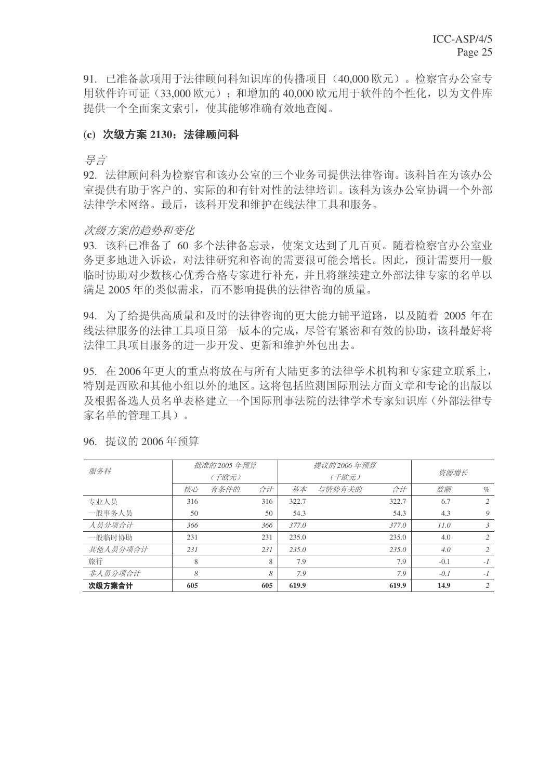91. 已准备款项用于法律顾问科知识库的传播项目 (40,000 欧元)。检察官办公室专 用软件许可证(33,000 欧元); 和增加的 40,000 欧元用于软件的个性化, 以为文件库 提供一个全面案文索引, 使其能够准确有效地杳阅。

#### (c) 次级方案 2130: 法律顾问科

ᇐ㿔

92. 法律顾问科为检察官和该办公室的三个业务司提供法律咨询。该科旨在为该办公 室提供有助于客户的、实际的和有针对性的法律培训。该科为该办公室协调一个外部 法律学术网络。 最后, 该科开发和维护在线法律工具和服务。

#### 次级方案的趋势和变化

93. 该科已准备了 60 多个法律备忘录, 使案文达到了几百页。随着检察官办公室业 务更多地进入诉讼,对法律研究和咨询的需要很可能会增长。因此,预计需要用一般 临时协助对少数核心优秀合格专家讲行补充,并且将继续建立外部法律专家的名单以 满足 2005 年的类似需求, 而不影响提供的法律咨询的质量。

94. 为了给提供高质量和及时的法律咨询的更大能力铺平道路, 以及随着 2005 年在 线法律服务的法律工具项目第一版本的完成,尽管有紧密和有效的协助,该科最好将 法律工具项目服务的讲一步开发、更新和维护外包出去。

95. 在2006年更大的重点将放在与所有大陆更多的法律学术机构和专家建立联系上, 特别是西欧和其他小组以外的地区。这将包括监测国际刑法方面文章和专论的出版以 及根据备选人员名单表格建立一个国际刑事法院的法律学术专家知识库(外部法律专 家名单的管理工具)。

| 服务科      |     | 批准的 2005 年预算 |     |       | 提议的 2006 年预算 |       |        |                |
|----------|-----|--------------|-----|-------|--------------|-------|--------|----------------|
|          |     | (千欧元)        |     |       | (千欧元)        | 资源增长  |        |                |
|          | 核心  | 有条件的         | 合计  | 基本    | 与情势有关的       | 合计    | 数额     | $\%$           |
| 专业人员     | 316 |              | 316 | 322.7 |              | 322.7 | 6.7    | $\mathfrak{D}$ |
| 一般事务人员   | 50  |              | 50  | 54.3  |              | 54.3  | 4.3    | 9              |
| 人员分项合计   | 366 |              | 366 | 377.0 |              | 377.0 | 11.0   | $\mathfrak{Z}$ |
| 一般临时协助   | 231 |              | 231 | 235.0 |              | 235.0 | 4.0    | $\mathfrak{D}$ |
| 其他人员分项合计 | 231 |              | 231 | 235.0 |              | 235.0 | 4.0    | $\mathfrak{D}$ |
| 旅行       | 8   |              | 8   | 7.9   |              | 7.9   | $-0.1$ | $-I$           |
| 非人员分项合计  | 8   |              | 8   | 7.9   |              | 7.9   | $-0.1$ | $-1$           |
| 次级方案合计   | 605 |              | 605 | 619.9 |              | 619.9 | 14.9   | $\mathfrak{D}$ |

96. 提议的 2006年预算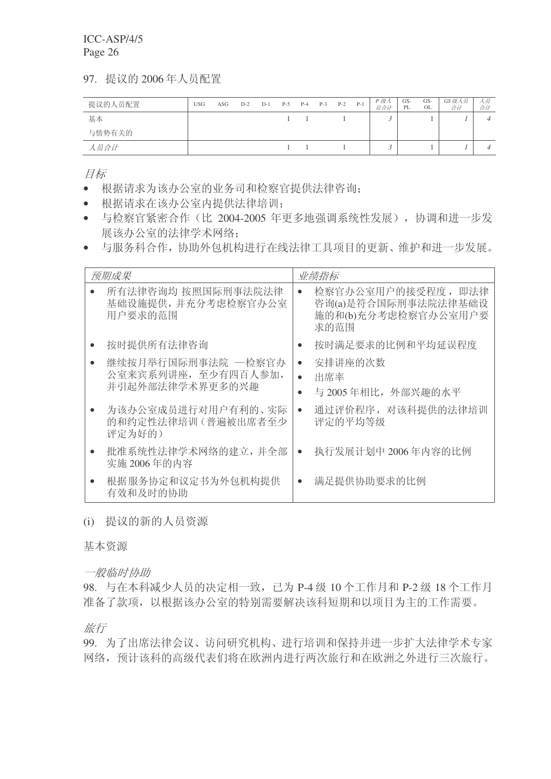97. 提议的 2006年人员配置

| 提议的人员配置 | <b>USG</b> | ASG | $D-2$ | $D-1$ | $P-5$ | $P-4$ | $P-3$ | $P-2$ | $P-1$ | P 级人<br>员合计 | GS-<br>PL | GS-<br>OL | GS 级人员<br>合计 | 人员<br>合计 |
|---------|------------|-----|-------|-------|-------|-------|-------|-------|-------|-------------|-----------|-----------|--------------|----------|
| 基本      |            |     |       |       |       |       |       |       |       |             |           |           |              |          |
| 与情势有关的  |            |     |       |       |       |       |       |       |       |             |           |           |              |          |
| 人员合计    |            |     |       |       |       |       |       |       |       |             |           |           |              |          |

目标

- 根据请求为该办公室的业务司和检察官提供法律咨询:
- 根据请求在该办公室内提供法律培训:
- 与检察官紧密合作(比 2004-2005 年更多地强调系统性发展), 协调和讲一步发 展该办公室的法律学术网络:
- 与服务科合作, 协助外包机构进行在线法律工具项目的更新、维护和进一步发展。

| 预期成果                                                         | 业绩指标                                                                                  |
|--------------------------------------------------------------|---------------------------------------------------------------------------------------|
| 所有法律咨询均 按照国际刑事法院法律<br>基础设施提供,并充分考虑检察官办公室<br>用户要求的范围          | 检察官办公室用户的接受程度, 即法律<br>$\bullet$<br>咨询(a)是符合国际刑事法院法律基础设<br>施的和(b)充分考虑检察官办公室用户要<br>求的范围 |
| 按时提供所有法律咨询                                                   | 按时满足要求的比例和平均延误程度<br>$\bullet$                                                         |
| 继续按月举行国际刑事法院 —检察官办<br>公室来宾系列讲座, 至少有四百人参加,<br>并引起外部法律学术界更多的兴趣 | 安排讲座的次数<br>$\bullet$<br>出席率<br>与 2005年相比, 外部兴趣的水平                                     |
| 为该办公室成员进行对用户有利的、实际<br>的和约定性法律培训(普遍被出席者至少<br>评定为好的)           | 通过评价程序, 对该科提供的法律培训<br>$\bullet$<br>评定的平均等级                                            |
| 批准系统性法律学术网络的建立, 并全部<br>实施 2006年的内容                           | 执行发展计划中 2006年内容的比例<br>$\bullet$                                                       |
| 根据服务协定和议定书为外包机构提供<br>有效和及时的协助                                | 满足提供协助要求的比例                                                                           |

(i) 提议的新的人员资源

基本资源

一般临时协助

98. 与在本科减少人员的决定相一致,已为 P-4 级 10 个工作月和 P-2 级 18 个工作月 准备了款项,以根据该办公室的特别需要解决该科短期和以项目为主的工作需要。

旅行

99. 为了出席法律会议、访问研究机构、进行培训和保持并进一步扩大法律学术专家 网络, 预计该科的高级代表们将在欧洲内进行两次旅行和在欧洲之外进行三次旅行。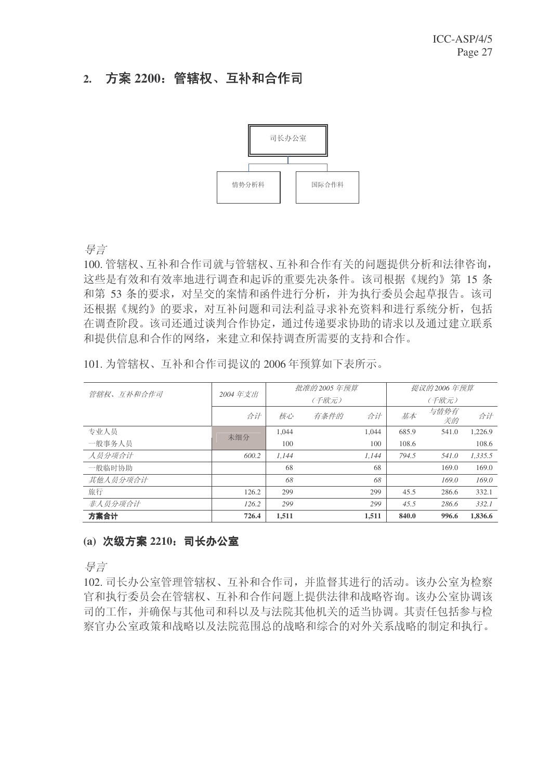### 2. 方案 2200: 管辖权、互补和合作司



ᇐ㿔

100. 管辖权、互补和合作有关的问题提供分析和法律咨询, 这些是有效和有效率地讲行调杳和起诉的重要先决条件。该司根据《规约》第15条 和第 53 条的要求, 对呈交的案情和函件进行分析, 并为执行委员会起草报告。该司 还根据《规约》的要求,对互补问题和司法利益寻求补充资料和讲行系统分析,包括 在调查阶段。该司还通过谈判合作协定,通过传递要求协助的请求以及通过建立联系 和提供信息和合作的网络,来建立和保持调查所需要的支持和合作。

| 101. 为管辖权、互补和合作司提议的 2006年预算如下表所示。 |  |  |
|-----------------------------------|--|--|
|-----------------------------------|--|--|

| 管辖权、互补和合作司 | 2004年支出 |       | 批准的 2005 年预算 | 提议的 2006 年预算 |       |            |         |  |
|------------|---------|-------|--------------|--------------|-------|------------|---------|--|
|            |         |       | (千欧元)        |              | (千欧元) |            |         |  |
|            | 合计      | 核心    | 有条件的         | 合计           | 基本    | 与情势有<br>关的 | 合计      |  |
| 专业人员       | 未细分     | 1,044 |              | 1.044        | 685.9 | 541.0      | 1,226.9 |  |
| 一般事务人员     |         | 100   |              | 100          | 108.6 |            | 108.6   |  |
| 人员分项合计     | 600.2   | 1.144 |              | 1.144        | 794.5 | 541.0      | 1,335.5 |  |
| 一般临时协助     |         | 68    |              | 68           |       | 169.0      | 169.0   |  |
| 其他人员分项合计   |         | 68    |              | 68           |       | 169.0      | 169.0   |  |
| 旅行         | 126.2   | 299   |              | 299          | 45.5  | 286.6      | 332.1   |  |
| 非人员分项合计    | 126.2   | 299   |              | 299          | 45.5  | 286.6      | 332.1   |  |
| 方案合计       | 726.4   | 1.511 |              | 1.511        | 840.0 | 996.6      | 1,836.6 |  |

#### (a) 次级方案 2210: 司长办公室

导言

102. 司长办公室管理管辖权、互补和合作司,并监督其进行的活动。该办公室为检察 官和执行委员会在管辖权、互补和合作问题上提供法律和战略咨询。该办公室协调该 司的工作,并确保与其他司和科以及与法院其他机关的适当协调。其责任包括参与检 察官办公室政策和战略以及法院范围总的战略和综合的对外关系战略的制定和执行。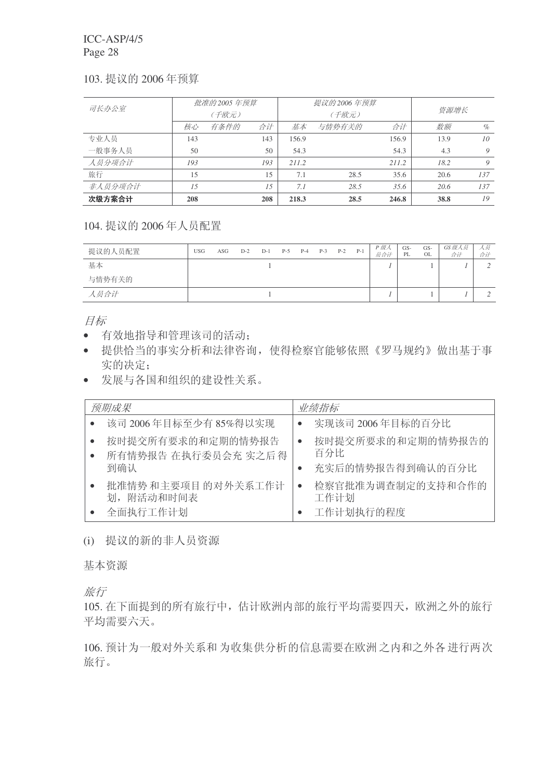#### 103. 提议的 2006 年预算

| 司长办公室   |     | 批准的 2005 年预算 |     |                        | 提议的 2006 年预算 |       |      |      |
|---------|-----|--------------|-----|------------------------|--------------|-------|------|------|
|         |     | (千欧元)        |     |                        | (千欧元)        | 资源增长  |      |      |
|         | 核心  | 有条件的         | 合计  | 基本                     | 与情势有关的       | 合计    | 数额   | $\%$ |
| 专业人员    | 143 |              | 143 | 156.9                  |              | 156.9 | 13.9 | 10   |
| 一般事务人员  | 50  |              | 50  | 54.3                   |              | 54.3  | 4.3  | 9    |
| 人员分项合计  | 193 |              | 193 | 211.2                  |              | 211.2 | 18.2 | 9    |
| 旅行      | 15  |              | 15  | 7.1                    | 28.5         | 35.6  | 20.6 | 137  |
| 非人员分项合计 | 1.5 |              | 1.5 | 7.1                    | 28.5         | 35.6  | 20.6 | 137  |
| 次级方案合计  | 208 |              | 208 | 28.5<br>218.3<br>246.8 |              |       | 38.8 | 19   |

#### 104. 提议的 2006年人员配置

| 提议的人员配置 | <b>USG</b> | ASG | $D-2$ | $D-1$ | $P-5$ | $P-4$ | $P-3$ | $P-2$ | $P-1$ | P 级人<br>员合计 | GS-<br>PL | GS-<br>OL | GS 级人员<br>合计 | ハ页ー<br>合计 |
|---------|------------|-----|-------|-------|-------|-------|-------|-------|-------|-------------|-----------|-----------|--------------|-----------|
| 基本      |            |     |       |       |       |       |       |       |       |             |           |           |              |           |
| 与情势有关的  |            |     |       |       |       |       |       |       |       |             |           |           |              |           |
| 人员合计    |            |     |       |       |       |       |       |       |       |             |           |           |              |           |

目标

- 有效地指导和管理该司的活动:
- 提供恰当的事实分析和法律咨询, 使得检察官能够依照《罗马规约》做出基于事 实的决定:
- 发展与各国和组织的建设性关系。

| 预期成果                                            | 业绩指标                                         |
|-------------------------------------------------|----------------------------------------------|
| 该司 2006年目标至少有 85%得以实现                           | 实现该司 2006年目标的百分比                             |
| 按时提交所有要求的和定期的情势报告<br>所有情势报告 在执行委员会充 实之后得<br>到确认 | 按时提交所要求的和定期的情势报告的<br>百分比<br>充实后的情势报告得到确认的百分比 |
| 批准情势和主要项目的对外关系工作计<br>划,附活动和时间表<br>全面执行工作计划      | 检察官批准为调查制定的支持和合作的<br>工作计划<br>工作计划执行的程度       |

(i) 提议的新的非人员资源

基本资源

旅行

105. 在下面提到的所有旅行中, 估计欧洲内部的旅行平均需要四天, 欧洲之外的旅行 平均需要六天。

106. 预计为一般对外关系和为收集供分析的信息需要在欧洲之内和之外各进行两次 旅行。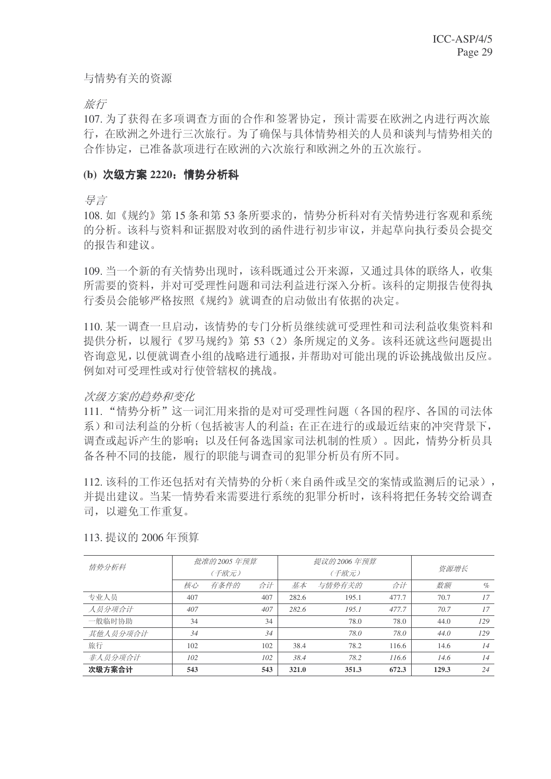与情势有关的资源

旅行

107. 为了获得在多项调查方面的合作和签署协定, 预计需要在欧洲之内进行两次旅 行, 在欧洲之外进行三次旅行。为了确保与具体情势相关的人员和谈判与情势相关的 合作协定,已准备款项进行在欧洲的六次旅行和欧洲之外的五次旅行。

#### (b) 次级方案 2220: 情势分析科

ᇐ㿔

108. 如《规约》第15 条和第53 条所要求的, 情势分析科对有关情势进行客观和系统 的分析。该科与资料和证据股对收到的函件进行初步审议,并起草向执行委员会提交 的报告和建议。

109. 当一个新的有关情势出现时, 该科既通过公开来源, 又通过具体的联络人, 收集 所需要的资料,并对可受理性问题和司法利益讲行深入分析。该科的定期报告使得执 行委员会能够严格按照《规约》就调杳的启动做出有依据的决定。

110. 某一调杳一旦启动, 该情势的专门分析员继续就可受理性和司法利益收集资料和 提供分析, 以履行《罗马规约》第53(2)条所规定的义务。该科还就这些问题提出 咨询意见,以便就调杳小组的战略进行通报,并帮助对可能出现的诉讼挑战做出反应。 例如对可受理性或对行使管辖权的挑战。

#### 次级方案的趋势和变化

111. "情势分析"这一词汇用来指的是对可受理性问题(各国的程序、各国的司法体 系)和司法利益的分析(包括被害人的利益: 在正在进行的或最近结束的冲突背景下, 调杳或起诉产生的影响: 以及任何备选国家司法机制的性质)。因此, 情势分析员具 备各种不同的技能, 履行的职能与调查司的犯罪分析员有所不同。

112. 该科的工作还包括对有关情势的分析(来自函件或呈交的案情或监测后的记录), 并提出建议。当某一情势看来需要进行系统的犯罪分析时,该科将把任务转交给调查 司, 以避免工作重复。

| 情势分析科    |     | 批准的 2005 年预算 |     |       | 提议的 2006 年预算 |       |       |      |
|----------|-----|--------------|-----|-------|--------------|-------|-------|------|
|          |     | (千欧元)        |     |       | (千欧元)        | 资源增长  |       |      |
|          | 核心  | 有条件的         | 合计  | 基本    | 与情势有关的       | 合计    | 数额    | $\%$ |
| 专业人员     | 407 |              | 407 | 282.6 | 195.1        | 477.7 | 70.7  | 17   |
| 人员分项合计   | 407 |              | 407 | 282.6 | 195.1        | 477.7 | 70.7  | 17   |
| 一般临时协助   | 34  |              | 34  |       | 78.0         | 78.0  | 44.0  | 129  |
| 其他人员分项合计 | 34  |              | 34  |       | 78.0         | 78.0  | 44.0  | 129  |
| 旅行       | 102 |              | 102 | 38.4  | 78.2         | 116.6 | 14.6  | 14   |
| 非人员分项合计  | 102 |              | 102 | 38.4  | 78.2         | 116.6 | 14.6  | 14   |
| 次级方案合计   | 543 |              | 543 | 321.0 | 351.3        | 672.3 | 129.3 | 24   |

113. 提议的 2006年预算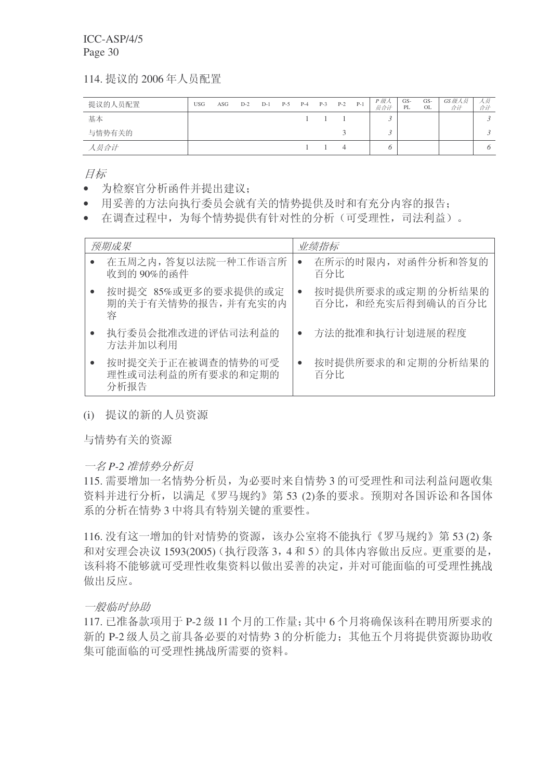114. 提议的 2006年人员配置

| 提议的人员配置 | <b>USG</b> | ASG | $D-2$ | $D-1$ | $P-5$ | $P-4$ | $P-3$ | $P-2$ | $P-1$ | P 级人<br>员合计 | GS-<br>PL | GS-<br>OL | GS 级人员<br>合计 | 八灵一<br>合计 |
|---------|------------|-----|-------|-------|-------|-------|-------|-------|-------|-------------|-----------|-----------|--------------|-----------|
| 基本      |            |     |       |       |       |       |       |       |       |             |           |           |              |           |
| 与情势有关的  |            |     |       |       |       |       |       |       |       |             |           |           |              |           |
| 人员合计    |            |     |       |       |       |       |       |       |       |             |           |           |              |           |

目标

- 为检察官分析函件并提出建议:
- 用妥善的方法向执行委员会就有关的情势提供及时和有充分内容的报告:
- 在调杳过程中, 为每个情势提供有针对性的分析(可受理性, 司法利益)。

| 预期成果                                           | 业绩指标                                                 |
|------------------------------------------------|------------------------------------------------------|
| 在五周之内, 答复以法院一种工作语言所<br>收到的 90%的函件              | 在所示的时限内, 对函件分析和答复的<br>$\bullet$<br>百分比               |
| 按时提交 85%或更多的要求提供的或定<br>期的关于有关情势的报告,并有充实的内<br>容 | 按时提供所要求的或定期的分析结果的<br>$\bullet$<br>百分比, 和经充实后得到确认的百分比 |
| 执行委员会批准改进的评估司法利益的<br>方法并加以利用                   | 方法的批准和执行计划进展的程度                                      |
| 按时提交关于正在被调查的情势的可受<br>理性或司法利益的所有要求的和定期的<br>分析报告 | 按时提供所要求的和定期的分析结果的<br>$\bullet$<br>百分比                |

(i) 提议的新的人员资源

与情势有关的资源

一名 P-2 准情势分析员

115. 需要增加一名情势分析员, 为必要时来自情势 3 的可受理性和司法利益问题收集 资料并进行分析,以满足《罗马规约》第53 (2)条的要求。预期对各国诉讼和各国体 系的分析在情势3中将具有特别关键的重要性。

116. 没有这一增加的针对情势的资源, 该办公室将不能执行《罗马规约》第53(2) 条 和对安理会决议 1593(2005) (执行段落 3, 4和 5) 的具体内容做出反应。更重要的是, 该科将不能够就可受理性收集资料以做出妥善的决定,并对可能面临的可受理性挑战 做出反应。

一般临时协助

117. 已准备款项用于 P-2 级 11 个月的工作量; 其中 6 个月将确保该科在聘用所要求的 新的 P-2 级人员之前具备必要的对情势 3 的分析能力: 其他五个月将提供资源协助收 集可能面临的可受理性挑战所需要的资料。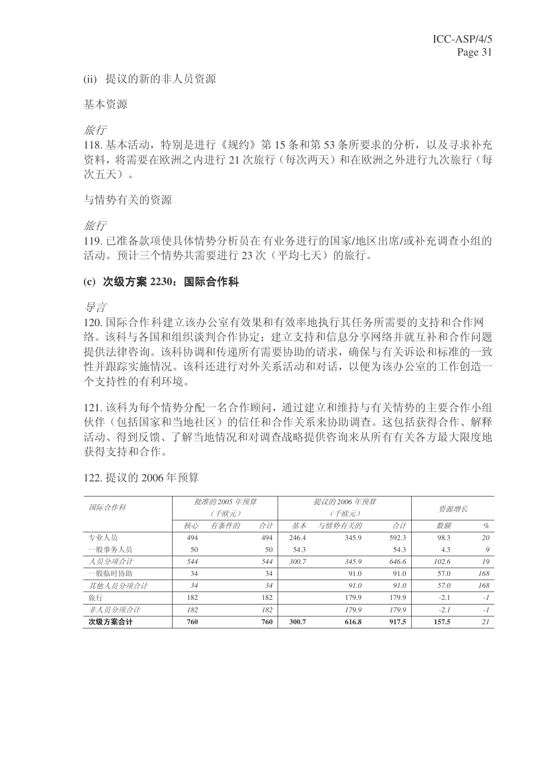(ii) 提议的新的非人员资源

基本资源

旅行

118. 基本活动, 特别是进行《规约》第15 条和第53 条所要求的分析, 以及寻求补充 资料, 将需要在欧洲之内进行 21 次旅行 (每次两天) 和在欧洲之外进行九次旅行 (每 次五天)。

与情势有关的资源

旅行

119. 已准备款项使具体情势分析员在有业务进行的国家/地区出席/或补充调查小组的 活动。预计三个情势共需要讲行 23 次 (平均七天) 的旅行。

#### (c) 次级方案 2230: 国际合作科

异言

120. 国际合作科建立该办公室有效果和有效率地执行其任务所需要的支持和合作网 络。该科与各国和组织谈判合作协定: 建立支持和信息分享网络并就互补和合作问题 提供法律咨询。该科协调和传递所有需要协助的请求,确保与有关诉讼和标准的一致 性并跟踪实施情况。该科还进行对外关系活动和对话,以便为该办公室的工作创造一 个支持性的有利环境。

121. 该科为每个情势分配一名合作顾问, 通过建立和维持与有关情势的主要合作小组 伙伴(包括国家和当地社区)的信任和合作关系来协助调杳。这包括获得合作、解释 活动、得到反馈、了解当地情况和对调查战略提供咨询来从所有有关各方最大限度地 获得支持和合作。

| 国际合作科    |     | 批准的 2005 年预算 |     |       | 提议的 2006 年预算 | 资源增长  |        |      |
|----------|-----|--------------|-----|-------|--------------|-------|--------|------|
|          |     | (千欧元)        |     |       | (千欧元)        |       |        |      |
|          | 核心  | 有条件的         | 合计  | 基本    | 与情势有关的       | 合计    | 数额     | $\%$ |
| 专业人员     | 494 |              | 494 | 246.4 | 345.9        | 592.3 | 98.3   | 20   |
| 一般事务人员   | 50  |              | 50  | 54.3  |              | 54.3  | 4.3    | 9    |
| 人员分项合计   | 544 |              | 544 | 300.7 | 345.9        | 646.6 | 102.6  | 19   |
| 一般临时协助   | 34  |              | 34  |       | 91.0         | 91.0  | 57.0   | 168  |
| 其他人员分项合计 | 34  |              | 34  |       | 91.0         | 91.0  | 57.0   | 168  |
| 旅行       | 182 |              | 182 |       | 179.9        | 179.9 | $-2.1$ | $-1$ |
| 非人员分项合计  | 182 |              | 182 |       | 179.9        | 179.9 | $-2.1$ | $-1$ |
| 次级方案合计   | 760 |              | 760 | 300.7 | 616.8        | 917.5 | 157.5  | 21   |

122. 提议的 2006年预算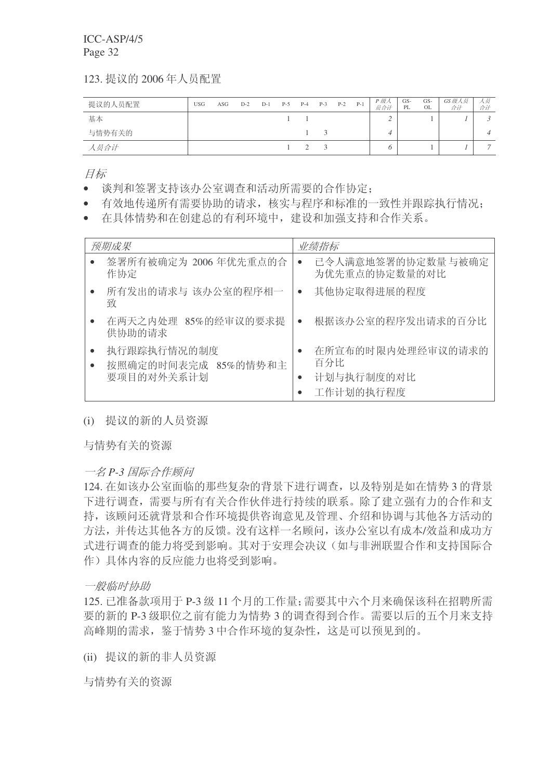123. 提议的 2006年人员配置

| 提议的人员配置 | <b>USG</b> | ASG | $D-2$ | $D-1$ | $P-5$ | $P-4$ | $P-3$ | $P-2$ | $P-1$ | P 级人<br>员合计 | GS-<br>PL | GS-<br>OL | GS级人员<br>合计 | 人员<br>合计       |
|---------|------------|-----|-------|-------|-------|-------|-------|-------|-------|-------------|-----------|-----------|-------------|----------------|
| 基本      |            |     |       |       |       |       |       |       |       |             |           |           |             |                |
| 与情势有关的  |            |     |       |       |       |       |       |       |       |             |           |           |             |                |
| 人员合计    |            |     |       |       |       |       |       |       |       |             |           |           |             | $\overline{ }$ |

目标

- 谈判和签署支持该办公室调查和活动所需要的合作协定:
- 有效地传递所有需要协助的请求,核实与程序和标准的一致性并跟踪执行情况;
- 在具体情势和在创建总的有利环境中, 建设和加强支持和合作关系。

| 预期成果                                             | 业绩指标                                                |
|--------------------------------------------------|-----------------------------------------------------|
| 签署所有被确定为 2006 年优先重点的合<br>作协定                     | 已令人满意地签署的协定数量与被确定<br>$\bullet$<br>为优先重点的协定数量的对比     |
| 所有发出的请求与 该办公室的程序相一<br>致                          | 其他协定取得进展的程度<br>$\bullet$                            |
| 在两天之内处理 85%的经审议的要求提<br>供协助的请求                    | 根据该办公室的程序发出请求的百分比                                   |
| 执行跟踪执行情况的制度<br>按照确定的时间表完成 85%的情势和主<br>要项目的对外关系计划 | 在所宣布的时限内处理经审议的请求的<br>百分比<br>计划与执行制度的对比<br>工作计划的执行程度 |

# (i) 提议的新的人员资源

与情势有关的资源

一名 P-3 国际合作顾问

124. 在如该办公室面临的那些复杂的背景下进行调查, 以及特别是如在情势3的背景 下进行调查,需要与所有有关合作伙伴进行持续的联系。除了建立强有力的合作和支 持,该顾问还就背景和合作环境提供咨询意见及管理、介绍和协调与其他各方活动的 方法,并传达其他各方的反馈。没有这样一名顾问,该办公室以有成本/效益和成功方 式进行调查的能力将受到影响。其对于安理会决议(如与非洲联盟合作和支持国际合 作)具体内容的反应能力也将受到影响。

#### 一般临时协助

125. 已准备款项用于 P-3 级 11 个月的工作量: 需要其中六个月来确保该科在招聘所需 要的新的 P-3 级职位之前有能力为情势 3 的调查得到合作。需要以后的五个月来支持 高峰期的需求, 鉴于情势 3 中合作环境的复杂性, 这是可以预见到的。

(ii) 提议的新的非人员资源

与情势有关的资源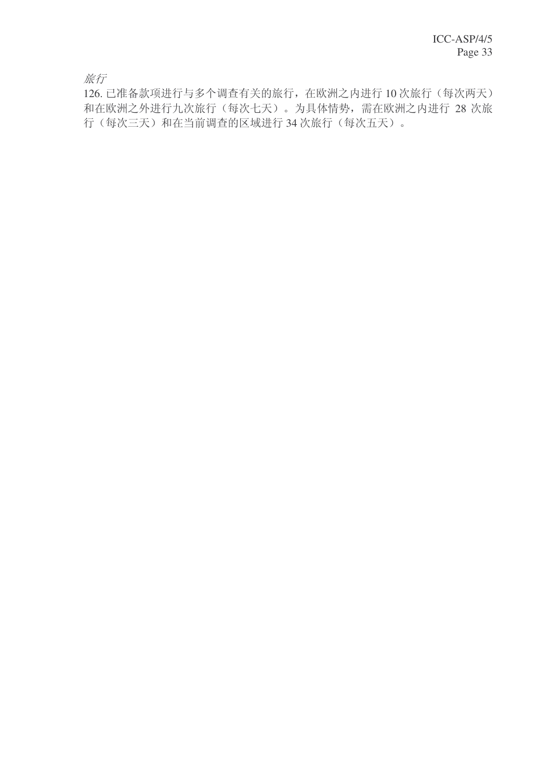旅行

126. 已准备款项进行与多个调查有关的旅行, 在欧洲之内进行 10 次旅行(每次两天) 和在欧洲之外进行九次旅行(每次七天)。为具体情势,需在欧洲之内进行 28 次旅 行(每次三天)和在当前调查的区域进行34次旅行(每次五天)。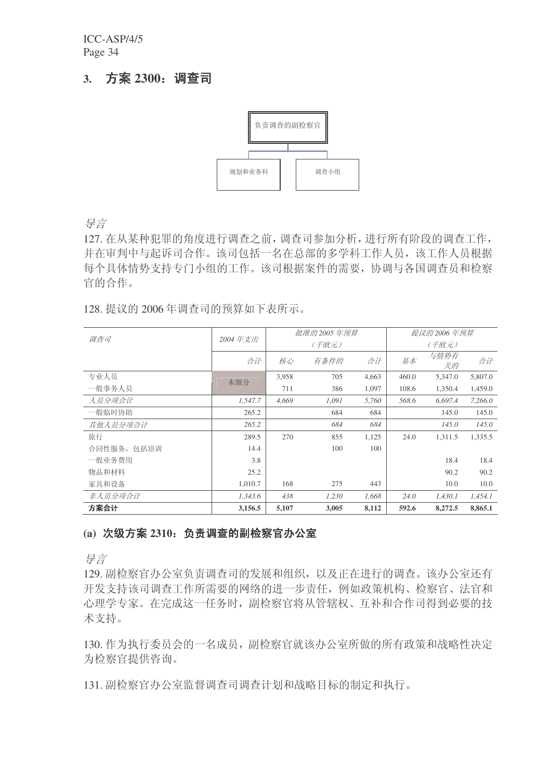# 3. 方案 2300: 调查司



异言

127. 在从某种犯罪的角度进行调查之前, 调查司参加分析, 进行所有阶段的调查工作, 并在审判中与起诉司合作。该司包括一名在总部的多学科工作人员,该工作人员根据 每个具体情势支持专门小组的工作。该司根据案件的需要, 协调与各国调查员和检察 官的合作。

128. 提议的 2006 年调查司的预算如下表所示。

| 调查司         | 2004年支出 |       | 批准的 2005 年预算 |       |       | 提议的 2006 年预算 |         |
|-------------|---------|-------|--------------|-------|-------|--------------|---------|
|             |         |       | (千欧元)        |       |       | (千欧元)        |         |
|             | 合计      | 核心    | 有条件的         | 合计    | 基本    | 与情势有<br>关的   | 合计      |
| 专业人员        | 未细分     | 3,958 | 705          | 4,663 | 460.0 | 5,347.0      | 5,807.0 |
| 一般事务人员      |         | 711   | 386          | 1,097 | 108.6 | 1,350.4      | 1,459.0 |
| 人员分项合计      | 1,547.7 | 4.669 | 1.091        | 5.760 | 568.6 | 6.697.4      | 7.266.0 |
| 一般临时协助      | 265.2   |       | 684          | 684   |       | 145.0        | 145.0   |
| 其他人员分项合计    | 265.2   |       | 684          | 684   |       | 145.0        | 145.0   |
| 旅行          | 289.5   | 270   | 855          | 1,125 | 24.0  | 1.311.5      | 1,335.5 |
| 合同性服务, 包括培训 | 14.4    |       | 100          | 100   |       |              |         |
| 一般业务费用      | 3.8     |       |              |       |       | 18.4         | 18.4    |
| 物品和材料       | 25.2    |       |              |       |       | 90.2         | 90.2    |
| 家具和设备       | 1,010.7 | 168   | 275          | 443   |       | 10.0         | 10.0    |
| 非人员分项合计     | 1,343.6 | 438   | 1,230        | 1,668 | 24.0  | 1,430.1      | 1,454.1 |
| 方案合计        | 3,156.5 | 5,107 | 3,005        | 8,112 | 592.6 | 8,272.5      | 8,865.1 |

# (a) 次级方案 2310: 负责调查的副检察官办公室

导言

129. 副检察官办公室负责调杳司的发展和组织, 以及正在讲行的调杳。该办公室还有 开发支持该司调查工作所需要的网络的进一步责任, 例如政策机构、检察官、法官和 心理学专家。在完成这一任务时,副检察官将从管辖权、互补和合作司得到必要的技 术支持。

130. 作为执行委员会的一名成员, 副检察官就该办公室所做的所有政策和战略性决定 为检察官提供咨询。

131. 副检察官办公室监督调查司调查计划和战略目标的制定和执行。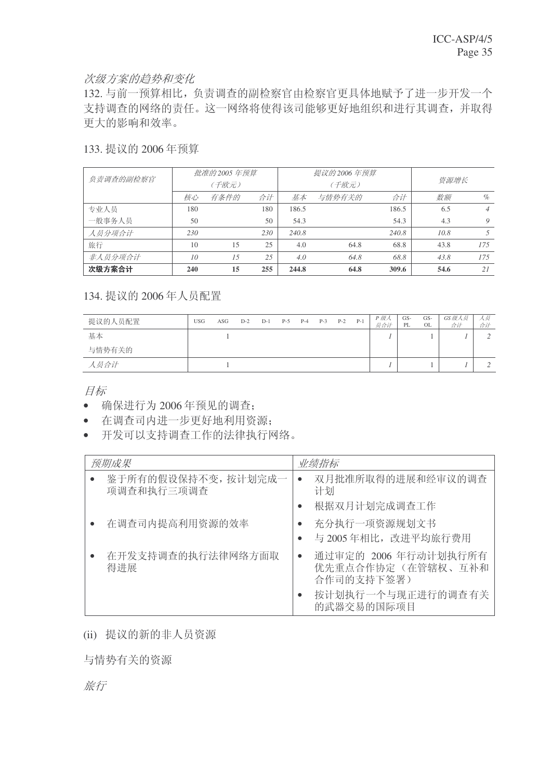# 次级方案的趋势和变化

132. 与前一预算相比, 负责调查的副检察官由检察官更具体地赋予了进一步开发一个 支持调查的网络的责任。这一网络将使得该司能够更好地组织和进行其调查,并取得 更大的影响和效率。

# 133. 提议的 2006 年预算

| 负责调查的副检察官 |     | 批准的 2005 年预算 |     |       | 提议的 2006 年预算 |       |      |                |
|-----------|-----|--------------|-----|-------|--------------|-------|------|----------------|
|           |     | (千欧元)        |     |       | (千欧元)        | 资源增长  |      |                |
|           | 核心  | 有条件的         | 合计  | 基本    | 与情势有关的       | 合计    | 数额   | $\%$           |
| 专业人员      | 180 |              | 180 | 186.5 |              | 186.5 | 6.5  | $\overline{4}$ |
| 一般事务人员    | 50  |              | 50  | 54.3  |              | 54.3  | 4.3  | 9              |
| 人员分项合计    | 230 |              | 230 | 240.8 |              | 240.8 | 10.8 |                |
| 旅行        | 10  | 15           | 25  | 4.0   | 64.8         | 68.8  | 43.8 | 175            |
| 非人员分项合计   | 10  | 1.5          | 25  | 4.0   | 64.8         | 68.8  | 43.8 | 175            |
| 次级方案合计    | 240 | 15           | 255 | 244.8 | 64.8         | 309.6 | 54.6 | 21             |

# 134. 提议的 2006 年人员配置

| 提议的人员配置 | <b>USG</b> | ASG | $D-2$ | $D-1$ | $P-5$ | $P-4$ | $P-3$ | $P-2$ | $P-1$ | P 级人<br>员合计 | GS-<br>PL | GS-<br>OL | GS 级人员<br>合计 | 人员<br>合计 |
|---------|------------|-----|-------|-------|-------|-------|-------|-------|-------|-------------|-----------|-----------|--------------|----------|
| 基本      |            |     |       |       |       |       |       |       |       |             |           |           |              |          |
| 与情势有关的  |            |     |       |       |       |       |       |       |       |             |           |           |              |          |
| 人员合计    |            |     |       |       |       |       |       |       |       |             |           |           |              |          |

目标

- 确保进行为 2006 年预见的调查;
- 在调查司内进一步更好地利用资源:
- 开发可以支持调查工作的法律执行网络。

| 预期成果                              | 业绩指标                                                                                                    |
|-----------------------------------|---------------------------------------------------------------------------------------------------------|
| 鉴于所有的假设保持不变, 按计划完成一<br>项调查和执行三项调查 | 双月批准所取得的进展和经审议的调查<br>$\bullet$<br>计划<br>根据双月计划完成调查工作<br>$\bullet$                                       |
| 在调查司内提高利用资源的效率                    | 充分执行一项资源规划文书<br>$\bullet$<br>与 2005年相比, 改进平均旅行费用                                                        |
| 在开发支持调查的执行法律网络方面取<br>得进展          | 通过审定的 2006 年行动计划执行所有<br>$\bullet$<br>优先重点合作协定(在管辖权、互补和<br>合作司的支持下签署)<br>按计划执行一个与现正进行的调查有关<br>的武器交易的国际项目 |

(ii) 提议的新的非人员资源

与情势有关的资源

旅行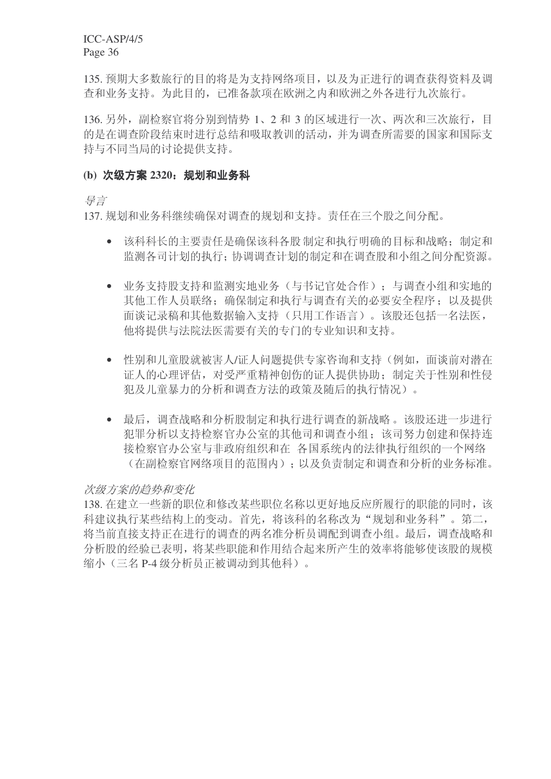135. 预期大多数旅行的目的将是为支持网络项目, 以及为正进行的调查获得资料及调 查和业务支持。为此目的,已准备款项在欧洲之内和欧洲之外各进行九次旅行。

136. 另外, 副检察官将分别到情势 1、2 和 3 的区域进行一次、两次和三次旅行, 目 的是在调查阶段结束时进行总结和吸取教训的活动,并为调查所需要的国家和国际支 持与不同当局的讨论提供支持。

### (b) 次级方案 2320; 规划和业务科

ᇐ㿔

137. 规划和业务科继续确保对调查的规划和支持。责任在三个股之间分配。

- 该科科长的主要责任是确保该科各股制定和执行明确的目标和战略:制定和 监测各司计划的执行: 协调调查计划的制定和在调查股和小组之间分配资源。
- 业务支持股支持和监测实地业务(与书记官处合作): 与调查小组和实地的 其他工作人员联络: 确保制定和执行与调查有关的必要安全程序: 以及提供 面谈记录稿和其他数据输入支持(只用工作语言)。该股还包括一名法医, 他将提供与法院法医需要有关的专门的专业知识和支持。
- 性别和儿童股就被害人/证人问题提供专家咨询和支持(例如, 面谈前对潜在 证人的心理评估, 对受严重精神创伤的证人提供协助; 制定关于性别和性侵 犯及儿童暴力的分析和调查方法的政策及随后的执行情况)。
- 最后, 调查战略和分析股制定和执行进行调查的新战略。该股还进一步进行 犯罪分析以支持检察官办公室的其他司和调查小组:该司努力创建和保持连 接检察官办公室与非政府组织和在 各国系统内的法律执行组织的一个网络 (在副检察官网络项目的范围内);以及负责制定和调杳和分析的业务标准。

# 次级方案的趋势和变化

138. 在建立一些新的职位和修改某些职位名称以更好地反应所履行的职能的同时, 该 科建议执行某些结构上的变动。首先,将该科的名称改为"规划和业务科"。第二, 将当前直接支持正在进行的调查的两名准分析员调配到调查小组。最后,调查战略和 分析股的经验已表明, 将某些职能和作用结合起来所产生的效率将能够使该股的规模 缩小(三名 P-4 级分析员正被调动到其他科)。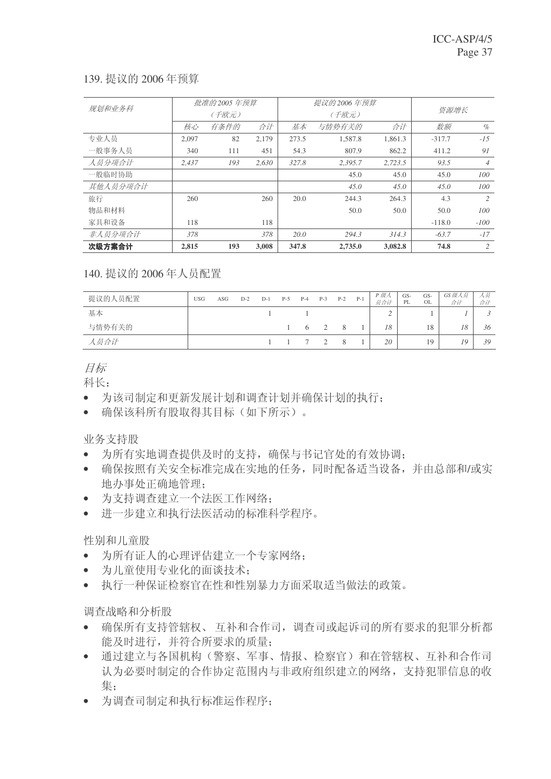# 139. 提议的 2006年预算

| 规划和业务科   |       | 批准的 2005 年预算 |       |       | 提议的 2006 年预算 |         |          |                |
|----------|-------|--------------|-------|-------|--------------|---------|----------|----------------|
|          |       | (千欧元)        |       |       | (千欧元)        | 资源增长    |          |                |
|          | 核心    | 有条件的         | 合计    | 基本    | 与情势有关的       | 合计      | 数额       | $\%$           |
| 专业人员     | 2.097 | 82           | 2.179 | 273.5 | 1.587.8      | 1.861.3 | $-317.7$ | $-15$          |
| 一般事务人员   | 340   | 111          | 451   | 54.3  | 807.9        | 862.2   | 411.2    | 91             |
| 人员分项合计   | 2.437 | 193          | 2.630 | 327.8 | 2.395.7      | 2.723.5 | 93.5     | $\overline{4}$ |
| 一般临时协助   |       |              |       |       | 45.0         | 45.0    | 45.0     | 100            |
| 其他人员分项合计 |       |              |       |       | 45.0         | 45.0    | 45.0     | 100            |
| 旅行       | 260   |              | 260   | 20.0  | 244.3        | 264.3   | 4.3      | 2              |
| 物品和材料    |       |              |       |       | 50.0         | 50.0    | 50.0     | 100            |
| 家具和设备    | 118   |              | 118   |       |              |         | $-118.0$ | $-100$         |
| 非人员分项合计  | 378   |              | 378   | 20.0  | 294.3        | 314.3   | $-63.7$  | $-17$          |
| 次级方案合计   | 2,815 | 193          | 3,008 | 347.8 | 2,735.0      | 3,082.8 | 74.8     | 2              |

140. 提议的 2006 年人员配置

| 提议的人员配置 | <b>USG</b> | ASG | $D-2$ | $D-1$ | $P-5$ | $P-4$ | $P-3$    | $P-2$ | $P-1$ | P 级人<br>员合计 | GS-<br>PL | GS-<br>OL | GS级人员<br>合计 | 人员<br>合计 |
|---------|------------|-----|-------|-------|-------|-------|----------|-------|-------|-------------|-----------|-----------|-------------|----------|
| 基本      |            |     |       |       |       |       |          |       |       |             |           |           |             |          |
| 与情势有关的  |            |     |       |       |       | - 6   |          | 8     |       | 18          |           | 18        | 18          | 36       |
| 人员合计    |            |     |       |       |       |       | $\sim$ 2 | 8     |       | 20          |           | 19        | 19          | 39       |

目标

科长:

- 为该司制定和更新发展计划和调查计划并确保计划的执行;
- 确保该科所有股取得其目标(如下所示)。

业务支持股

- 为所有实地调杳提供及时的支持, 确保与书记官处的有效协调:
- 确保按照有关安全标准完成在实地的任务,同时配备适当设备,并由总部和/或实 地办事处正确地管理:
- 为支持调查建立一个法医工作网络;
- 讲一步建立和执行法医活动的标准科学程序。

性别和儿童股

- 为所有证人的心理评估建立一个专家网络:
- 为儿童使用专业化的面谈技术;
- 执行一种保证检察官在性和性别暴力方面采取适当做法的政策。

调查战略和分析股

- 确保所有支持管辖权、互补和合作司, 调查司或起诉司的所有要求的犯罪分析都 能及时进行,并符合所要求的质量;
- 通过建立与各国机构(警察、军事、情报、检察官)和在管辖权、互补和合作司 认为必要时制定的合作协定范围内与非政府组织建立的网络,支持犯罪信息的收 集:
- 为调查司制定和执行标准运作程序: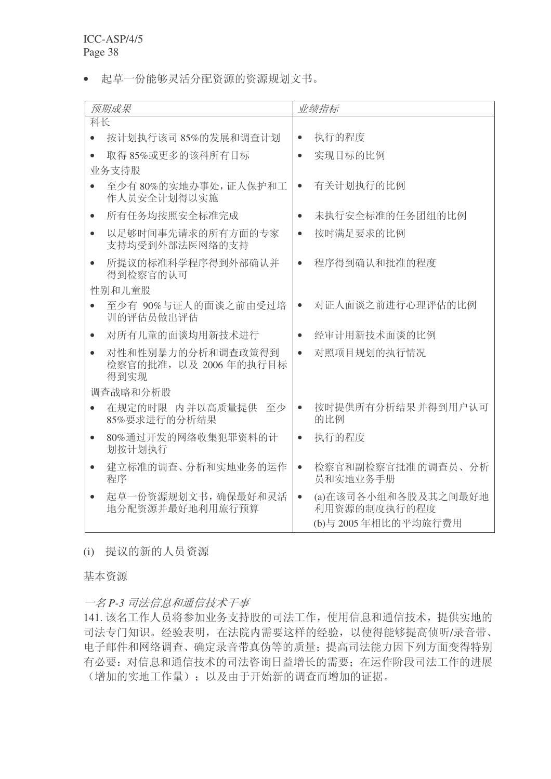• 起草一份能够灵活分配资源的资源规划文书。

| 预期成果                                               | 业绩指标                                                                    |
|----------------------------------------------------|-------------------------------------------------------------------------|
| 科长                                                 |                                                                         |
| 按计划执行该司 85%的发展和调查计划                                | 执行的程度<br>$\bullet$                                                      |
| 取得 85%或更多的该科所有目标                                   | 实现目标的比例<br>$\bullet$                                                    |
| 业务支持股                                              |                                                                         |
| 至少有80%的实地办事处,证人保护和工<br>作人员安全计划得以实施                 | 有关计划执行的比例<br>$\bullet$                                                  |
| 所有任务均按照安全标准完成<br>$\bullet$                         | 未执行安全标准的任务团组的比例<br>$\bullet$                                            |
| 以足够时间事先请求的所有方面的专家<br>$\bullet$<br>支持均受到外部法医网络的支持   | 按时满足要求的比例<br>$\bullet$                                                  |
| 所提议的标准科学程序得到外部确认并<br>$\bullet$<br>得到检察官的认可         | 程序得到确认和批准的程度<br>$\bullet$                                               |
| 性别和儿童股                                             |                                                                         |
| 至少有 90%与证人的面谈之前由受过培<br>训的评估员做出评估                   | 对证人面谈之前进行心理评估的比例<br>$\bullet$                                           |
| 对所有儿童的面谈均用新技术进行<br>$\bullet$                       | 经审计用新技术面谈的比例<br>$\bullet$                                               |
| 对性和性别暴力的分析和调查政策得到<br>检察官的批准, 以及 2006年的执行目标<br>得到实现 | 对照项目规划的执行情况<br>$\bullet$                                                |
| 调查战略和分析股                                           |                                                                         |
| 在规定的时限 内并以高质量提供 至少<br>$\bullet$<br>85%要求进行的分析结果    | 按时提供所有分析结果 并得到用户认可<br>$\bullet$<br>的比例                                  |
| 80%通过开发的网络收集犯罪资料的计<br>$\bullet$<br>划按计划执行          | 执行的程度<br>$\bullet$                                                      |
| 建立标准的调查、分析和实地业务的运作<br>程序                           | 检察官和副检察官批准的调查员、分析<br>$\bullet$<br>员和实地业务手册                              |
| 起草一份资源规划文书, 确保最好和灵活<br>地分配资源并最好地利用旅行预算             | (a)在该司各小组和各股及其之间最好地<br>$\bullet$<br>利用资源的制度执行的程度<br>(b)与 2005年相比的平均旅行费用 |

(i) 提议的新的人员资源

基本资源

一名 P-3 司法信息和通信技术干事

141. 该名工作人员将参加业务支持股的司法工作, 使用信息和通信技术, 提供实地的 司法专门知识。经验表明, 在法院内需要这样的经验, 以使得能够提高侦听/录音带、 电子邮件和网络调查、确定录音带真伪等的质量; 提高司法能力因下列方面变得特别 有必要: 对信息和通信技术的司法咨询日益增长的需要; 在运作阶段司法工作的进展 (增加的实地工作量): 以及由于开始新的调查而增加的证据。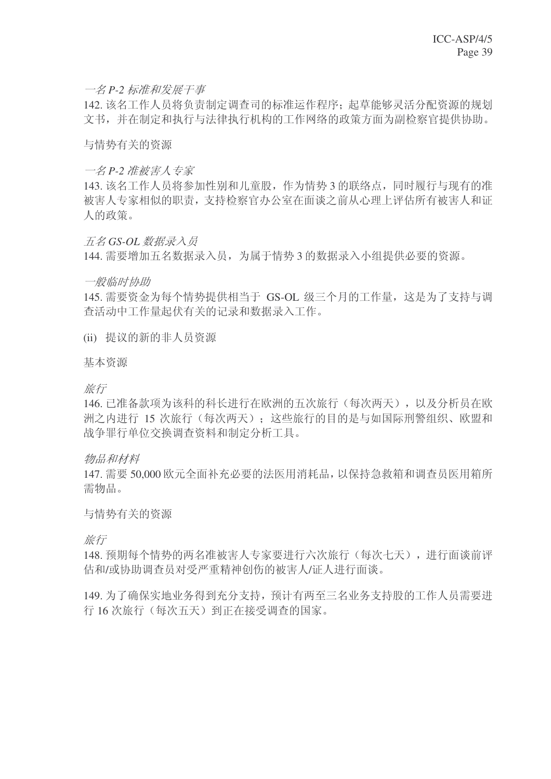# 一名 P-2 标准和发展干事

142. 该名工作人员将负责制定调查司的标准运作程序; 起草能够灵活分配资源的规划 文书,并在制定和执行与法律执行机构的工作网络的政策方面为副检察官提供协助。

与情势有关的资源

#### 一名 P-2 准被害人专家

143. 该名工作人员将参加性别和儿童股, 作为情势 3 的联络点, 同时履行与现有的准 被害人专家相似的职责, 支持检察官办公室在面谈之前从心理上评估所有被害人和证 人的政策。

### 石名 GS-OL 数据录入员

144. 需要增加五名数据录入员, 为属于情势 3 的数据录入小组提供必要的资源。

#### 一般临时协助

145. 需要资金为每个情势提供相当于 GS-OL 级三个月的工作量, 这是为了支持与调 杳活动中工作量起伏有关的记录和数据录入工作。

(ii) 提议的新的非人员资源

基本资源

旅行

146. 已准备款项为该科的科长进行在欧洲的五次旅行(每次两天), 以及分析员在欧 洲之内进行 15 次旅行(每次两天); 这些旅行的目的是与如国际刑警组织、欧盟和 战争罪行单位交换调杳资料和制定分析工具。

物品和材料

147. 需要 50,000 欧元全面补充必要的法医用消耗品, 以保持急救箱和调查员医用箱所 需物品。

### 与情势有关的资源

旅行

148. 预期每个情势的两名准被害人专家要讲行六次旅行(每次七天), 讲行面谈前评 估和/或协助调查员对受严重精神创伤的被害人/证人进行面谈。

149. 为了确保实地业务得到充分支持, 预计有两至三名业务支持股的工作人员需要进 行 16 次旅行(每次五天)到正在接受调查的国家。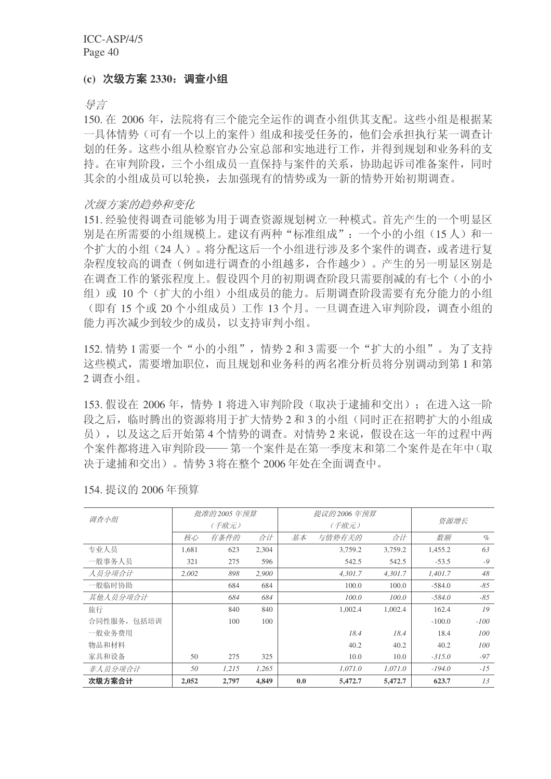#### **(c)** 㑻ᮍḜ **2330**˖䇗ᶹᇣ㒘

导言

150. 在 2006 年, 法院将有三个能完全运作的调查小组供其支配。这些小组是根据某 一具体情势(可有一个以上的案件)组成和接受任务的,他们会承担执行某一调查计 划的任务。这些小组从检察官办公室总部和实地进行工作,并得到规划和业务科的支 持。在审判阶段, 三个小组成员一直保持与案件的关系, 协助起诉司准备案件, 同时 其余的小组成员可以轮换, 夫加强现有的情势或为一新的情势开始初期调杳。

#### 次级方案的趋势和变化

151. 经验使得调查司能够为用于调查资源规划树立一种模式。首先产生的一个明显区 别是在所需要的小组规模上。建议有两种"标准组成": 一个小的小组(15人)和一 个扩大的小组(24人)。将分配这后一个小组进行涉及多个案件的调查,或者进行复 杂程度较高的调查(例如进行调查的小组越多,合作越少)。产生的另一明显区别是 在调查工作的紧张程度上。假设四个月的初期调查阶段只需要削减的有七个(小的小 组) 或 10 个(扩大的小组) 小组成员的能力。后期调查阶段需要有充分能力的小组 (即有15个或20个小组成员)工作13个月。一旦调查进入审判阶段,调查小组的 能力再次减少到较少的成员, 以支持审判小组。

152. 情势 1 需要一个"小的小组", 情势 2 和 3 需要一个"扩大的小组"。为了支持 这些模式, 需要增加职位, 而且规划和业务科的两名准分析员将分别调动到第1和第 2 调杳小组。

153. 假设在 2006 年, 情势 1 将进入审判阶段 (取决于逮捕和交出): 在进入这一阶 段之后, 临时腾出的资源将用于扩大情势2和3的小组(同时正在招聘扩大的小组成 员), 以及这之后开始第4个情势的调查。对情势2来说, 假设在这一年的过程中两 个案件都将讲入审判阶段——第一个案件是在第一季度末和第二个案件是在年中(取 决于逮捕和交出)。情势3 将在整个 2006 年处在全面调查中。

| 调查小组        |       | 批准的 2005 年预算 |       |     | 提议的 2006 年预算 |         | 资源增长     |        |
|-------------|-------|--------------|-------|-----|--------------|---------|----------|--------|
|             |       | (千欧元)        |       |     | (千欧元)        |         |          |        |
|             | 核心    | 有条件的         | 合计    | 基本  | 与情势有关的       | 合计      | 数额       | $\%$   |
| 专业人员        | 1,681 | 623          | 2,304 |     | 3,759.2      | 3,759.2 | 1,455.2  | 63     |
| 一般事务人员      | 321   | 275          | 596   |     | 542.5        | 542.5   | $-53.5$  | $-9$   |
| 人员分项合计      | 2.002 | 898          | 2.900 |     | 4.301.7      | 4.301.7 | 1.401.7  | 48     |
| 一般临时协助      |       | 684          | 684   |     | 100.0        | 100.0   | $-584.0$ | $-85$  |
| 其他人员分项合计    |       | 684          | 684   |     | 100.0        | 100.0   | $-584.0$ | $-85$  |
| 旅行          |       | 840          | 840   |     | 1,002.4      | 1,002.4 | 162.4    | 19     |
| 合同性服务, 包括培训 |       | 100          | 100   |     |              |         | $-100.0$ | $-100$ |
| 一般业务费用      |       |              |       |     | 18.4         | 18.4    | 18.4     | 100    |
| 物品和材料       |       |              |       |     | 40.2         | 40.2    | 40.2     | 100    |
| 家具和设备       | 50    | 275          | 325   |     | 10.0         | 10.0    | $-315.0$ | $-97$  |
| 非人员分项合计     | 50    | 1,215        | 1.265 |     | 1.071.0      | 1.071.0 | $-194.0$ | $-15$  |
| 次级方案合计      | 2,052 | 2,797        | 4.849 | 0.0 | 5,472.7      | 5,472.7 | 623.7    | 13     |

154. 提议的 2006年预算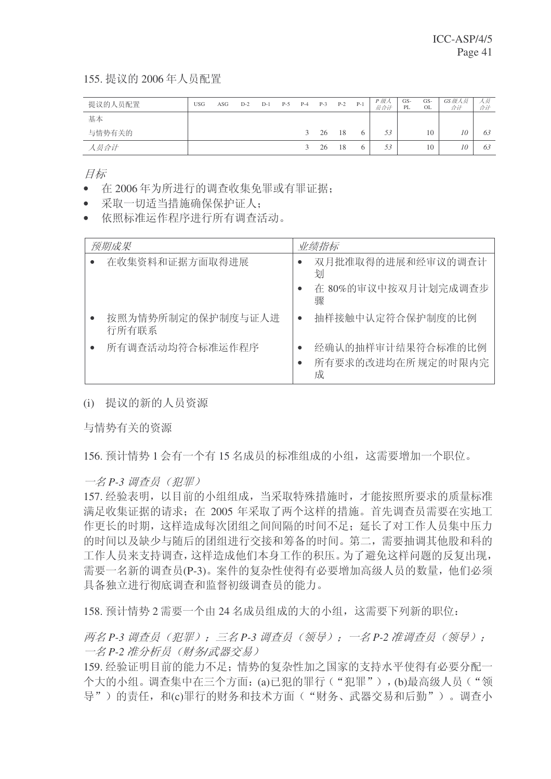155. 提议的 2006年人员配置

| 提议的人员配置 | <b>USG</b> | ASG | $D-2$ | $D-1$ | $P-5$ | $P-4$         | $P-3$ | $P-2$ | $P-1$ | P 级人<br>员合计 | GS-<br>PL | GS-<br>OL | GS级人员<br>合计 | ハ页<br>合计 |
|---------|------------|-----|-------|-------|-------|---------------|-------|-------|-------|-------------|-----------|-----------|-------------|----------|
| 基本      |            |     |       |       |       |               |       |       |       |             |           |           |             |          |
| 与情势有关的  |            |     |       |       |       | 3             | 26    | 18    | O     | 53          |           | 10        | 10          | 63       |
| 人员合计    |            |     |       |       |       | $\mathcal{L}$ | 26    | 18    | O     | 53          |           | 10        | 10          | 63       |

目标

- 在2006年为所讲行的调查收集免罪或有罪证据:
- 采取一切适当措施确保保护证人:
- 依照标准运作程序讲行所有调杳活动。

| 预期成果                       | 业绩指标                                        |
|----------------------------|---------------------------------------------|
| 在收集资料和证据方面取得进展             | 双月批准取得的进展和经审议的调查计<br>划                      |
|                            | 在 80%的审议中按双月计划完成调查步<br>骤                    |
| 按照为情势所制定的保护制度与证人进<br>行所有联系 | 抽样接触中认定符合保护制度的比例                            |
| 所有调查活动均符合标准运作程序            | 经确认的抽样审计结果符合标准的比例<br>所有要求的改进均在所规定的时限内完<br>成 |

(i) 提议的新的人员资源

与情势有关的资源

156. 预计情势 1 会有一个有 15 名成员的标准组成的小组, 这需要增加一个职位。

一名 P-3 调查员 (犯罪)

157. 经验表明, 以目前的小组组成, 当采取特殊措施时, 才能按照所要求的质量标准 满足收集证据的请求: 在 2005 年采取了两个这样的措施。首先调杳员需要在实地工 作更长的时期, 这样造成每次团组之间间隔的时间不足; 延长了对工作人员集中压力 的时间以及缺少与随后的团组进行交接和筹备的时间。第二,需要抽调其他股和科的 工作人员来支持调杳,这样造成他们本身工作的积压。为了避免这样问题的反复出现, 需要一名新的调查员(P-3)。案件的复杂性使得有必要增加高级人员的数量,他们必须 具备独立进行彻底调查和监督初级调查员的能力。

158. 预计情势 2 需要一个由 24 名成员组成的大的小组, 这需要下列新的职位:

两名 P-3 调查员 (犯罪): 三名 P-3 调查员 (领导): 一名 P-2 准调查员 (领导): 一名 P-2 准分析员 (财务/武器交易)

159. 经验证明目前的能力不足: 情势的复杂性加之国家的支持水平使得有必要分配一 个大的小组。调查集中在三个方面: (a)已犯的罪行("犯罪"), (b)最高级人员("领 导")的责任, 和(c)罪行的财务和技术方面("财务、武器交易和后勤")。调查小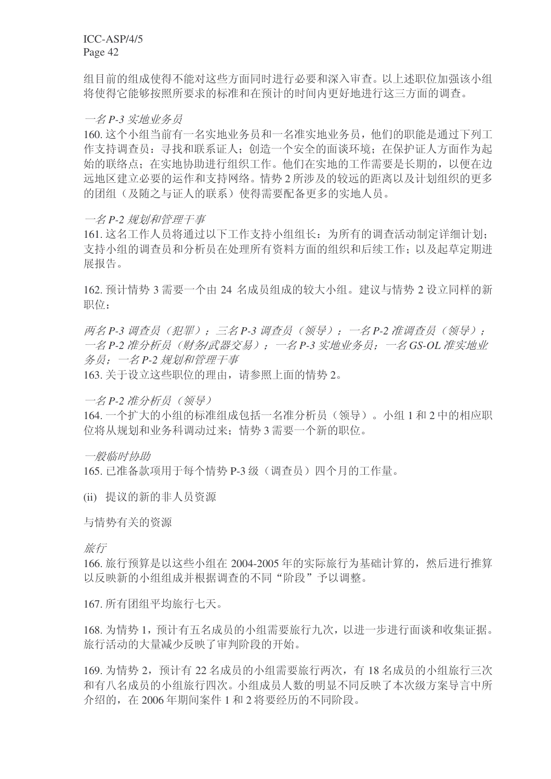组目前的组成使得不能对这些方面同时进行必要和深入审查。以上述职位加强该小组 将使得它能够按照所要求的标准和在预计的时间内更好地进行这三方面的调查。

一名 P-3 实地业务员

160. 这个小组当前有一名实地业务员和一名准实地业务员, 他们的职能是通过下列工 作支持调查员: 寻找和联系证人; 创造一个安全的面谈环境; 在保护证人方面作为起 始的联络点: 在实地协助进行组织工作。他们在实地的工作需要是长期的, 以便在边 远地区建立必要的运作和支持网络。情势2 所涉及的较远的距离以及计划组织的更多 的团组(及随之与证人的联系)使得需要配备更多的实地人员。

一名 P-2 规划和管理干事

161. 这名工作人员将通过以下工作支持小组组长: 为所有的调查活动制定详细计划; 支持小组的调查员和分析员在处理所有资料方面的组织和后续工作;以及起草定期进 展报告。

162. 预计情势 3 需要一个由 24 名成员组成的较大小组。建议与情势 2 设立同样的新 职位:

两名 P-3 调查员 (犯罪): 三名 P-3 调查员 (领导): 一名 P-2 准调查员 (领导): 一名 P-2 准分析员 (财务/武器交易): 一名 P-3 实地业务员: 一名 GS-OL 准实地业 务员: 一名 P-2 规划和管理干事

163. 关于设立这些职位的理由, 请参照上面的情势 2。

一名 P-2 准分析员 ( 领导)

164. 一个扩大的小组的标准组成包括一名准分析员(领导)。小组1和2中的相应职 位将从规划和业务科调动过来;情势3需要一个新的职位。

一般临时协助

165. 已准备款项用于每个情势 P-3 级(调杳员) 四个月的工作量。

(ii) 提议的新的非人员资源

与情势有关的资源

旅行

166. 旅行预算是以这些小组在 2004-2005 年的实际旅行为基础计算的, 然后讲行推算 以反映新的小组组成并根据调查的不同"阶段"予以调整。

167. 所有团组平均旅行七天。

168. 为情势 1, 预计有五名成员的小组需要旅行九次, 以进一步进行面谈和收集证据。 旅行活动的大量减少反映了审判阶段的开始。

169. 为情势 2, 预计有 22 名成员的小组需要旅行两次, 有 18 名成员的小组旅行三次 和有八名成员的小组旅行四次。小组成员人数的明显不同反映了本次级方案导言中所 介绍的, 在 2006 年期间案件 1 和 2 将要经历的不同阶段。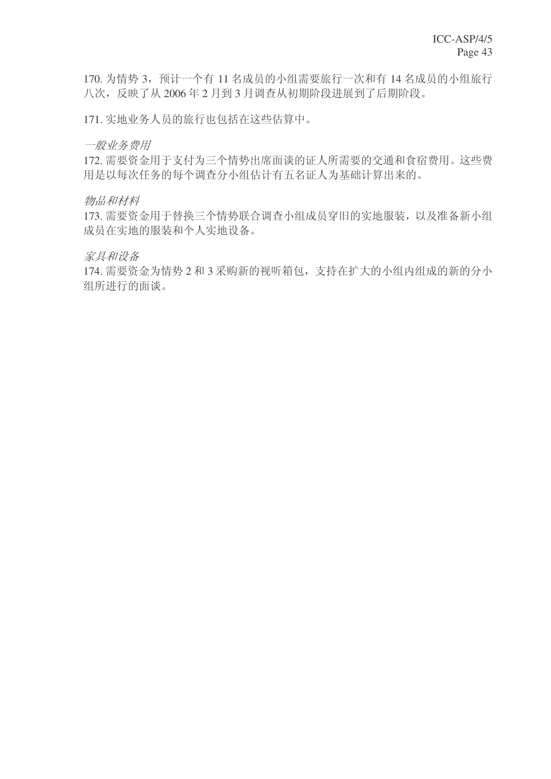170. 为情势 3, 预计一个有 11 名成员的小组需要旅行一次和有 14 名成员的小组旅行 八次,反映了从2006年2月到3月调查从初期阶段进展到了后期阶段。

171. 实地业务人员的旅行也包括在这些估算中。

一般业务费用

172. 需要资金用于支付为三个情势出席面谈的证人所需要的交通和食宿费用。这些费 用是以每次任务的每个调查分小组估计有五名证人为基础计算出来的。

物品和材料

173. 需要资金用于替换三个情势联合调查小组成员穿旧的实地服装, 以及准备新小组 成员在实地的服装和个人实地设备。

家具和设备

174. 需要资金为情势 2 和 3 采购新的视听箱包, 支持在扩大的小组内组成的新的分小 组所进行的面谈。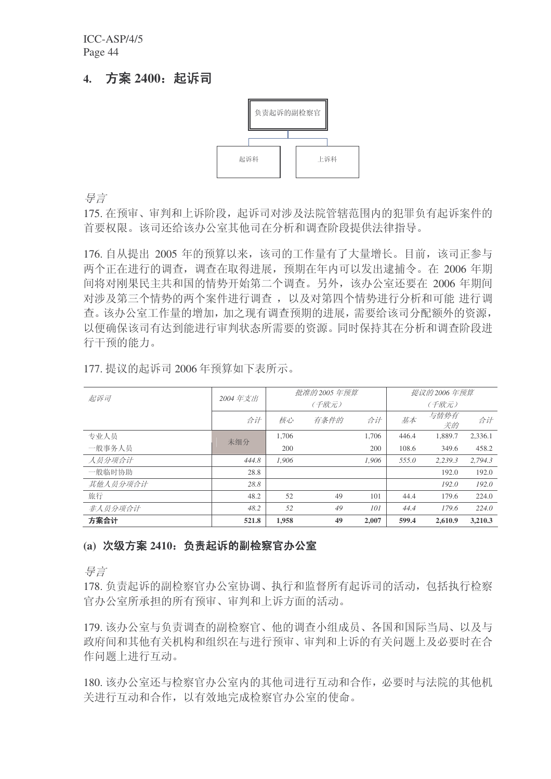# **4.** ᮍḜ **2400**˖䍋䆝ৌ



异言

175. 在预审、审判和上诉阶段, 起诉司对涉及法院管辖范围内的犯罪负有起诉案件的 首要权限。该司还给该办公室其他司在分析和调查阶段提供法律指导。

176. 自从提出 2005 年的预算以来, 该司的工作量有了大量增长。目前, 该司正参与 两个正在进行的调查, 调查在取得进展, 预期在年内可以发出逮捕令。在 2006 年期 间将对刚果民主共和国的情势开始第二个调查。另外, 该办公室还要在 2006 年期间 对涉及第三个情势的两个案件进行调查, 以及对第四个情势进行分析和可能 进行调 查。该办公室工作量的增加, 加之现有调查预期的进展, 需要给该司分配额外的资源, 以便确保该司有达到能进行审判状态所需要的资源。同时保持其在分析和调查阶段进 行干预的能力。

|          |         |       | 批准的 2005 年预算 |       | 提议的 2006 年预算 |            |         |  |  |
|----------|---------|-------|--------------|-------|--------------|------------|---------|--|--|
| 起诉司      | 2004年支出 |       | (千欧元)        | (千欧元) |              |            |         |  |  |
|          | 合计      | 核心    | 有条件的         | 合计    | 基本           | 与情势有<br>关的 | 合计      |  |  |
| 专业人员     | 未细分     | 1,706 |              | 1.706 | 446.4        | 1,889.7    | 2,336.1 |  |  |
| 一般事务人员   |         | 200   |              | 200   | 108.6        | 349.6      | 458.2   |  |  |
| 人员分项合计   | 444.8   | 1.906 |              | 1,906 | 555.0        | 2.239.3    | 2,794.3 |  |  |
| 一般临时协助   | 28.8    |       |              |       |              | 192.0      | 192.0   |  |  |
| 其他人员分项合计 | 28.8    |       |              |       |              | 192.0      | 192.0   |  |  |
| 旅行       | 48.2    | 52    | 49           | 101   | 44.4         | 179.6      | 224.0   |  |  |
| 非人员分项合计  | 48.2    | .52   | 49           | 101   | 44.4         | 179.6      | 224.0   |  |  |
| 方案合计     | 521.8   | 1.958 | 49           | 2,007 | 599.4        | 2.610.9    | 3.210.3 |  |  |

177. 提议的起诉司 2006 年预算如下表所示。

#### (a) 次级方案 2410: 负责起诉的副检察官办公室

ᇐ㿔

178. 负责起诉的副检察官办公室协调、执行和监督所有起诉司的活动, 包括执行检察 官办公室所承担的所有预审、审判和上诉方面的活动。

179. 该办公室与负责调查的副检察官、他的调查小组成员、各国和国际当局、以及与 政府间和其他有关机构和组织在与进行预审、审判和上诉的有关问题上及必要时在合 作问题上讲行互动。

180. 该办公室还与检察官办公室内的其他司进行互动和合作, 必要时与法院的其他机 关讲行互动和合作, 以有效地完成检察官办公室的使命。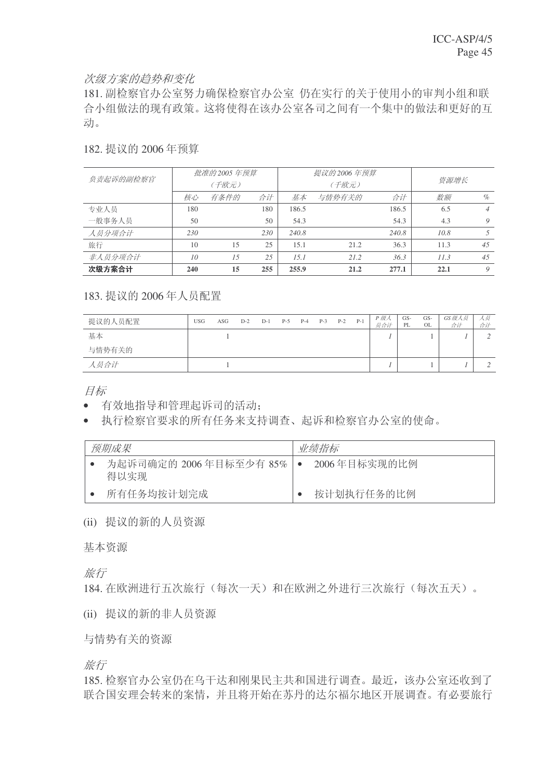### 次级方案的趋势和变化

181. 副检察官办公室努力确保检察官办公室 仍在实行的关于使用小的审判小组和联 合小组做法的现有政策。这将使得在该办公室各司之间有一个集中的做法和更好的互 动。

#### 182. 提议的 2006年预算

| 负责起诉的副检察官 |     | 批准的 2005 年预算 |     |       | 提议的 2006 年预算 | 资源增长  |      |                |
|-----------|-----|--------------|-----|-------|--------------|-------|------|----------------|
|           |     | (千欧元)        |     |       |              |       |      |                |
|           | 核心  | 有条件的         | 合计  | 基本    | 与情势有关的       | 合计    | 数额   | $\%$           |
| 专业人员      | 180 |              | 180 | 186.5 |              | 186.5 | 6.5  | $\overline{4}$ |
| 一般事务人员    | 50  |              | 50  | 54.3  |              | 54.3  | 4.3  | 9              |
| 人员分项合计    | 230 |              | 230 | 240.8 |              | 240.8 | 10.8 |                |
| 旅行        | 10  | 15           | 25  | 15.1  | 21.2         | 36.3  | 11.3 | 45             |
| 非人员分项合计   | 10  | 1.5          | 2.5 | 15.1  | 21.2         | 36.3  | 11.3 | 45             |
| 次级方案合计    | 240 | 15           | 255 | 255.9 | 21.2         | 277.1 | 22.1 | 9              |

# 183. 提议的 2006 年人员配置

| 提议的人员配置 | <b>USG</b> | ASG | $D-2$ | $D-1$ | $P-5$ | $P-4$ | $P-3$ | $P-2$ | $P-1$ | P 级人<br>员合计 | GS-<br>PL | GS-<br>OL | GS 级人员<br>合计 | 人页<br>合计 |
|---------|------------|-----|-------|-------|-------|-------|-------|-------|-------|-------------|-----------|-----------|--------------|----------|
| 基本      |            |     |       |       |       |       |       |       |       |             |           |           |              |          |
| 与情势有关的  |            |     |       |       |       |       |       |       |       |             |           |           |              |          |
| 人员合计    |            |     |       |       |       |       |       |       |       |             |           |           |              |          |

目标

• 有效地指导和管理起诉司的活动;

• 执行检察官要求的所有仟务来支持调杳、起诉和检察官办公室的使命。

| 预期成果                              | 业绩指标         |
|-----------------------------------|--------------|
| 为起诉司确定的 2006 年目标至少有 85%  <br>得以实现 | 2006年目标实现的比例 |
| 所有任务均按计划完成                        | 按计划执行任务的比例   |

(ii) 提议的新的人员资源

基本资源

旅行

184. 在欧洲进行五次旅行(每次一天)和在欧洲之外进行三次旅行(每次五天)。

(ii) 提议的新的非人员资源

与情势有关的资源

旅行

185. 检察官办公室仍在乌干达和刚果民主共和国进行调查。最近, 该办公室还收到了 联合国安理会转来的案情,并且将开始在苏丹的达尔福尔地区开展调查。有必要旅行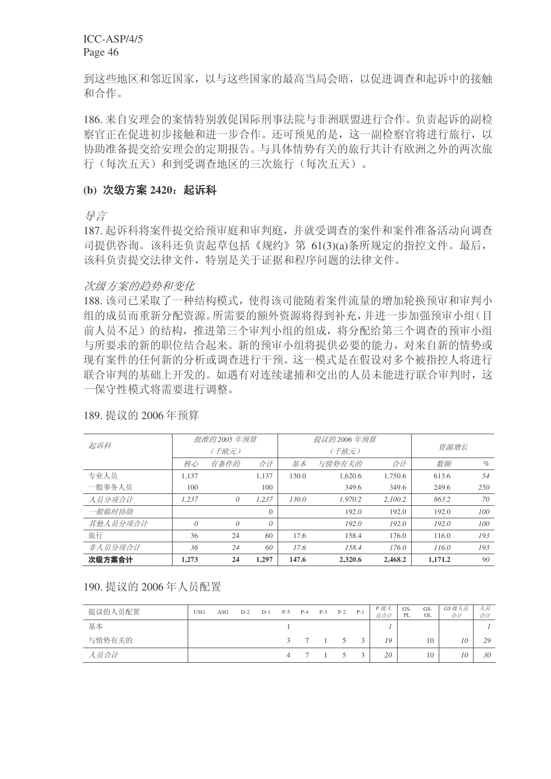到这些地区和邻近国家,以与这些国家的最高当局会晤,以促进调查和起诉中的接触 和合作。

186. 来自安理会的案情特别敦促国际刑事法院与非洲联盟进行合作。负责起诉的副检 察官正在促进初步接触和进一步合作。还可预见的是,这一副检察官将进行旅行,以 协助准备提交给安理会的定期报告。与具体情势有关的旅行共计有欧洲之外的两次旅 行(每次五天)和到受调查地区的三次旅行(每次五天)。

#### (b) 次级方案 2420: 起诉科

异言

187. 起诉科将案件提交给预审庭和审判庭, 并就受调查的案件和案件准备活动向调查 司提供咨询。该科还负责起草包括《规约》第 61(3)(a)条所规定的指控文件。最后, 该科负责提交法律文件, 特别是关于证据和程序问题的法律文件。

#### 次级方案的趋势和变化

188. 该司已采取了一种结构模式, 使得该司能随着案件流量的增加轮换预审和审判小 组的成员而重新分配资源。所需要的额外资源将得到补充,并进一步加强预审小组(目 前人员不足〉的结构, 推进第三个审判小组的组成, 将分配给第三个调查的预审小组 与所要求的新的职位结合起来。新的预审小组将提供必要的能力,对来自新的情势或 现有案件的任何新的分析或调查进行干预。这一模式是在假设对多个被指控人将进行 联合审判的基础上开发的。如遇有对连续逮捕和交出的人员未能进行联合审判时,这 一保守性模式将需要讲行调整。

| 起诉科      |          | 批准的 2005 年预算 |          |       | 提议的 2006 年预算 |         |         |      |
|----------|----------|--------------|----------|-------|--------------|---------|---------|------|
|          |          | (千欧元)        |          |       | (千欧元)        | 资源增长    |         |      |
|          | 核心       | 有条件的         | 合计       | 基本    | 与情势有关的       | 合计      | 数额      | $\%$ |
| 专业人员     | 1.137    |              | 1.137    | 130.0 | 1.620.6      | 1.750.6 | 613.6   | .54  |
| 一般事务人员   | 100      |              | 100      |       | 349.6        | 349.6   | 249.6   | 250  |
| 人员分项合计   | 1.237    | 0            | 1.237    | 130.0 | 1.970.2      | 2.100.2 | 863.2   | 70   |
| 一般临时协助   |          |              | $\Omega$ |       | 192.0        | 192.0   | 192.0   | 100  |
| 其他人员分项合计 | $\theta$ | 0            | 0        |       | 192.0        | 192.0   | 192.0   | 100  |
| 旅行       | 36       | 24           | 60       | 17.6  | 158.4        | 176.0   | 116.0   | 193  |
| 非人员分项合计  | 36       | 24           | 60       | 17.6  | 158.4        | 176.0   | 116.0   | 193  |
| 次级方案合计   | 1,273    | 24           | 1,297    | 147.6 | 2,320.6      | 2,468.2 | 1,171.2 | 90   |

189. 提议的 2006 年预算

190. 提议的 2006年人员配置

| 提议的人员配置 | <b>USG</b> | ASG | $D-2$ | $D-1$ | $P-5$ | $P-4$   | $P-3$ | $P-2$ | $P-1$        | P 级人<br>员合计 | GS-<br>PL | GS-<br>OL | GS 级人员<br>合计 | 人员<br>合计 |
|---------|------------|-----|-------|-------|-------|---------|-------|-------|--------------|-------------|-----------|-----------|--------------|----------|
| 基本      |            |     |       |       |       |         |       |       |              |             |           |           |              |          |
| 与情势有关的  |            |     |       |       |       | 3 7 1 5 |       |       | $\mathbf{a}$ | 19          |           | 10        | 10           | 29       |
| 人员合计    |            |     |       |       |       |         |       |       |              | 20          |           | 10        | 10           | 30       |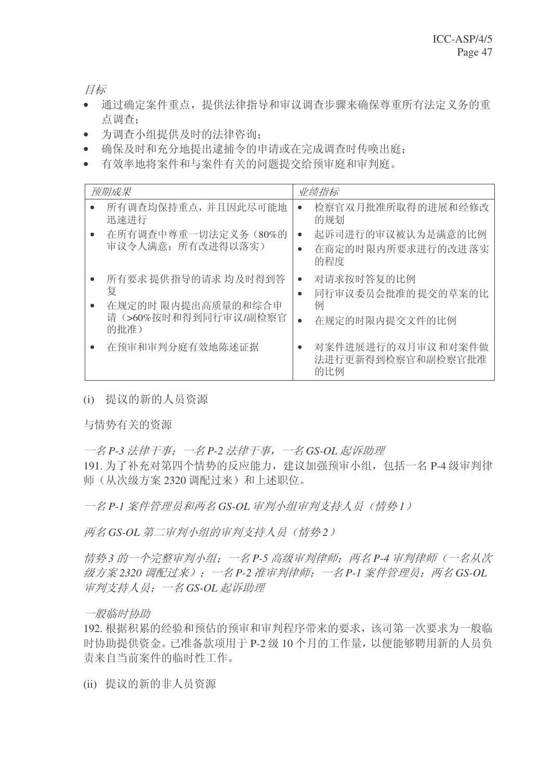目标

- 通过确定案件重点,提供法律指导和审议调查步骤来确保尊重所有法定义务的重 点调查:
- 为调查小组提供及时的法律咨询:
- 确保及时和充分地提出逮捕令的申请或在完成调查时传唤出庭;
- 有效率地将案件和与案件有关的问题提交给预审庭和审判庭。

| 预期成果                                                                         | 业绩指标                                                                    |
|------------------------------------------------------------------------------|-------------------------------------------------------------------------|
| 所有调查均保持重点, 并且因此尽可能地<br>迅速进行<br>在所有调查中尊重一切法定义务(80%的                           | 检察官双月批准所取得的进展和经修改<br>$\bullet$<br>的规划<br>起诉司进行的审议被认为是满意的比例<br>$\bullet$ |
| 审议令人满意; 所有改进得以落实)                                                            | 在商定的时限内所要求进行的改进落实<br>的程度                                                |
| 所有要求提供指导的请求均及时得到答<br>复<br>在规定的时 限内提出高质量的和综合申<br>请(>60%按时和得到同行审议/副检察官<br>的批准) | 对请求按时答复的比例<br>同行审议委员会批准的 提交的草案的比<br>例<br>在规定的时限内提交文件的比例                 |
| 在预审和审判分庭有效地陈述证据                                                              | 对案件进展进行的双月审议和对案件做<br>法进行更新得到检察官和副检察官批准<br>的比例                           |

(i) 提议的新的人员资源

与情势有关的资源

 $−2$   $P-3$  法律干事:  $−2$  法律干事,  $−2$  GS-OL 起诉助理 191. 为了补充对第四个情势的反应能力, 建议加强预审小组, 包括一名 P-4 级审判律 师(从次级方案 2320 调配过来)和上述职位。

一名 P-1 案件管理员和两名 GS-OL 审判小组审判支持人员 (情势1)

两名 GS-OL 第二审判小组的审判支持人员(情势2)

信势3 的一个宗整审判小组: 一名 P-5 高级审判律师: 两名 P-4 审判律师(一名从次 级方案 2320 调配过来): 一名 P-2 准审判律师: 一名 P-1 案件管理员: 两名 GS-OL 审判支持人员: 一名GS-OL 起诉助理

一般临时协助

192. 根据积累的经验和预估的预审和审判程序带来的要求, 该司第一次要求为一般临 时协助提供资金。已准备款项用于 P-2 级 10 个月的工作量, 以便能够聘用新的人员负 责来自当前案件的临时性工作。

(ii) 提议的新的非人员资源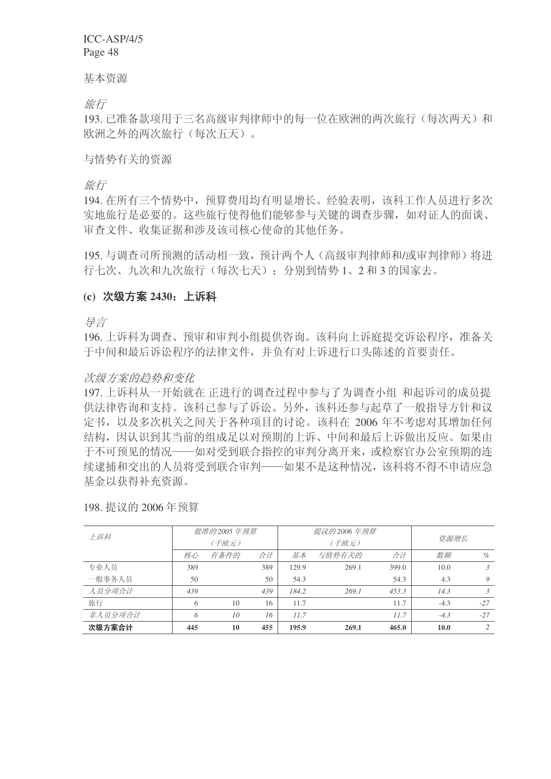基本资源

旅行

193. 已准备款项用于三名高级审判律师中的每一位在欧洲的两次旅行(每次两天)和 欧洲之外的两次旅行(每次五天)。

### 与情势有关的资源

旅行

194. 在所有三个情势中, 预算费用均有明显增长。经验表明, 该科工作人员讲行多次 实地旅行是必要的。这些旅行使得他们能够参与关键的调查步骤,如对证人的面谈、 审查文件、收集证据和涉及该司核心使命的其他任务。

195. 与调杳司所预测的活动相一致, 预计两个人(高级审判律师和/或审判律师) 将讲 行七次、九次和九次旅行(每次七天);分别到情势1、2和3的国家去。

# (c) 次级方案 2430: 上诉科

ᇐ㿔

196. 上诉科为调查、预审和审判小组提供咨询。该科向上诉庭提交诉讼程序, 准备关 于中间和最后诉讼程序的法律文件,并负有对上诉进行口头陈述的首要责任。

# 次级方案的趋势和变化

197. 上诉科从一开始就在 正进行的调查过程中参与了为调查小组 和起诉司的成员提 供法律咨询和支持。该科已参与了诉讼。另外,该科还参与起草了一般指导方针和议 定书, 以及多次机关之间关于各种项目的讨论。该科在 2006 年不考虑对其增加任何 结构,因认识到其当前的组成足以对预期的上诉、中间和最后上诉做出反应。如果由 于不可预见的情况——如对受到联合指控的审判分离开来, 或检察官办公室预期的连 续逮捕和交出的人员将受到联合审判——如果不是这种情况,该科将不得不申请应急 基金以获得补充资源。

| 上诉科     |     | 批准的 2005 年预算 |     |       | 提议的 2006 年预算 |       |             |                |  |
|---------|-----|--------------|-----|-------|--------------|-------|-------------|----------------|--|
|         |     | (千欧元)        |     |       | (千欧元)        |       | 资源增长        |                |  |
|         | 核心  | 有条件的         | 合计  | 基本    | 与情势有关的       | 数额    | $\%$        |                |  |
| 专业人员    | 389 |              | 389 | 129.9 | 269.1        | 399.0 | 10.0        | 3              |  |
| 一般事务人员  | 50  |              | 50  | 54.3  |              | 54.3  | 4.3         | 9              |  |
| 人员分项合计  | 439 |              | 439 | 184.2 | 269.1        | 453.3 | 14.3        | 3              |  |
| 旅行      | 6   | 10           | 16  | 11.7  |              | 11.7  | $-4.3$      | $-27$          |  |
| 非人员分项合计 | 6   | 10           | 16  | 11.7  |              | 11.7  | $-4.3$      | $-27$          |  |
| 次级方案合计  | 445 | 10           | 455 | 195.9 | 269.1        | 465.0 | <b>10.0</b> | $\mathfrak{D}$ |  |

198. 提议的 2006 年预算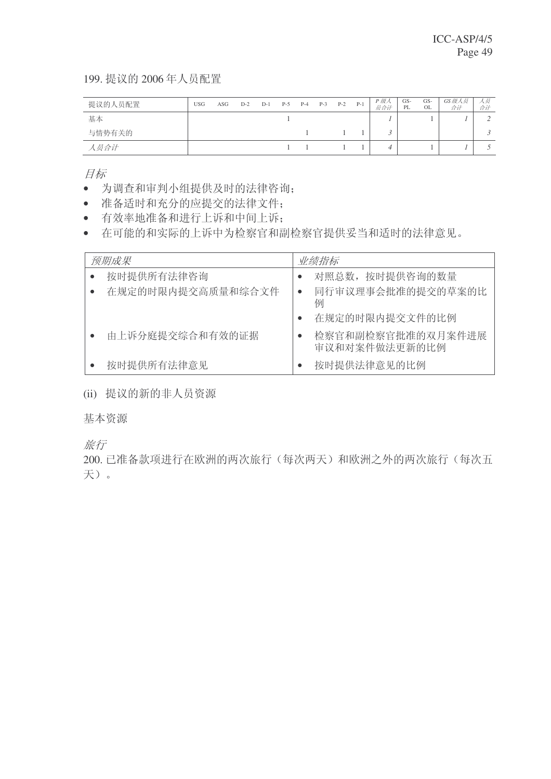199. 提议的 2006年人员配置

| 提议的人员配置 | <b>USG</b> | ASG | $D-2$ | $D-1$ | $P-5$ | $P-4$ | $P-3$ | $P-2$ | $P-1$ | P 级人<br>员合计 | GS-<br>PL | GS-<br>OL | GS级人员<br>合计 | 人员<br>合计 |
|---------|------------|-----|-------|-------|-------|-------|-------|-------|-------|-------------|-----------|-----------|-------------|----------|
| 基本      |            |     |       |       |       |       |       |       |       |             |           |           |             | $\sim$   |
| 与情势有关的  |            |     |       |       |       |       |       |       |       |             |           |           |             |          |
| 人员合计    |            |     |       |       |       |       |       |       |       |             |           |           |             |          |

目标

- 为调查和审判小组提供及时的法律咨询;
- 准备适时和充分的应提交的法律文件;
- 有效率地准备和进行上诉和中间上诉:
- 在可能的和实际的上诉中为检察官和副检察官提供妥当和适时的法律意见。

| 预期成果              | 业绩指标                                |
|-------------------|-------------------------------------|
| 按时提供所有法律咨询        | 对照总数, 按时提供咨询的数量                     |
| 在规定的时限内提交高质量和综合文件 | 同行审议理事会批准的提交的草案的比<br>$\bullet$<br>例 |
|                   | 在规定的时限内提交文件的比例                      |
| 由上诉分庭提交综合和有效的证据   | 检察官和副检察官批准的双月案件进展<br>审议和对案件做法更新的比例  |
| 按时提供所有法律意见        | 按时提供法律意见的比例                         |

(ii) 提议的新的非人员资源

基本资源

旅行

200. 已准备款项进行在欧洲的两次旅行(每次两天)和欧洲之外的两次旅行(每次五 天)。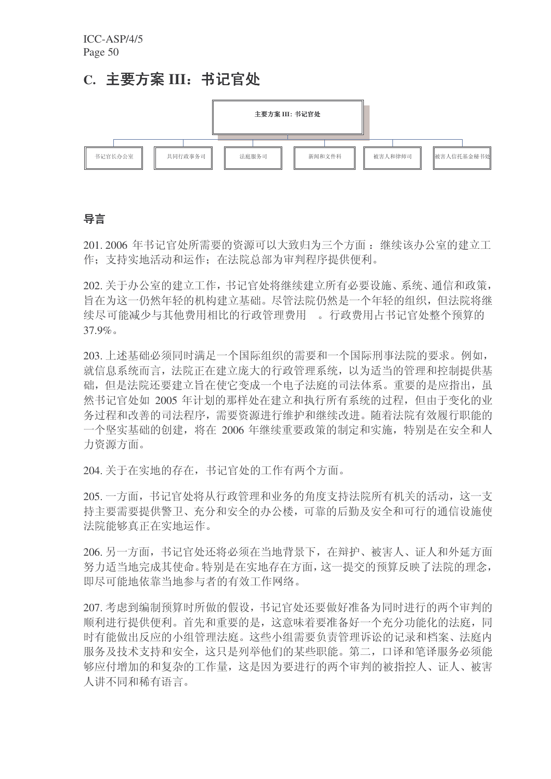# C. 主要方案 III: 书记官处



# 导言

201. 2006 年书记官处所需要的资源可以大致归为三个方面: 继续该办公室的建立工 作: 支持实地活动和运作: 在法院总部为审判程序提供便利。

202. 关于办公室的建立工作, 书记官处将继续建立所有必要设施、系统、通信和政策, 旨在为这一仍然年轻的机构建立基础。尽管法院仍然是一个年轻的组织,但法院将继 续尽可能减少与其他费用相比的行政管理费用 。行政费用占书记官处整个预算的  $37.9\%$ 

203. 上述基础必须同时满足一个国际组织的需要和一个国际刑事法院的要求。例如, 就信息系统而言, 法院正在建立庞大的行政管理系统, 以为适当的管理和控制提供基 础, 但是法院还要建立旨在使它变成一个电子法庭的司法体系。重要的是应指出, 虽 然书记官处如 2005 年计划的那样处在建立和执行所有系统的过程, 但由于变化的业 务过程和改善的司法程序, 需要资源进行维护和继续改进。随着法院有效履行职能的 一个坚实基础的创建, 将在 2006 年继续重要政策的制定和实施, 特别是在安全和人 力资源方面。

204. 关于在实地的存在, 书记官处的工作有两个方面。

205. 一方面, 书记官处将从行政管理和业务的角度支持法院所有机关的活动, 这一支 持主要需要提供警卫、充分和安全的办公楼,可靠的后勤及安全和可行的通信设施使 法院能够真正在实地运作。

206. 另一方面, 书记官处还将必须在当地背景下, 在辩护、被害人、证人和外延方面 努力适当地完成其使命。特别是在实地存在方面, 这一提交的预算反映了法院的理念, 即尽可能地依靠当地参与者的有效工作网络。

207. 考虑到编制预算时所做的假设, 书记官处还要做好准备为同时进行的两个审判的 顺利进行提供便利。首先和重要的是,这意味着要准备好一个充分功能化的法庭,同 时有能做出反应的小组管理法庭。这些小组需要负责管理诉讼的记录和档案、法庭内 服务及技术支持和安全, 这只是列举他们的某些职能。第二, 口译和笔译服务必须能 够应付增加的和复杂的工作量,这是因为要进行的两个审判的被指控人、证人、被害 人讲不同和稀有语言。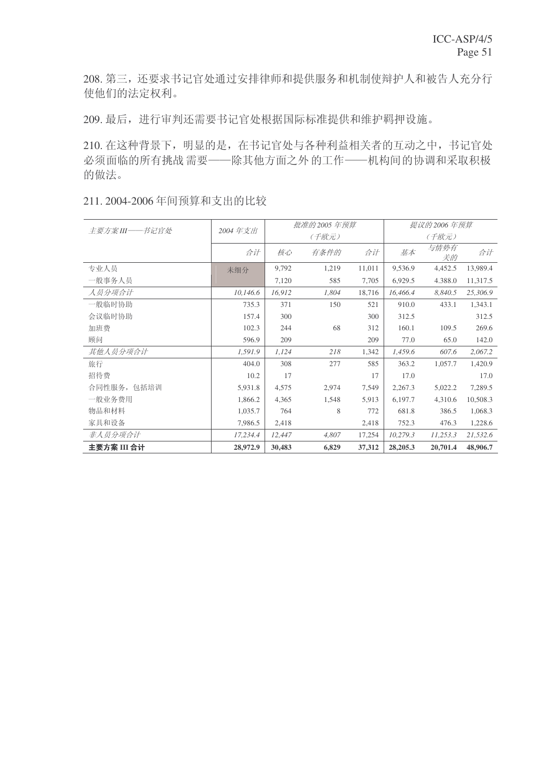208. 第三, 还要求书记官处通过安排律师和提供服务和机制使辩护人和被告人充分行 使他们的法定权利。

209. 最后, 进行审判还需要书记官处根据国际标准提供和维护羁押设施。

210. 在这种背景下, 明显的是, 在书记官处与各种利益相关者的互动之中, 书记官处 必须面临的所有挑战需要——除其他方面之外的工作——机构间的协调和采取积极 的做法。

| 主要方案 III ----- 书记官处 | 2004年支出  |        | 批准的 2005 年预算 |        | 提议的 2006 年预算 |            |          |  |  |  |
|---------------------|----------|--------|--------------|--------|--------------|------------|----------|--|--|--|
|                     |          |        | (千欧元)        |        |              | (千欧元)      |          |  |  |  |
|                     | 合计       | 核心     | 有条件的         | 合计     | 基本           | 与情势有<br>关的 | 合计       |  |  |  |
| 专业人员                | 未细分      | 9,792  | 1,219        | 11,011 | 9,536.9      | 4,452.5    | 13,989.4 |  |  |  |
| 一般事务人员              |          | 7,120  | 585          | 7,705  | 6,929.5      | 4.388.0    | 11,317.5 |  |  |  |
| 人员分项合计              | 10,146.6 | 16,912 | 1,804        | 18,716 | 16,466.4     | 8,840.5    | 25,306.9 |  |  |  |
| 一般临时协助              | 735.3    | 371    | 150          | 521    | 910.0        | 433.1      | 1,343.1  |  |  |  |
| 会议临时协助              | 157.4    | 300    |              | 300    | 312.5        |            | 312.5    |  |  |  |
| 加班费                 | 102.3    | 244    | 68           | 312    | 160.1        | 109.5      | 269.6    |  |  |  |
| 顾问                  | 596.9    | 209    |              | 209    | 77.0         | 65.0       | 142.0    |  |  |  |
| 其他人员分项合计            | 1,591.9  | 1,124  | 218          | 1,342  | 1,459.6      | 607.6      | 2,067.2  |  |  |  |
| 旅行                  | 404.0    | 308    | 277          | 585    | 363.2        | 1,057.7    | 1,420.9  |  |  |  |
| 招待费                 | 10.2     | 17     |              | 17     | 17.0         |            | 17.0     |  |  |  |
| 合同性服务, 包括培训         | 5,931.8  | 4,575  | 2,974        | 7,549  | 2,267.3      | 5,022.2    | 7,289.5  |  |  |  |
| 一般业务费用              | 1,866.2  | 4,365  | 1,548        | 5,913  | 6,197.7      | 4,310.6    | 10,508.3 |  |  |  |
| 物品和材料               | 1,035.7  | 764    | 8            | 772    | 681.8        | 386.5      | 1,068.3  |  |  |  |
| 家具和设备               | 7,986.5  | 2,418  |              | 2,418  | 752.3        | 476.3      | 1,228.6  |  |  |  |
| 非人员分项合计             | 17,234.4 | 12,447 | 4,807        | 17,254 | 10,279.3     | 11,253.3   | 21,532.6 |  |  |  |
| 主要方案 III 合计         | 28,972.9 | 30,483 | 6,829        | 37,312 | 28,205.3     | 20,701.4   | 48,906.7 |  |  |  |

#### 211. 2004-2006年间预算和支出的比较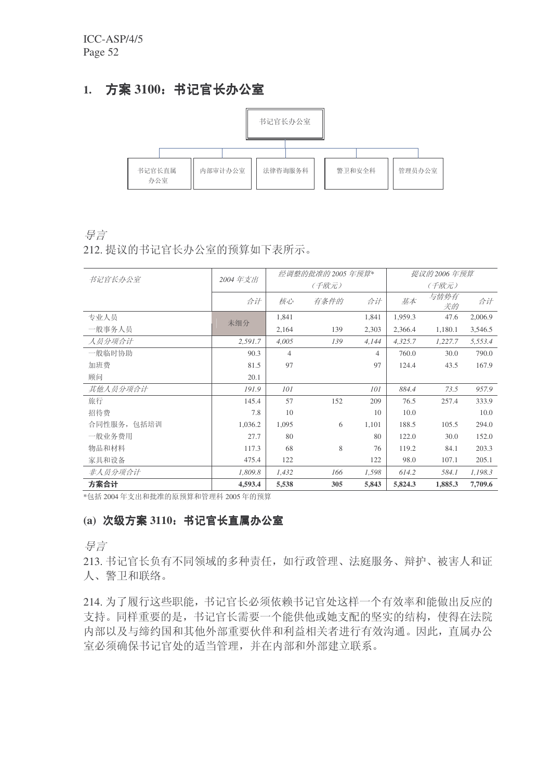# 1. 方案 3100: 书记官长办公室



#### 导言

212. 提议的书记官长办公室的预算如下表所示。

|             |         |                | 经调整的批准的 2005 年预算* |       |         | 提议的 2006 年预算 |         |  |  |
|-------------|---------|----------------|-------------------|-------|---------|--------------|---------|--|--|
| 书记官长办公室     | 2004年支出 |                | (千欧元)             |       |         | (千欧元)        |         |  |  |
|             | 合计      | 核心             | 有条件的              | 合计    | 基本      | 与情势有<br>关的   | 合计      |  |  |
| 专业人员        | 未细分     | 1,841          |                   | 1,841 | 1,959.3 | 47.6         | 2,006.9 |  |  |
| 一般事务人员      |         | 2,164          | 139               | 2,303 | 2,366.4 | 1,180.1      | 3,546.5 |  |  |
| 人员分项合计      | 2,591.7 | 4,005          | 139               | 4,144 | 4,325.7 | 1,227.7      | 5,553.4 |  |  |
| 一般临时协助      | 90.3    | $\overline{4}$ |                   | 4     | 760.0   | 30.0         | 790.0   |  |  |
| 加班费         | 81.5    | 97             |                   | 97    | 124.4   | 43.5         | 167.9   |  |  |
| 顾问          | 20.1    |                |                   |       |         |              |         |  |  |
| 其他人员分项合计    | 191.9   | 101            |                   | 101   | 884.4   | 73.5         | 957.9   |  |  |
| 旅行          | 145.4   | 57             | 152               | 209   | 76.5    | 257.4        | 333.9   |  |  |
| 招待费         | 7.8     | 10             |                   | 10    | 10.0    |              | 10.0    |  |  |
| 合同性服务, 包括培训 | 1,036.2 | 1,095          | 6                 | 1,101 | 188.5   | 105.5        | 294.0   |  |  |
| 一般业务费用      | 27.7    | 80             |                   | 80    | 122.0   | 30.0         | 152.0   |  |  |
| 物品和材料       | 117.3   | 68             | 8                 | 76    | 119.2   | 84.1         | 203.3   |  |  |
| 家具和设备       | 475.4   | 122            |                   | 122   | 98.0    | 107.1        | 205.1   |  |  |
| 非人员分项合计     | 1,809.8 | 1,432          | 166               | 1,598 | 614.2   | 584.1        | 1,198.3 |  |  |
| 方案合计        | 4,593.4 | 5,538          | 305               | 5,843 | 5,824.3 | 1,885.3      | 7,709.6 |  |  |

\*包括 2004年支出和批准的原预算和管理科 2005年的预算

# (a) 次级方案 3110: 书记官长直属办公室

导言

213. 书记官长负有不同领域的多种责任, 如行政管理、法庭服务、辩护、被害人和证 人、警卫和联络。

214. 为了履行这些职能, 书记官长必须依赖书记官处这样一个有效率和能做出反应的 支持。同样重要的是,书记官长需要一个能供他或她支配的坚实的结构,使得在法院 内部以及与缔约国和其他外部重要伙伴和利益相关者进行有效沟通。因此, 直属办公 室必须确保书记官处的适当管理,并在内部和外部建立联系。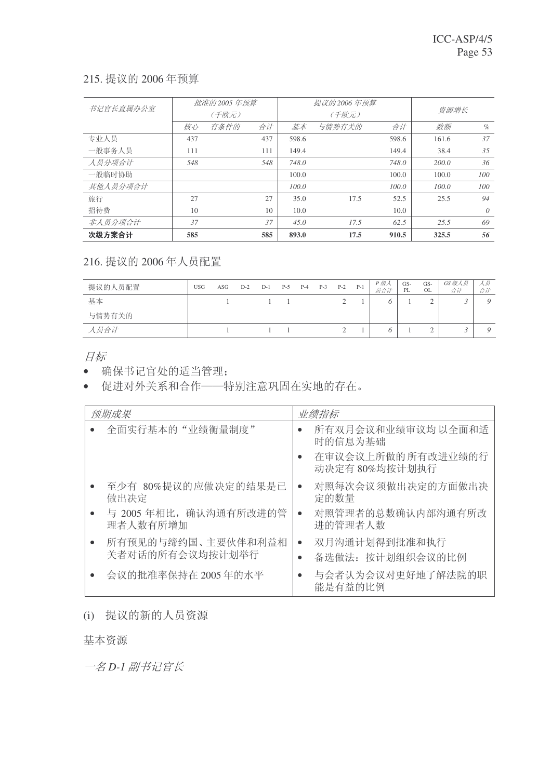# 215. 提议的 2006 年预算

| 书记官长直属办公室 |     | 批准的 2005 年预算 |     |       | 提议的 2006 年预算 |       |       |          |
|-----------|-----|--------------|-----|-------|--------------|-------|-------|----------|
|           |     | (千欧元)        |     |       | (千欧元)        |       | 资源增长  |          |
|           | 核心  | 有条件的         | 合计  | 基本    | 与情势有关的       | 合计    | 数额    | $\%$     |
| 专业人员      | 437 |              | 437 | 598.6 |              | 598.6 | 161.6 | 37       |
| 一般事务人员    | 111 |              | 111 | 149.4 |              | 149.4 | 38.4  | 35       |
| 人员分项合计    | 548 |              | 548 | 748.0 |              | 748.0 | 200.0 | 36       |
| 一般临时协助    |     |              |     | 100.0 |              | 100.0 | 100.0 | 100      |
| 其他人员分项合计  |     |              |     | 100.0 |              | 100.0 | 100.0 | 100      |
| 旅行        | 27  |              | 27  | 35.0  | 17.5         | 52.5  | 25.5  | 94       |
| 招待费       | 10  |              | 10  | 10.0  |              | 10.0  |       | $\theta$ |
| 非人员分项合计   | 37  |              | 37  | 45.0  | 17.5         | 62.5  | 2.5.5 | 69       |
| 次级方案合计    | 585 |              | 585 | 893.0 | 17.5         | 910.5 | 325.5 | 56       |

# 216. 提议的 2006年人员配置

| 提议的人员配置 | <b>USG</b> | ASG | $D-2$ | $D-1$ | $P-5$ | $P-4$ | $P-3$ | $P-2$ | $P-1$ | P 级人<br>员合计 | GS-<br>PL | $GS-$<br><b>OL</b> | GS级人员<br>合计 | 人员<br>合计 |
|---------|------------|-----|-------|-------|-------|-------|-------|-------|-------|-------------|-----------|--------------------|-------------|----------|
| 基本      |            |     |       |       |       |       |       |       |       |             |           |                    |             | O        |
| 与情势有关的  |            |     |       |       |       |       |       |       |       |             |           |                    |             |          |
| 人员合计    |            |     |       |       |       |       |       |       |       |             |           |                    | v           |          |

目标

• 确保书记官处的适当管理;

• 促进对外关系和合作——特别注意巩固在实地的存在。

| 预期成果                                               | 业绩指标                                           |
|----------------------------------------------------|------------------------------------------------|
| 全面实行基本的"业绩衡量制度"                                    | 所有双月会议和业绩审议均以全面和适<br>时的信息为基础                   |
|                                                    | 在审议会议上所做的所有改进业绩的行<br>动决定有 80%均按计划执行            |
| 至少有 80%提议的应做决定的结果是已<br>做出决定                        | 对照每次会议须做出决定的方面做出决<br>$\bullet$<br>定的数量         |
| 与 2005年相比, 确认沟通有所改进的管<br>理者人数有所增加                  | 对照管理者的总数确认内部沟通有所改<br>$\bullet$<br>进的管理者人数      |
| 所有预见的与缔约国、主要伙伴和利益相<br>$\bullet$<br>关者对话的所有会议均按计划举行 | 双月沟通计划得到批准和执行<br>$\bullet$<br>备选做法: 按计划组织会议的比例 |
| 会议的批准率保持在 2005年的水平                                 | 与会者认为会议对更好地了解法院的职<br>能是有益的比例                   |

(i) 提议的新的人员资源

基本资源

一名 D-1 副书记官长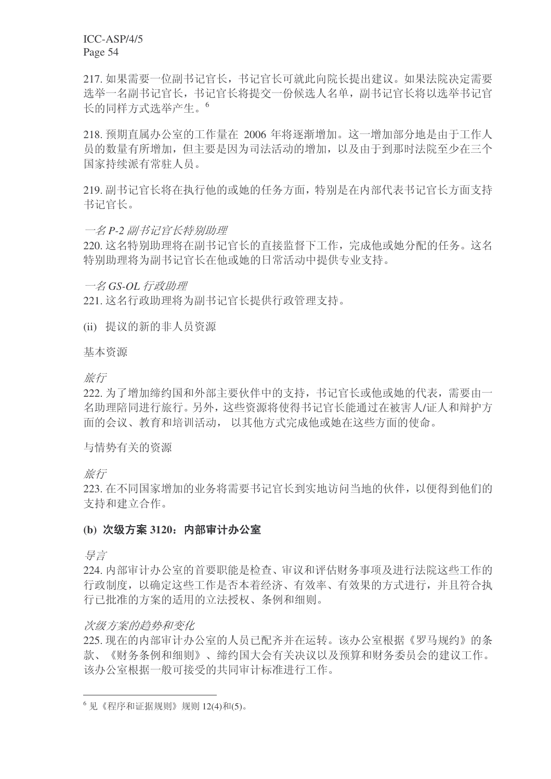217. 如果需要一位副书记官长, 书记官长可就此向院长提出建议。如果法院决定需要 选举一名副书记官长,书记官长将提交一份候选人名单,副书记官长将以选举书记官 长的同样方式选举产生。<sup>6</sup>

218. 预期直属办公室的工作量在 2006 年将逐渐增加。这一增加部分地是由于工作人 员的数量有所增加,但主要是因为司法活动的增加,以及由于到那时法院至少在三个 国家持续派有常驻人员。

219. 副书记官长将在执行他的或她的任务方面, 特别是在内部代表书记官长方面支持 书记官长。

#### 一名 P-2 副书记官长特别助理

220. 这名特别助理将在副书记官长的直接监督下工作, 完成他或她分配的任务。这名 特别助理将为副书记官长在他或她的日常活动中提供专业支持。

一名 GS-OL 行政助理

221. 这名行政助理将为副书记官长提供行政管理支持。

(ii) 提议的新的非人员资源

基本资源

旅行

222. 为了增加缔约国和外部主要伙伴中的支持, 书记官长或他或她的代表, 需要由一 名助理陪同进行旅行。另外, 这些资源将使得书记官长能通过在被害人/证人和辩护方 面的会议、教育和培训活动,以其他方式完成他或她在这些方面的使命。

与情势有关的资源

旅行

223. 在不同国家增加的业务将需要书记官长到实地访问当地的伙伴, 以便得到他们的 支持和建立合作。

#### (b) 次级方案 3120: 内部审计办公室

ᇐ㿔

224. 内部审计办公室的首要职能是检查、审议和评估财务事项及进行法院这些工作的 行政制度, 以确定这些工作是否本着经济、有效率、有效果的方式进行, 并且符合执 行已批准的方案的适用的立法授权、条例和细则。

#### 次级方案的趋势和变化

225. 现在的内部审计办公室的人员已配齐并在运转。该办公室根据《罗马规约》的条 款、《财务条例和细则》、缔约国大会有关决议以及预算和财务委员会的建议工作。 该办公室根据一般可接受的共同审计标准进行工作。

 $6$ 见《程序和证据规则》规则 12(4)和(5)。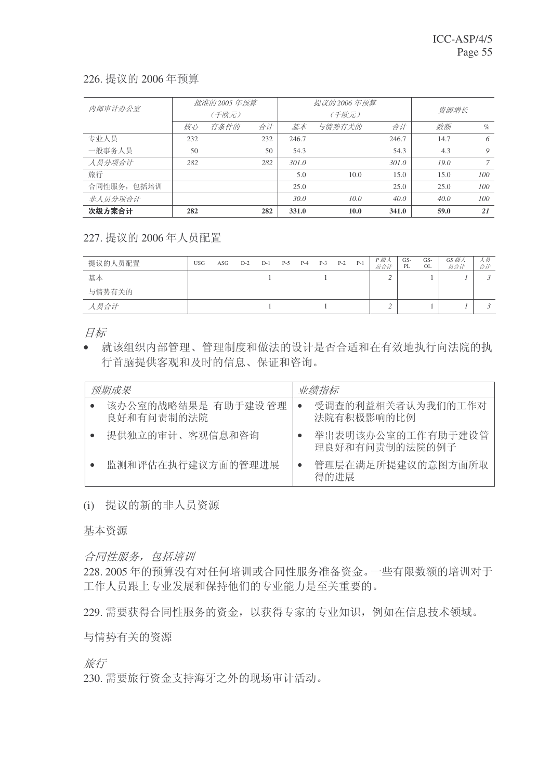### 226. 提议的 2006 年预算

| 内部审计办公室     |     | 批准的 2005 年预算 |     |       | 提议的 2006 年预算   |       |      |      |
|-------------|-----|--------------|-----|-------|----------------|-------|------|------|
|             |     | (千欧元)        |     |       | (千欧元)          | 资源增长  |      |      |
|             | 核心  | 有条件的         | 合计  | 基本    | 与情势有关的         | 合计    | 数额   | $\%$ |
| 专业人员        | 232 |              | 232 | 246.7 |                | 246.7 | 14.7 | 6    |
| 一般事务人员      | 50  |              | 50  | 54.3  |                | 54.3  | 4.3  | 9    |
| 人员分项合计      | 282 |              | 282 | 301.0 |                | 301.0 | 19.0 |      |
| 旅行          |     |              |     | 5.0   | 10.0           | 15.0  | 15.0 | 100  |
| 合同性服务, 包括培训 |     |              |     | 25.0  |                | 25.0  | 25.0 | 100  |
| 非人员分项合计     |     |              |     | 30.0  | $10.0^{\circ}$ | 40.0  | 40.0 | 100  |
| 次级方案合计      | 282 |              | 282 | 331.0 | 10.0           | 341.0 | 59.0 | 21   |

# 227. 提议的 2006年人员配置

| 提议的人员配置 | <b>USG</b> | ASG | $D-2$ | $D-1$ | $P-5$ | $P-4$ | $P-3$ | $P-2$ | $P-1$ | P级人<br>员合计 | GS-<br>PL | GS-<br>OL | GS 级人<br>员合计 | ハ灾<br>合计 |
|---------|------------|-----|-------|-------|-------|-------|-------|-------|-------|------------|-----------|-----------|--------------|----------|
| 基本      |            |     |       |       |       |       |       |       |       |            |           |           |              |          |
| 与情势有关的  |            |     |       |       |       |       |       |       |       |            |           |           |              |          |
| 人员合计    |            |     |       |       |       |       |       |       |       |            |           |           |              |          |

目标

• 就该组织内部管理、管理制度和做法的设计是否合适和在有效地执行向法院的执 行首脑提供客观和及时的信息、保证和咨询。

| 预期成果                              | 业绩指标                                |
|-----------------------------------|-------------------------------------|
| 该办公室的战略结果是 有助于建设 管理<br>良好和有问责制的法院 | 受调查的利益相关者认为我们的工作对<br>法院有积极影响的比例     |
| 提供独立的审计、客观信息和咨询                   | 举出表明该办公室的工作有助于建设管<br>理良好和有问责制的法院的例子 |
| 监测和评估在执行建议方面的管理讲展                 | 管理层在满足所提建议的意图方面所取<br>得的讲展           |

# (i) 提议的新的非人员资源

基本资源

# 合同性服务,包括培训

228. 2005 年的预算没有对任何培训或合同性服务准备资金。一些有限数额的培训对于 工作人员跟上专业发展和保持他们的专业能力是至关重要的。

229. 需要获得合同性服务的资金, 以获得专家的专业知识, 例如在信息技术领域。

与情势有关的资源

旅行

230. 需要旅行资金支持海牙之外的现场审计活动。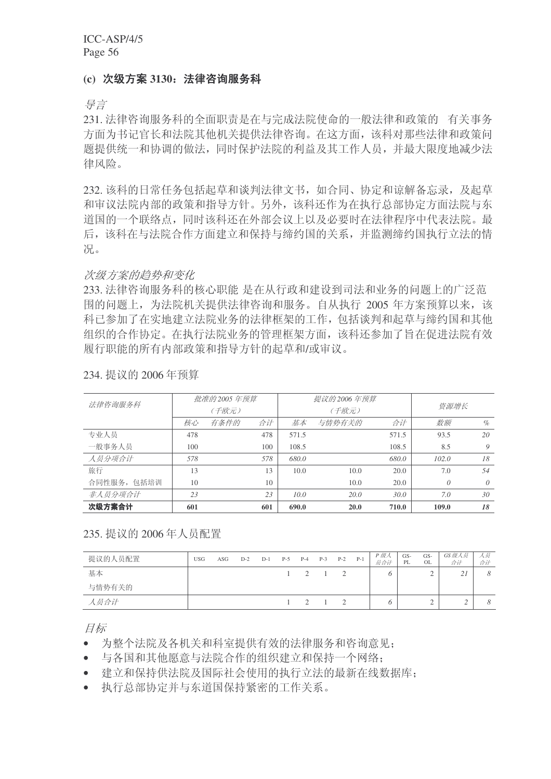#### (c) 次级方案 3130: 法律咨询服务科

导言

231. 法律咨询服务科的全面职责是在与完成法院使命的一般法律和政策的 有关事务 方面为书记官长和法院其他机关提供法律咨询。在这方面,该科对那些法律和政策问 题提供统一和协调的做法,同时保护法院的利益及其工作人员,并最大限度地减少法 律风险。

232. 该科的日常任务包括起草和谈判法律文书, 如合同、协定和谅解各忘录, 及起草 和审议法院内部的政策和指导方针。另外,该科还作为在执行总部协定方面法院与东 道国的一个联络点,同时该科还在外部会议上以及必要时在法律程序中代表法院。最 后,该科在与法院合作方面建立和保持与缔约国的关系,并监测缔约国执行立法的情 况。

#### 次级方案的趋势和变化

233. 法律咨询服务科的核心职能 是在从行政和建设到司法和业务的问题上的广泛范 围的问题上,为法院机关提供法律咨询和服务。自从执行 2005 年方案预算以来,该 科已参加了在实地建立法院业务的法律框架的工作, 包括谈判和起草与缔约国和其他 组织的合作协定。在执行法院业务的管理框架方面,该科还参加了旨在促进法院有效 履行职能的所有内部政策和指导方针的起草和/或审议。

| 法律咨询服务科     |     | 批准的 2005 年预算 |     |       | 提议的 2006 年预算 |       |          |          |  |
|-------------|-----|--------------|-----|-------|--------------|-------|----------|----------|--|
|             |     | (千欧元)        |     |       | (千欧元)        |       | 资源增长     |          |  |
|             | 核心  | 有条件的         | 合计  | 基本    | 与情势有关的       | 合计    | 数额       | $\%$     |  |
| 专业人员        | 478 |              | 478 | 571.5 |              | 571.5 | 93.5     | 20       |  |
| 一般事务人员      | 100 |              | 100 | 108.5 |              | 108.5 | 8.5      | 9        |  |
| 人员分项合计      | 578 |              | 578 | 680.0 |              | 680.0 | 102.0    | 18       |  |
| 旅行          | 13  |              | 13  | 10.0  | 10.0         | 20.0  | 7.0      | 54       |  |
| 合同性服务, 包括培训 | 10  |              | 10  |       | 10.0         | 20.0  | $\theta$ | $\theta$ |  |
| 非人员分项合计     | 23  |              | 23  | 10.0  | 20.0         | 7.0   | 30       |          |  |
| 次级方案合计      | 601 |              | 601 | 690.0 | <b>20.0</b>  | 710.0 | 109.0    | 18       |  |

234. 提议的 2006年预算

#### 235. 提议的 2006年人员配置

| 提议的人员配置 | <b>USG</b> | ASG | $D-2$ | $D-1$ | $P-5$ | $P-4$ | $P-3$ | $P-2$    | $P-1$ | P 级人<br>员合计 | GS-<br>PL | GS-<br><b>OL</b> | GS级人员<br>合计            | 人欠<br>合计 |
|---------|------------|-----|-------|-------|-------|-------|-------|----------|-------|-------------|-----------|------------------|------------------------|----------|
| 基本      |            |     |       |       |       |       |       | $\gamma$ |       |             |           | ∠                | $\gamma$ i<br>$\sim$ 1 |          |
| 与情势有关的  |            |     |       |       |       |       |       |          |       |             |           |                  |                        |          |
| 人员合计    |            |     |       |       |       |       |       | $\gamma$ |       |             |           |                  |                        |          |

目标

为整个法院及各机关和科室提供有效的法律服务和咨询意见:

• 与各国和其他愿意与法院合作的组织建立和保持一个网络:

• 建立和保持供法院及国际社会使用的执行立法的最新在线数据库;

• 执行总部协定并与东道国保持紧密的工作关系。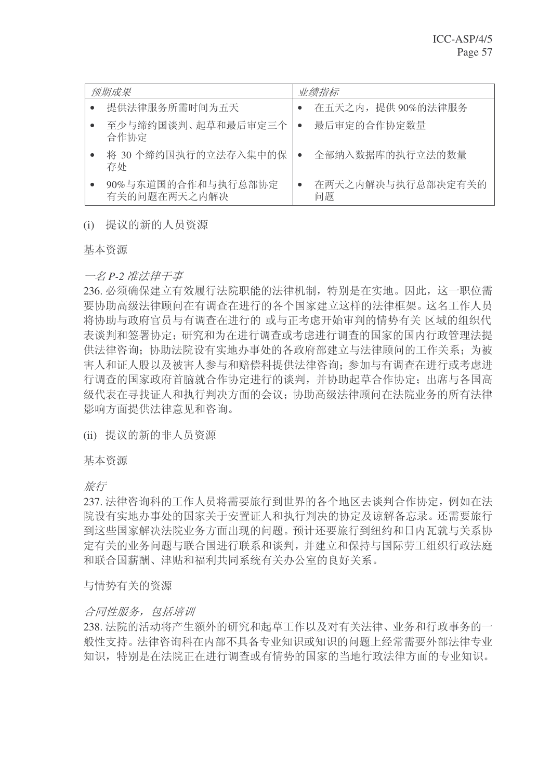| 预期成果                               | 业绩指标                    |
|------------------------------------|-------------------------|
| 提供法律服务所需时间为五天                      | 在五天之内, 提供90%的法律服务       |
| 至少与缔约国谈判、起草和最后审定三个<br>合作协定         | 最后审定的合作协定数量             |
| 将 30 个缔约国执行的立法存入集中的保<br>存处         | 全部纳入数据库的执行立法的数量         |
| 90%与东道国的合作和与执行总部协定<br>有关的问题在两天之内解决 | 在两天之内解决与执行总部决定有关的<br>问题 |

# (i) 提议的新的人员资源

基本资源

#### 一名 P-2 准法律干事

236. 必须确保建立有效履行法院职能的法律机制, 特别是在实地。因此, 这一职位需 要协助高级法律顾问在有调查在进行的各个国家建立这样的法律框架。这名工作人员 将协助与政府官员与有调杳在进行的 或与正考虑开始审判的情势有关 区域的组织代 表谈判和签署协定:研究和为在讲行调查或考虑讲行调查的国家的国内行政管理法提 供法律咨询: 协助法院设有实地办事处的各政府部建立与法律顾问的工作关系: 为被 害人和证人股以及被害人参与和赔偿科提供法律咨询;参加与有调查在进行或考虑进 行调查的国家政府首脑就合作协定进行的谈判,并协助起草合作协定;出席与各国高 级代表在寻找证人和执行判决方面的会议: 协助高级法律顾问在法院业务的所有法律 影响方面提供法律意见和咨询。

(ii) 提议的新的非人员资源

基本资源

旅行

237. 法律咨询科的工作人员将需要旅行到世界的各个地区去谈判合作协定, 例如在法 院设有实地办事处的国家关于安置证人和执行判决的协定及谅解备忘录。还需要旅行 到这些国家解决法院业务方面出现的问题。预计还要旅行到纽约和日内瓦就与关系协 定有关的业务问题与联合国进行联系和谈判,并建立和保持与国际劳工组织行政法庭 和联合国薪酬、津贴和福利共同系统有关办公室的良好关系。

与情势有关的资源

# 合同性服务, 包括培训

238. 法院的活动将产生额外的研究和起草工作以及对有关法律、业务和行政事务的一 般性支持。法律咨询科在内部不具备专业知识或知识的问题上经常需要外部法律专业 知识, 特别是在法院正在进行调查或有情势的国家的当地行政法律方面的专业知识。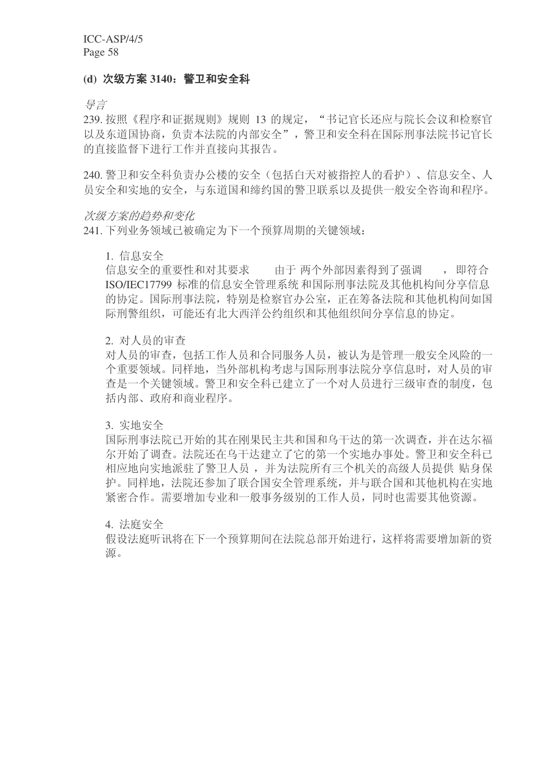#### (d) 次级方案 3140: 警卫和安全科

导言

239. 按照《程序和证据规则》规则 13 的规定, "书记官长还应与院长会议和检察官 以及东道国协商,负责本法院的内部安全",警卫和安全科在国际刑事法院书记官长 的直接监督下进行工作并直接向其报告。

240. 警卫和安全科负责办公楼的安全(包括白天对被指控人的看护)、信息安全、人 员安全和实地的安全,与东道国和缔约国的警卫联系以及提供一般安全咨询和程序。

#### 次级方案的趋势和变化

241. 下列业务领域已被确定为下一个预算周期的关键领域:

#### 1. 信息安全

信息安全的重要性和对其要求 由于 两个外部因素得到了强调 ,即符合 ISO/IEC17799 标准的信息安全管理系统 和国际刑事法院及其他机构间分享信息 的协定。国际刑事法院,特别是检察官办公室,正在筹备法院和其他机构间如国 际刑警组织,可能还有北大西洋公约组织和其他组织间分享信息的协定。

#### 2. 对人员的审查

对人员的审查,包括工作人员和合同服务人员,被认为是管理一般安全风险的一 个重要领域。同样地, 当外部机构考虑与国际刑事法院分享信息时, 对人员的审 杳是一个关键领域。警卫和安全科已建立了一个对人员进行三级审查的制度, 包 括内部、政府和商业程序。

3. 实地安全

国际刑事法院已开始的其在刚果民主共和国和乌干达的第一次调查,并在达尔福 尔开始了调查。法院还在乌干达建立了它的第一个实地办事处。警卫和安全科已 相应地向实地派驻了警卫人员, 并为法院所有三个机关的高级人员提供 贴身保 护。同样地, 法院还参加了联合国安全管理系统, 并与联合国和其他机构在实地 紧密合作。需要增加专业和一般事务级别的工作人员,同时也需要其他资源。

4. 法庭安全

假设法庭听讯将在下一个预算期间在法院总部开始进行, 这样将需要增加新的资 源。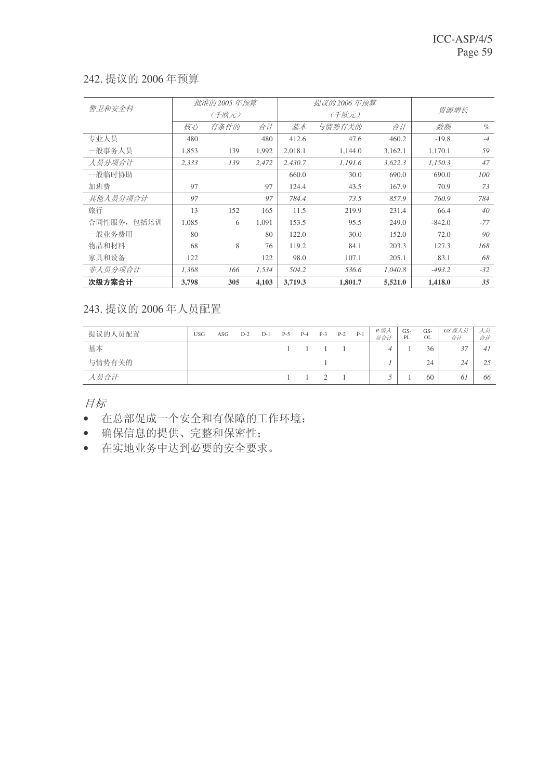# 242. 提议的 2006年预算

| 警卫和安全科      |       | 批准的 2005 年预算 |       |         | 提议的 2006 年预算 |         |          |       |
|-------------|-------|--------------|-------|---------|--------------|---------|----------|-------|
|             |       | (千欧元)        |       |         | (千欧元)        |         | 资源增长     |       |
|             | 核心    | 有条件的         | 合计    | 基本      | 与情势有关的       | 合计      | 数额       | $\%$  |
| 专业人员        | 480   |              | 480   | 412.6   | 47.6         | 460.2   | $-19.8$  | $-4$  |
| 一般事务人员      | 1,853 | 139          | 1,992 | 2,018.1 | 1,144.0      | 3,162.1 | 1,170.1  | 59    |
| 人员分项合计      | 2,333 | 139          | 2,472 | 2.430.7 | 1,191.6      | 3,622.3 | 1.150.3  | 47    |
| 一般临时协助      |       |              |       | 660.0   | 30.0         | 690.0   | 690.0    | 100   |
| 加班费         | 97    |              | 97    | 124.4   | 43.5         | 167.9   | 70.9     | 73    |
| 其他人员分项合计    | 97    |              | 97    | 784.4   | 73.5         | 857.9   | 760.9    | 784   |
| 旅行          | 13    | 152          | 165   | 11.5    | 219.9        | 231.4   | 66.4     | 40    |
| 合同性服务, 包括培训 | 1,085 | 6            | 1,091 | 153.5   | 95.5         | 249.0   | $-842.0$ | $-77$ |
| 一般业务费用      | 80    |              | 80    | 122.0   | 30.0         | 152.0   | 72.0     | 90    |
| 物品和材料       | 68    | 8            | 76    | 119.2   | 84.1         | 203.3   | 127.3    | 168   |
| 家具和设备       | 122   |              | 122   | 98.0    | 107.1        | 205.1   | 83.1     | 68    |
| 非人员分项合计     | 1,368 | 166          | 1,534 | 504.2   | 536.6        | 1,040.8 | $-493.2$ | $-32$ |
| 次级方案合计      | 3,798 | 305          | 4,103 | 3,719.3 | 1,801.7      | 5,521.0 | 1,418.0  | 35    |

243. 提议的 2006年人员配置

| 提议的人员配置 | <b>USG</b> | ASG | $D-2$ | $D-1$ | $P-5$ | $P-4$ | $P-3$ | $P-2$ | $P-1$ | P 级人<br>员合计 | GS-<br>PL | GS-<br>OL | GS 级人员<br>合计 | ハ灾<br>合计 |
|---------|------------|-----|-------|-------|-------|-------|-------|-------|-------|-------------|-----------|-----------|--------------|----------|
| 基本      |            |     |       |       |       |       |       |       |       | 4           |           | 36        | ◡            | 41       |
| 与情势有关的  |            |     |       |       |       |       |       |       |       |             |           | 24        | 24           |          |
| 人员合计    |            |     |       |       |       |       |       |       |       |             |           | 60        | OΙ           | 66       |

目标

- 在总部促成一个安全和有保障的工作环境;
- 确保信息的提供、完整和保密性;
- 在实地业务中达到必要的安全要求。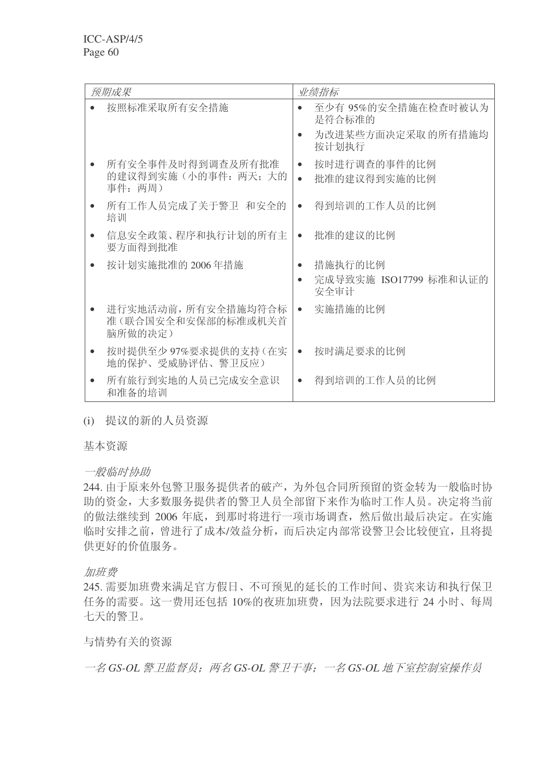| 预期成果                                                 | 业绩指标                                                         |
|------------------------------------------------------|--------------------------------------------------------------|
| 按照标准采取所有安全措施                                         | 至少有 95%的安全措施在检查时被认为<br>是符合标准的<br>为改进某些方面决定采取 的所有措施均<br>按计划执行 |
| 所有安全事件及时得到调查及所有批准<br>的建议得到实施(小的事件: 两天; 大的<br>事件: 两周) | 按时进行调查的事件的比例<br>$\bullet$<br>批准的建议得到实施的比例<br>$\bullet$       |
| 所有工作人员完成了关于警卫 和安全的<br>培训                             | 得到培训的工作人员的比例                                                 |
| 信息安全政策、程序和执行计划的所有主<br>要方面得到批准                        | 批准的建议的比例<br>$\bullet$                                        |
| 按计划实施批准的 2006年措施                                     | 措施执行的比例<br>$\bullet$<br>完成导致实施 ISO17799 标准和认证的<br>安全审计       |
| 进行实地活动前, 所有安全措施均符合标<br>准(联合国安全和安保部的标准或机关首<br>脑所做的决定) | 实施措施的比例<br>$\bullet$                                         |
| 按时提供至少97%要求提供的支持(在实<br>地的保护、受威胁评估、警卫反应)              | 按时满足要求的比例<br>$\bullet$                                       |
| 所有旅行到实地的人员已完成安全意识<br>和准备的培训                          | 得到培训的工作人员的比例                                                 |

(i) 提议的新的人员资源

基本资源

一般临时协助

244. 由于原来外包警卫服务提供者的破产, 为外包合同所预留的资金转为一般临时协 助的资金,大多数服务提供者的警卫人员全部留下来作为临时工作人员。决定将当前 的做法继续到 2006 年底, 到那时将进行一项市场调查, 然后做出最后决定。在实施 临时安排之前, 曾进行了成本/效益分析, 而后决定内部常设警卫会比较便宜, 且将提 供更好的价值服务。

加班费

245. 需要加班费来满足官方假日、不可预见的延长的工作时间、贵宾来访和执行保卫 任务的需要。这一费用还包括10%的夜班加班费,因为法院要求进行24小时、每周 七天的警卫。

与情势有关的资源

一名 GS-OL 警卫监督员; 两名 GS-OL 警卫干事; 一名 GS-OL 地下室控制室操作员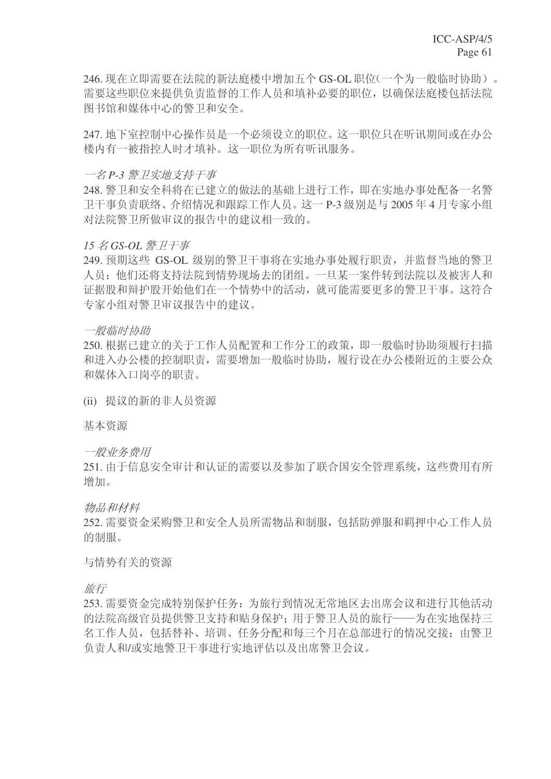246. 现在立即需要在法院的新法庭楼中增加五个 GS-OL 职位(一个为一般临时协助)。 需要这些职位来提供负责监督的工作人员和填补必要的职位, 以确保法庭楼包括法院 图书馆和媒体中心的警卫和安全。

247. 地下室控制中心操作员是一个必须设立的职位。这一职位只在听讯期间或在办公 楼内有一被指控人时才填补。这一职位为所有听讯服务。

#### 一名 P-3 警 *P 实地支持干事*

248. 警卫和安全科将在已建立的做法的基础上进行工作, 即在实地办事处配备一名警 卫干事负责联络、介绍情况和跟踪工作人员。这一P-3 级别是与 2005 年 4 月专家小组 对法院警卫所做审议的报告中的建议相一致的。

#### $15$  名 GS-OL 警 卫 <del>了</del>事

249. 预期这些 GS-OL 级别的警卫干事将在实地办事处履行职责, 并监督当地的警卫 人员: 他们还将支持法院到情势现场夫的团组。一旦某一案件转到法院以及被害人和 证据股和辩护股开始他们在一个情势中的活动,就可能需要更多的警卫干事。这符合 专家小组对警卫审议报告中的建议。

#### 一般临时协助

250. 根据已建立的关于工作人员配置和工作分工的政策, 即一般临时协助须履行扫描 和讲入办公楼的控制职责, 需要增加一般临时协助, 履行设在办公楼附近的主要公众 和媒体入口岗亭的职责。

(ii) 提议的新的非人员资源

基本资源

一般业务费用

251. 由于信息安全审计和认证的需要以及参加了联合国安全管理系统, 这些费用有所 增加。

物品和材料

252. 需要资金采购警卫和安全人员所需物品和制服, 包括防弹服和羁押中心工作人员 的制服。

与情势有关的资源

旅行

253. 需要资金完成特别保护任务: 为旅行到情况无常地区去出席会议和进行其他活动 的法院高级官员提供警卫支持和贴身保护;用于警卫人员的旅行——为在实地保持三 名工作人员, 包括替补、培训、任务分配和每三个月在总部进行的情况交接: 由警卫 负责人和/或实地警卫干事进行实地评估以及出席警卫会议。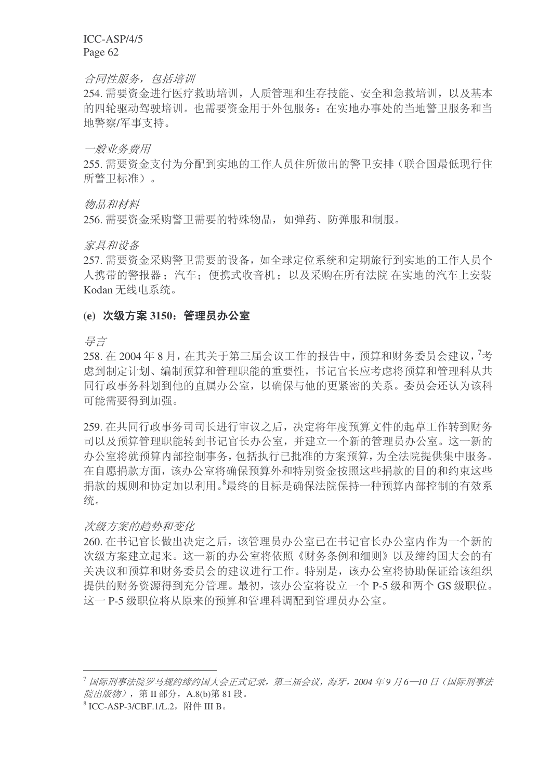#### 合同性服务, 包括培训

254. 需要资金进行医疗救助培训, 人质管理和生存技能、安全和急救培训, 以及基本 的四轮驱动驾驶培训。也需要资金用于外包服务: 在实地办事处的当地警卫服务和当 地警察/军事支持。

一般业务费用

255. 需要资金支付为分配到实地的工作人员住所做出的警卫安排(联合国最低现行住 所警卫标准)。

物品和材料

256. 需要资金采购警卫需要的特殊物品, 如弹药、防弹服和制服。

家具和设备

257. 需要资金采购警卫需要的设备, 如全球定位系统和定期旅行到实地的工作人员个 人携带的警报器: 汽车: 便携式收音机: 以及采购在所有法院 在实地的汽车上安装 Kodan 无线电系统。

#### (e) 次级方案 3150: 管理员办公室

ᇐ㿔

258. 在 2004年8月, 在其关于第三届会议工作的报告中, 预算和财务委员会建议, <sup>7</sup>考 虑到制定计划、编制预算和管理职能的重要性, 书记官长应考虑将预算和管理科从共 同行政事务科划到他的直属办公室, 以确保与他的更紧密的关系。委员会还认为该科 可能需要得到加强。

259. 在共同行政事务司司长讲行审议之后, 决定将年度预算文件的起草工作转到财务 司以及预算管理职能转到书记官长办公室,并建立一个新的管理员办公室。这一新的 办公室将就预算内部控制事务, 包括执行已批准的方案预算, 为全法院提供集中服务。 在自愿捐款方面,该办公室将确保预算外和特别资金按照这些捐款的目的和约束这些 捐款的规则和协定加以利用。<sup>8</sup>最终的目标是确保法院保持一种预算内部控制的有效系 统。

#### 次级方案的趋势和变化

260. 在书记官长做出决定之后, 该管理员办公室已在书记官长办公室内作为一个新的 次级方案建立起来。这一新的办公室将依照《财务条例和细则》以及缔约国大会的有 关决议和预算和财务委员会的建议进行工作。特别是,该办公室将协助保证给该组织 提供的财务资源得到充分管理。最初,该办公室将设立一个 P-5 级和两个 GS 级职位。 这一 P-5 级职位将从原来的预算和管理科调配到管理员办公室。

<sup>&</sup>lt;sup>7</sup> 国际刑事法院罗马规约缔约国大会正式记录,第三届会议,海牙,2004 年9 月6─10 日(国际刑事法 烷出版物), 第 Π部分, A.8(b) 第 81 段。

 $^8$  ICC-ASP-3/CBF.1/L.2, 附件 III B.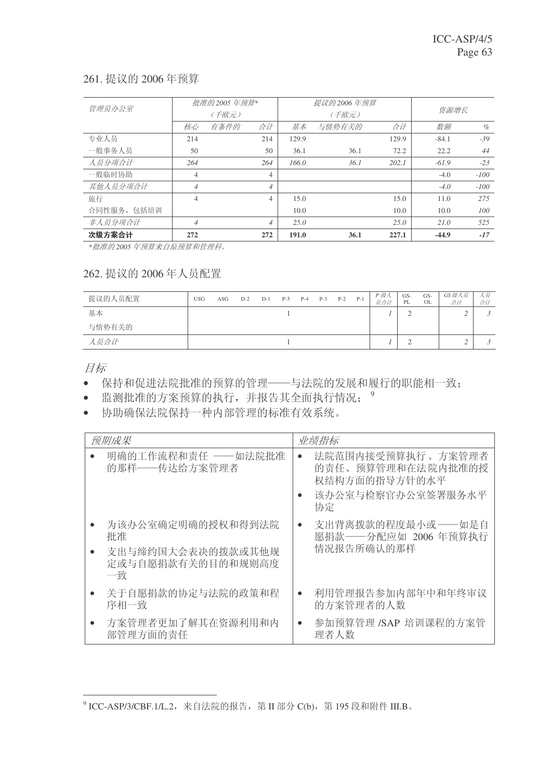# 261. 提议的 2006年预算

| 管理员办公室      |                | 批准的 2005 年预算* |                |       | 提议的 2006 年预算 |       |         |        |
|-------------|----------------|---------------|----------------|-------|--------------|-------|---------|--------|
|             |                | (千欧元)         |                |       | (千欧元)        | 资源增长  |         |        |
|             | 核心             | 有条件的          | 合计             | 基本    | 与情势有关的       | 合计    | 数额      | $\%$   |
| 专业人员        | 214            |               | 214            | 129.9 |              | 129.9 | $-84.1$ | $-39$  |
| 一般事务人员      | 50             |               | 50             | 36.1  | 36.1         | 72.2  | 22.2    | 44     |
| 人员分项合计      | 264            |               | 264            | 166.0 | 36.1         | 202.1 | $-61.9$ | $-23$  |
| 一般临时协助      | $\overline{4}$ |               | 4              |       |              |       | $-4.0$  | $-100$ |
| 其他人员分项合计    | $\overline{4}$ |               | $\overline{4}$ |       |              |       | $-4.0$  | $-100$ |
| 旅行          | $\overline{4}$ |               | 4              | 15.0  |              | 15.0  | 11.0    | 275    |
| 合同性服务, 包括培训 |                |               |                | 10.0  |              | 10.0  | 10.0    | 100    |
| 非人员分项合计     | $\overline{4}$ |               | $\overline{4}$ | 25.0  |              | 25.0  | 21.0    | 525    |
| 次级方案合计      | 272            |               | 272            | 191.0 | 36.1         | 227.1 | $-44.9$ | $-17$  |

\*批准的2005年预算来自原预算和管理科。

# 262. 提议的 2006年人员配置

| 提议的人员配置 | <b>USG</b> | ASG | $D-2$ | $D-1$ | $P-5$ | $P-4$ | $P-3$ | $P-2$ | $P-1$ | P 级人<br>员合计 | GS-<br>PL | GS-<br>OL. | GS级人员<br>合计 | 人员<br>合计 |
|---------|------------|-----|-------|-------|-------|-------|-------|-------|-------|-------------|-----------|------------|-------------|----------|
| 基本      |            |     |       |       |       |       |       |       |       |             |           |            |             |          |
| 与情势有关的  |            |     |       |       |       |       |       |       |       |             |           |            |             |          |
| 人员合计    |            |     |       |       |       |       |       |       |       |             |           |            |             |          |

目标

- 保持和促进法院批准的预算的管理——与法院的发展和履行的职能相一致;
- 监测批准的方案预算的执行,并报告其全面执行情况; 9
- 协助确保法院保持一种内部管理的标准有效系统。

| 预期成果                                                                    | 业绩指标                                                                                            |
|-------------------------------------------------------------------------|-------------------------------------------------------------------------------------------------|
| 明确的工作流程和责任 ——如法院批准<br>的那样——传达给方案管理者                                     | 法院范围内接受预算执行、方案管理者<br>$\bullet$<br>的责任、预算管理和在法院内批准的授<br>权结构方面的指导方针的水平<br>该办公室与检察官办公室签署服务水平<br>协定 |
| 为该办公室确定明确的授权和得到法院<br>批准<br>支出与缔约国大会表决的拨款或其他规<br>定或与自愿捐款有关的目的和规则高度<br>一致 | 支出背离拨款的程度最小或 ——如是自<br>$\bullet$<br>愿捐款——分配应如 2006 年预算执行<br>情况报告所确认的那样                           |
| 关于自愿捐款的协定与法院的政策和程<br>序相一致                                               | 利用管理报告参加内部年中和年终审议<br>$\bullet$<br>的方案管理者的人数                                                     |
| 方案管理者更加了解其在资源利用和内<br>部管理方面的责任                                           | 参加预算管理 /SAP 培训课程的方案管<br>$\bullet$<br>理者人数                                                       |

 $^9$  ICC-ASP/3/CBF.1/L.2,来自法院的报告,第 II 部分 C(b),第 195 段和附件 III.B。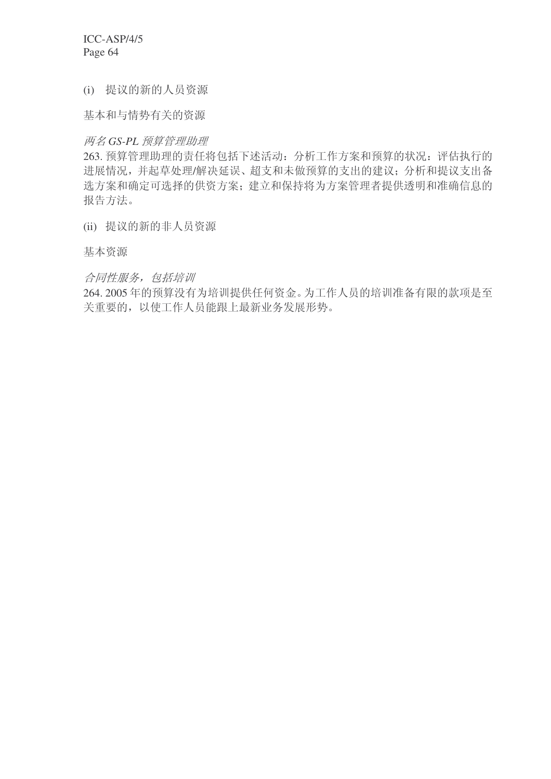(i) 提议的新的人员资源

基本和与情势有关的资源

# 两名 GS-PL 预算管理助理

263. 预算管理助理的责任将包括下述活动: 分析工作方案和预算的状况: 评估执行的 进展情况,并起草处理/解决延误、超支和未做预算的支出的建议;分析和提议支出备 选方案和确定可选择的供资方案;建立和保持将为方案管理者提供透明和准确信息的 报告方法。

(ii) 提议的新的非人员资源

基本资源

合同性服务, 包括培训

264. 2005年的预算没有为培训提供任何资金。为工作人员的培训准备有限的款项是至 关重要的, 以使工作人员能跟上最新业务发展形势。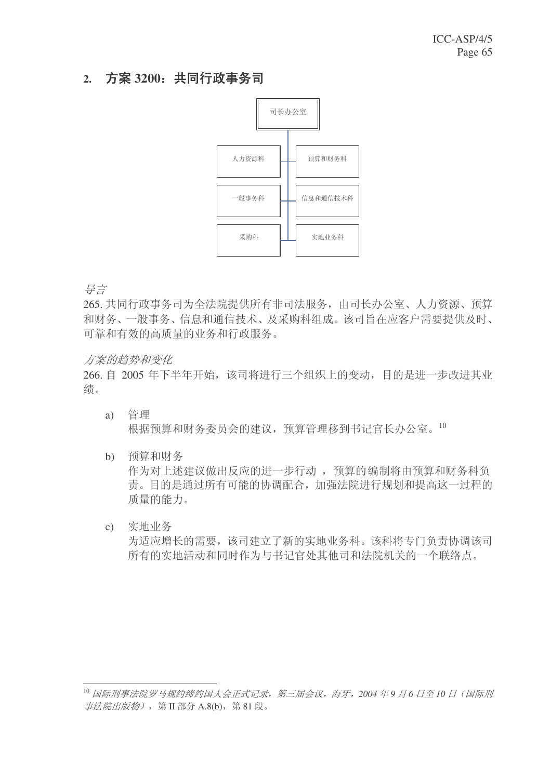# 2. 方案 3200: 共同行政事务司



异言

265. 共同行政事务司为全法院提供所有非司法服务, 由司长办公室、人力资源、预算 和财务、一般事务、信息和通信技术、及采购科组成。该司旨在应客户需要提供及时、 可靠和有效的高质量的业务和行政服务。

# 方案的趋势和变化

266. 自 2005 年下半年开始, 该司将进行三个组织上的变动, 目的是进一步改进其业 绩。

- $a)$  管理 根据预算和财务委员会的建议, 预算管理移到书记官长办公室。10
- b) 预算和财务

作为对上述建议做出反应的进一步行动, 预算的编制将由预算和财务科负 责。目的是通过所有可能的协调配合, 加强法院进行规划和提高这一过程的 质量的能力。

c) 实地业务

为适应增长的需要,该司建立了新的实地业务科。该科将专门负责协调该司 所有的实地活动和同时作为与书记官处其他司和法院机关的一个联络点。

<sup>&</sup>lt;sup>10</sup> 国际刑事法院罗马规约缔约国大会正式记录, 第三届会议, 海牙, 2004 年9 月6 日至 10 日 (国际刑 事法院出版物), 第 II 部分 A.8(b), 第 81 段。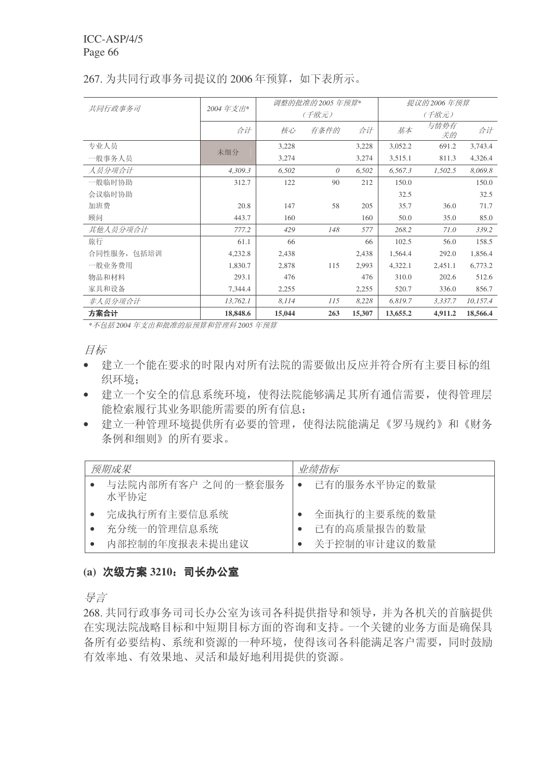|             | 2004年支出* |        | 调整的批准的2005年预算* |        | 提议的 2006 年预算 |            |          |  |  |  |
|-------------|----------|--------|----------------|--------|--------------|------------|----------|--|--|--|
| 共同行政事务司     |          |        | (千欧元)          |        | (千欧元)        |            |          |  |  |  |
|             | 合计       | 核心     | 有条件的           | 合计     | 基本           | 与情势有<br>关的 | 合计       |  |  |  |
| 专业人员        | 未细分      | 3,228  |                | 3,228  | 3,052.2      | 691.2      | 3,743.4  |  |  |  |
| 一般事务人员      |          | 3,274  |                | 3,274  | 3,515.1      | 811.3      | 4,326.4  |  |  |  |
| 人员分项合计      | 4,309.3  | 6,502  | 0              | 6,502  | 6,567.3      | 1,502.5    | 8,069.8  |  |  |  |
| 一般临时协助      | 312.7    | 122    | 90             | 212    | 150.0        |            | 150.0    |  |  |  |
| 会议临时协助      |          |        |                |        | 32.5         |            | 32.5     |  |  |  |
| 加班费         | 20.8     | 147    | 58             | 205    | 35.7         | 36.0       | 71.7     |  |  |  |
| 顾问          | 443.7    | 160    |                | 160    | 50.0         | 35.0       | 85.0     |  |  |  |
| 其他人员分项合计    | 777.2    | 429    | 148            | 577    | 268.2        | 71.0       | 339.2    |  |  |  |
| 旅行          | 61.1     | 66     |                | 66     | 102.5        | 56.0       | 158.5    |  |  |  |
| 合同性服务, 包括培训 | 4,232.8  | 2,438  |                | 2,438  | 1,564.4      | 292.0      | 1,856.4  |  |  |  |
| 一般业务费用      | 1,830.7  | 2,878  | 115            | 2,993  | 4,322.1      | 2,451.1    | 6,773.2  |  |  |  |
| 物品和材料       | 293.1    | 476    |                | 476    | 310.0        | 202.6      | 512.6    |  |  |  |
| 家具和设备       | 7,344.4  | 2,255  |                | 2,255  | 520.7        | 336.0      | 856.7    |  |  |  |
| 非人员分项合计     | 13,762.1 | 8,114  | 115            | 8,228  | 6,819.7      | 3,337.7    | 10,157.4 |  |  |  |
| 方案合计        | 18,848.6 | 15,044 | 263            | 15,307 | 13,655.2     | 4,911.2    | 18,566.4 |  |  |  |

# 267. 为共同行政事务司提议的 2006 年预算, 如下表所示。

\*不包括2004年支出和批准的原预算和管理科 2005 年预算

月标

- 建立一个能在要求的时限内对所有法院的需要做出反应并符合所有主要目标的组 织环境:
- 建立一个安全的信息系统环境, 使得法院能够满足其所有通信需要, 使得管理层 能检索履行其业务职能所需要的所有信息;
- 建立一种管理环境提供所有必要的管理, 使得法院能满足《罗马规约》和《财务 条例和细则》的所有要求。

| 预期成果                       | 业绩指标         |  |  |  |  |  |  |
|----------------------------|--------------|--|--|--|--|--|--|
| 与法院内部所有客户 之间的一整套服务<br>水平协定 | 已有的服务水平协定的数量 |  |  |  |  |  |  |
| 完成执行所有主要信息系统               | 全面执行的主要系统的数量 |  |  |  |  |  |  |
| 充分统一的管理信息系统                | 已有的高质量报告的数量  |  |  |  |  |  |  |
| 内部控制的年度报表未提出建议             | 关于控制的审计建议的数量 |  |  |  |  |  |  |

# (a) 次级方案 3210: 司长办公室

号言

268. 共同行政事务司司长办公室为该司各科提供指导和领导, 并为各机关的首脑提供 在实现法院战略目标和中短期目标方面的咨询和支持。一个关键的业务方面是确保具 备所有必要结构、系统和资源的一种环境, 使得该司各科能满足客户需要, 同时鼓励 有效率地、灵活和最好地利用提供的资源。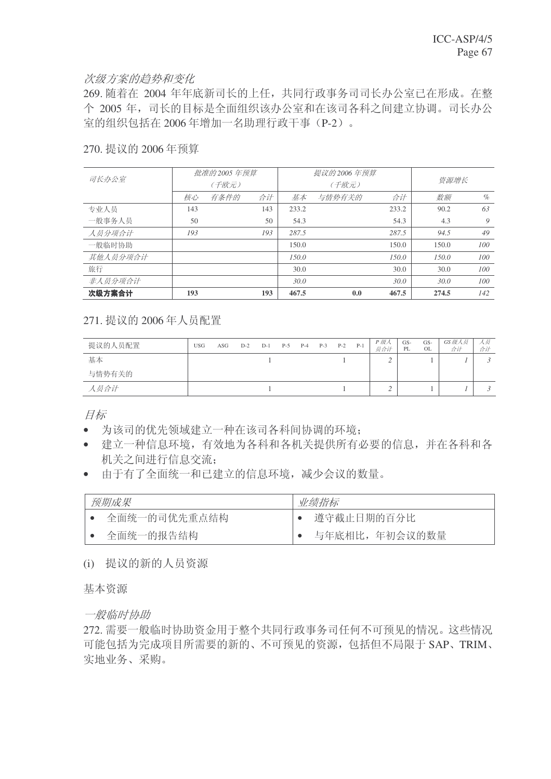#### 次级方案的趋势和变化

269. 随着在 2004 年年底新司长的上任, 共同行政事务司司长办公室已在形成。在整 个 2005 年, 司长的目标是全面组织该办公室和在该司各科之间建立协调。司长办公 室的组织包括在 2006 年增加一名助理行政干事 (P-2)。

#### 270. 提议的 2006 年预算

| 司长办公室    |     | 批准的 2005 年预算 |     |       | 提议的 2006 年预算 |       |       |      |
|----------|-----|--------------|-----|-------|--------------|-------|-------|------|
|          |     | (千欧元)        |     |       | (千欧元)        | 资源增长  |       |      |
|          | 核心  | 有条件的         | 合计  | 基本    | 与情势有关的       | 合计    | 数额    | $\%$ |
| 专业人员     | 143 |              | 143 | 233.2 |              | 233.2 | 90.2  | 63   |
| 一般事务人员   | 50  |              | 50  | 54.3  |              | 54.3  | 4.3   | 9    |
| 人员分项合计   | 193 |              | 193 | 287.5 |              | 287.5 | 94.5  | 49   |
| 一般临时协助   |     |              |     | 150.0 |              | 150.0 | 150.0 | 100  |
| 其他人员分项合计 |     |              |     | 150.0 |              | 150.0 | 150.0 | 100  |
| 旅行       |     |              |     | 30.0  |              | 30.0  | 30.0  | 100  |
| 非人员分项合计  |     |              |     | 30.0  |              | 30.0  | 30.0  | 100  |
| 次级方案合计   | 193 |              | 193 | 467.5 | 0.0          | 467.5 | 274.5 | 142  |

# 271. 提议的 2006年人员配置

| 提议的人员配置 | <b>USG</b> | ASG | $D-2$ | $D-1$ | $P-5$ | $P-4$ | $P-3$ | $P-2$ | $P-1$ | P 级人<br>员合计 | GS-<br>PL | GS-<br><b>OL</b> | GS 级人员<br>合计 | 人奴<br>合计 |
|---------|------------|-----|-------|-------|-------|-------|-------|-------|-------|-------------|-----------|------------------|--------------|----------|
| 基本      |            |     |       |       |       |       |       |       |       |             |           |                  |              |          |
| 与情势有关的  |            |     |       |       |       |       |       |       |       |             |           |                  |              |          |
| 人员合计    |            |     |       |       |       |       |       |       |       |             |           |                  |              |          |

目标

- 为该司的优先领域建立一种在该司各科间协调的环境;
- 建立一种信息环境, 有效地为各科和各机关提供所有必要的信息, 并在各科和各 机关之间进行信息交流:
- 由于有了全面统一和已建立的信息环境,减少会议的数量。

| 预期成果         | 业绩指标          |  |  |  |  |  |  |
|--------------|---------------|--|--|--|--|--|--|
| 全面统一的司优先重点结构 | 遵守截止日期的百分比    |  |  |  |  |  |  |
| 全面统一的报告结构    | 与年底相比,年初会议的数量 |  |  |  |  |  |  |

(i) 提议的新的人员资源

基本资源

一般临时协助

272. 需要一般临时协助资金用于整个共同行政事务司任何不可预见的情况。这些情况 可能包括为完成项目所需要的新的、不可预见的资源,包括但不局限于 SAP、TRIM、 实地业务、采购。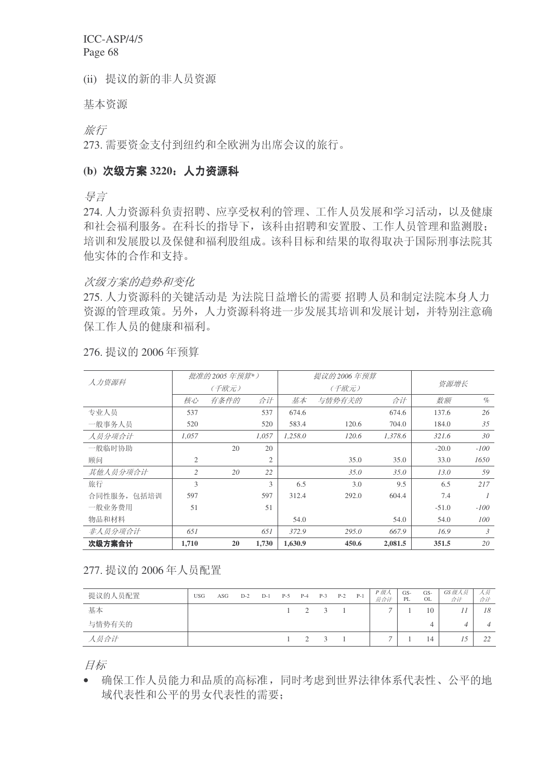(ii) 提议的新的非人员资源

基本资源

旅行

273. 需要资金支付到纽约和全欧洲为出席会议的旅行。

### (b) 次级方案 3220; 人力资源科

ᇐ㿔

274. 人力资源科负责招聘、应享受权利的管理、工作人员发展和学习活动, 以及健康 和社会福利服务。在科长的指导下,该科由招聘和安置股、工作人员管理和监测股; 培训和发展股以及保健和福利股组成。该科目标和结果的取得取决于国际刑事法院其 他实体的合作和支持。

#### 次级方案的趋势和变化

275. 人力资源科的关键活动是为法院日益增长的需要 招聘人员和制定法院本身人力 资源的管理政策。另外,人力资源科将进一步发展其培训和发展计划,并特别注意确 保工作人员的健康和福利。

| 人力资源科       |                | 批准的 2005 年预算*) |                |         | 提议的 2006 年预算 |         |         |        |  |
|-------------|----------------|----------------|----------------|---------|--------------|---------|---------|--------|--|
|             |                | (千欧元)          |                |         | (千欧元)        |         | 资源增长    |        |  |
|             | 核心             | 有条件的           | 合计             | 基本      | 与情势有关的       | 合计      | 数额      | $\%$   |  |
| 专业人员        | 537            |                | 537            | 674.6   |              | 674.6   | 137.6   | 26     |  |
| 一般事务人员      | 520            |                | 520            | 583.4   | 120.6        | 704.0   | 184.0   | 35     |  |
| 人员分项合计      | 1,057          |                | 1,057          | 1,258.0 | 120.6        | 1.378.6 | 321.6   | 30     |  |
| 一般临时协助      |                | 20             | 20             |         |              |         | $-20.0$ | $-100$ |  |
| 顾问          | $\overline{2}$ |                | $\overline{2}$ |         | 35.0         | 35.0    | 33.0    | 1650   |  |
| 其他人员分项合计    | $\overline{c}$ | 20             | 22             |         | 35.0         | 35.0    | 13.0    | 59     |  |
| 旅行          | 3              |                | 3              | 6.5     | 3.0          | 9.5     | 6.5     | 217    |  |
| 合同性服务, 包括培训 | 597            |                | 597            | 312.4   | 292.0        | 604.4   | 7.4     |        |  |
| 一般业务费用      | 51             |                | 51             |         |              |         | $-51.0$ | $-100$ |  |
| 物品和材料       |                |                |                | 54.0    |              | 54.0    | 54.0    | 100    |  |
| 非人员分项合计     | 651            |                | 651            | 372.9   | 295.0        | 667.9   | 16.9    | 3      |  |
| 次级方案合计      | 1,710          | 20             | 1,730          | 1,630.9 | 450.6        | 2,081.5 | 351.5   | 20     |  |

276. 提议的 2006年预算

# 277. 提议的 2006年人员配置

| 提议的人员配置 | <b>USG</b> | ASG | $D-2$ | $D-1$ | $P-5$ | $P-4$       | $P-3$          | $P-2$ | $P-1$ | P 级人<br>员合计 | GS-<br>PL | GS-<br>OL | GS 级人员<br>合计 | 人员<br>合计 |
|---------|------------|-----|-------|-------|-------|-------------|----------------|-------|-------|-------------|-----------|-----------|--------------|----------|
| 基本      |            |     |       |       |       | $1 \quad 2$ | $\overline{3}$ |       |       |             |           | 10        |              | 18       |
| 与情势有关的  |            |     |       |       |       |             |                |       |       |             |           |           | Δ            |          |
| 人员合计    |            |     |       |       |       | $1 \quad 2$ | $\overline{3}$ |       |       | -           |           | 14        |              | 22       |

目标

• 确保工作人员能力和品质的高标准,同时考虑到世界法律体系代表性、公平的地 域代表性和公平的男女代表性的需要: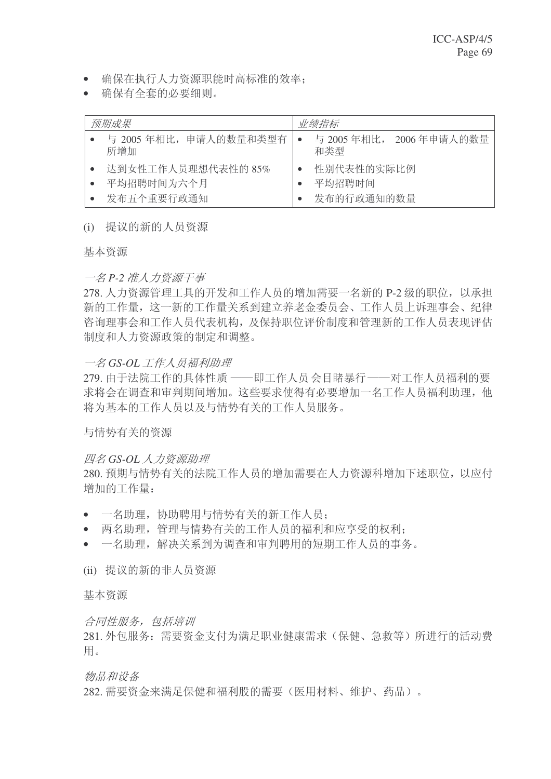- 确保在执行人力资源职能时高标准的效率:
- 确保有全套的必要细则。

| 预期成果                             | 业绩指标                            |
|----------------------------------|---------------------------------|
| 与 2005 年相比, 申请人的数量和类型有<br>所增加    | 与 2005 年相比, 2006 年申请人的数量<br>和类型 |
| 达到女性工作人员理想代表性的 85%<br>平均招聘时间为六个月 | 性别代表性的实际比例<br>平均招聘时间            |
| 发布五个重要行政通知                       | 发布的行政通知的数量                      |

## (i) 提议的新的人员资源

基本资源

## 一名 P-2 准人力资源干事

278. 人力资源管理工具的开发和工作人员的增加需要一名新的 P-2 级的职位, 以承担 新的工作量关系到建立养老金委员会、工作人员上诉理事会、纪律 咨询理事会和工作人员代表机构,及保持职位评价制度和管理新的工作人员表现评估 制度和人力资源政策的制定和调整。

# 一名 GS-OL 工作人员福利助理

279. 由于法院工作的具体性质 ——即工作人员会目睹暴行——对工作人员福利的要 求将会在调杳和审判期间增加。这些要求使得有必要增加一名工作人员福利助理, 他 将为基本的工作人员以及与情势有关的工作人员服务。

与情势有关的资源

# **四名 GS-OL 人力资源助理**

280. 预期与情势有关的法院工作人员的增加需要在人力资源科增加下述职位, 以应付 增加的工作量:

- 一名助理, 协助聘用与情势有关的新工作人员:
- 两名助理, 管理与情势有关的工作人员的福利和应享受的权利:
- 一名助理, 解决关系到为调杳和审判聘用的短期工作人员的事务。
- (ii) 提议的新的非人员资源

基本资源

合同性服务, 包括培训

281. 外包服务: 需要资金支付为满足职业健康需求(保健、急救等)所进行的活动费 用。

物品和设备

282. 需要资金来满足保健和福利股的需要(医用材料、维护、药品)。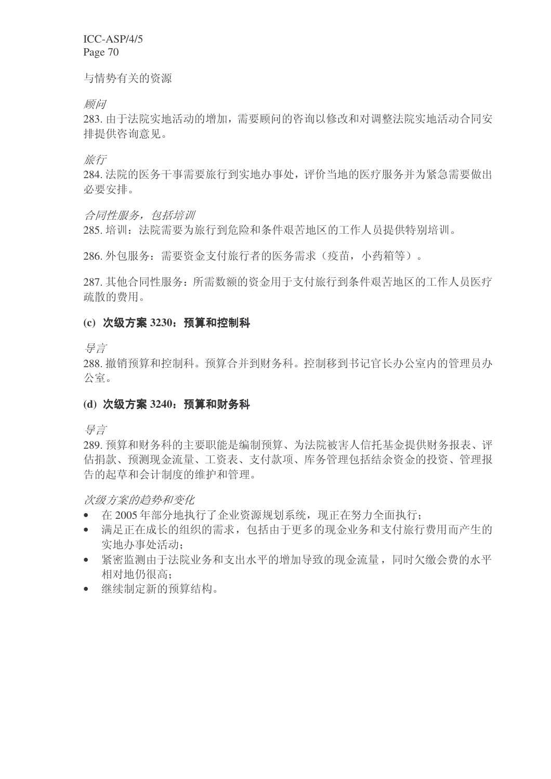与情势有关的资源

顾问

283. 由于法院实地活动的增加, 需要顾问的咨询以修改和对调整法院实地活动合同安 排提供咨询意见。

旅行

284. 法院的医务于事需要旅行到实地办事处, 评价当地的医疗服务并为紧急需要做出 必要安排。

合同性服务, 包括培训

285. 培训: 法院需要为旅行到危险和条件艰苦地区的工作人员提供特别培训。

286. 外包服务: 需要资金支付旅行者的医务需求(疫苗, 小药箱等)。

287. 其他合同性服务: 所需数额的资金用于支付旅行到条件艰苦地区的工作人员医疗 疏散的费用。

## (c) 次级方案 3230: 预算和控制科

异言

288. 撤销预算和控制科。预算合并到财务科。控制移到书记官长办公室内的管理员办 公室。

## (d) 次级方案 3240: 预算和财务科

ᇐ㿔

289. 预算和财务科的主要职能是编制预算、为法院被害人信托基金提供财务报表、评 估捐款、预测现金流量、工资表、支付款项、库务管理包括结余资金的投资、管理报 告的起草和会计制度的维护和管理。

次级方案的趋势和变化

- 在2005年部分地执行了企业资源规划系统, 现正在努力全面执行:
- 满足正在成长的组织的需求,包括由于更多的现金业务和支付旅行费用而产生的 实地办事处活动:
- 紧密监测由于法院业务和支出水平的增加导致的现金流量,同时欠缴会费的水平 相对地仍很高:
- 继续制定新的预算结构。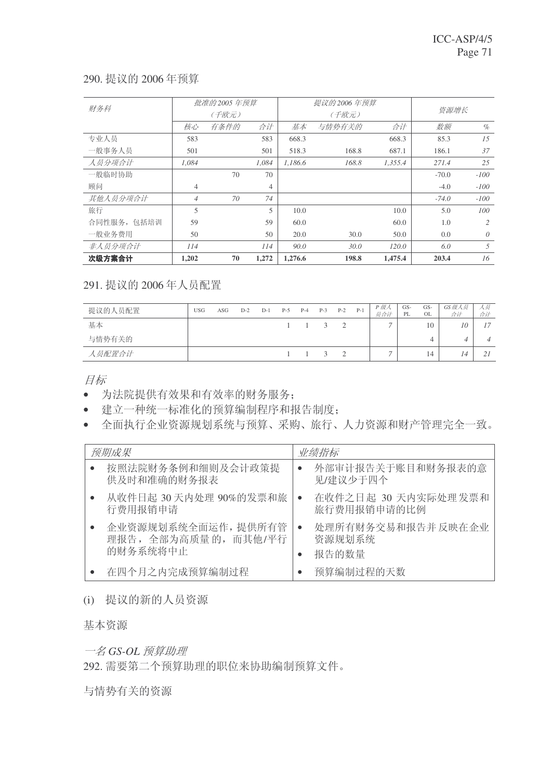### 290. 提议的 2006年预算

| 财务科         |                | 批准的 2005 年预算 |       |         | 提议的 2006 年预算 |         |         |                |
|-------------|----------------|--------------|-------|---------|--------------|---------|---------|----------------|
|             |                | (千欧元)        |       |         | (千欧元)        | 资源增长    |         |                |
|             | 核心             | 有条件的         | 合计    | 基本      | 与情势有关的       | 合计      | 数额      | $\%$           |
| 专业人员        | 583            |              | 583   | 668.3   |              | 668.3   | 85.3    | 1.5            |
| 一般事务人员      | 501            |              | 501   | 518.3   | 168.8        | 687.1   | 186.1   | 37             |
| 人员分项合计      | 1.084          |              | 1.084 | 1.186.6 | 168.8        | 1,355.4 | 271.4   | 25             |
| 一般临时协助      |                | 70           | 70    |         |              |         | $-70.0$ | $-100$         |
| 顾问          | $\overline{4}$ |              | 4     |         |              |         | $-4.0$  | $-100$         |
| 其他人员分项合计    | $\overline{4}$ | 70           | 74    |         |              |         | $-74.0$ | $-100$         |
| 旅行          | 5              |              | 5     | 10.0    |              | 10.0    | 5.0     | 100            |
| 合同性服务, 包括培训 | 59             |              | 59    | 60.0    |              | 60.0    | 1.0     | $\mathfrak{D}$ |
| 一般业务费用      | 50             |              | 50    | 20.0    | 30.0         | 50.0    | 0.0     | $\theta$       |
| 非人员分项合计     | 114            |              | 114   | 90.0    | 30.0         | 120.0   | 6.0     | 5              |
| 次级方案合计      | 1,202          | 70           | 1,272 | 1,276.6 | 198.8        | 1,475.4 | 203.4   | 16             |

291. 提议的 2006年人员配置

| 提议的人员配置 | <b>USG</b> | ASG | $D-2$ | $D-1$ | $P-5$ | $P-4$ | $P-3$ | $P-2$    | $P-1$ | P 级人<br>员合计 | GS-<br>PL | GS-<br>OL | GS 级人员<br>合计 | スター<br>合计 |
|---------|------------|-----|-------|-------|-------|-------|-------|----------|-------|-------------|-----------|-----------|--------------|-----------|
| 基本      |            |     |       |       |       |       | 3     | $\gamma$ |       |             |           | 10        | 10           |           |
| 与情势有关的  |            |     |       |       |       |       |       |          |       |             |           |           |              |           |
| 人员配置合计  |            |     |       |       |       |       | 3     |          |       |             |           | 14        | 14           |           |

目标

- 为法院提供有效果和有效率的财务服务;
- 建立一种统一标准化的预算编制程序和报告制度:
- 全面执行企业资源规划系统与预算、采购、旅行、人力资源和财产管理完全一致。

| 预期成果                                                    | 业绩指标                                               |
|---------------------------------------------------------|----------------------------------------------------|
| 按照法院财务条例和细则及会计政策提<br>供及时和准确的财务报表                        | 外部审计报告关于账目和财务报表的意<br>$\bullet$<br>见/建议少于四个         |
| 从收件日起 30天内处理 90%的发票和旅<br>行费用报销申请                        | 在收件之日起 30 天内实际处理发票和<br>$\bullet$<br>旅行费用报销申请的比例    |
| 企业资源规划系统全面运作, 提供所有管<br>理报告, 全部为高质量的, 而其他/平行<br>的财务系统将中止 | 处理所有财务交易和报告并 反映在企业<br>$\bullet$<br>资源规划系统<br>报告的数量 |
| 在四个月之内完成预算编制过程                                          | 预算编制过程的天数                                          |

(i) 提议的新的人员资源

基本资源

 $-$ 名 GS-OL 预算助理

292. 需要第二个预算助理的职位来协助编制预算文件。

与情势有关的资源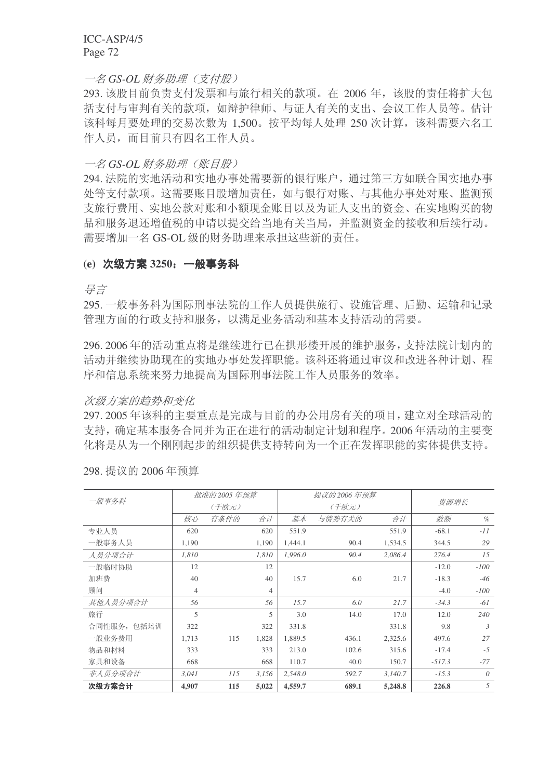## 一名 GS-OL 财务助理 (支付股)

293. 该股目前负责支付发票和与旅行相关的款项。在 2006 年, 该股的责任将扩大包 括支付与审判有关的款项,如辩护律师、与证人有关的支出、会议工作人员等。估计 该科每月要处理的交易次数为 1.500。按平均每人处理 250 次计算, 该科需要六名工 作人员, 而目前只有四名工作人员。

### 一名 GS-OL 财务助理 (账目股)

294. 法院的实地活动和实地办事处需要新的银行账户, 通过第三方如联合国实地办事 处等支付款项。这需要账目股增加责任,如与银行对账、与其他办事处对账、监测预 支旅行费用、实地公款对账和小额现金账目以及为证人支出的资金、在实地购买的物 品和服务退还增值税的申请以提交给当地有关当局,并监测资金的接收和后续行动。 需要增加一名 GS-OL 级的财务助理来承担这些新的责任。

#### (e) 次级方案 3250; 一般事务科

ᇐ㿔

295. 一般事务科为国际刑事法院的工作人员提供旅行、设施管理、后勤、运输和记录 管理方面的行政支持和服务,以满足业务活动和基本支持活动的需要。

296. 2006年的活动重点将是继续讲行已在拱形楼开展的维护服务,支持法院计划内的 活动并继续协助现在的实地办事处发挥职能。该科还将通过审议和改进各种计划、程 序和信息系统来努力地提高为国际刑事法院工作人员服务的效率。

#### 次级方案的趋势和变化

297. 2005 年该科的主要重点是完成与目前的办公用房有关的项目, 建立对全球活动的 支持, 确定基本服务合同并为正在进行的活动制定计划和程序。2006年活动的主要变 化将是从为一个刚刚起步的组织提供支持转向为一个正在发挥职能的实体提供支持。

|             |                | 批准的 2005 年预算 |       |         | 提议的 2006 年预算 |         |          |          |  |
|-------------|----------------|--------------|-------|---------|--------------|---------|----------|----------|--|
| 一般事务科       |                | (千欧元)        |       | (千欧元)   |              |         | 资源增长     |          |  |
|             | 核心             | 有条件的         | 合计    | 基本      | 与情势有关的       | 合计      | 数额       | $\%$     |  |
| 专业人员        | 620            |              | 620   | 551.9   |              | 551.9   | $-68.1$  | $-11$    |  |
| 一般事务人员      | 1,190          |              | 1,190 | 1,444.1 | 90.4         | 1,534.5 | 344.5    | 29       |  |
| 人员分项合计      | 1,810          |              | 1,810 | 1,996.0 | 90.4         | 2,086.4 | 276.4    | 15       |  |
| 一般临时协助      | 12             |              | 12    |         |              |         | $-12.0$  | $-100$   |  |
| 加班费         | 40             |              | 40    | 15.7    | 6.0          | 21.7    | $-18.3$  | -46      |  |
| 顾问          | $\overline{4}$ |              | 4     |         |              |         | $-4.0$   | $-100$   |  |
| 其他人员分项合计    | 56             |              | 56    | 15.7    | 6.0          | 21.7    | $-34.3$  | -61      |  |
| 旅行          | 5              |              | 5     | 3.0     | 14.0         | 17.0    | 12.0     | 240      |  |
| 合同性服务, 包括培训 | 322            |              | 322   | 331.8   |              | 331.8   | 9.8      | 3        |  |
| 一般业务费用      | 1.713          | 115          | 1,828 | 1,889.5 | 436.1        | 2,325.6 | 497.6    | 27       |  |
| 物品和材料       | 333            |              | 333   | 213.0   | 102.6        | 315.6   | $-17.4$  | $-5$     |  |
| 家具和设备       | 668            |              | 668   | 110.7   | 40.0         | 150.7   | $-517.3$ | $-77$    |  |
| 非人员分项合计     | 3,041          | 115          | 3,156 | 2,548.0 | 592.7        | 3,140.7 | $-15.3$  | $\theta$ |  |
| 次级方案合计      | 4,907          | 115          | 5,022 | 4,559.7 | 689.1        | 5,248.8 | 226.8    | 5        |  |

298. 提议的 2006年预算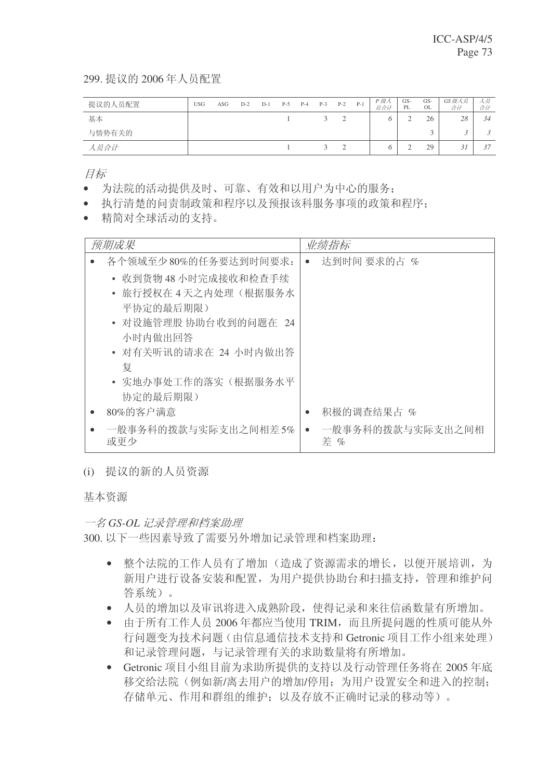299. 提议的 2006年人员配置

| 提议的人员配置 | <b>USG</b> | ASG | $D-2$ | $D-1$ | $P-5$ | $P-4$ | $P-3$  | $P-2$ | $P-1$ | P 级人<br>员合计 | $GS-$<br>PL | GS-<br>OL | GS级人员<br>合计 | ス员<br>合计 |
|---------|------------|-----|-------|-------|-------|-------|--------|-------|-------|-------------|-------------|-----------|-------------|----------|
| 基本      |            |     |       |       |       |       |        |       |       |             |             | 26        | 28          | 34       |
| 与情势有关的  |            |     |       |       |       |       |        |       |       |             |             |           |             |          |
| 人员合计    |            |     |       |       |       |       | $\sim$ |       |       |             |             | 29        | J.          | 37       |

目标

- 为法院的活动提供及时、可靠、有效和以用户为中心的服务:
- 执行清楚的问责制政策和程序以及预报该科服务事项的政策和程序:
- 精简对全球活动的支持。

| 预期成果                        |           | 业绩指标                    |
|-----------------------------|-----------|-------------------------|
| 各个领域至少80%的任务要达到时间要求:        | $\bullet$ | 达到时间 要求的占 %             |
| • 收到货物 48 小时完成接收和检查手续       |           |                         |
| • 旅行授权在 4 天之内处理(根据服务水       |           |                         |
| 平协定的最后期限)                   |           |                         |
| - 对设施管理股 协助台收到的问题在 24       |           |                         |
| 小时内做出回答                     |           |                         |
| • 对有关听讯的请求在 24 小时内做出答       |           |                         |
| 复                           |           |                         |
| • 实地办事处工作的落实(根据服务水平         |           |                         |
| 协定的最后期限)                    |           |                         |
| 80%的客户满意                    |           | 积极的调查结果占 %              |
| 一般事务科的拨款与实际支出之间相差 5%<br>或更少 | $\bullet$ | 一般事务科的拨款与实际支出之间相<br>差 % |

(i) 提议的新的人员资源

基本资源

一名 GS-OL 记录管理和档案助理

300. 以下一些因素导致了需要另外增加记录管理和档案助理:

- 整个法院的工作人员有了增加(造成了资源需求的增长,以便开展培训,为 新用户讲行设备安装和配置, 为用户提供协助台和扫描支持, 管理和维护问 答系统)。
- 人员的增加以及审讯将进入成熟阶段, 使得记录和来往信函数量有所增加。
- 由于所有工作人员 2006年都应当使用 TRIM, 而且所提问题的性质可能从外 行问题变为技术问题(由信息通信技术支持和 Getronic 项目工作小组来处理) 和记录管理问题,与记录管理有关的求助数量将有所增加。
- Getronic 项目小组目前为求助所提供的支持以及行动管理任务将在 2005 年底 移交给法院(例如新/离去用户的增加/停用;为用户设置安全和进入的控制; 存储单元、作用和群组的维护;以及存放不正确时记录的移动等)。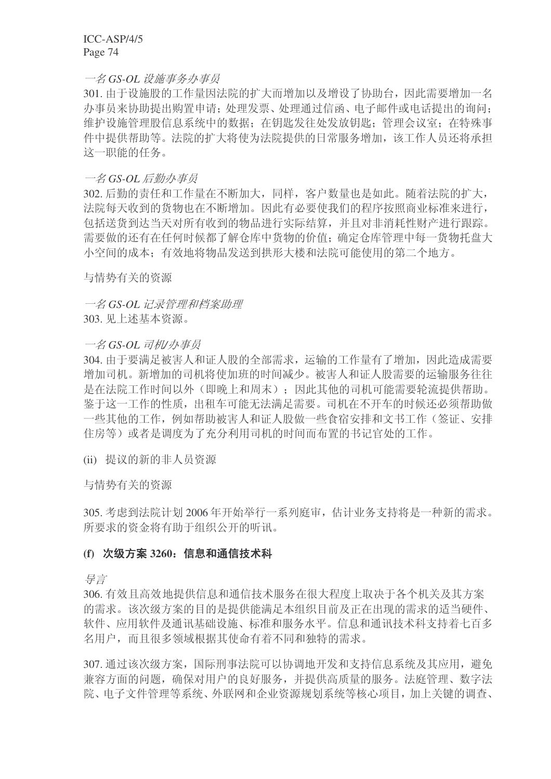一名 GS-OL 设施事务办事员

301. 由于设施股的工作量因法院的扩大而增加以及增设了协助台, 因此需要增加一名 办事员来协助提出购置申请: 处理发票、处理通过信函、电子邮件或电话提出的询问: 维护设施管理股信息系统中的数据: 在钥匙发往处发放钥匙; 管理会议室; 在特殊事 件中提供帮助等。法院的扩大将使为法院提供的日常服务增加, 该工作人员还将承担 这一职能的仟务。

### 一名 GS-OL 后勤办事员

302. 后勤的责任和工作量在不断加大, 同样, 客户数量也是如此。随着法院的扩大, 法院每天收到的货物也在不断增加。因此有必要使我们的程序按照商业标准来进行, 包括送岱到达当天对所有收到的物品讲行实际结算,并且对非消耗性财产讲行跟踪。 需要做的还有在任何时候都了解仓库中货物的价值;确定仓库管理中每一货物托盘大 小空间的成本;有效地将物品发送到拱形大楼和法院可能使用的第二个地方。

与情势有关的资源

一名 GS-OL 记录管理和档案助理 303. 见上述基本资源。

#### 一名 GS-OL 司机/办事员

304. 由于要满足被害人和证人股的全部需求, 运输的工作量有了增加, 因此造成需要 增加司机。新增加的司机将使加班的时间减少。被害人和证人股需要的运输服务往往 是在法院工作时间以外(即晚上和周末);因此其他的司机可能需要轮流提供帮助。 鉴于这一工作的性质, 出租车可能无法满足需要。司机在不开车的时候还必须帮助做 一些其他的工作, 例如帮助被害人和证人股做一些食宿安排和文书工作(签证、安排 住房等)或者是调度为了充分利用司机的时间而布置的书记官处的工作。

(ii) 提议的新的非人员资源

与情势有关的资源

305. 考虑到法院计划 2006 年开始举行一系列庭审, 估计业务支持将是一种新的需求。 所要求的资金将有助于组织公开的听讯。

### (f) 次级方案 3260: 信息和通信技术科

ᇐ㿔

306. 有效日高效地提供信息和通信技术服务在很大程度上取决于各个机关及其方案 的需求。该次级方案的目的是提供能满足本组织目前及正在出现的需求的适当硬件、 软件、应用软件及通讯基础设施、标准和服务水平。信息和通讯技术科支持着七百多 名用户,而且很多领域根据其使命有着不同和独特的需求。

307. 通过该次级方案, 国际刑事法院可以协调地开发和支持信息系统及其应用, 避免 兼容方面的问题,确保对用户的良好服务,并提供高质量的服务。法庭管理、数字法 院、电子文件管理等系统、外联网和企业资源规划系统等核心项目,加上关键的调查、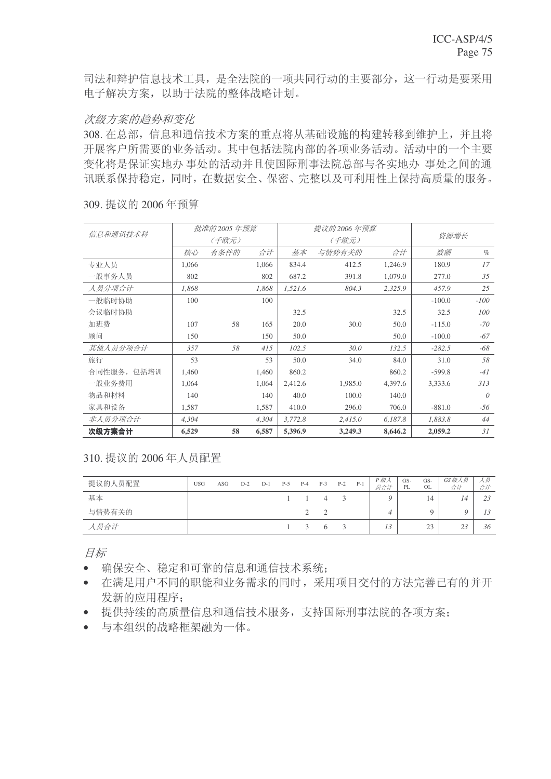司法和辩护信息技术工具, 是全法院的一项共同行动的主要部分, 这一行动是要采用 电子解决方案,以助于法院的整体战略计划。

### 次级方案的趋势和变化

308. 在总部, 信息和通信技术方案的重点将从基础设施的构建转移到维护上, 并且将 开展客户所需要的业务活动。其中包括法院内部的各项业务活动。活动中的一个主要 变化将是保证实地办 事处的活动并且使国际刑事法院总部与各实地办 事处之间的通 讯联系保持稳定,同时,在数据安全、保密、完整以及可利用性上保持高质量的服务。

|             |       | 批准的 2005 年预算 |       |         | 提议的 2006 年预算 |         |          |          |
|-------------|-------|--------------|-------|---------|--------------|---------|----------|----------|
| 信息和通讯技术科    |       | (千欧元)        |       |         | (千欧元)        |         | 资源增长     |          |
|             | 核心    | 有条件的         | 合计    | 基本      | 与情势有关的       | 合计      | 数额       | $\%$     |
| 专业人员        | 1,066 |              | 1,066 | 834.4   | 412.5        | 1,246.9 | 180.9    | 17       |
| 一般事务人员      | 802   |              | 802   | 687.2   | 391.8        | 1,079.0 | 277.0    | 35       |
| 人员分项合计      | 1,868 |              | 1,868 | 1,521.6 | 804.3        | 2,325.9 | 457.9    | 25       |
| 一般临时协助      | 100   |              | 100   |         |              |         | $-100.0$ | $-100$   |
| 会议临时协助      |       |              |       | 32.5    |              | 32.5    | 32.5     | 100      |
| 加班费         | 107   | 58           | 165   | 20.0    | 30.0         | 50.0    | $-115.0$ | $-70$    |
| 顾问          | 150   |              | 150   | 50.0    |              | 50.0    | $-100.0$ | $-67$    |
| 其他人员分项合计    | 357   | 58           | 415   | 102.5   | 30.0         | 132.5   | $-282.5$ | $-68$    |
| 旅行          | 53    |              | 53    | 50.0    | 34.0         | 84.0    | 31.0     | 58       |
| 合同性服务, 包括培训 | 1,460 |              | 1,460 | 860.2   |              | 860.2   | $-599.8$ | $-41$    |
| 一般业务费用      | 1.064 |              | 1,064 | 2,412.6 | 1,985.0      | 4,397.6 | 3,333.6  | 313      |
| 物品和材料       | 140   |              | 140   | 40.0    | 100.0        | 140.0   |          | $\theta$ |
| 家具和设备       | 1,587 |              | 1,587 | 410.0   | 296.0        | 706.0   | $-881.0$ | -56      |
| 非人员分项合计     | 4,304 |              | 4,304 | 3,772.8 | 2,415.0      | 6,187.8 | 1,883.8  | 44       |
| 次级方案合计      | 6,529 | 58           | 6,587 | 5,396.9 | 3,249.3      | 8,646.2 | 2,059.2  | 31       |

309. 提议的 2006 年预算

310. 提议的 2006 年人员配置

| 提议的人员配置 | <b>USG</b> | ASG | $D-2$ | $D-1$ | $P-5$ | $P-4$         | $P-3$          | $P-2$        | $P-1$ | P 级人<br>员合计 | $GS-$<br>PL | $GS-$<br>OL           | GS级人员<br>合计            | 人奴<br>合计 |
|---------|------------|-----|-------|-------|-------|---------------|----------------|--------------|-------|-------------|-------------|-----------------------|------------------------|----------|
| 基本      |            |     |       |       |       |               | $\overline{4}$ | $\mathbf{R}$ |       |             |             | 14                    | 14                     | 23       |
| 与情势有关的  |            |     |       |       |       |               |                |              |       |             |             |                       |                        |          |
| 人员合计    |            |     |       |       |       | $\mathcal{R}$ | $\sigma$       | $\mathbf{R}$ |       | 13          |             | 2 <sup>2</sup><br>ل ک | 2 <sub>3</sub><br>ت سک | 36       |

目标

- 确保安全、稳定和可靠的信息和通信技术系统:
- 在满足用户不同的职能和业务需求的同时,采用项目交付的方法完善已有的并开 发新的应用程序:
- 提供持续的高质量信息和通信技术服务, 支持国际刑事法院的各项方案:
- 与本组织的战略框架融为一体。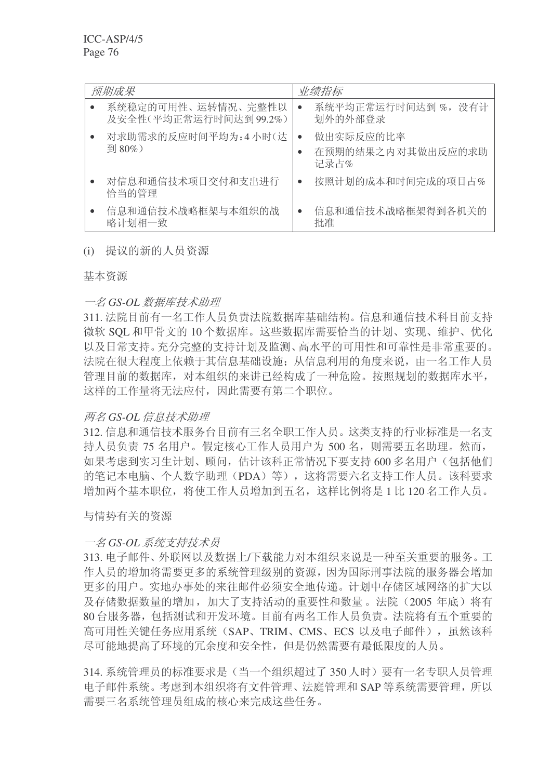| 预期成果                                        | 业绩指标                                                |
|---------------------------------------------|-----------------------------------------------------|
| 系统稳定的可用性、运转情况、完整性以<br>及安全性(平均正常运行时间达到99.2%) | 系统平均正常运行时间达到%, 没有计<br>$\bullet$<br>划外的外部登录          |
| 对求助需求的反应时间平均为:4小时(达<br>到 80%)               | 做出实际反应的比率<br>$\bullet$<br>在预期的结果之内对其做出反应的求助<br>记录占% |
| 对信息和通信技术项目交付和支出进行<br>恰当的管理                  | 按照计划的成本和时间完成的项目占%<br>$\bullet$                      |
| 信息和通信技术战略框架与本组织的战<br>略计划相一致                 | 信息和通信技术战略框架得到各机关的<br>$\bullet$<br>批准                |

## (i) 提议的新的人员资源

基本资源

# 一名 GS-OL 数据库技术助理

311. 法院目前有一名工作人员负责法院数据库基础结构。信息和通信技术科目前支持 微软 SOL 和甲骨文的 10 个数据库。这些数据库需要恰当的计划、实现、维护、优化 以及日常支持。充分完整的支持计划及监测、高水平的可用性和可靠性是非常重要的。 法院在很大程度上依赖于其信息基础设施; 从信息利用的角度来说, 由一名工作人员 管理目前的数据库, 对本组织的来讲已经构成了一种危险。按照规划的数据库水平, 这样的工作量将无法应付,因此需要有第二个职位。

# **两名 GS-OL 信息技术助理**

312. 信息和通信技术服务台目前有三名全职工作人员。这类支持的行业标准是一名支 持人员负责 75 名用户。假定核心工作人员用户为 500 名, 则需要五名助理。然而, 如果考虑到实习生计划、顾问,估计该科正常情况下要支持 600 多名用户(包括他们 的笔记本电脑、个人数字助理(PDA)等), 这将需要六名支持工作人员。该科要求 增加两个基本职位,将使工作人员增加到五名,这样比例将是1比 120 名工作人员。

与情势有关的资源

# 一名 GS-OL 系统支持技术**品**

313. 电子邮件、外联网以及数据上/下载能力对本组织来说是一种至关重要的服务。工 作人员的增加将需要更多的系统管理级别的资源,因为国际刑事法院的服务器会增加 更多的用户。实地办事处的来往邮件必须安全地传递。计划中存储区域网络的扩大以 及存储数据数量的增加, 加大了支持活动的重要性和数量。法院(2005年底)将有 80 台服务器, 包括测试和开发环境。目前有两名工作人员负责。法院将有五个重要的 高可用性关键任务应用系统 (SAP、TRIM、CMS、ECS 以及电子邮件), 虽然该科 尽可能地提高了环境的冗余度和安全性,但是仍然需要有最低限度的人员。

314. 系统管理员的标准要求是(当一个组织超过了 350 人时)要有一名专职人员管理 电子邮件系统。考虑到本组织将有文件管理、法庭管理和 SAP 等系统需要管理, 所以 需要三名系统管理员组成的核心来完成这些任务。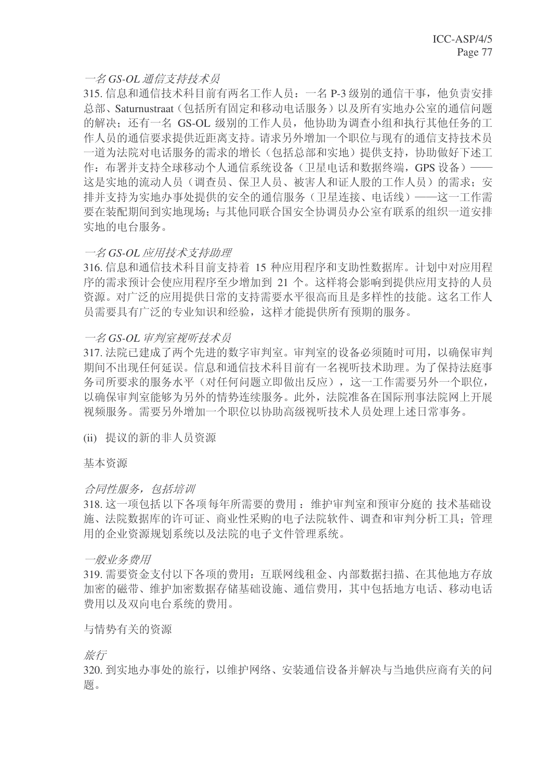# 一名 GS-OL 通信支持技术员

315. 信息和通信技术科目前有两名工作人员: 一名 P-3 级别的通信干事, 他负责安排 总部、Saturnustraat(包括所有固定和移动电话服务)以及所有实地办公室的通信问题 的解决: 还有一名 GS-OL 级别的工作人员, 他协助为调杳小组和执行其他任务的工 作人员的通信要求提供近距离支持。请求另外增加一个职位与现有的通信支持技术员 一道为法院对电话服务的需求的增长(包括总部和实地)提供支持,协助做好下述工 作: 布署并支持全球移动个人通信系统设备(卫星电话和数据终端, GPS 设备)-这是实地的流动人员(调查员、保卫人员、被害人和证人股的工作人员)的需求; 安 排并支持为实地办事处提供的安全的通信服务(卫星连接、电话线) ——这一工作需 要在装配期间到实地现场;与其他同联合国安全协调员办公室有联系的组织一道安排 实地的电台服务。

### 一名 GS-OL 应用技术支持助理

316. 信息和通信技术科目前支持着 15 种应用程序和支助性数据库。计划中对应用程 序的需求预计会使应用程序至少增加到 21 个。这样将会影响到提供应用支持的人员 资源。对广泛的应用提供日常的支持需要水平很高而且是多样性的技能。这名工作人 员需要具有广泛的专业知识和经验, 这样才能提供所有预期的服务。

### 一名 GS-OL 审判室视听技术员

317. 法院已建成了两个先进的数字审判室。审判室的设备必须随时可用, 以确保审判 期间不出现任何延误。信息和通信技术科目前有一名视听技术助理。为了保持法庭事 务司所要求的服务水平(对任何问题立即做出反应),这一工作需要另外一个职位, 以确保审判室能够为另外的情势连续服务。此外, 法院准备在国际刑事法院网上开展 视频服务。需要另外增加一个职位以协助高级视听技术人员处理上述日常事务。

(ii) 提议的新的非人员资源

基本资源

### 合同性服务,包括培训

318. 这一项包括以下各项每年所需要的费用: 维护审判室和预审分庭的 技术基础设 施、法院数据库的许可证、商业性采购的电子法院软件、调查和审判分析工具: 管理 用的企业资源规划系统以及法院的电子文件管理系统。

### 一般业务费用

319. 需要资金支付以下各项的费用: 互联网线租金、内部数据扫描、在其他地方存放 加密的磁带、维护加密数据存储基础设施、通信费用,其中包括地方电话、移动电话 费用以及双向电台系统的费用。

### 与情势有关的资源

旅行

320. 到实地办事处的旅行, 以维护网络、安装通信设备并解决与当地供应商有关的问 题。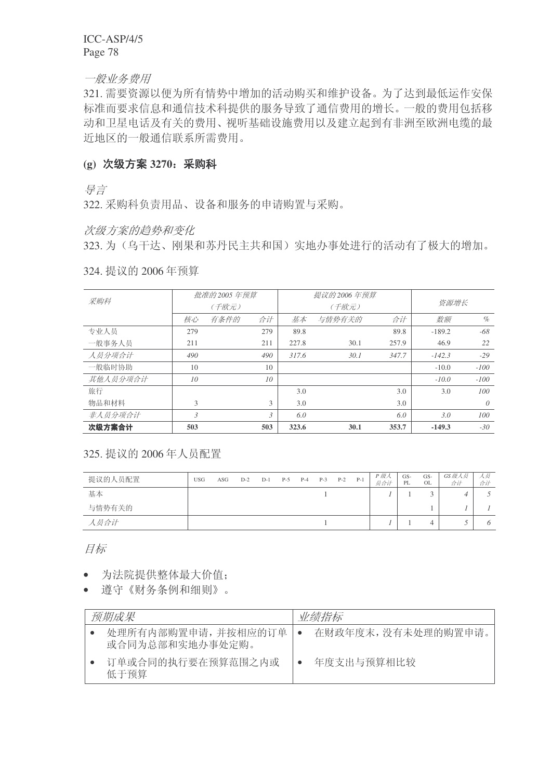一般业务费用

321. 需要资源以便为所有情势中增加的活动购买和维护设备。为了达到最低运作安保 标准而要求信息和通信技术科提供的服务导致了通信费用的增长。一般的费用包括移 动和卫星电话及有关的费用、视听基础设施费用以及建立起到有非洲至欧洲电缆的最 近地区的一般通信联系所需费用。

# (g) 次级方案 3270: 采购科

景言

322. 采购科负责用品、设备和服务的申请购置与采购。

次级方案的趋势和变化

323. 为(乌干达、刚果和苏丹民主共和国)实地办事处进行的活动有了极大的增加。

| 采购科      |     | 批准的 2005 年预算 |                |       | 提议的 2006 年预算 |       |          |          |
|----------|-----|--------------|----------------|-------|--------------|-------|----------|----------|
|          |     | (千欧元)        |                |       | (千欧元)        |       | 资源增长     |          |
|          | 核心  | 有条件的         | 合计             | 基本    | 与情势有关的       | 合计    | 数额       | $\%$     |
| 专业人员     | 279 |              | 279            | 89.8  |              | 89.8  | $-189.2$ | -68      |
| 一般事务人员   | 211 |              | 211            | 227.8 | 30.1         | 257.9 | 46.9     | 22       |
| 人员分项合计   | 490 |              | 490            | 317.6 | 30.1         | 347.7 | $-142.3$ | $-29$    |
| 一般临时协助   | 10  |              | 10             |       |              |       | $-10.0$  | $-100$   |
| 其他人员分项合计 | 10  |              | 10             |       |              |       | $-10.0$  | $-100$   |
| 旅行       |     |              |                | 3.0   |              | 3.0   | 3.0      | 100      |
| 物品和材料    | 3   |              | 3              | 3.0   |              | 3.0   |          | $\theta$ |
| 非人员分项合计  | 3   |              | $\mathfrak{Z}$ | 6.0   |              | 6.0   | 3.0      | 100      |
| 次级方案合计   | 503 |              | 503            | 323.6 | 30.1         | 353.7 | $-149.3$ | $-30$    |

324. 提议的 2006 年预算

325. 提议的 2006 年人员配置

| 提议的人员配置 | <b>USG</b> | ASG | $D-2$ | $D-1$ | $P-5$ | $P-4$ | $P-3$ | $P-2$ | $P-1$ | P 级人<br>员合计 | GS-<br>PL | GS-<br>OL | GS 级人员<br>合计 | 人奴<br>合计 |
|---------|------------|-----|-------|-------|-------|-------|-------|-------|-------|-------------|-----------|-----------|--------------|----------|
| 基本      |            |     |       |       |       |       |       |       |       |             |           | $\sim$    |              |          |
| 与情势有关的  |            |     |       |       |       |       |       |       |       |             |           |           |              |          |
| 人员合计    |            |     |       |       |       |       |       |       |       |             |           |           |              |          |

目标

- 为法院提供整体最大价值:
- 遵守《财务条例和细则》。

| 预期成果                                  | 业绩指标                |
|---------------------------------------|---------------------|
| 处理所有内部购置申请,并按相应的订单<br>或合同为总部和实地办事处定购。 | 在财政年度末, 没有未处理的购置申请。 |
| 订单或合同的执行要在预算范围之内或<br>低于预算             | 年度支出与预算相比较          |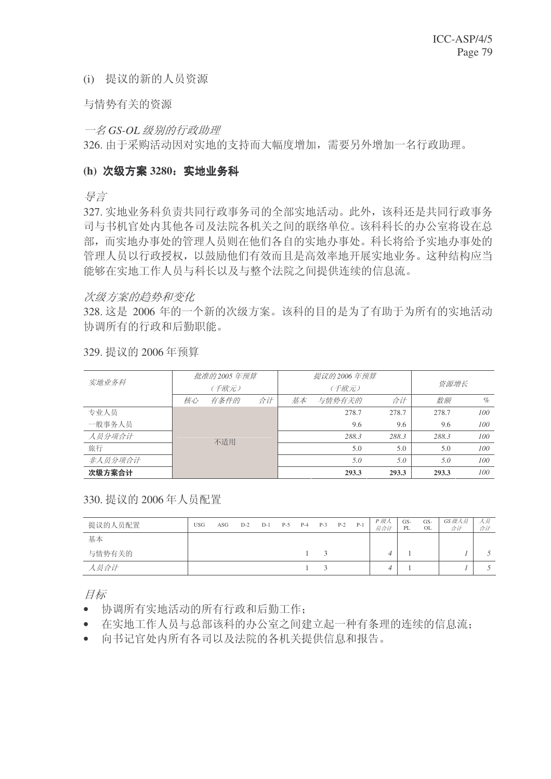(i) 提议的新的人员资源

与情势有关的资源

一名 GS-OL 级别的行政助理

326. 由于采购活动因对实地的支持而大幅度增加, 需要另外增加一名行政助理。

#### (h) 次级方案 3280; 实地业务科

ᇐ㿔

327. 实地业务科负责共同行政事务司的全部实地活动。此外,该科还是共同行政事务 司与书机官处内其他各司及法院各机关之间的联络单位。该科科长的办公室将设在总 部,而实地办事处的管理人员则在他们各自的实地办事处。科长将给予实地办事处的 管理人员以行政授权,以鼓励他们有效而且是高效率地开展实地业务。这种结构应当 能够在实地工作人员与科长以及与整个法院之间提供连续的信息流。

#### 次级方案的趋势和变化

328. 这是 2006 年的一个新的次级方案。该科的目的是为了有助于为所有的实地活动 协调所有的行政和后勤职能。

| 实地业务科   |    | 批准的 2005 年预算 |    |    | 提议的 2006 年预算 |       |       |      |
|---------|----|--------------|----|----|--------------|-------|-------|------|
|         |    | (千欧元)        |    |    | (千欧元)        | 资源增长  |       |      |
|         | 核心 | 有条件的         | 合计 | 基本 | 与情势有关的       | 合计    | 数额    | $\%$ |
| 专业人员    |    |              |    |    | 278.7        | 278.7 | 278.7 | 100  |
| 一般事务人员  |    |              |    |    | 9.6          | 9.6   | 9.6   | 100  |
| 人员分项合计  |    | 不适用          |    |    | 288.3        | 288.3 | 288.3 | 100  |
| 旅行      |    |              |    |    | 5.0          | 5.0   | 5.0   | 100  |
| 非人员分项合计 |    |              |    |    | 5.0          | 5.0   | 5.0   | 100  |
| 次级方案合计  |    |              |    |    | 293.3        | 293.3 | 293.3 | 100  |

329. 提议的 2006年预算

#### 330. 提议的 2006 年人员配置

| 提议的人员配置 | <b>USG</b> | ASG | $D-2$ | $D-1$ | $P-5$ | $P-4$ | $P-3$ | $P-2$ | $P-1$ | P 级人<br>员合计 | GS-<br>PL | GS-<br>OL | GS 级人员<br>合计 | 八欠<br>合计 |
|---------|------------|-----|-------|-------|-------|-------|-------|-------|-------|-------------|-----------|-----------|--------------|----------|
| 基本      |            |     |       |       |       |       |       |       |       |             |           |           |              |          |
| 与情势有关的  |            |     |       |       |       |       |       |       |       | 4           |           |           |              |          |
| 人员合计    |            |     |       |       |       |       |       |       |       | Δ           |           |           |              |          |

目标

- 协调所有实地活动的所有行政和后勤工作;
- 在实地工作人员与总部该科的办公室之间建立起一种有条理的连续的信息流:
- 向书记官处内所有各司以及法院的各机关提供信息和报告。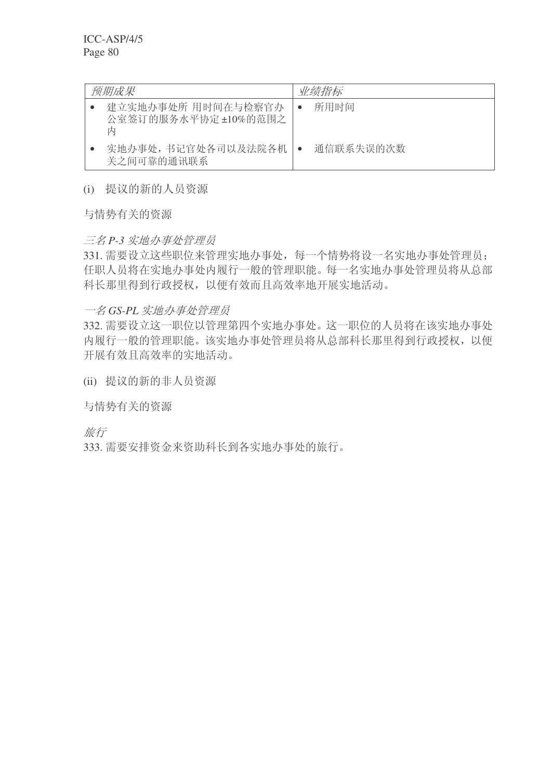| 预期成果                                            | 业绩指标      |
|-------------------------------------------------|-----------|
| 建立实地办事处所 用时间在与检察官办<br>公室签订的服务水平协定 ±10%的范围之<br>内 | 所用时间      |
| 实地办事处,书记官处各司以及法院各机<br>关之间可靠的通讯联系                | 通信联系失误的次数 |

(i) 提议的新的人员资源

与情势有关的资源

# 三名 P-3 实地办事处管理员

331. 需要设立这些职位来管理实地办事处, 每一个情势将设一名实地办事处管理员; 任职人员将在实地办事处内履行一般的管理职能。每一名实地办事处管理员将从总部 科长那里得到行政授权,以便有效而且高效率地开展实地活动。

# 一名 GS-PL 实地办事处管理员

332. 需要设立这一职位以管理第四个实地办事处。这一职位的人员将在该实地办事处 内履行一般的管理职能。该实地办事处管理员将从总部科长那里得到行政授权,以便 开展有效且高效率的实地活动。

(ii) 提议的新的非人员资源

与情势有关的资源

旅行

333. 需要安排资金来资助科长到各实地办事处的旅行。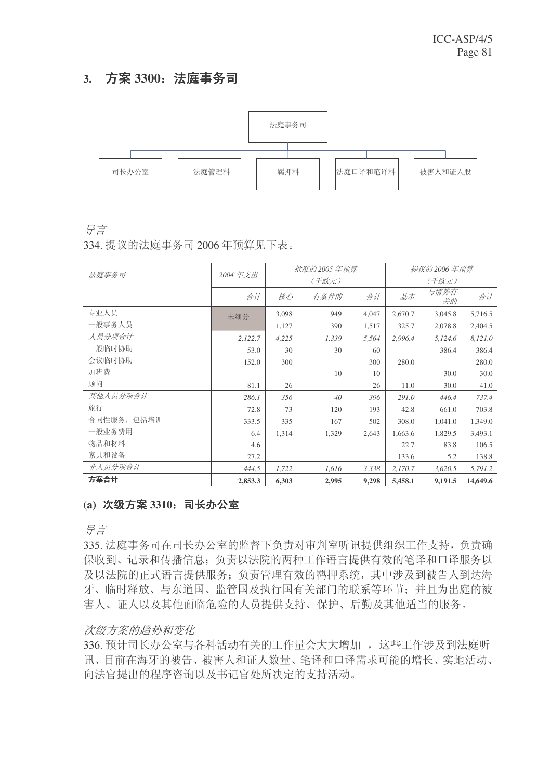# 3. 方案 3300: 法庭事务司



ᇐ㿔

334. 提议的法庭事务司 2006 年预算见下表。

| 法庭事务司       | 2004年支出 |       | 批准的 2005 年预算 |       |         | 提议的 2006 年预算 |          |
|-------------|---------|-------|--------------|-------|---------|--------------|----------|
|             |         |       | (千欧元)        |       |         | (千欧元)        |          |
|             | 合计      | 核心    | 有条件的         | 合计    | 基本      | 与情势有<br>关的   | 合计       |
| 专业人员        | 未细分     | 3,098 | 949          | 4,047 | 2,670.7 | 3,045.8      | 5,716.5  |
| 一般事务人员      |         | 1,127 | 390          | 1,517 | 325.7   | 2,078.8      | 2,404.5  |
| 人员分项合计      | 2,122.7 | 4,225 | 1,339        | 5,564 | 2,996.4 | 5,124.6      | 8,121.0  |
| 一般临时协助      | 53.0    | 30    | 30           | 60    |         | 386.4        | 386.4    |
| 会议临时协助      | 152.0   | 300   |              | 300   | 280.0   |              | 280.0    |
| 加班费         |         |       | 10           | 10    |         | 30.0         | 30.0     |
| 顾问          | 81.1    | 26    |              | 26    | 11.0    | 30.0         | 41.0     |
| 其他人员分项合计    | 286.1   | 356   | 40           | 396   | 291.0   | 446.4        | 737.4    |
| 旅行          | 72.8    | 73    | 120          | 193   | 42.8    | 661.0        | 703.8    |
| 合同性服务, 包括培训 | 333.5   | 335   | 167          | 502   | 308.0   | 1,041.0      | 1,349.0  |
| 一般业务费用      | 6.4     | 1,314 | 1,329        | 2,643 | 1,663.6 | 1,829.5      | 3,493.1  |
| 物品和材料       | 4.6     |       |              |       | 22.7    | 83.8         | 106.5    |
| 家具和设备       | 27.2    |       |              |       | 133.6   | 5.2          | 138.8    |
| 非人员分项合计     | 444.5   | 1,722 | 1,616        | 3,338 | 2,170.7 | 3,620.5      | 5,791.2  |
| 方案合计        | 2,853.3 | 6,303 | 2,995        | 9,298 | 5,458.1 | 9,191.5      | 14,649.6 |

# (a) 次级方案 3310; 司长办公室

ᇐ㿔

335. 法庭事务司在司长办公室的监督下负责对审判室听讯提供组织工作支持, 负责确 保收到、记录和传播信息;负责以法院的两种工作语言提供有效的笔译和口译服务以 及以法院的正式语言提供服务: 负责管理有效的羁押系统, 其中涉及到被告人到达海 牙、临时释放、与东道国、监管国及执行国有关部门的联系等环节;并且为出庭的被 害人、证人以及其他面临危险的人员提供支持、保护、后勤及其他适当的服务。

# 次级方案的趋势和变化

336. 预计司长办公室与各科活动有关的工作量会大大增加, 这些工作涉及到法庭听 讯、目前在海牙的被告、被害人和证人数量、笔译和口译需求可能的增长、实地活动、 向法官提出的程序咨询以及书记官处所决定的支持活动。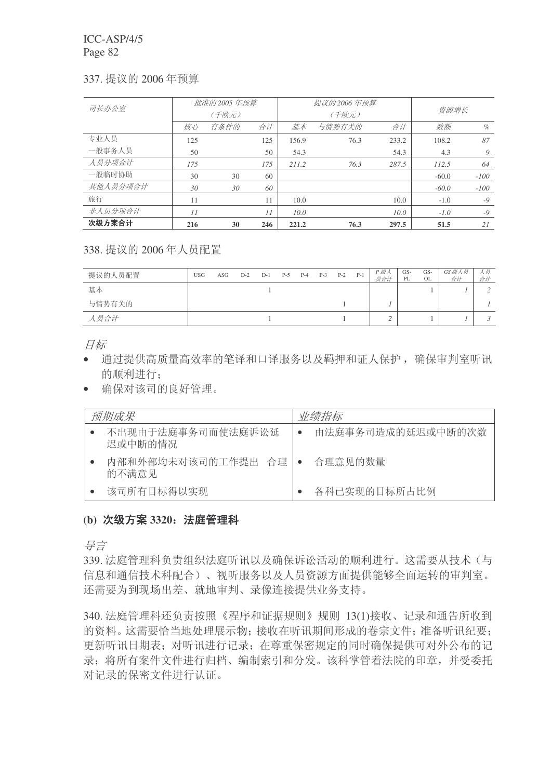### 337. 提议的 2006年预算

| 司长办公室    |     | 批准的 2005 年预算 |     |       | 提议的 2006 年预算 |       |         |        |
|----------|-----|--------------|-----|-------|--------------|-------|---------|--------|
|          |     | (千欧元)        |     |       | (千欧元)        | 资源增长  |         |        |
|          | 核心  | 有条件的         | 合计  | 基本    | 与情势有关的       | 数额    | $\%$    |        |
| 专业人员     | 125 |              | 125 | 156.9 | 76.3         | 233.2 | 108.2   | 87     |
| 一般事务人员   | 50  |              | 50  | 54.3  |              | 54.3  | 4.3     | 9      |
| 人员分项合计   | 175 |              | 175 | 211.2 | 76.3         | 287.5 | 112.5   | 64     |
| 一般临时协助   | 30  | 30           | 60  |       |              |       | $-60.0$ | $-100$ |
| 其他人员分项合计 | 30  | 30           | 60  |       |              |       | $-60.0$ | $-100$ |
| 旅行       | 11  |              | 11  | 10.0  |              | 10.0  | $-1.0$  | $-9$   |
| 非人员分项合计  | 11  |              | 11  | 10.0  |              | 10.0  | $-1.0$  | $-9$   |
| 次级方案合计   | 216 | 30           | 246 | 221.2 | 76.3         | 297.5 | 51.5    | 21     |

# 338. 提议的 2006 年人员配置

| 提议的人员配置 | <b>USG</b> | ASG | $D-2$ | $D-1$ | $P-5$ | $P-4$ | $P-3$ | $P-2$ | $P-1$ | P 级人<br>员合计 | GS-<br>PL | GS-<br>OL | GS 级人员<br>合计 | 人员<br>合计 |
|---------|------------|-----|-------|-------|-------|-------|-------|-------|-------|-------------|-----------|-----------|--------------|----------|
| 基本      |            |     |       |       |       |       |       |       |       |             |           |           |              |          |
| 与情势有关的  |            |     |       |       |       |       |       |       |       |             |           |           |              |          |
| 人员合计    |            |     |       |       |       |       |       |       |       |             |           |           |              |          |

目标

- 通过提供高质量高效率的笔译和口译服务以及羁押和证人保护,确保审判室听讯 的顺利进行:
- 确保对该司的良好管理。

| 预期成果                         | 业绩指标              |
|------------------------------|-------------------|
| 不出现由于法庭事务司而使法庭诉讼延<br>迟或中断的情况 | 由法庭事务司造成的延迟或中断的次数 |
| 内部和外部均未对该司的工作提出 合理丨<br>的不满意见 | 合理意见的数量           |
| 该司所有目标得以实现                   | 各科已实现的目标所占比例      |

# (b) 次级方案 3320; 法庭管理科

异言

339. 法庭管理科负责组织法庭听讯以及确保诉讼活动的顺利进行。这需要从技术(与 信息和通信技术科配合)、视听服务以及人员资源方面提供能够全面运转的审判室。 还需要为到现场出差、就地审判、录像连接提供业务支持。

340. 法庭管理科还负责按照《程序和证据规则》规则 13(1)接收、记录和通告所收到 的资料。这需要恰当地处理展示物;接收在听讯期间形成的卷宗文件;准备听讯纪要; 更新听讯日期表: 对听讯进行记录: 在尊重保密规定的同时确保提供可对外公布的记 录; 将所有案件文件进行归档、编制索引和分发。该科掌管着法院的印章, 并受委托 对记录的保密文件讲行认证。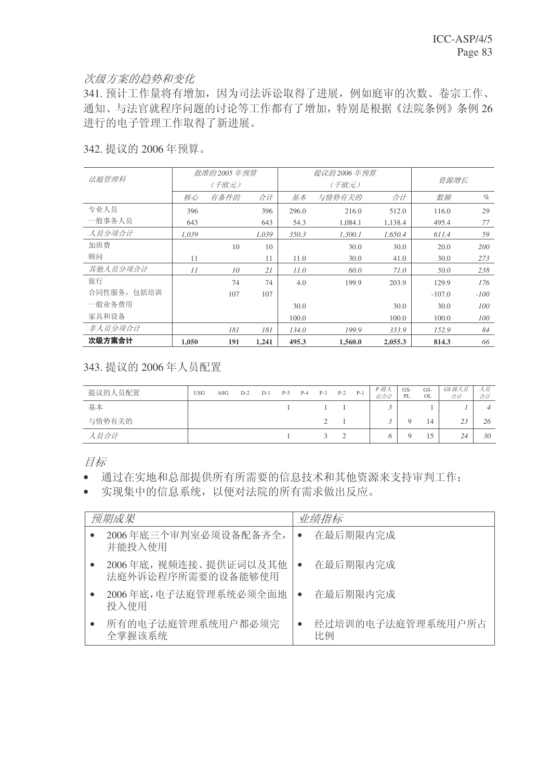## 次级方案的趋势和变化

341. 预计工作量将有增加, 因为司法诉讼取得了进展, 例如庭审的次数、卷宗工作、 通知、与法官就程序问题的讨论等工作都有了增加,特别是根据《法院条例》条例 26 进行的电子管理工作取得了新进展。

# 342. 提议的 2006 年预算。

| 法庭管理科       |       | 批准的 2005 年预算 |       |       | 提议的 2006 年预算 |         | 资源增长     |        |  |
|-------------|-------|--------------|-------|-------|--------------|---------|----------|--------|--|
|             |       | (千欧元)        |       |       | (千欧元)        |         |          |        |  |
|             | 核心    | 有条件的         | 合计    | 基本    | 与情势有关的       | 合计      | 数额       | $\%$   |  |
| 专业人员        | 396   |              | 396   | 296.0 | 216.0        | 512.0   | 116.0    | 29     |  |
| 一般事务人员      | 643   |              | 643   | 54.3  | 1.084.1      | 1.138.4 | 495.4    | 77     |  |
| 人员分项合计      | 1.039 |              | 1,039 | 350.3 | 1,300.1      | 1,650.4 | 611.4    | 59     |  |
| 加班费         |       | 10           | 10    |       | 30.0         | 30.0    | 20.0     | 200    |  |
| 顾问          | 11    |              | 11    | 11.0  | 30.0         | 41.0    | 30.0     | 273    |  |
| 其他人员分项合计    | 11    | 10           | 21    | 11.0  | 60.0         | 71.0    | 50.0     | 238    |  |
| 旅行          |       | 74           | 74    | 4.0   | 199.9        | 203.9   | 129.9    | 176    |  |
| 合同性服务, 包括培训 |       | 107          | 107   |       |              |         | $-107.0$ | $-100$ |  |
| 一般业务费用      |       |              |       | 30.0  |              | 30.0    | 30.0     | 100    |  |
| 家具和设备       |       |              |       | 100.0 |              | 100.0   | 100.0    | 100    |  |
| 非人员分项合计     |       | 181          | 181   | 134.0 | 199.9        | 333.9   | 152.9    | 84     |  |
| 次级方案合计      | 1.050 | 191          | 1,241 | 495.3 | 1,560.0      | 2,055.3 | 814.3    | 66     |  |

# 343. 提议的 2006年人员配置

| 提议的人员配置 | <b>USG</b> | ASG | $D-2$ | $D-1$ | $P-5$ | $P-4$ | $P-3$        | $P-2$     | $P-1$ | P 级人<br>员合计 | GS-<br>PL | GS-<br>OL | GS 级人员<br>合计 | 人奴<br>合计 |
|---------|------------|-----|-------|-------|-------|-------|--------------|-----------|-------|-------------|-----------|-----------|--------------|----------|
| 基本      |            |     |       |       |       |       |              |           |       |             |           |           |              |          |
| 与情势有关的  |            |     |       |       |       |       |              |           |       |             |           | 14        | 23           | 26       |
| 人员合计    |            |     |       |       |       |       | $\mathbf{r}$ | $\bigcap$ |       |             |           |           | 24           | 30       |

目标

• 通过在实地和总部提供所有所需要的信息技术和其他资源来支持审判工作:

• 实现集中的信息系统,以便对法院的所有需求做出反应。

| 预期成果                                       | 业绩指标                    |
|--------------------------------------------|-------------------------|
| 2006年底三个审判室必须设备配备齐全,<br>并能投入使用             | 在最后期限内完成                |
| 2006年底, 视频连接、提供证词以及其他<br>法庭外诉讼程序所需要的设备能够使用 | 在最后期限内完成                |
| 2006年底,电子法庭管理系统必须全面地<br>投入使用               | 在最后期限内完成                |
| 所有的电子法庭管理系统用户都必须完<br>全掌握该系统                | 经过培训的电子法庭管理系统用户所占<br>比例 |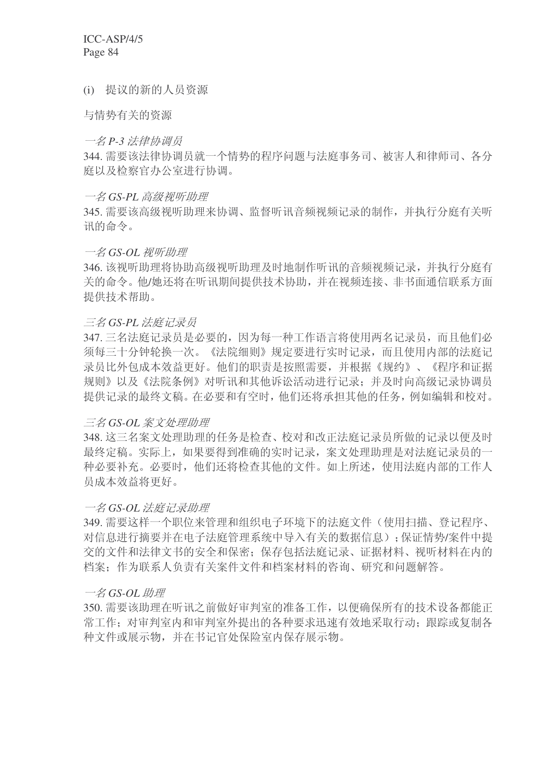(i) 提议的新的人员资源

与情势有关的资源

### 一名 P-3 法律协调员

344. 需要该法律协调员就一个情势的程序问题与法庭事务司、被害人和律师司、各分 庭以及检察官办公室讲行协调。

### 一名 GS-PL 高级视听助理

345. 需要该高级视听助理来协调、监督听讯音频视频记录的制作, 并执行分庭有关听 讯的命令。

### 一名 GS-OL 视听助理

346. 该视听助理将协助高级视听助理及时地制作听讯的音频视频记录, 并执行分庭有 关的命令。他/她还将在听讯期间提供技术协助,并在视频连接、非书面通信联系方面 提供技术帮助。

# 三名 GS-PL 法庭记录员

347. 三名法庭记录员是必要的, 因为每一种工作语言将使用两名记录员, 而且他们必 须每三十分钟轮换一次。《法院细则》规定要进行实时记录,而且使用内部的法庭记 录员比外包成本效益更好。他们的职责是按照需要,并根据《规约》、《程序和证据 规则》以及《法院条例》对听讯和其他诉讼活动进行记录:并及时向高级记录协调员 提供记录的最终文稿。在必要和有空时,他们还将承担其他的任务,例如编辑和校对。

#### 三名 GS-OL 案文处理助理

348. 这三名案文处理助理的任务是检查、校对和改正法庭记录员所做的记录以便及时 最终定稿。实际上,如果要得到准确的实时记录,案文处理助理是对法庭记录员的一 种必要补充。必要时,他们还将检查其他的文件。如上所述,使用法庭内部的工作人 员成本效益将更好。

### →名 GS-OL 法庭记录助理

349. 需要这样一个职位来管理和组织电子环境下的法庭文件(使用扫描、登记程序、 对信息讲行摘要并在电子法庭管理系统中导入有关的数据信息): 保证情势/案件中提 交的文件和法律文书的安全和保密: 保存包括法庭记录、证据材料、视听材料在内的 档案: 作为联系人负责有关案件文件和档案材料的咨询、研究和问题解答。

### $-\frac{2}{3}$  GS-OL 助理

350. 需要该助理在听讯之前做好审判室的准备工作, 以便确保所有的技术设备都能正 常工作: 对审判室内和审判室外提出的各种要求迅速有效地采取行动; 跟踪或复制各 种文件或展示物,并在书记官处保险室内保存展示物。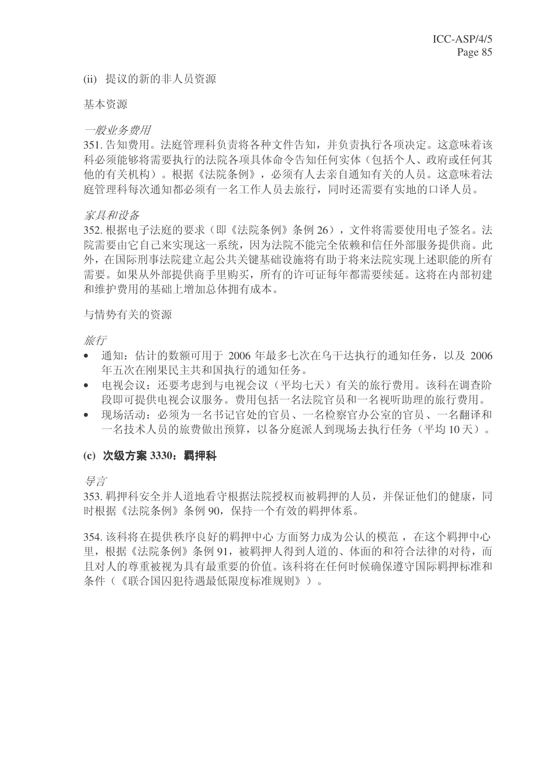### (ii) 提议的新的非人员资源

基本资源

#### 一般业务费用

351. 告知费用。法庭管理科负责将各种文件告知, 并负责执行各项决定。这意味着该 科必须能够将需要执行的法院各项具体命令告知任何实体(包括个人、政府或任何其 他的有关机构)。根据《法院条例》,必须有人去亲自通知有关的人员。这意味着法 庭管理科每次通知都必须有一名工作人员夫旅行,同时还需要有实地的口译人员。

#### 家具和设备

352. 根据电子法庭的要求(即《法院条例》条例 26), 文件将需要使用电子签名。法 院需要由它自己来实现这一系统,因为法院不能完全依赖和信任外部服务提供商。此 外,在国际刑事法院建立起公共关键基础设施将有助于将来法院实现上述职能的所有 需要。如果从外部提供商手里购买,所有的许可证每年都需要续延。这将在内部初建 和维护费用的基础上增加总体拥有成本。

#### 与情势有关的资源

旅行

- 通知: 估计的数额可用于 2006 年最多七次在乌干达执行的通知任务, 以及 2006 年五次在刚果民主共和国执行的通知任务。
- 电视会议: 还要考虑到与电视会议(平均七天)有关的旅行费用。该科在调查阶 段即可提供电视会议服务。费用包括一名法院官员和一名视听助理的旅行费用。
- 现场活动: 必须为一名书记官处的官员、一名检察官办公室的官员、一名翻译和 一名技术人员的旅费做出预算,以备分庭派人到现场去执行任务(平均10天)。

### (c) 次级方案 3330: 羁押科

号言

353. 羁押科安全并人道地看守根据法院授权而被羁押的人员, 并保证他们的健康, 同 时根据《法院条例》条例 90, 保持一个有效的羁押体系。

354. 该科将在提供秩序良好的羁押中心方面努力成为公认的模范, 在这个羁押中心 里, 根据《法院条例》条例 91, 被羁押人得到人道的、体面的和符合法律的对待, 而 且对人的尊重被视为具有最重要的价值。该科将在任何时候确保遵守国际羁押标准和 条件(《联合国囚犯待遇最低限度标准规则》)。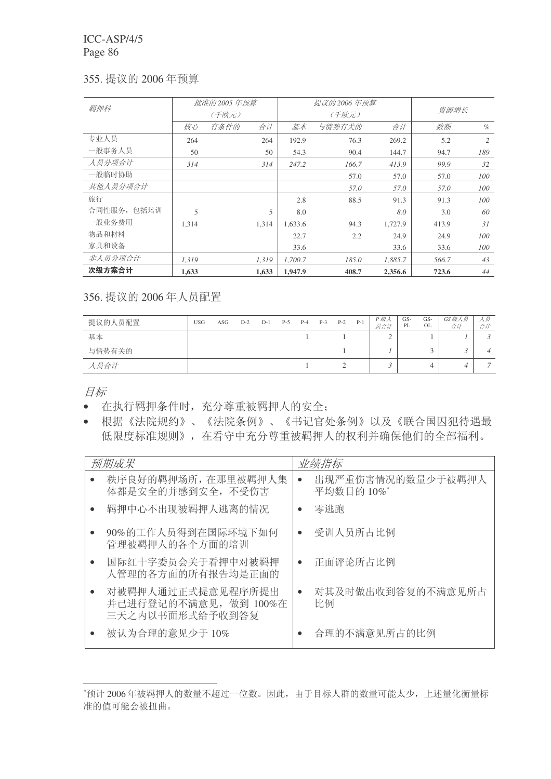### 355. 提议的 2006 年预算

| 羁押科         |       | 批准的 2005 年预算 |       |         | 提议的 2006 年预算 |         | 资源增长  |     |
|-------------|-------|--------------|-------|---------|--------------|---------|-------|-----|
|             |       | (千欧元)        |       |         | (千欧元)        |         |       |     |
|             | 核心    | 有条件的         | 合计    | 基本      | 与情势有关的       | 数额      | $\%$  |     |
| 专业人员        | 264   |              | 264   | 192.9   | 76.3         | 269.2   | 5.2   | 2   |
| 一般事务人员      | 50    |              | 50    | 54.3    | 90.4         | 144.7   | 94.7  | 189 |
| 人员分项合计      | 314   |              | 314   | 247.2   | 166.7        | 413.9   | 99.9  | 32  |
| 一般临时协助      |       |              |       |         | 57.0         | 57.0    | 57.0  | 100 |
| 其他人员分项合计    |       |              |       |         | 57.0         | 57.0    | 57.0  | 100 |
| 旅行          |       |              |       | 2.8     | 88.5         | 91.3    | 91.3  | 100 |
| 合同性服务, 包括培训 | 5     |              | 5     | 8.0     |              | 8.0     | 3.0   | 60  |
| 一般业务费用      | 1.314 |              | 1.314 | 1.633.6 | 94.3         | 1,727.9 | 413.9 | 31  |
| 物品和材料       |       |              |       | 22.7    | 2.2          | 24.9    | 24.9  | 100 |
| 家具和设备       |       |              |       | 33.6    |              | 33.6    | 33.6  | 100 |
| 非人员分项合计     | 1,319 |              | 1,319 | 1.700.7 | 185.0        | 1.885.7 | 566.7 | 43  |
| 次级方案合计      | 1,633 |              | 1,633 | 1.947.9 | 408.7        | 2,356.6 | 723.6 | 44  |

356. 提议的 2006 年人员配置

| 提议的人员配置 | <b>USG</b> | ASG | $D-2$ | $D-1$ | $P-5$ | $P-4$ | $P-3$ | $P-2$ | $P-1$ | P 级人<br>员合计 | GS-<br>PL | GS-<br>OL | GS级人员<br>合计 | 人员<br>合计 |
|---------|------------|-----|-------|-------|-------|-------|-------|-------|-------|-------------|-----------|-----------|-------------|----------|
| 基本      |            |     |       |       |       |       |       |       |       |             |           |           |             |          |
| 与情势有关的  |            |     |       |       |       |       |       |       |       |             |           |           | - 1         |          |
| 人员合计    |            |     |       |       |       |       |       |       |       |             |           |           |             |          |

目标

- 在执行羁押条件时,充分尊重被羁押人的安全;
- 根据《法院规约》、《法院条例》、《书记官处条例》以及《联合国囚犯待遇最 低限度标准规则》,在看守中充分尊重被羁押人的权利并确保他们的全部福利。

| 预期成果                                                          | 业绩指标 |                                 |
|---------------------------------------------------------------|------|---------------------------------|
| 秩序良好的羁押场所, 在那里被羁押人集<br>体都是安全的并感到安全, 不受伤害                      |      | 出现严重伤害情况的数量少于被羁押人<br>平均数目的 10%* |
| 羁押中心不出现被羁押人逃离的情况                                              | 零逃跑  |                                 |
| 90%的工作人员得到在国际环境下如何<br>管理被羁押人的各个方面的培训                          |      | 受训人员所占比例                        |
| 国际红十字委员会关于看押中对被羁押<br>人管理的各方面的所有报告均是正面的                        |      | 正面评论所占比例                        |
| 对被羁押人通过正式提意见程序所提出<br>并已进行登记的不满意见, 做到 100%在<br>三天之内以书面形式给予收到答复 | 比例   | 对其及时做出收到答复的不满意见所占               |
| 被认为合理的意见少于10%                                                 |      | 合理的不满意见所占的比例                    |

<sup>\*</sup>预计 2006年被羁押人的数量不超过一位数。因此, 由于目标人群的数量可能太少, 上述量化衡量标 准的值可能会被扭曲。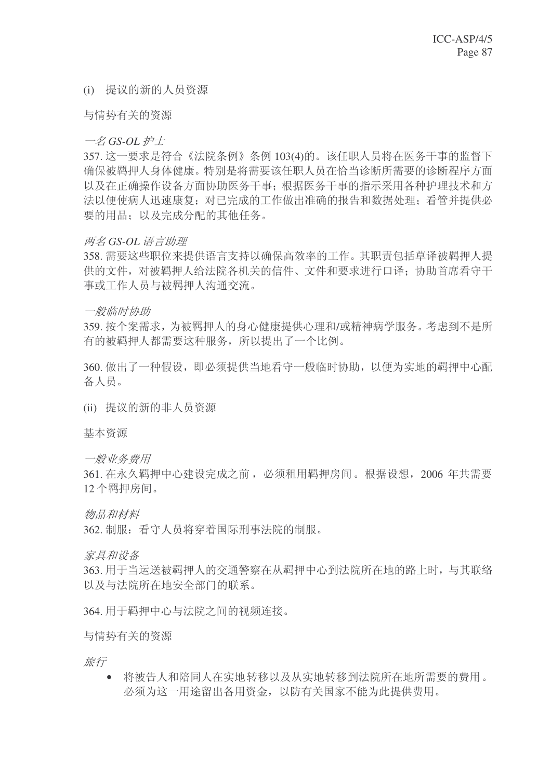### (i) 提议的新的人员资源

与情势有关的资源

 $-\frac{2}{5}$  GS-OL #<sup>+</sup>

357. 这一要求是符合《法院条例》条例 103(4)的。该任职人员将在医务干事的监督下 确保被羁押人身体健康。特别是将需要该任职人员在恰当诊断所需要的诊断程序方面 以及在正确操作设备方面协助医务于事;根据医务于事的指示采用各种护理技术和方 法以便使病人迅速度?对己完成的工作做出准确的报告和数据处理:看管并提供必 要的用品: 以及完成分配的其他任务。

### **两名 GS-OL 语言助理**

358. 需要这些职位来提供语言支持以确保高效率的工作。其职责包括草译被羁押人提 供的文件, 对被羁押人给法院各机关的信件、文件和要求进行口译: 协助首席看守干 事或工作人员与被羁押人沟通交流。

#### 一般临时协助

359. 按个案需求, 为被羁押人的身心健康提供心理和/或精神病学服务。考虑到不是所 有的被羁押人都需要这种服务, 所以提出了一个比例。

360. 做出了一种假设, 即必须提供当地看守一般临时协助, 以便为实地的羁押中心配 备人员。

(ii) 提议的新的非人员资源

基本资源

一般业务费用

361. 在永久羁押中心建设完成之前, 必须和用羁押房间。根据设想, 2006 年共需要 12 个羁押房间。

物品和材料

362. 制服: 看守人员将穿着国际刑事法院的制服。

家具和设备

363. 用于当运送被羁押人的交通警察在从羁押中心到法院所在地的路上时, 与其联络 以及与法院所在地安全部门的联系。

364. 用干羁押中心与法院之间的视频连接。

与情势有关的资源

旅行

• 将被告人和陪同人在实地转移以及从实地转移到法院所在地所需要的费用。 必须为这一用途留出备用资金, 以防有关国家不能为此提供费用。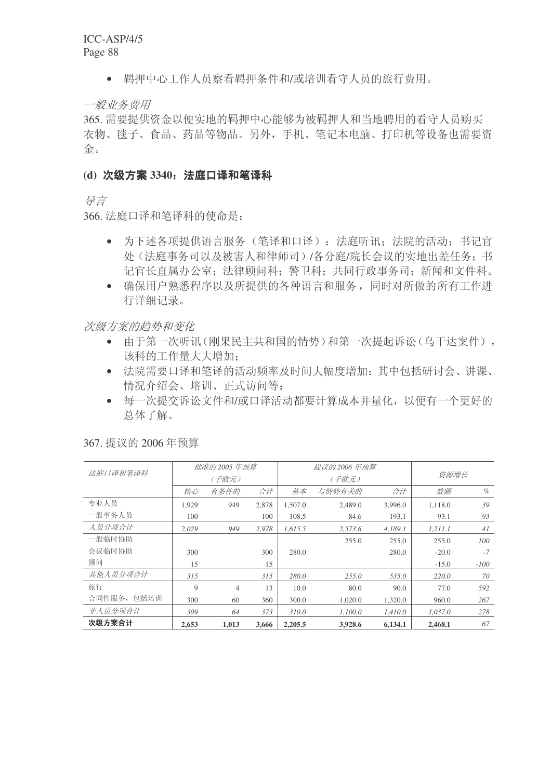• 羁押中心工作人员察看羁押条件和/或培训看守人员的旅行费用。

一般业务费用

365. 需要提供资金以便实地的羁押中心能够为被羁押人和当地聘用的看守人员购买 衣物、毯子、食品、药品等物品。另外,手机、笔记本电脑、打印机等设备也需要资 金

### (d) 次级方案 3340: 法庭口译和笔译科

ᇐ㿔

366. 法庭口译和笔译科的使命是:

- 为下述各项提供语言服务(笔译和口译): 法庭听讯: 法院的活动: 书记官 处(法庭事务司以及被害人和律师司)/各分庭/院长会议的实地出差任务: 书 记官长直属办公室: 法律顾问科: 警卫科: 共同行政事务司: 新闻和文件科。
- 确保用户熟悉程序以及所提供的各种语言和服务,同时对所做的所有工作进 行详细记录。

次级方案的趋势和变化

- 由于第一次听讯(刚果民主共和国的情势)和第一次提起诉讼(乌干达案件), 该科的工作量大大增加;
- 法院需要口译和笔译的活动频率及时间大幅度增加: 其中包括研讨会、讲课、 情况介绍会、培训、正式访问等:
- 每一次提交诉讼文件和/或口译活动都要计算成本并量化, 以便有一个更好的 总体了解。

| 法庭口译和笔译科    |       | 批准的 2005 年预算 |       |         | 提议的 2006 年预算 |         | 资源增长    |        |
|-------------|-------|--------------|-------|---------|--------------|---------|---------|--------|
|             |       | (千欧元)        |       |         | (千欧元)        |         |         |        |
|             | 核心    | 有条件的         | 合计    | 基本      | 与情势有关的       | 数额      | $\%$    |        |
| 专业人员        | 1.929 | 949          | 2.878 | 1,507.0 | 2,489.0      | 3,996.0 | 1.118.0 | 39     |
| 一般事务人员      | 100   |              | 100   | 108.5   | 84.6         | 193.1   | 93.1    | 93     |
| 人员分项合计      | 2.029 | 949          | 2,978 | 1,615.5 | 2,573.6      | 4,189.1 | 1.211.1 | 41     |
| 一般临时协助      |       |              |       |         | 255.0        | 255.0   | 255.0   | 100    |
| 会议临时协助      | 300   |              | 300   | 280.0   |              | 280.0   | $-20.0$ | $-7$   |
| 顾问          | 15    |              | 15    |         |              |         | $-15.0$ | $-100$ |
| 其他人员分项合计    | 315   |              | 315   | 280.0   | 255.0        | 535.0   | 220.0   | 70     |
| 旅行          | 9     | 4            | 13    | 10.0    | 80.0         | 90.0    | 77.0    | 592    |
| 合同性服务, 包括培训 | 300   | 60           | 360   | 300.0   | 1.020.0      | 1.320.0 | 960.0   | 267    |
| 非人员分项合计     | 309   | 64           | 373   | 310.0   | 1.100.0      | 1,410.0 | 1.037.0 | 278    |
| 次级方案合计      | 2,653 | 1,013        | 3,666 | 2,205.5 | 3.928.6      | 6,134.1 | 2,468.1 | 67     |

367. 提议的 2006 年预算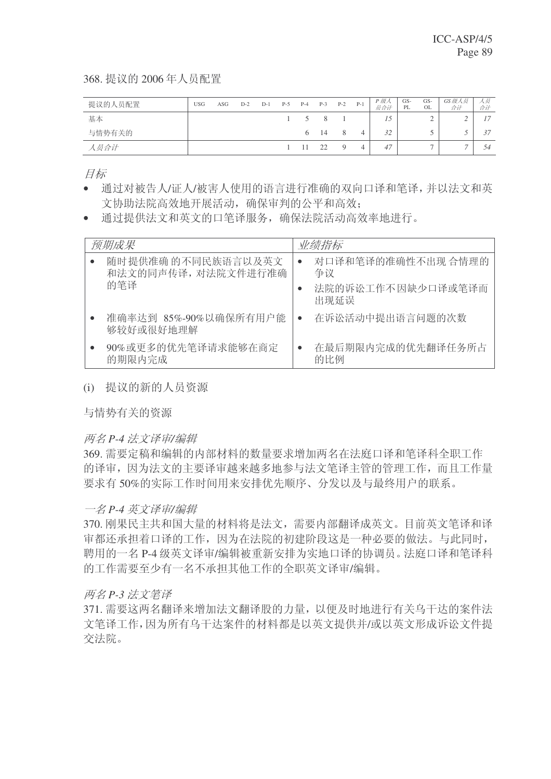368. 提议的 2006年人员配置

| 提议的人员配置 | <b>USG</b> | ASG | $D-2$ | $D-1$ | $P-5$ | $P-4$        | $P-3$ | $P-2$ | $P-1$ | P 级人<br>员合计 | GS-<br>PL | GS-<br>OL | GS级人员<br>合计 | 人员<br>合计 |
|---------|------------|-----|-------|-------|-------|--------------|-------|-------|-------|-------------|-----------|-----------|-------------|----------|
| 基本      |            |     |       |       |       | $1 \quad 5$  | - 8   |       |       |             |           |           |             | 17       |
| 与情势有关的  |            |     |       |       |       | $\sigma$     | 14    | 8     | 4     | 32          |           |           | - 4         | 37       |
| 人员合计    |            |     |       |       |       | $1 \quad 11$ | 22    |       |       | 47          |           | -         |             | 54       |

目标

- 通过对被告人/证人/被害人使用的语言进行准确的双向口译和笔译,并以法文和英 文协助法院高效地开展活动, 确保审判的公平和高效:
- 通过提供法文和英文的口笔译服务, 确保法院活动高效率地讲行。

| 预期成果      |                                           | 业绩指标                                                 |
|-----------|-------------------------------------------|------------------------------------------------------|
| 的笔译       | 随时提供准确 的不同民族语言以及英文<br>和法文的同声传译, 对法院文件进行准确 | 对口译和笔译的准确性不出现合情理的<br>争议<br>法院的诉讼工作不因缺少口译或笔译而<br>出现延误 |
| 够较好或很好地理解 | 准确率达到 85%-90%以确保所有用户能                     | 在诉讼活动中提出语言问题的次数                                      |
| 的期限内完成    | 90%或更多的优先笔译请求能够在商定                        | 在最后期限内完成的优先翻译任务所占<br>的比例                             |

(i) 提议的新的人员资源

与情势有关的资源

### 两名 P-4 法文译审/编辑

369. 需要定稿和编辑的内部材料的数量要求增加两名在法庭口译和笔译科全职工作 的译审,因为法文的主要译审越来越多地参与法文笔译主管的管理工作,而且工作量 要求有50%的实际工作时间用来安排优先顺序、分发以及与最终用户的联系。

### 一名 P-4 英文译审/编辑

370. 刚果民主共和国大量的材料将是法文, 需要内部翻译成英文。目前英文笔译和译 审都还承担着口译的工作,因为在法院的初建阶段这是一种必要的做法。与此同时, 聘用的一名 P-4 级英文译审/编辑被重新安排为实地口译的协调员。法庭口译和笔译科 的工作需要至少有一名不承担其他工作的全职英文译审/编辑。

### ϸৡ *P-3* ⊩᭛ヨ䆥

371. 需要这两名翻译来增加法文翻译股的力量, 以便及时地进行有关乌干达的案件法 文笔译工作,因为所有乌干达案件的材料都是以英文提供并/或以英文形成诉讼文件提 交法院。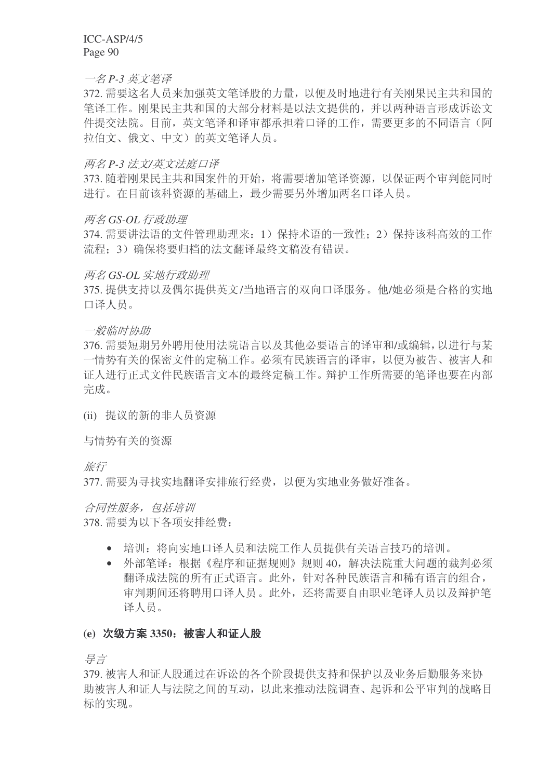一名 P-3 英文笔译

372. 需要这名人员来加强英文笔译股的力量, 以便及时地进行有关刚果民主共和国的 笔译工作。刚果民主共和国的大部分材料是以法文提供的,并以两种语言形成诉讼文 件提交法院。目前, 英文笔译和译审都承担着口译的工作, 需要更多的不同语言(阿 拉伯文、俄文、中文)的英文笔译人员。

### ϸৡ *P-3* ⊩᭛*/*㣅᭛⊩ᒁষ䆥

373. 随着刚果民主共和国案件的开始, 将需要增加笔译资源, 以保证两个审判能同时 进行。在目前该科资源的基础上,最少需要另外增加两名口译人员。

#### **两名GS-OL 行政助理**

374. 需要讲法语的文件管理助理来: 1) 保持术语的一致性; 2) 保持该科高效的工作 流程; 3) 确保将要归档的法文翻译最终文稿没有错误。

#### *两名 GS-OL 实地行政助理*

375. 提供支持以及偶尔提供英文/当地语言的双向口译服务。他/她必须是合格的实地 口译人员。

一般临时协助

376. 需要短期另外聘用使用法院语言以及其他必要语言的译审和/或编辑, 以讲行与某 一情势有关的保密文件的定稿工作。必须有民族语言的译审,以便为被告、被害人和 证人进行正式文件民族语言文本的最终定稿工作。辩护工作所需要的笔译也要在内部 完成。

(ii) 提议的新的非人员资源

与情势有关的资源

旅行

377. 需要为寻找实地翻译安排旅行经费, 以便为实地业务做好准备。

合同性服务,包括培训

378. 需要为以下各项安排经费:

- 培训: 将向实地口译人员和法院工作人员提供有关语言技巧的培训。
- 外部笔译: 根据《程序和证据规则》规则 40. 解决法院重大问题的裁判必须 翻译成法院的所有正式语言。此外,针对各种民族语言和稀有语言的组合, 审判期间还将聘用口译人员。此外,还将需要自由职业笔译人员以及辩护笔 译人员。

### (e) 次级方案 3350; 被害人和证人股

ᇐ㿔

379. 被害人和证人股通过在诉讼的各个阶段提供支持和保护以及业务后勤服务来协 助被害人和证人与法院之间的互动,以此来推动法院调查、起诉和公平审判的战略目 标的实现。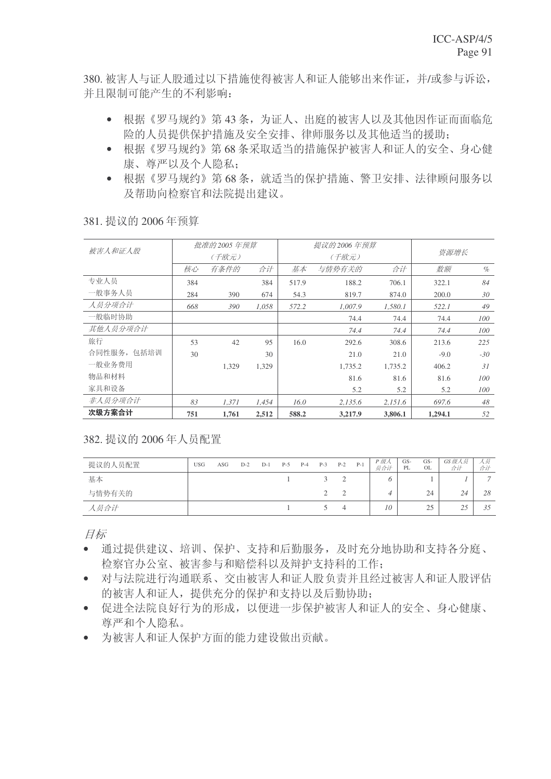380. 被害人与证人股通过以下措施使得被害人和证人能够出来作证, 并/或参与诉讼, 并且限制可能产生的不利影响:

- 根据《罗马规约》第43条,为证人、出庭的被害人以及其他因作证而面临危 险的人员提供保护措施及安全安排、律师服务以及其他适当的援助:
- 根据《罗马规约》第68条采取适当的措施保护被害人和证人的安全、身心健 康、尊严以及个人隐私:
- 根据《罗马规约》第68条, 就话当的保护措施、警卫安排、法律顾问服务以 及帮助向检察官和法院提出建议。

| 被害人和证人股     |     | 批准的 2005 年预算 |       |       | 提议的 2006 年预算 |         |         |       |
|-------------|-----|--------------|-------|-------|--------------|---------|---------|-------|
|             |     | (千欧元)        |       |       | (千欧元)        |         | 资源增长    |       |
|             | 核心  | 有条件的         | 数额    | $\%$  |              |         |         |       |
| 专业人员        | 384 |              | 384   | 517.9 | 188.2        | 706.1   | 322.1   | 84    |
| 一般事务人员      | 284 | 390          | 674   | 54.3  | 819.7        | 874.0   | 200.0   | 30    |
| 人员分项合计      | 668 | 390          | 1,058 | 572.2 | 1,007.9      | 1,580.1 | 522.1   | 49    |
| 一般临时协助      |     |              |       |       | 74.4         | 74.4    | 74.4    | 100   |
| 其他人员分项合计    |     |              |       |       | 74.4         | 74.4    | 74.4    | 100   |
| 旅行          | 53  | 42           | 95    | 16.0  | 292.6        | 308.6   | 213.6   | 225   |
| 合同性服务, 包括培训 | 30  |              | 30    |       | 21.0         | 21.0    | $-9.0$  | $-30$ |
| 一般业务费用      |     | 1.329        | 1.329 |       | 1.735.2      | 1.735.2 | 406.2   | 31    |
| 物品和材料       |     |              |       |       | 81.6         | 81.6    | 81.6    | 100   |
| 家具和设备       |     |              |       |       | 5.2          | 5.2     | 5.2     | 100   |
| 非人员分项合计     | 83  | 1,371        | 1,454 | 16.0  | 2,135.6      | 2,151.6 | 697.6   | 48    |
| 次级方案合计      | 751 | 1.761        | 2,512 | 588.2 | 3,217.9      | 3,806.1 | 1,294.1 | 52    |

381. 提议的 2006年预算

382. 提议的 2006 年人员配置

| 提议的人员配置 | <b>USG</b> | ASG | $D-2$ | $D-1$ | $P-5$ | $P-4$ | $P-3$ | $P-2$ | $P-1$ | P 级人<br>员合计 | $GS-$<br>PL | GS-<br>OL | GS级人员<br>合计 | 人灾<br>合计       |
|---------|------------|-----|-------|-------|-------|-------|-------|-------|-------|-------------|-------------|-----------|-------------|----------------|
| 基本      |            |     |       |       |       |       |       |       |       |             |             |           |             | $\overline{ }$ |
| 与情势有关的  |            |     |       |       |       |       |       |       |       |             |             | 24        | 24          | 28             |
| 人员合计    |            |     |       |       |       |       |       |       |       | 10          |             | 25<br>ت   | ت سے        | 35             |

目标

- 通过提供建议、培训、保护、支持和后勤服务, 及时充分地协助和支持各分庭、 检察官办公室、被害参与和赔偿科以及辩护支持科的工作:
- 对与法院进行沟通联系、交由被害人和证人股负责并且经过被害人和证人股评估 的被害人和证人, 提供充分的保护和支持以及后勤协助:
- 促进全法院良好行为的形成,以便进一步保护被害人和证人的安全、身心健康、 尊严和个人隐私。
- 为被害人和证人保护方面的能力建设做出贡献。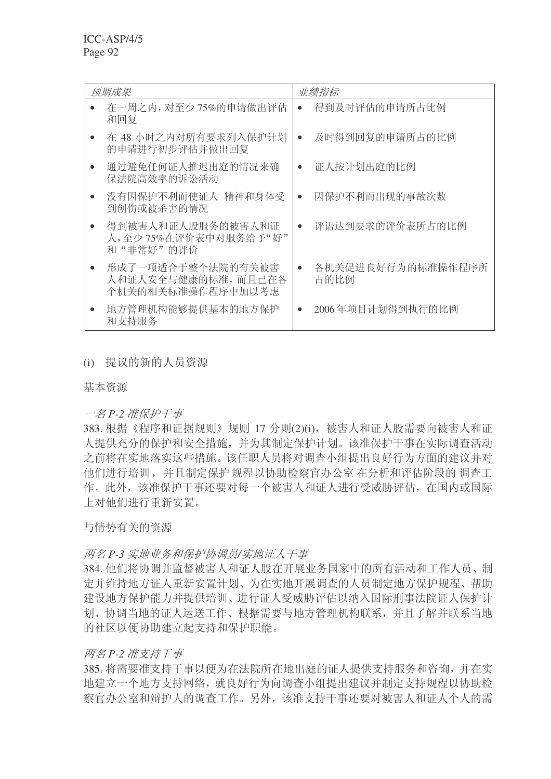| 预期成果                                                          |           | 业绩指标                      |
|---------------------------------------------------------------|-----------|---------------------------|
| 在一周之内, 对至少 75%的申请做出评估<br>和回复                                  |           | 得到及时评估的申请所占比例             |
| 在 48 小时之内对所有要求列入保护计划<br>的申请进行初步评估并做出回复                        |           | 及时得到回复的申请所占的比例            |
| 通过避免任何证人推迟出庭的情况来确<br>保法院高效率的诉讼活动                              |           | 证人按计划出庭的比例                |
| 没有因保护不利而使证人 精神和身体受<br>到创伤或被杀害的情况                              | $\bullet$ | 因保护不利而出现的事故次数             |
| 得到被害人和证人股服务的被害人和证<br>人,至少75%在评价表中对服务给予"好"<br>和"非常好"的评价        |           | 评语达到要求的评价表所占的比例           |
| 形成了一项适合于整个法院的有关被害<br>人和证人安全与健康的标准, 而且已在各<br>个机关的相关标准操作程序中加以考虑 |           | 各机关促进良好行为的标准操作程序所<br>占的比例 |
| 地方管理机构能够提供基本的地方保护<br>和支持服务                                    |           | 2006年项目计划得到执行的比例          |

# (i) 提议的新的人员资源

基本资源

### 一名 P-2 准保护干事

383. 根据《程序和证据规则》规则 17 分则(2)(i), 被害人和证人股需要向被害人和证 人提供充分的保护和安全措施,并为其制定保护计划。该准保护干事在实际调查活动 之前将在实地落实这些措施。该任职人员将对调查小组提出良好行为方面的建议并对 他们进行培训,并且制定保护规程以协助检察官办公室 在分析和评估阶段的 调查工 作。此外,该准保护干事还要对每一个被害人和证人进行受威胁评估,在国内或国际 上对他们讲行重新安置。

### 与情势有关的资源

### 两名 P-3 实地业务和保护协调员/实地证人干事

384. 他们将协调并监督被害人和证人股在开展业务国家中的所有活动和工作人员、制 定并维持地方证人重新安置计划、为在实地开展调查的人员制定地方保护规程、帮助 建设地方保护能力并提供培训、进行证人受威胁评估以纳入国际刑事法院证人保护计 划、协调当地的证人运送工作、根据需要与地方管理机构联系,并且了解并联系当地 的社区以便协助建立起支持和保护职能。

### 两名 P-2 准支持干事

385. 将需要准支持干事以便为在法院所在地出庭的证人提供支持服务和咨询, 并在实 地建立一个地方支持网络, 就良好行为向调查小组提出建议并制定支持规程以协助检 察官办公室和辩护人的调查工作。另外,该准支持干事还要对被害人和证人个人的需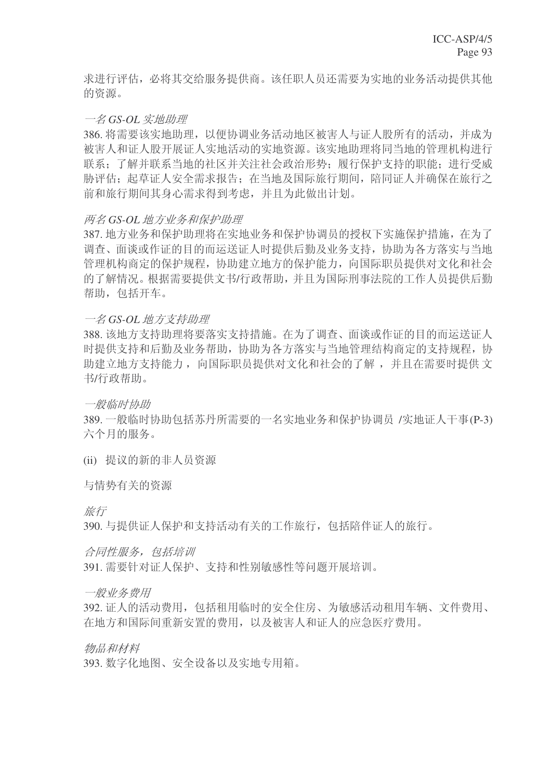求讲行评估, 必将其交给服务提供商。该任职人员还需要为实地的业务活动提供其他 的资源。

### 一名 GS-OL 实地助理

386. 将需要该实地助理, 以便协调业务活动地区被害人与证人股所有的活动, 并成为 被害人和证人股开展证人实地活动的实地资源。该实地助理将同当地的管理机构进行 联系;了解并联系当地的社区并关注社会政治形势;履行保护支持的职能;进行受威 胁评估: 起草证人安全需求报告: 在当地及国际旅行期间, 陪同证人并确保在旅行之 前和旅行期间其身心需求得到考虑,并且为此做出计划。

#### 两名 GS-OL 地方业务和保护助理

387. 地方业务和保护助理将在实地业务和保护协调员的授权下实施保护措施, 在为了 调杳、面谈或作证的目的而运送证人时提供后勤及业务支持,协助为各方落实与当地 管理机构商定的保护规程, 协助建立地方的保护能力, 向国际职员提供对文化和社会 的了解情况。根据需要提供文书/行政帮助,并且为国际刑事法院的工作人员提供后勤 帮助, 包括开车。

#### 一名 GS-OL 地方支持助理

388. 该地方支持助理将要落实支持措施。在为了调杳、面谈或作证的目的而运送证人 时提供支持和后勤及业务帮助, 协助为各方落实与当地管理结构商定的支持规程, 协 助建立地方支持能力, 向国际职员提供对文化和社会的了解, 并且在需要时提供文 书/行政帮助。

一般临时协助

389. 一般临时协助包括苏丹所需要的一名实地业务和保护协调员 /实地证人干事(P-3) 六个月的服务。

(ii) 提议的新的非人员资源

与情势有关的资源

旅行

390. 与提供证人保护和支持活动有关的工作旅行, 包括陪伴证人的旅行。

合同性服务, 包括培训 391. 需要针对证人保护、支持和性别敏感性等问题开展培训。

一般业务费用

392. 证人的活动费用, 包括租用临时的安全住房、为敏感活动租用车辆、文件费用、 在地方和国际间重新安置的费用, 以及被害人和证人的应急医疗费用。

物品和材料

393. 数字化地图、安全设备以及实地专用箱。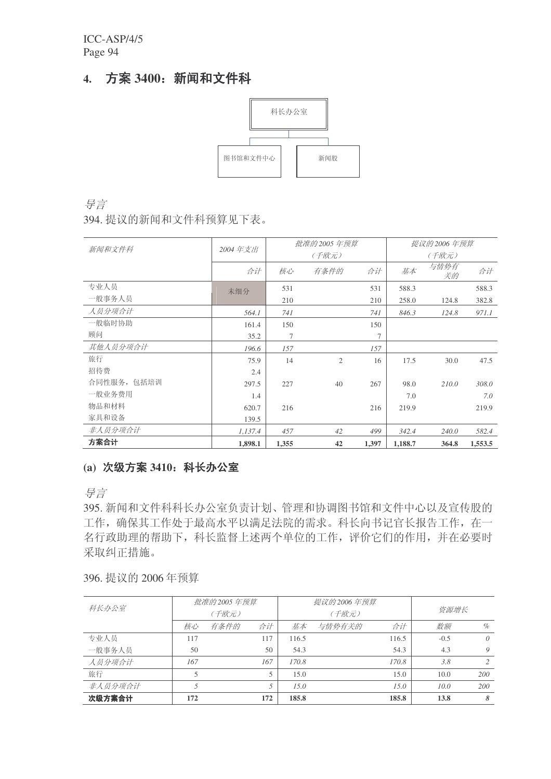# 4. 方案 3400: 新闻和文件科



ᇐ㿔

394. 提议的新闻和文件科预算见下表。

|             |         |       | 批准的 2005 年预算   |                | 提议的 2006 年预算 |            |         |  |
|-------------|---------|-------|----------------|----------------|--------------|------------|---------|--|
| 新闻和文件科      | 2004年支出 |       | (千欧元)          |                | (千欧元)        |            |         |  |
|             | 合计      | 核心    | 有条件的           | 合计             | 基本           | 与情势有<br>关的 | 合计      |  |
| 专业人员        | 未细分     | 531   |                | 531            | 588.3        |            | 588.3   |  |
| 一般事务人员      |         | 210   |                | 210            | 258.0        | 124.8      | 382.8   |  |
| 人员分项合计      | 564.1   | 741   |                | 741            | 846.3        | 124.8      | 971.1   |  |
| 一般临时协助      | 161.4   | 150   |                | 150            |              |            |         |  |
| 顾问          | 35.2    | 7     |                | $\overline{7}$ |              |            |         |  |
| 其他人员分项合计    | 196.6   | 157   |                | 157            |              |            |         |  |
| 旅行          | 75.9    | 14    | $\overline{2}$ | 16             | 17.5         | 30.0       | 47.5    |  |
| 招待费         | 2.4     |       |                |                |              |            |         |  |
| 合同性服务, 包括培训 | 297.5   | 227   | 40             | 267            | 98.0         | 210.0      | 308.0   |  |
| 一般业务费用      | 1.4     |       |                |                | 7.0          |            | 7.0     |  |
| 物品和材料       | 620.7   | 216   |                | 216            | 219.9        |            | 219.9   |  |
| 家具和设备       | 139.5   |       |                |                |              |            |         |  |
| 非人员分项合计     | 1,137.4 | 457   | 42             | 499            | 342.4        | 240.0      | 582.4   |  |
| 方案合计        | 1,898.1 | 1,355 | 42             | 1,397          | 1,188.7      | 364.8      | 1,553.5 |  |

# (a) 次级方案 3410: 科长办公室

ᇐ㿔

395. 新闻和文件科科长办公室负责计划、管理和协调图书馆和文件中心以及宣传股的 工作, 确保其工作处于最高水平以满足法院的需求。科长向书记官长报告工作, 在一 名行政助理的帮助下,科长监督上述两个单位的工作,评价它们的作用,并在必要时 采取纠正措施。

396. 提议的 2006 年预算

|         |     | 批准的 2005 年预算 |     |       | 提议的 2006 年预算 |       |        |                |
|---------|-----|--------------|-----|-------|--------------|-------|--------|----------------|
| 科长办公室   |     | (千欧元)        |     |       | (千欧元)        | 资源增长  |        |                |
|         | 核心  | 有条件的         | 合计  | 基本    | 与情势有关的       | 数额    | $\%$   |                |
| 专业人员    | 117 |              | 117 | 116.5 |              | 116.5 | $-0.5$ | $\theta$       |
| 一般事务人员  | 50  |              | 50  | 54.3  |              | 54.3  | 4.3    | 9              |
| 人员分项合计  | 167 |              | 167 | 170.8 |              | 170.8 | 3.8    | $\mathfrak{D}$ |
| 旅行      | 5   |              | 5   | 15.0  |              | 15.0  | 10.0   | 200            |
| 非人员分项合计 | 5   |              | 5   | 15.0  |              | 15.0  | 10.0   | 200            |
| 次级方案合计  | 172 |              | 172 | 185.8 |              | 185.8 | 13.8   | 8              |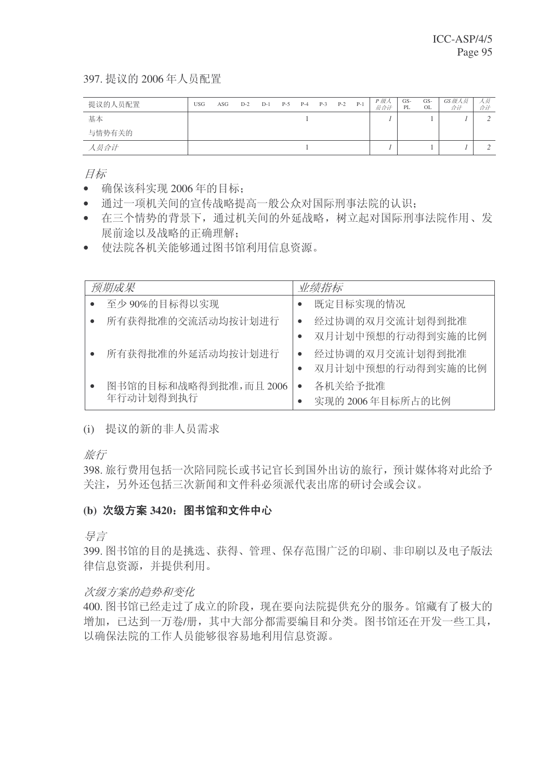397. 提议的 2006年人员配置

| 提议的人员配置 | <b>USG</b> | ASG | $D-2$ | $D-1$ | $P-5$ | $P-4$ | $P-3$ | $P-2$ | $P-1$ | P 级人<br>员合计 | GS-<br>PL | GS-<br>OL | GS级人员<br>合计 | 人员<br>合计 |
|---------|------------|-----|-------|-------|-------|-------|-------|-------|-------|-------------|-----------|-----------|-------------|----------|
| 基本      |            |     |       |       |       |       |       |       |       |             |           |           |             |          |
| 与情势有关的  |            |     |       |       |       |       |       |       |       |             |           |           |             |          |
| 人员合计    |            |     |       |       |       |       |       |       |       |             |           |           |             |          |

目标

- 确保该科实现 2006 年的目标:
- 通过一项机关间的宣传战略提高一般公众对国际刑事法院的认识:
- 在三个情势的背景下,通过机关间的外延战略,树立起对国际刑事法院作用、发 展前途以及战略的正确理解:
- 使法院各机关能够通过图书馆利用信息资源。

| 预期成果                              | 业绩指标                                 |
|-----------------------------------|--------------------------------------|
| 至少90%的目标得以实现                      | 既定目标实现的情况                            |
| 所有获得批准的交流活动均按计划进行                 | 经过协调的双月交流计划得到批准<br>双月计划中预想的行动得到实施的比例 |
| 所有获得批准的外延活动均按计划进行                 | 经过协调的双月交流计划得到批准<br>双月计划中预想的行动得到实施的比例 |
| 图书馆的目标和战略得到批准,而且2006<br>年行动计划得到执行 | 各机关给予批准<br>实现的 2006年目标所占的比例          |

(i) 提议的新的非人员需求

旅行

398. 旅行费用包括一次陪同院长或书记官长到国外出访的旅行, 预计媒体将对此给予 关注,另外还包括三次新闻和文件科必须派代表出席的研讨会或会议。

### (b) 次级方案 3420; 图书馆和文件中心

异言

399. 图书馆的目的是挑选、获得、管理、保存范围广泛的印刷、非印刷以及电子版法 律信息资源,并提供利用。

### 次级方案的趋势和变化

400. 图书馆已经走过了成立的阶段, 现在要向法院提供充分的服务。馆藏有了极大的 增加, 已达到一万卷/册, 其中大部分都需要编目和分类。图书馆还在开发一些工具, 以确保法院的工作人员能够很容易地利用信息资源。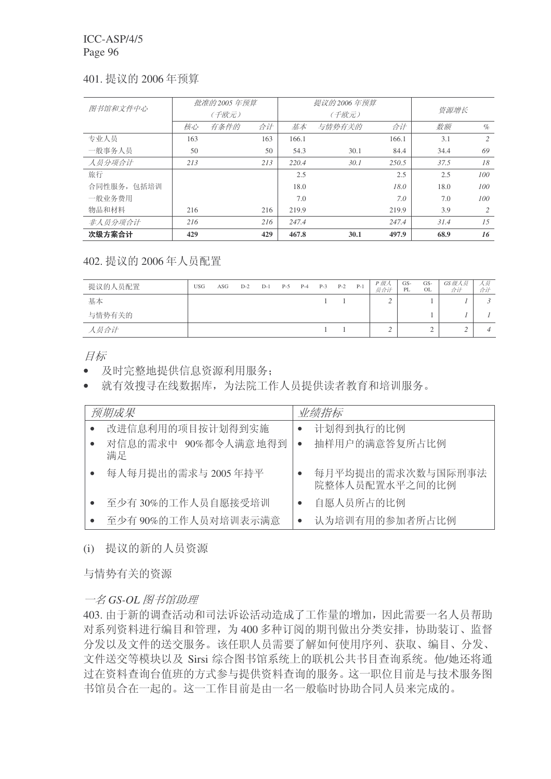### 401. 提议的 2006年预算

| 图书馆和文件中心    |     | 批准的 2005 年预算 |     |       | 提议的 2006 年预算 |       |      |      |
|-------------|-----|--------------|-----|-------|--------------|-------|------|------|
|             |     | (千欧元)        |     |       | (千欧元)        | 资源增长  |      |      |
|             | 核心  | 有条件的         | 合计  | 基本    | 与情势有关的       | 合计    | 数额   | $\%$ |
| 专业人员        | 163 |              | 163 | 166.1 |              | 166.1 | 3.1  | 2    |
| 一般事务人员      | 50  |              | 50  | 54.3  | 30.1         | 84.4  | 34.4 | 69   |
| 人员分项合计      | 213 |              | 213 | 220.4 | 30.1         | 250.5 | 37.5 | 18   |
| 旅行          |     |              |     | 2.5   |              | 2.5   | 2.5  | 100  |
| 合同性服务, 包括培训 |     |              |     | 18.0  |              | 18.0  | 18.0 | 100  |
| 一般业务费用      |     |              |     | 7.0   |              | 7.0   | 7.0  | 100  |
| 物品和材料       | 216 |              | 216 | 219.9 |              | 219.9 | 3.9  | 2    |
| 非人员分项合计     | 216 |              | 216 | 247.4 |              | 247.4 | 31.4 | 1.5  |
| 次级方案合计      | 429 |              | 429 | 467.8 | 30.1         | 497.9 | 68.9 | 16   |

402. 提议的 2006 年人员配置

| 提议的人员配置 | <b>USG</b> | ASG | $D-2$ | $D-1$ | $P-5$ | $P-4$ | $P-3$ | $P-2$ | $P-1$ | P 级人<br>员合计 | GS-<br>PL | GS-<br>OL | GS级人员<br>合计 | 人奴<br>合计 |
|---------|------------|-----|-------|-------|-------|-------|-------|-------|-------|-------------|-----------|-----------|-------------|----------|
| 基本      |            |     |       |       |       |       |       |       |       |             |           |           |             |          |
| 与情势有关的  |            |     |       |       |       |       |       |       |       |             |           |           |             |          |
| 人员合计    |            |     |       |       |       |       |       |       |       |             |           | ∼         |             |          |

目标

- 及时完整地提供信息资源利用服务:
- 就有效搜寻在线数据库, 为法院工作人员提供读者教育和培训服务。

| 预期成果                      |           | 业绩指标                                |
|---------------------------|-----------|-------------------------------------|
| 改进信息利用的项目按计划得到实施          |           | 计划得到执行的比例                           |
| 对信息的需求中 90%都令人满意地得到<br>满足 | $\bullet$ | 抽样用户的满意答复所占比例                       |
| 每人每月提出的需求与 2005年持平        |           | 每月平均提出的需求次数与国际刑事法<br>院整体人员配置水平之间的比例 |
| 至少有30%的工作人员自愿接受培训         |           | 自愿人员所占的比例                           |
| 至少有 90%的工作人员对培训表示满意       |           | 认为培训有用的参加者所占比例                      |

(i) 提议的新的人员资源

与情势有关的资源

 $-$ 名 GS-OL 图书馆助理

403. 由于新的调查活动和司法诉讼活动造成了工作量的增加, 因此需要一名人员帮助 对系列资料进行编目和管理, 为400多种订阅的期刊做出分类安排, 协助装订、监督 分发以及文件的送交服务。该任职人员需要了解如何使用序列、获取、编目、分发、 文件送交等模块以及 Sirsi 综合图书馆系统上的联机公共书目杳询系统。他/她还将通 过在资料杳询台值班的方式参与提供资料杳询的服务。这一职位目前是与技术服务图 书馆员合在一起的。这一工作目前是由一名一般临时协助合同人员来完成的。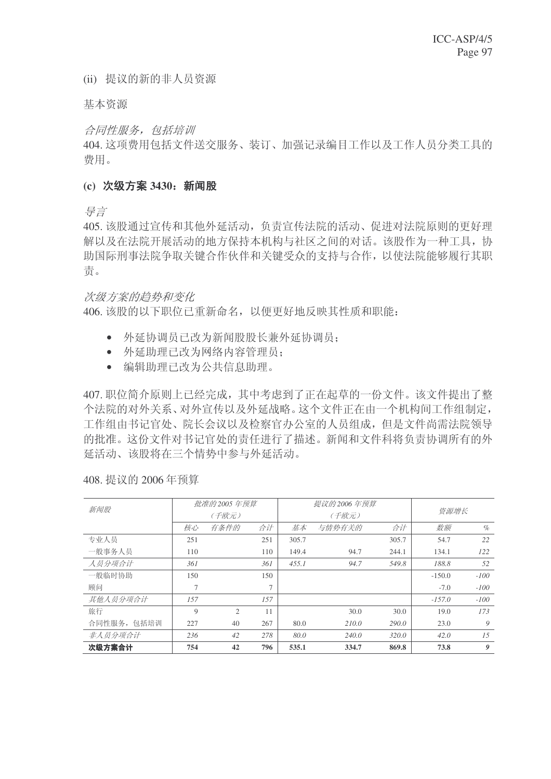(ii) 提议的新的非人员资源

基本资源

合同性服务, 包括培训

404. 这项费用包括文件送交服务、装订、加强记录编目工作以及工作人员分类工具的 费用。

#### (c) 次级方案 3430: 新闻股

ᇐ㿔

405. 该股通过宣传和其他外延活动, 负责宣传法院的活动、促进对法院原则的更好理 解以及在法院开展活动的地方保持本机构与社区之间的对话。该股作为一种工具,协 助国际刑事法院争取关键合作伙伴和关键受众的支持与合作,以使法院能够履行其职 责。

次级方案的趋势和变化

406. 该股的以下职位已重新命名, 以便更好地反映其性质和职能:

- 外延协调员已改为新闻股股长兼外延协调员:
- 外延助理已改为网络内容管理员:
- 编辑助理己改为公共信息助理。

407. 职位简介原则上已经完成, 其中考虑到了正在起草的一份文件。该文件提出了整 个法院的对外关系、对外宣传以及外延战略。这个文件正在由一个机构间工作组制定, 工作组由书记官处、院长会议以及检察官办公室的人员组成,但是文件尚需法院领导 的批准。这份文件对书记官处的责任进行了描述。新闻和文件科将负责协调所有的外 延活动、该股将在三个情势中参与外延活动。

|             |     | 批准的 2005 年预算 |                |       | 提议的 2006 年预算 |       |          |            |
|-------------|-----|--------------|----------------|-------|--------------|-------|----------|------------|
| 新闻股         |     | (千欧元)        |                |       | (千欧元)        | 资源增长  |          |            |
|             | 核心  | 有条件的         | 合计             | 基本    | 与情势有关的       | 合计    | 数额       | $\%$       |
| 专业人员        | 251 |              | 251            | 305.7 |              | 305.7 | 54.7     | 22         |
| 一般事务人员      | 110 |              | 110            | 149.4 | 94.7         | 244.1 | 134.1    | <i>122</i> |
| 人员分项合计      | 361 |              | 361            | 455.1 | 94.7         | 549.8 | 188.8    | 52         |
| 一般临时协助      | 150 |              | 150            |       |              |       | $-150.0$ | $-100$     |
| 顾问          | 7   |              | $\overline{7}$ |       |              |       | $-7.0$   | $-100$     |
| 其他人员分项合计    | 157 |              | 157            |       |              |       | $-157.0$ | $-100$     |
| 旅行          | 9   | 2            | 11             |       | 30.0         | 30.0  | 19.0     | 173        |
| 合同性服务, 包括培训 | 227 | 40           | 267            | 80.0  | 210.0        | 290.0 | 23.0     | 9          |
| 非人员分项合计     | 236 | 42           | 278            | 80.0  | 240.0        | 320.0 | 42.0     | 15         |
| 次级方案合计      | 754 | 42           | 796            | 535.1 | 334.7        | 869.8 | 73.8     | 9          |

408. 提议的 2006年预算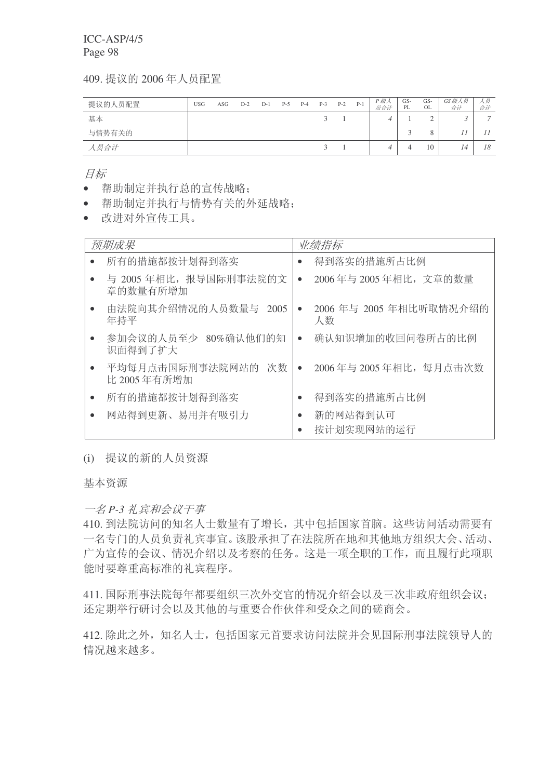409. 提议的 2006年人员配置

| 提议的人员配置 | <b>USG</b> | ASG | $D-2$ | $D-1$ | $P-5$ | $P-4$ | $P-3$         | $P-2$ | $P-1$ | P 级人<br>员合计 | GS-<br>PL | GS-<br>OL | GS级人员<br>合计 | 人员<br>合计 |
|---------|------------|-----|-------|-------|-------|-------|---------------|-------|-------|-------------|-----------|-----------|-------------|----------|
| 基本      |            |     |       |       |       |       | $\mathcal{L}$ |       |       |             |           |           |             | ᠆        |
| 与情势有关的  |            |     |       |       |       |       |               |       |       |             |           |           |             |          |
| 人员合计    |            |     |       |       |       |       | $\sim$        |       |       |             |           | 10        | 14          | 18       |

目标

- 帮助制定并执行总的宣传战略:
- 帮助制定并执行与情势有关的外延战略:
- 改讲对外宣传工具。

| 预期成果                                  | 业绩指标                                       |
|---------------------------------------|--------------------------------------------|
| 所有的措施都按计划得到落实                         | 得到落实的措施所占比例<br>$\bullet$                   |
| 与 2005年相比, 报导国际刑事法院的文<br>章的数量有所增加     | 2006年与 2005年相比, 文章的数量<br>$\bullet$         |
| 由法院向其介绍情况的人员数量与 2005<br>年持平           | 2006 年与 2005 年相比听取情况介绍的<br>$\bullet$<br>人数 |
| 参加会议的人员至少 80%确认他们的知<br>识面得到了扩大        | 确认知识增加的收回问卷所占的比例<br>$\bullet$              |
| 平均每月点击国际刑事法院网站的<br>次数<br>比 2005 年有所增加 | 2006年与 2005年相比, 每月点击次数<br>$\bullet$        |
| 所有的措施都按计划得到落实                         | 得到落实的措施所占比例                                |
| 网站得到更新、易用并有吸引力                        | 新的网站得到认可<br>$\bullet$<br>按计划实现网站的运行        |

# (i) 提议的新的人员资源

基本资源

一名 P-3 礼宾和会议干事

410. 到法院访问的知名人士数量有了增长, 其中包括国家首脑。这些访问活动需要有 一名专门的人员负责礼宾事宜。该股承担了在法院所在地和其他地方组织大会、活动、 广为宣传的会议、情况介绍以及考察的任务。这是一项全职的工作,而且履行此项职 能时要尊重高标准的礼宾程序。

411. 国际刑事法院每年都要组织三次外交官的情况介绍会以及三次非政府组织会议: 还定期举行研讨会以及其他的与重要合作伙伴和受众之间的磋商会。

412. 除此之外, 知名人士, 包括国家元首要求访问法院并会见国际刑事法院领导人的 情况越来越多。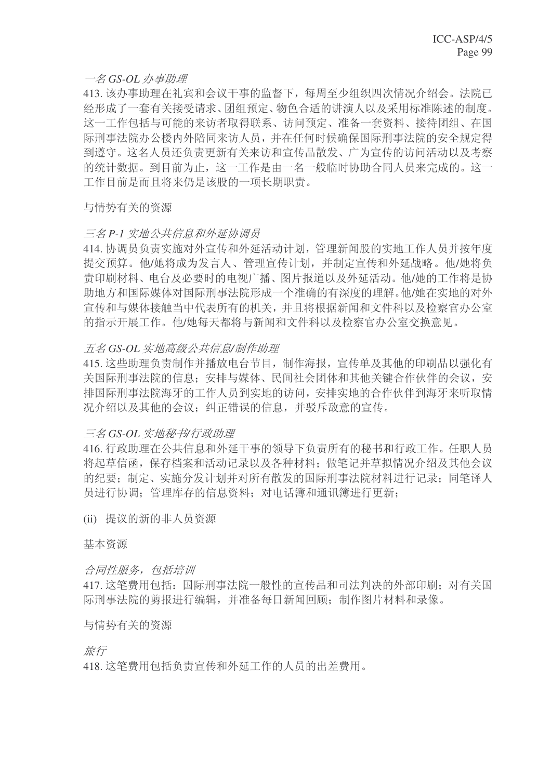# 一名 GS-OL 办事助理

413. 该办事助理在礼宾和会议干事的监督下, 每周至少组织四次情况介绍会。法院已 经形成了一套有关接受请求、团组预定、物色合适的讲演人以及采用标准陈述的制度。 这一工作包括与可能的来访者取得联系、访问预定、准备一套资料、接待团组、在国 际刑事法院办公楼内外陪同来访人员,并在任何时候确保国际刑事法院的安全规定得 到遵守。这名人员还负责更新有关来访和宣传品散发、广为宣传的访问活动以及考察 的统计数据。到目前为止, 这一工作是由一名一般临时协助合同人员来完成的。这一 工作目前是而且将来仍是该股的一项长期职责。

## 与情势有关的资源

# 三名 P-1 实地公共信息和外延协调员

414. 协调员负责实施对外宣传和外延活动计划, 管理新闻股的实地工作人员并按年度 提交预算。他/她将成为发言人、管理宣传计划,并制定宣传和外延战略。他/她将负 责印刷材料、电台及必要时的电视广播、图片报道以及外延活动。他/她的工作将是协 助地方和国际媒体对国际刑事法院形成一个准确的有深度的理解。他/她在实地的对外 宣传和与媒体接触当中代表所有的机关,并且将根据新闻和文件科以及检察官办公室 的指示开展工作。他/她每天都将与新闻和文件科以及检察官办公室交换意见。

## 五名 GS-OL 实地高级公共信息/制作助理

415. 这些助理负责制作并播放电台节目, 制作海报, 宣传单及其他的印刷品以强化有 关国际刑事法院的信息; 安排与媒体、民间社会团体和其他关键合作伙伴的会议, 安 排国际刑事法院海牙的工作人员到实地的访问, 安排实地的合作伙伴到海牙来听取情 况介绍以及其他的会议; 纠正错误的信息, 并驳斥敌意的宣传。

# 三名 GS-OL 实地秘书/行政助理

416. 行政助理在公共信息和外延干事的领导下负责所有的秘书和行政工作。任职人员 将起草信函, 保存档案和活动记录以及各种材料; 做笔记并草拟情况介绍及其他会议 的纪要: 制定、实施分发计划并对所有散发的国际刑事法院材料进行记录: 同笔译人 员讲行协调: 管理库存的信息资料: 对电话簿和通讯簿讲行更新:

(ii) 提议的新的非人员资源

基本资源

### 合同性服务, 包括培训

417. 这笔费用包括: 国际刑事法院一般性的宣传品和司法判决的外部印刷; 对有关国 际刑事法院的剪报进行编辑,并准备每日新闻回顾:制作图片材料和录像。

### 与情势有关的资源

旅行

418. 这笔费用包括负责宣传和外延工作的人员的出差费用。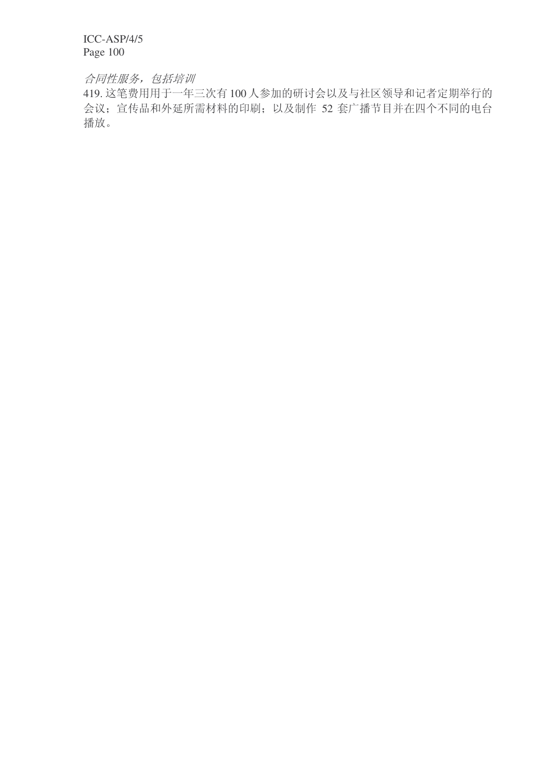# 合同性服务,包括培训

419. 这笔费用用于一年三次有100 人参加的研讨会以及与社区领导和记者定期举行的 会议; 宣传品和外延所需材料的印刷; 以及制作 52 套广播节目并在四个不同的电台 播放。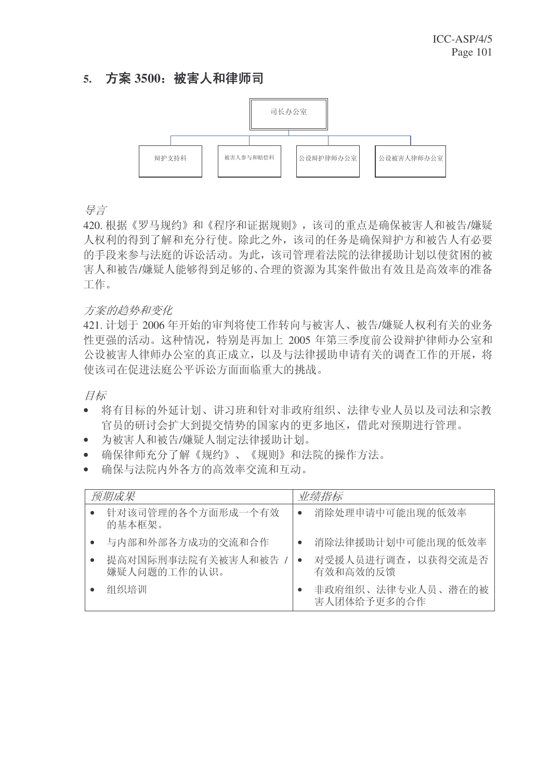# 5. 方案 3500: 被害人和律师司



ᇐ㿔

420. 根据《罗马规约》和《程序和证据规则》, 该司的重点是确保被害人和被告/嫌疑 人权利的得到了解和充分行使。除此之外,该司的任务是确保辩护方和被告人有必要 的手段来参与法庭的诉讼活动。为此,该司管理着法院的法律援助计划以使贫困的被 害人和被告/嫌疑人能够得到足够的、合理的资源为其案件做出有效且是高效率的准备 工作。

# 方案的趋势和变化

421. 计划于 2006 年开始的审判将使工作转向与被害人、被告/嫌疑人权利有关的业务 性更强的活动。这种情况,特别是再加上 2005 年第三季度前公设辩护律师办公室和 公设被害人律师办公室的真正成立, 以及与法律援助申请有关的调查工作的开展, 将 使该司在促进法庭公平诉讼方面面临重大的挑战。

目标

- 将有目标的外延计划、讲习班和针对非政府组织、法律专业人员以及司法和宗教 官员的研讨会扩大到提交情势的国家内的更多地区,借此对预期进行管理。
- 为被害人和被告/嫌疑人制定法律援助计划。
- 确保律师充分了解《规约》、《规则》和法院的操作方法。
- 确保与法院内外各方的高效率交流和互动。

| 预期成果                              |           | 业绩指标                             |
|-----------------------------------|-----------|----------------------------------|
| 针对该司管理的各个方面形成一个有效<br>的基本框架。       |           | 消除处理申请中可能出现的低效率                  |
| 与内部和外部各方成功的交流和合作                  |           | 消除法律援助计划中可能出现的低效率                |
| 提高对国际刑事法院有关被害人和被告<br>嫌疑人问题的工作的认识。 | $\bullet$ | 对受援人员进行调查, 以获得交流是否<br>有效和高效的反馈   |
| 组织培训                              |           | 非政府组织、法律专业人员、潜在的被<br>害人团体给予更多的合作 |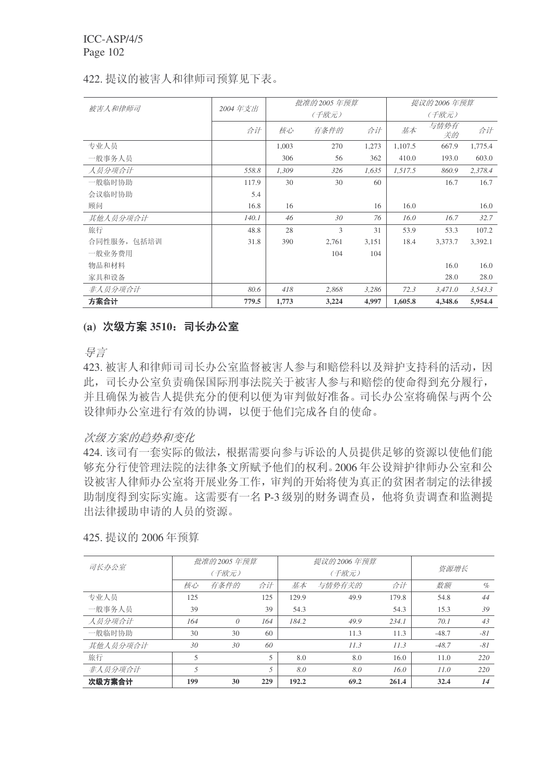|             |         |       | 批准的 2005 年预算 |       |         | 提议的 2006 年预算 |         |  |
|-------------|---------|-------|--------------|-------|---------|--------------|---------|--|
| 被害人和律师司     | 2004年支出 |       | (千欧元)        |       | (千欧元)   |              |         |  |
|             | 合计      | 核心    | 有条件的         | 合计    | 基本      | 与情势有<br>关的   | 合计      |  |
| 专业人员        |         | 1,003 | 270          | 1,273 | 1,107.5 | 667.9        | 1,775.4 |  |
| 一般事务人员      |         | 306   | 56           | 362   | 410.0   | 193.0        | 603.0   |  |
| 人员分项合计      | 558.8   | 1,309 | 326          | 1,635 | 1,517.5 | 860.9        | 2,378.4 |  |
| 一般临时协助      | 117.9   | 30    | 30           | 60    |         | 16.7         | 16.7    |  |
| 会议临时协助      | 5.4     |       |              |       |         |              |         |  |
| 顾问          | 16.8    | 16    |              | 16    | 16.0    |              | 16.0    |  |
| 其他人员分项合计    | 140.1   | 46    | 30           | 76    | 16.0    | 16.7         | 32.7    |  |
| 旅行          | 48.8    | 28    | 3            | 31    | 53.9    | 53.3         | 107.2   |  |
| 合同性服务, 包括培训 | 31.8    | 390   | 2,761        | 3,151 | 18.4    | 3,373.7      | 3,392.1 |  |
| 一般业务费用      |         |       | 104          | 104   |         |              |         |  |
| 物品和材料       |         |       |              |       |         | 16.0         | 16.0    |  |
| 家具和设备       |         |       |              |       |         | 28.0         | 28.0    |  |
| 非人员分项合计     | 80.6    | 418   | 2,868        | 3,286 | 72.3    | 3,471.0      | 3,543.3 |  |
| 方案合计        | 779.5   | 1,773 | 3,224        | 4,997 | 1,605.8 | 4,348.6      | 5,954.4 |  |

### 422. 提议的被害人和律师司预算见下表。

### (a) 次级方案 3510; 司长办公室

异言

423. 被害人和律师司司长办公室监督被害人参与和赔偿科以及辩护支持科的活动,因 此, 司长办公室负责确保国际刑事法院关于被害人参与和赔偿的使命得到充分履行, 并且确保为被告人提供充分的便利以便为审判做好准备。司长办公室将确保与两个公 设律师办公室进行有效的协调,以便于他们完成各自的使命。

### 次级方案的趋势和变化

424. 该司有一套实际的做法, 根据需要向参与诉讼的人员提供足够的资源以使他们能 够充分行使管理法院的法律条文所赋予他们的权利。2006年公设辩护律师办公室和公 设被害人律师办公室将开展业务工作,审判的开始将使为真正的贫困者制定的法律援 助制度得到实际实施。这需要有一名 P-3 级别的财务调查员, 他将负责调查和监测提 出法律援助申请的人员的资源。

| 司长办公室    |     | 批准的 2005 年预算 |     |       | 提议的 2006 年预算 |       | 资源增长    |       |
|----------|-----|--------------|-----|-------|--------------|-------|---------|-------|
|          |     | (千欧元)        |     |       | (千欧元)        |       |         |       |
|          | 核心  | 有条件的         | 合计  | 基本    | 与情势有关的       | 合计    | 数额      | $\%$  |
| 专业人员     | 125 |              | 125 | 129.9 | 49.9         | 179.8 | 54.8    | 44    |
| 一般事务人员   | 39  |              | 39  | 54.3  |              | 54.3  | 15.3    | 39    |
| 人员分项合计   | 164 | $\theta$     | 164 | 184.2 | 49.9         | 234.1 | 70.1    | 43    |
| 一般临时协助   | 30  | 30           | 60  |       | 11.3         | 11.3  | $-48.7$ | $-81$ |
| 其他人员分项合计 | 30  | 30           | 60  |       | 11.3         | 11.3  | $-48.7$ | $-81$ |
| 旅行       | 5   |              | 5   | 8.0   | 8.0          | 16.0  | 11.0    | 220   |
| 非人员分项合计  | 5   |              | 5   | 8.0   | 8.0          | 16.0  | 11.0    | 220   |
| 次级方案合计   | 199 | 30           | 229 | 192.2 | 69.2         | 261.4 | 32.4    | 14    |

425. 提议的 2006 年预算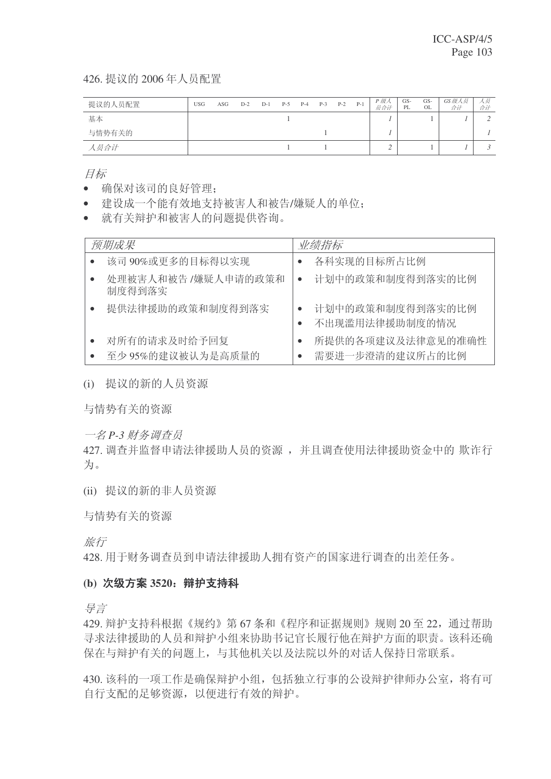426. 提议的 2006年人员配置

| 提议的人员配置 | <b>USG</b> | ASG | $D-2$ | $D-1$ | $P-5$ | $P-4$ | $P-3$ | $P-2$ | $P-1$ | P 级人<br>员合计 | GS-<br>PL | GS-<br>OL | GS级人员<br>合计 | 人员<br>合计 |
|---------|------------|-----|-------|-------|-------|-------|-------|-------|-------|-------------|-----------|-----------|-------------|----------|
| 基本      |            |     |       |       |       |       |       |       |       |             |           |           |             |          |
| 与情势有关的  |            |     |       |       |       |       |       |       |       |             |           |           |             |          |
| 人员合计    |            |     |       |       |       |       |       |       |       |             |           |           |             |          |

目标

- 确保对该司的良好管理:
- 建设成一个能有效地支持被害人和被告/嫌疑人的单位;
- 就有关辩护和被害人的问题提供咨询。

| 预期成果                              | 业绩指标                                 |
|-----------------------------------|--------------------------------------|
| 该司 90%或更多的目标得以实现                  | 各科实现的目标所占比例                          |
| 处理被害人和被告 /嫌疑人申请的政策和<br>制度得到落实     | 计划中的政策和制度得到落实的比例                     |
| 提供法律援助的政策和制度得到落实                  | 计划中的政策和制度得到落实的比例<br>不出现滥用法律援助制度的情况   |
| 对所有的请求及时给予回复<br>至少 95%的建议被认为是高质量的 | 所提供的各项建议及法律意见的准确性<br>需要进一步澄清的建议所占的比例 |

(i) 提议的新的人员资源

与情势有关的资源

一名 P-3 财务调查员

427. 调查并监督申请法律援助人员的资源, 并且调查使用法律援助资金中的 欺诈行 为。

(ii) 提议的新的非人员资源

与情势有关的资源

旅行

428. 用于财务调查员到申请法律援助人拥有资产的国家进行调查的出差任务。

# (b) 次级方案 3520; 辩护支持科

ᇐ㿔

429. 辩护支持科根据《规约》第67条和《程序和证据规则》规则 20 至 22, 通过帮助 寻求法律援助的人员和辩护小组来协助书记官长履行他在辩护方面的职责。该科还确 保在与辩护有关的问题上, 与其他机关以及法院以外的对话人保持日常联系。

430. 该科的一项工作是确保辩护小组, 包括独立行事的公设辩护律师办公室, 将有可 自行支配的足够资源,以便讲行有效的辩护。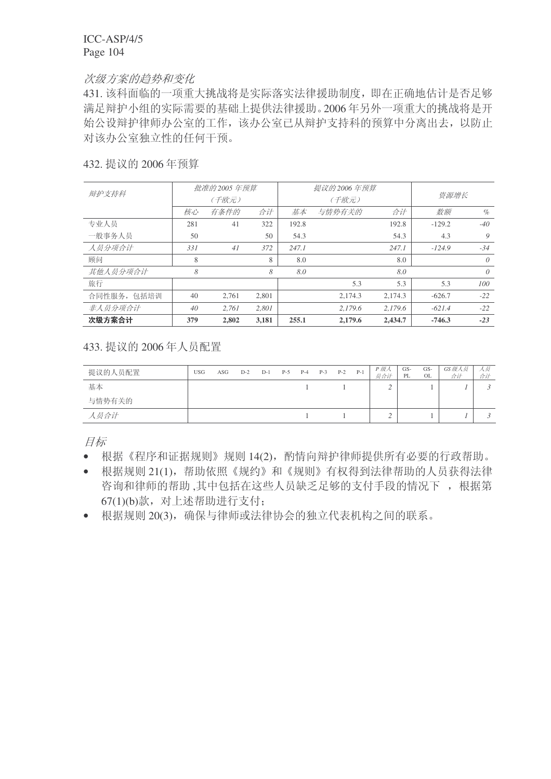#### 次级方案的趋势和变化

431. 该科面临的一项重大挑战将是实际落实法律援助制度, 即在正确地估计是否足够 满足辩护小组的实际需要的基础上提供法律援助。2006年另外一项重大的挑战将是开 始公设辩护律师办公室的工作,该办公室已从辩护支持科的预算中分离出去,以防止 对该办公室独立性的任何干预。

| 432. 提议的 2006年预算 |  |
|------------------|--|
|------------------|--|

|             |     | 批准的 2005 年预算 |       |       | 提议的 2006 年预算 |         |          |          |
|-------------|-----|--------------|-------|-------|--------------|---------|----------|----------|
| 辩护支持科       |     | (千欧元)        |       |       | (千欧元)        | 资源增长    |          |          |
|             | 核心  | 有条件的         | 合计    | 基本    | 与情势有关的       | 合计      | 数额       | $\%$     |
| 专业人员        | 281 | 41           | 322   | 192.8 |              | 192.8   | $-129.2$ | $-40$    |
| 一般事务人员      | 50  |              | 50    | 54.3  |              | 54.3    | 4.3      | 9        |
| 人员分项合计      | 331 | 41           | 372   | 247.1 |              | 247.1   | $-124.9$ | $-34$    |
| 顾问          | 8   |              | 8     | 8.0   |              | 8.0     |          | $\theta$ |
| 其他人员分项合计    | 8   |              | 8     | 8.0   |              | 8.0     |          | $\theta$ |
| 旅行          |     |              |       |       | 5.3          | 5.3     | 5.3      | 100      |
| 合同性服务, 包括培训 | 40  | 2,761        | 2,801 |       | 2,174.3      | 2,174.3 | $-626.7$ | $-22$    |
| 非人员分项合计     | 40  | 2.761        | 2.801 |       | 2.179.6      | 2.179.6 | $-621.4$ | $-22$    |
| 次级方案合计      | 379 | 2.802        | 3,181 | 255.1 | 2,179.6      | 2,434.7 | $-746.3$ | $-23$    |

433. 提议的 2006 年人员配置

| 提议的人员配置 | <b>USG</b> | ASG | $D-2$ | $D-1$ | $P-5$ | $P-4$ | $P-3$ | $P-2$ | $P-1$ | P 级人<br>员合计 | GS-<br>PL | GS-<br>OL | GS 级人员<br>合计 | 人奴<br>合计 |
|---------|------------|-----|-------|-------|-------|-------|-------|-------|-------|-------------|-----------|-----------|--------------|----------|
| 基本      |            |     |       |       |       |       |       |       |       | ∠           |           |           |              |          |
| 与情势有关的  |            |     |       |       |       |       |       |       |       |             |           |           |              |          |
| 人员合计    |            |     |       |       |       |       |       |       |       | ∠           |           |           |              |          |

目标

- 根据《程序和证据规则》规则14(2), 酌情向辩护律师提供所有必要的行政帮助。
- 根据规则 21(1), 帮助依照《规约》和《规则》有权得到法律帮助的人员获得法律 咨询和律师的帮助,其中包括在这些人员缺乏足够的支付手段的情况下, 根据第 67(1)(b)款, 对上述帮助进行支付:

• 根据规则 20(3), 确保与律师或法律协会的独立代表机构之间的联系。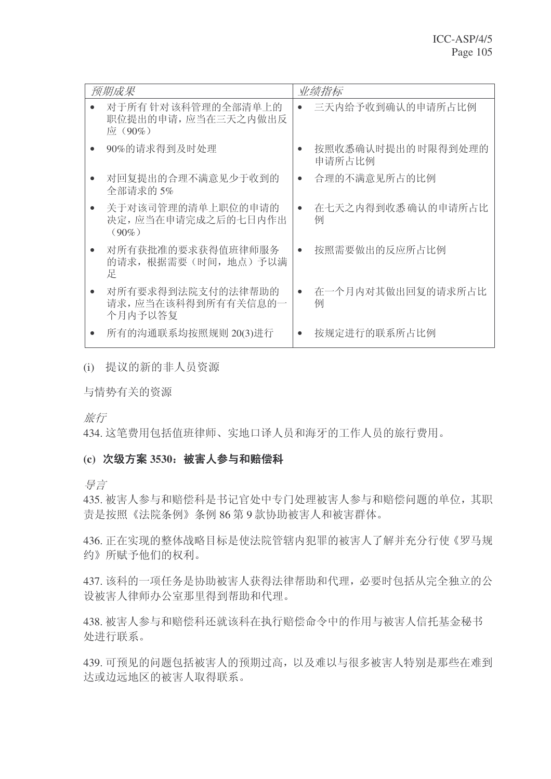| 预期成果                                                | 业绩指标                          |  |
|-----------------------------------------------------|-------------------------------|--|
| 对于所有针对该科管理的全部清单上的<br>职位提出的申请,应当在三天之内做出反<br>应 (90%)  | 三天内给予收到确认的申请所占比例<br>$\bullet$ |  |
| 90%的请求得到及时处理                                        | 按照收悉确认时提出的时限得到处理的<br>申请所占比例   |  |
| 对回复提出的合理不满意见少于收到的<br>全部请求的 5%                       | 合理的不满意见所占的比例<br>$\bullet$     |  |
| 关于对该司管理的清单上职位的申请的<br>决定,应当在申请完成之后的七日内作出<br>$(90\%)$ | 在七天之内得到收悉确认的申请所占比<br>例        |  |
| 对所有获批准的要求获得值班律师服务<br>的请求, 根据需要 (时间, 地点) 予以满<br>足    | 按照需要做出的反应所占比例<br>$\bullet$    |  |
| 对所有要求得到法院支付的法律帮助的<br>请求, 应当在该科得到所有有关信息的一<br>个月内予以答复 | 在一个月内对其做出回复的请求所占比<br>例        |  |
| 所有的沟通联系均按照规则 20(3)进行                                | 按规定进行的联系所占比例                  |  |

(i) 提议的新的非人员资源

与情势有关的资源

旅行

434. 这笔费用包括值班律师、实地口译人员和海牙的工作人员的旅行费用。

### (c) 次级方案 3530: 被害人参与和赔偿科

ᇐ㿔

435. 被害人参与和赔偿科是书记官处中专门处理被害人参与和赔偿问题的单位, 其职 责是按照《法院条例》条例 86 第9款协助被害人和被害群体。

436. 正在实现的整体战略目标是使法院管辖内犯罪的被害人了解并充分行使《罗马规 约》所赋予他们的权利。

437. 该科的一项任务是协助被害人获得法律帮助和代理, 必要时包括从完全独立的公 设被害人律师办公室那里得到帮助和代理。

438. 被害人参与和赔偿科还就该科在执行赔偿命令中的作用与被害人信托基金秘书 处讲行联系。

439. 可预见的问题包括被害人的预期过高, 以及难以与很多被害人特别是那些在难到 达或边远地区的被害人取得联系。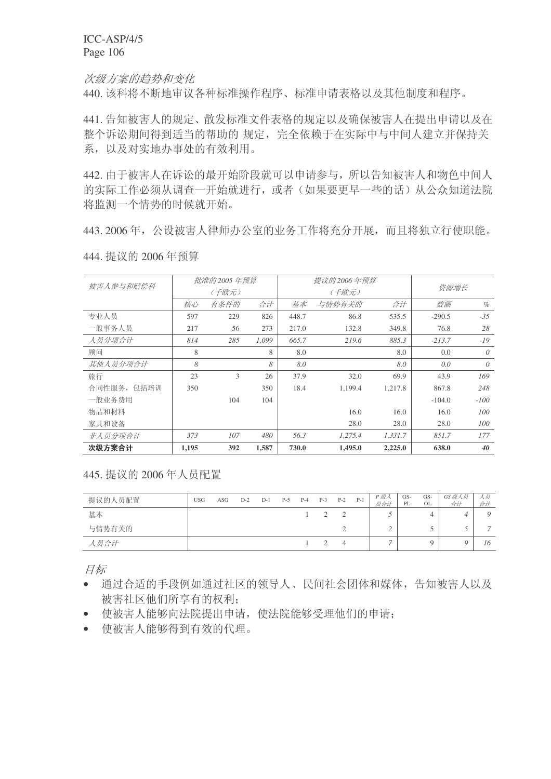次级方案的趋势和变化

440. 该科将不断地审议各种标准操作程序、标准申请表格以及其他制度和程序。

441. 告知被害人的规定、散发标准文件表格的规定以及确保被害人在提出申请以及在 整个诉讼期间得到适当的帮助的规定,完全依赖于在实际中与中间人建立并保持关 系,以及对实地办事处的有效利用。

442. 由于被害人在诉讼的最开始阶段就可以申请参与, 所以告知被害人和物色中间人 的实际工作必须从调查一开始就进行, 或者(如果要更早一些的话) 从公众知道法院 将监测一个情势的时候就开始。

443. 2006年, 公设被害人律师办公室的业务工作将充分开展, 而且将独立行使职能。

|             |       | 批准的 2005 年预算 |       |       | 提议的 2006 年预算 |         |          |          |
|-------------|-------|--------------|-------|-------|--------------|---------|----------|----------|
| 被害人参与和赔偿科   |       | (千欧元)        |       |       | (千欧元)        | 资源增长    |          |          |
|             | 核心    | 有条件的         | 合计    | 基本    | 与情势有关的       | 数额      | $\%$     |          |
| 专业人员        | 597   | 229          | 826   | 448.7 | 86.8         | 535.5   | $-290.5$ | $-35$    |
| 一般事务人员      | 217   | 56           | 273   | 217.0 | 132.8        | 349.8   | 76.8     | 28       |
| 人员分项合计      | 814   | 285          | 1,099 | 665.7 | 219.6        | 885.3   | $-213.7$ | $-19$    |
| 顾问          | 8     |              | 8     | 8.0   |              | 8.0     | 0.0      | $\theta$ |
| 其他人员分项合计    | 8     |              | 8     | 8.0   |              | 8.0     | 0.0      | $\theta$ |
| 旅行          | 23    | 3            | 26    | 37.9  | 32.0         | 69.9    | 43.9     | 169      |
| 合同性服务, 包括培训 | 350   |              | 350   | 18.4  | 1,199.4      | 1,217.8 | 867.8    | 248      |
| 一般业务费用      |       | 104          | 104   |       |              |         | $-104.0$ | $-100$   |
| 物品和材料       |       |              |       |       | 16.0         | 16.0    | 16.0     | 100      |
| 家具和设备       |       |              |       |       | 28.0         | 28.0    | 28.0     | 100      |
| 非人员分项合计     | 373   | 107          | 480   | 56.3  | 1,275.4      | 1,331.7 | 851.7    | 177      |
| 次级方案合计      | 1,195 | 392          | 1,587 | 730.0 | 1,495.0      | 2,225.0 | 638.0    | 40       |

444. 提议的 2006年预算

445. 提议的 2006年人员配置

| 提议的人员配置 | <b>USG</b> | ASG | $D-2$ | $D-1$ | $P-5$ | $P-4$ | $P-3$ | $P-2$ | $P-1$ | P 级人<br>员合计 | GS-<br>PL | GS-<br>OL | GS 级人员<br>合计 | 人员<br>合计 |
|---------|------------|-----|-------|-------|-------|-------|-------|-------|-------|-------------|-----------|-----------|--------------|----------|
| 基本      |            |     |       |       |       |       |       |       |       |             |           |           |              |          |
| 与情势有关的  |            |     |       |       |       |       |       |       |       |             |           |           |              |          |
| 人员合计    |            |     |       |       |       |       |       |       |       | -           |           |           |              | 16       |

目标

- 通过合适的手段例如通过社区的领导人、民间社会团体和媒体,告知被害人以及 被害社区他们所享有的权利:
- 使被害人能够向法院提出申请, 使法院能够受理他们的申请;
- 使被害人能够得到有效的代理。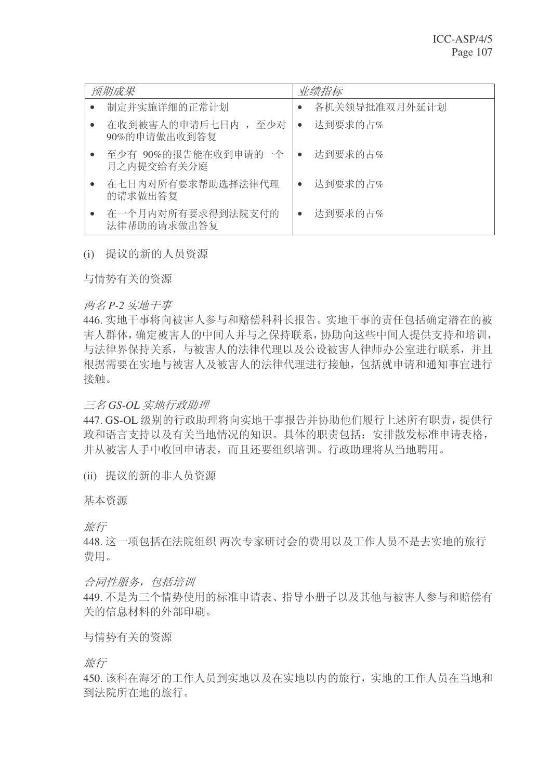| 预期成果                             | 业绩指标          |
|----------------------------------|---------------|
| 制定并实施详细的正常计划                     | 各机关领导批准双月外延计划 |
| 在收到被害人的申请后七日内, 至少对               | 达到要求的占%       |
| 90%的申请做出收到答复                     | $\bullet$     |
| 至少有 90%的报告能在收到申请的一个              | 达到要求的占%       |
| 月之内提交给有关分庭                       | $\bullet$     |
| 在七日内对所有要求帮助选择法律代理                | 达到要求的占%       |
| 的请求做出答复                          | $\bullet$     |
| 在一个月内对所有要求得到法院支付的<br>法律帮助的请求做出答复 | 达到要求的占%       |

### (i) 提议的新的人员资源

与情势有关的资源

### 两名 P-2 实地干事

446. 实地干事将向被害人参与和赔偿科科长报告。实地干事的责任包括确定潜在的被 害人群体, 确定被害人的中间人并与之保持联系, 协助向这些中间人提供支持和培训, 与法律界保持关系, 与被害人的法律代理以及公设被害人律师办公室进行联系, 并且 根据需要在实地与被害人及被害人的法律代理进行接触,包括就申请和通知事宜进行 接触。

### 三名 GS-OL 实地行政助理

447. GS-OL 级别的行政助理将向实地干事报告并协助他们履行上述所有职责, 提供行 政和语言支持以及有关当地情况的知识。具体的职责包括: 安排散发标准申请表格, 并从被害人手中收回申请表,而且还要组织培训。行政助理将从当地聘用。

(ii) 提议的新的非人员资源

基本资源

旅行

448. 这一项包括在法院组织 两次专家研讨会的费用以及工作人员不是去实地的旅行 费用。

### 合同性服务, 包括培训

449. 不是为三个情势使用的标准申请表、指导小册子以及其他与被害人参与和赔偿有 关的信息材料的外部印刷。

### 与情势有关的资源

旅行

450. 该科在海牙的工作人员到实地以及在实地以内的旅行, 实地的工作人员在当地和 到法院所在地的旅行。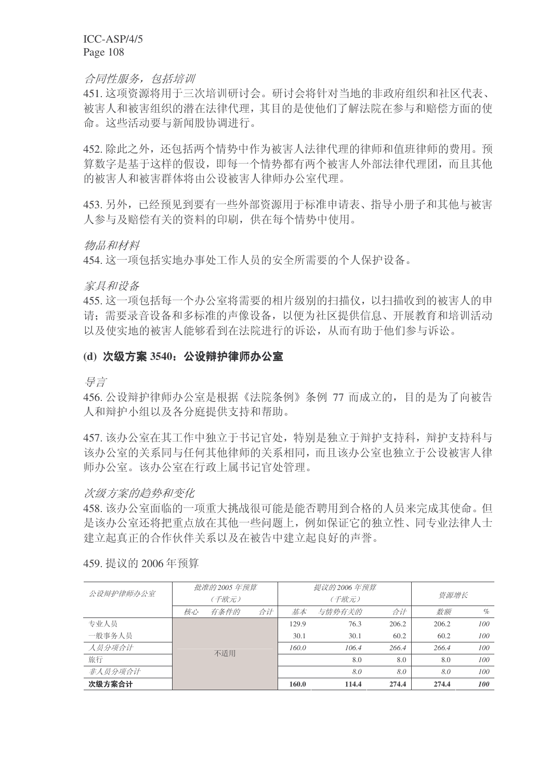合同性服务, 包括培训

451. 这项资源将用于三次培训研讨会。研讨会将针对当地的非政府组织和社区代表、 被害人和被害组织的潜在法律代理, 其目的是使他们了解法院在参与和赔偿方面的使 命。这些活动要与新闻股协调讲行。

452. 除此之外, 还包括两个情势中作为被害人法律代理的律师和值班律师的费用。预 算数字是基于这样的假设, 即每一个情势都有两个被害人外部法律代理团, 而且其他 的被害人和被害群体将由公设被害人律师办公室代理。

453. 另外,已经预见到要有一些外部资源用于标准申请表、指导小册子和其他与被害 人参与及赔偿有关的资料的印刷,供在每个情势中使用。

物品和材料

454. 这一项包括实地办事处工作人员的安全所需要的个人保护设备。

家具和设备

455. 这一项包括每一个办公室将需要的相片级别的扫描仪, 以扫描收到的被害人的申 请: 需要录音设备和多标准的声像设备, 以便为社区提供信息、开展教育和培训活动 以及使实地的被害人能够看到在法院进行的诉讼,从而有助于他们参与诉讼。

### (d) 次级方案 3540: 公设辩护律师办公室

ᇐ㿔

456. 公设辩护律师办公室是根据《法院条例》条例 77 而成立的, 目的是为了向被告 人和辩护小组以及各分庭提供支持和帮助。

457. 该办公室在其工作中独立于书记官处, 特别是独立于辩护支持科, 辩护支持科与 该办公室的关系同与任何其他律师的关系相同,而且该办公室也独立于公设被害人律 师办公室办公室在行政上属书记官处管理。

#### 次级方案的趋势和变化

458. 该办公室面临的一项重大挑战很可能是能否聘用到合格的人员来完成其使命。但 是该办公室还将把重点放在其他一些问题上,例如保证它的独立性、同专业法律人士 建立起真正的合作伙伴关系以及在被告中建立起良好的声誉。

|           |    | 批准的 2005 年预算 |    |       | 提议的 2006 年预算 |       |       |      |
|-----------|----|--------------|----|-------|--------------|-------|-------|------|
| 公设辩护律师办公室 |    | (千欧元)        |    |       | (千欧元)        |       | 资源增长  |      |
|           | 核心 | 有条件的         | 合计 | 基本    | 与情势有关的       | 合计    | 数额    | $\%$ |
| 专业人员      |    |              |    | 129.9 | 76.3         | 206.2 | 206.2 | 100  |
| 一般事务人员    |    |              |    | 30.1  | 30.1         | 60.2  | 60.2  | 100  |
| 人员分项合计    |    | 不适用          |    | 160.0 | 106.4        | 266.4 | 266.4 | 100  |
| 旅行        |    |              |    |       | 8.0          | 8.0   | 8.0   | 100  |
| 非人员分项合计   |    |              |    |       | 8.0          | 8.0   | 8.0   | 100  |
| 次级方案合计    |    |              |    | 160.0 | 114.4        | 274.4 | 274.4 | 100  |

459. 提议的 2006年预算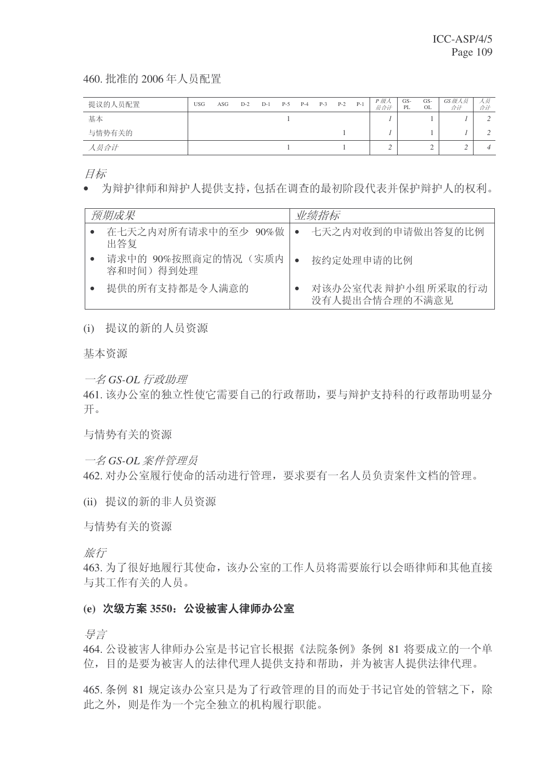460. 批准的 2006年人员配置

| 提议的人员配置 | <b>USG</b> | ASG | $D-2$ | $D-1$ | $P-5$ | $P-4$ | $P-3$ | $P-2$ | $P-1$ | P 级人<br>员合计 | GS-<br>PL | GS-<br>OL | GS级人员<br>合计 | 人员<br>合计 |
|---------|------------|-----|-------|-------|-------|-------|-------|-------|-------|-------------|-----------|-----------|-------------|----------|
| 基本      |            |     |       |       |       |       |       |       |       |             |           |           |             |          |
| 与情势有关的  |            |     |       |       |       |       |       |       |       |             |           |           |             |          |
| 人员合计    |            |     |       |       |       |       |       |       |       |             |           |           |             |          |

目标

• 为辩护律师和辩护人提供支持, 包括在调查的最初阶段代表并保护辩护人的权利。

| 预期成果                               | 业绩指标                                  |
|------------------------------------|---------------------------------------|
| 在七天之内对所有请求中的至少 90%做 •<br>出答复       | 一七天之内对收到的申请做出答复的比例                    |
| 请求中的 90%按照商定的情况 (实质内<br>容和时间) 得到处理 | 按约定处理申请的比例                            |
| 提供的所有支持都是令人满意的                     | 对该办公室代表 辩护小组 所采取的行动<br>没有人提出合情合理的不满意见 |

(i) 提议的新的人员资源

基本资源

 $-$ 名 GS-OL 行政助理

461. 该办公室的独立性使它需要自己的行政帮助, 要与辩护支持科的行政帮助明显分 开。

与情势有关的资源

一名 GS-OL 案件管理员

462. 对办公室履行使命的活动进行管理, 要求要有一名人员负责案件文档的管理。

(ii) 提议的新的非人员资源

与情势有关的资源

旅行

463. 为了很好地履行其使命, 该办公室的工作人员将需要旅行以会晤律师和其他直接 与其工作有关的人员。

### (e) 次级方案 3550: 公设被害人律师办公室

ᇐ㿔

464. 公设被害人律师办公室是书记官长根据《法院条例》条例 81 将要成立的一个单 位, 目的是要为被害人的法律代理人提供支持和帮助, 并为被害人提供法律代理。

465. 条例 81 规定该办公室只是为了行政管理的目的而处于书记官处的管辖之下, 除 此之外, 则是作为一个完全独立的机构履行职能。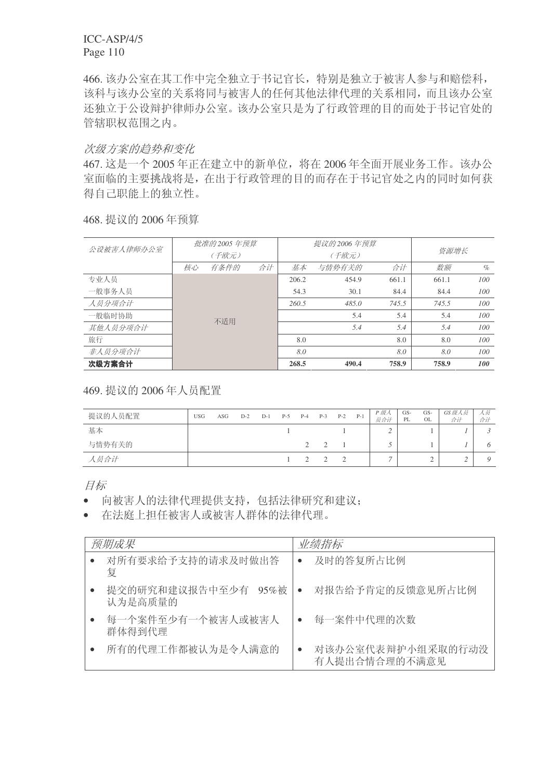466. 该办公室在其工作中完全独立于书记官长, 特别是独立于被害人参与和赔偿科, 该科与该办公室的关系将同与被害人的任何其他法律代理的关系相同,而且该办公室 还独立于公设辩护律师办公室。该办公室只是为了行政管理的目的而处于书记官处的 管辖职权范围之内。

### 次级方案的趋势和变化

467. 这是一个 2005 年正在建立中的新单位, 将在 2006 年全面开展业务工作。该办公 室面临的主要挑战将是, 在出于行政管理的目的而存在于书记官处之内的同时如何获 得自己职能上的独立性。

468. 提议的 2006 年预算

| 公设被害人律师办公室 |    | 批准的 2005 年预算 |    |       | 提议的 2006 年预算 |       |       |      |  |
|------------|----|--------------|----|-------|--------------|-------|-------|------|--|
|            |    | (千欧元)        |    |       | (千欧元)        |       | 资源增长  |      |  |
|            | 核心 | 有条件的         | 合计 | 基本    | 与情势有关的       | 合计    | 数额    | $\%$ |  |
| 专业人员       |    |              |    | 206.2 | 454.9        | 661.1 | 661.1 | 100  |  |
| 一般事务人员     |    |              |    | 54.3  | 30.1         | 84.4  | 84.4  | 100  |  |
| 人员分项合计     |    |              |    | 260.5 | 485.0        | 745.5 | 745.5 | 100  |  |
| 一般临时协助     |    | 不适用          |    |       | 5.4          | 5.4   | 5.4   | 100  |  |
| 其他人员分项合计   |    |              |    |       | 5.4          | 5.4   | 5.4   | 100  |  |
| 旅行         |    |              |    | 8.0   |              | 8.0   | 8.0   | 100  |  |
| 非人员分项合计    |    |              |    | 8.0   |              | 8.0   | 8.0   | 100  |  |
| 次级方案合计     |    |              |    | 268.5 | 490.4        | 758.9 | 758.9 | 100  |  |

469. 提议的 2006年人员配置

| 提议的人员配置 | <b>USG</b> | ASG | $D-2$ | $D-1$ | $P-5$ | $P-4$ | $P-3$ | $P-2$ | $P-1$ | P 级人<br>员合计 | $GS-$<br>PL | GS-<br>OL | GS级人员<br>合计 | 人员<br>合计 |
|---------|------------|-----|-------|-------|-------|-------|-------|-------|-------|-------------|-------------|-----------|-------------|----------|
| 基本      |            |     |       |       |       |       |       |       |       | ∸           |             |           |             |          |
| 与情势有关的  |            |     |       |       |       |       |       |       |       |             |             |           |             | O        |
| 人员合计    |            |     |       |       |       |       |       |       |       |             |             | -         |             |          |

目标

- 向被害人的法律代理提供支持,包括法律研究和建议:
- 在法庭上担任被害人或被害人群体的法律代理。

| 预期成果                              | 业绩指标                               |
|-----------------------------------|------------------------------------|
| 对所有要求给予支持的请求及时做出答<br>复            | 及时的答复所占比例<br>$\bullet$             |
| 提交的研究和建议报告中至少有<br>95%被<br>认为是高质量的 | 对报告给予肯定的反馈意见所占比例<br>$\bullet$      |
| 每一个案件至少有一个被害人或被害人<br>群体得到代理       | 每一案件中代理的次数<br>$\bullet$            |
| 所有的代理工作都被认为是令人满意的                 | 对该办公室代表辩护小组采取的行动没<br>有人提出合情合理的不满意见 |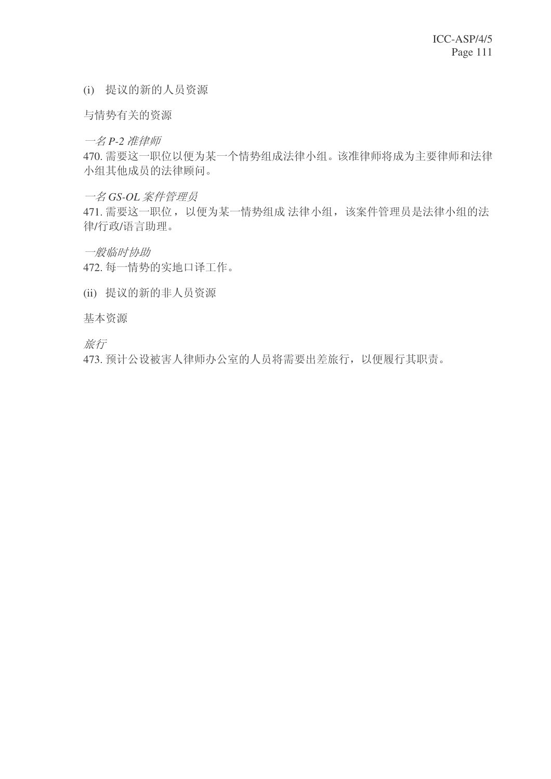(i) 提议的新的人员资源

与情势有关的资源

一名 P-2 准律师

470. 需要这一职位以便为某一个情势组成法律小组。该准律师将成为主要律师和法律 小组其他成员的法律顾问。

一名 GS-OL 案件管理员

471. 需要这一职位, 以便为某一情势组成 法律小组, 该案件管理员是法律小组的法 律/行政/语言助理。

一般临时协助

472. 每一情势的实地口译工作。

(ii) 提议的新的非人员资源

基本资源

旅行

473. 预计公设被害人律师办公室的人员将需要出差旅行, 以便履行其职责。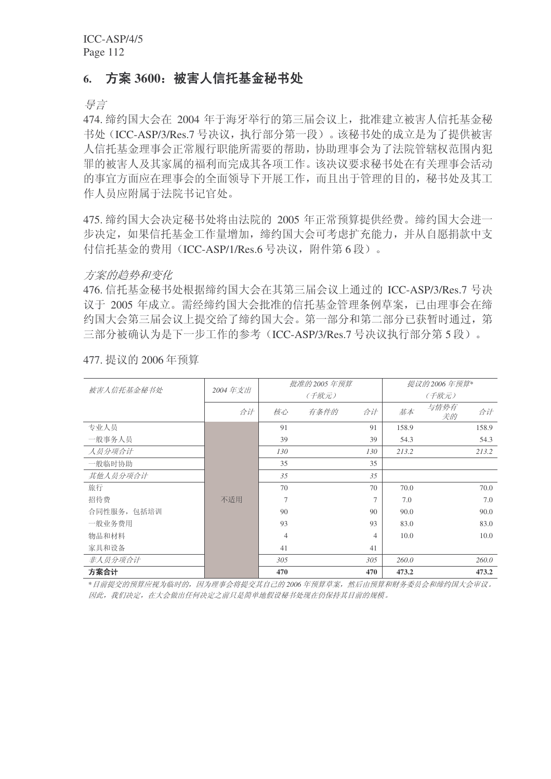### 6. 方案 3600: 被害人信托基金秘书处

导言

474. 缔约国大会在 2004 年于海牙举行的第三届会议上, 批准建立被害人信托基金秘 书处(ICC-ASP/3/Res.7 号决议, 执行部分第一段)。该秘书处的成立是为了提供被害 人信托基金理事会正常履行职能所需要的帮助,协助理事会为了法院管辖权范围内犯 罪的被害人及其家属的福利而完成其各项工作。该决议要求秘书处在有关理事会活动 的事官方面应在理事会的全面领导下开展工作,而且出于管理的目的,秘书处及其工 作人员应附属于法院书记官处。

475. 缔约国大会决定秘书处将由法院的 2005 年正常预算提供经费。缔约国大会进一 步决定, 如果信托基金工作量增加, 缔约国大会可考虑扩充能力, 并从自愿捐款中支 付信托基金的费用 (ICC-ASP/1/Res.6 号决议, 附件第6段)。

方案的趋势和变化

476. 信托基金秘书处根据缔约国大会在其第三届会议上通过的 ICC-ASP/3/Res.7 号决 议于 2005 年成立。需经缔约国大会批准的信托基金管理条例草案, 已由理事会在缔 约国大会第三届会议上提交给了缔约国大会。第一部分和第二部分已获暂时通过, 第 三部分被确认为是下一步工作的参考(ICC-ASP/3/Res.7 号决议执行部分第5段)。

|             |         |                | 批准的 2005 年预算 | 提议的 2006 年预算*  |       |            |       |  |
|-------------|---------|----------------|--------------|----------------|-------|------------|-------|--|
| 被害人信托基金秘书处  | 2004年支出 |                | (千欧元)        |                |       | (千欧元)      |       |  |
|             | 合计      | 核心             | 有条件的         | 合计             | 基本    | 与情势有<br>关的 | 合计    |  |
| 专业人员        |         | 91             |              | 91             | 158.9 |            | 158.9 |  |
| 一般事务人员      |         | 39             |              | 39             | 54.3  |            | 54.3  |  |
| 人员分项合计      |         | 130            |              | 130            | 213.2 |            | 213.2 |  |
| 一般临时协助      |         | 35             |              | 35             |       |            |       |  |
| 其他人员分项合计    |         | 35             |              | 35             |       |            |       |  |
| 旅行          |         | 70             |              | 70             | 70.0  |            | 70.0  |  |
| 招待费         | 不适用     | $\overline{7}$ |              | 7              | 7.0   |            | 7.0   |  |
| 合同性服务, 包括培训 |         | 90             |              | 90             | 90.0  |            | 90.0  |  |
| 一般业务费用      |         | 93             |              | 93             | 83.0  |            | 83.0  |  |
| 物品和材料       |         | $\overline{4}$ |              | $\overline{4}$ | 10.0  |            | 10.0  |  |
| 家具和设备       |         | 41             |              | 41             |       |            |       |  |
| 非人员分项合计     |         | 305            |              | 305            | 260.0 |            | 260.0 |  |
| 方案合计        |         | 470            |              | 470            | 473.2 |            | 473.2 |  |

477. 提议的 2006年预算

\*目前提交的预算应视为临时的,因为理事会将提交其自己的2006年预算草案,然后由预算和财务委员会和缔约国大会审议。 因此,我们决定,在大会做出任何决定之前只是简单地假设秘书处现在仍保持其目前的规模。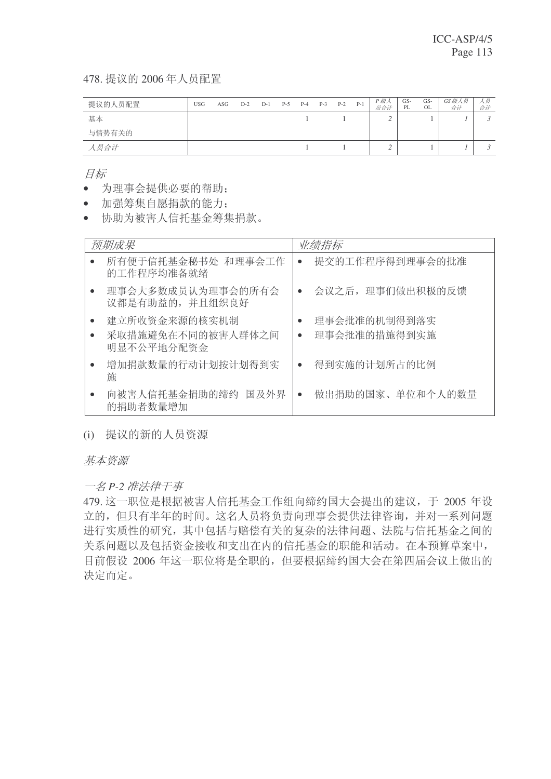478. 提议的 2006年人员配置

| 提议的人员配置 | <b>USG</b> | ASG | $D-2$ | $D-1$ | $P-5$ | $P-4$ | $P-3$ | $P-2$ | $P-1$ | P 级人<br>员合计 | GS-<br>PL | GS-<br>OL | GS级人员<br>合计 | 人员<br>合计 |
|---------|------------|-----|-------|-------|-------|-------|-------|-------|-------|-------------|-----------|-----------|-------------|----------|
| 基本      |            |     |       |       |       |       |       |       |       | ∠           |           |           |             |          |
| 与情势有关的  |            |     |       |       |       |       |       |       |       |             |           |           |             |          |
| 人员合计    |            |     |       |       |       |       |       |       |       |             |           |           |             |          |

目标

- 为理事会提供必要的帮助:
- 加强筹集自愿捐款的能力:
- 协助为被害人信托基金筹集捐款。

| 预期成果                             | 业绩指标             |
|----------------------------------|------------------|
| 所有便于信托基金秘书处 和理事会工作<br>的工作程序均准备就绪 | 提交的工作程序得到理事会的批准  |
| 理事会大多数成员认为理事会的所有会                | 会议之后,理事们做出积极的反馈  |
| 议都是有助益的,并且组织良好                   | $\bullet$        |
| 建立所收资金来源的核实机制                    | 理事会批准的机制得到落实     |
| 采取措施避免在不同的被害人群体之间                | 理事会批准的措施得到实施     |
| 明显不公平地分配资金                       | $\bullet$        |
| 增加捐款数量的行动计划按计划得到实                | 得到实施的计划所占的比例     |
| 施                                | $\bullet$        |
| 向被害人信托基金捐助的缔约 国及外界               | 做出捐助的国家、单位和个人的数量 |
| 的捐助者数量增加                         | $\bullet$        |

(i) 提议的新的人员资源

基本资源

一名 P-2 准法律干事

479. 这一职位是根据被害人信托基金工作组向缔约国大会提出的建议, 于 2005 年设 立的, 但只有半年的时间。这名人员将负责向理事会提供法律咨询, 并对一系列问题 进行实质性的研究,其中包括与赔偿有关的复杂的法律问题、法院与信托基金之间的 关系问题以及包括资金接收和支出在内的信托基金的职能和活动。在本预算草案中, 目前假设 2006 年这一职位将是全职的, 但要根据缔约国大会在第四届会议上做出的 决定而定。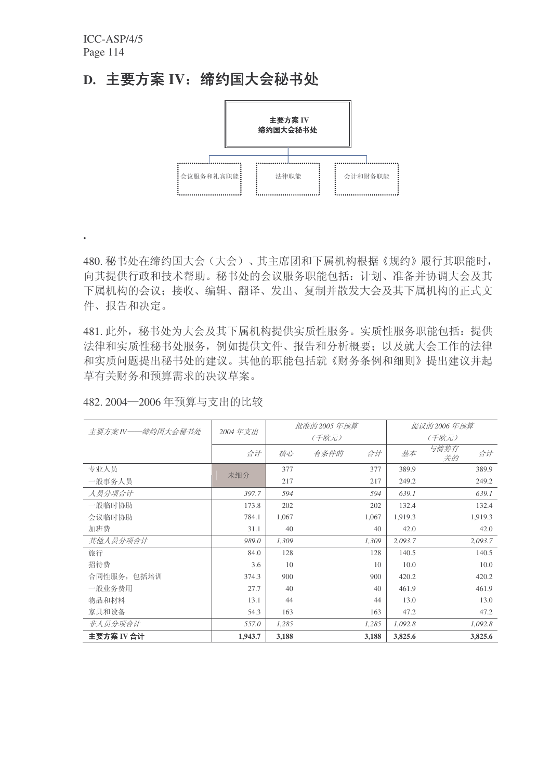**.**

# D. 主要方案 IV: 缔约国大会秘书处



480. 秘书处在缔约国大会(大会)、其主席团和下属机构根据《规约》履行其职能时, 向其提供行政和技术帮助。秘书处的会议服务职能包括: 计划、准备并协调大会及其 下属机构的会议;接收、编辑、翻译、发出、复制并散发大会及其下属机构的正式文 件、报告和决定。

481. 此外, 秘书处为大会及其下属机构提供实质性服务。实质性服务职能包括: 提供 法律和实质性秘书处服务, 例如提供文件、报告和分析概要: 以及就大会工作的法律 和实质问题提出秘书处的建议。其他的职能包括就《财务条例和细则》提出建议并起 草有关财务和预算需求的决议草案。

| 482.2004-2006年预算与支出的比较 |
|------------------------|
|------------------------|

|                  |         |       | 批准的 2005 年预算 | 提议的 2006 年预算 |         |            |         |
|------------------|---------|-------|--------------|--------------|---------|------------|---------|
| 主要方案IV——缔约国大会秘书处 | 2004年支出 |       | (千欧元)        | (千欧元)        |         |            |         |
|                  | 合计      | 核心    | 有条件的         | 合计           | 基本      | 与情势有<br>关的 | 合计      |
| 专业人员             | 未细分     | 377   |              | 377          | 389.9   |            | 389.9   |
| 一般事务人员           |         | 217   |              | 217          | 249.2   |            | 249.2   |
| 人员分项合计           | 397.7   | 594   |              | 594          | 639.1   |            | 639.1   |
| 一般临时协助           | 173.8   | 202   |              | 202          | 132.4   |            | 132.4   |
| 会议临时协助           | 784.1   | 1,067 |              | 1,067        | 1,919.3 |            | 1,919.3 |
| 加班费              | 31.1    | 40    |              | 40           | 42.0    |            | 42.0    |
| 其他人员分项合计         | 989.0   | 1,309 |              | 1,309        | 2,093.7 |            | 2,093.7 |
| 旅行               | 84.0    | 128   |              | 128          | 140.5   |            | 140.5   |
| 招待费              | 3.6     | 10    |              | 10           | 10.0    |            | 10.0    |
| 合同性服务, 包括培训      | 374.3   | 900   |              | 900          | 420.2   |            | 420.2   |
| 一般业务费用           | 27.7    | 40    |              | 40           | 461.9   |            | 461.9   |
| 物品和材料            | 13.1    | 44    |              | 44           | 13.0    |            | 13.0    |
| 家具和设备            | 54.3    | 163   |              | 163          | 47.2    |            | 47.2    |
| 非人员分项合计          | 557.0   | 1,285 |              | 1,285        | 1,092.8 |            | 1,092.8 |
| 主要方案 IV 合计       | 1,943.7 | 3,188 |              | 3,188        | 3,825.6 |            | 3,825.6 |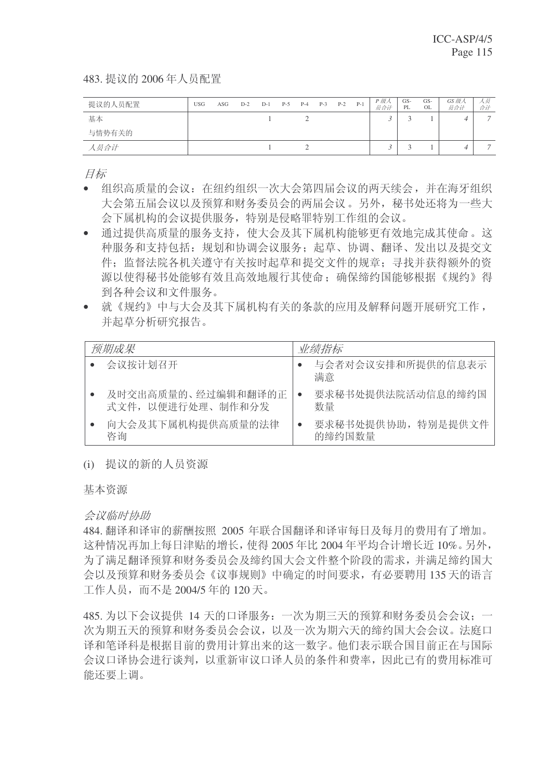483. 提议的 2006年人员配置

| 提议的人员配置 | <b>USG</b> | ASG | $D-2$ | $D-1$ | $P-5$ | $P-4$ | $P-3$ | $P-2$ | $P-1$ | P 级人<br>员合计 | GS-<br>PL | GS-<br>OL | GS 级人<br>员合计 | 人员<br>合计 |
|---------|------------|-----|-------|-------|-------|-------|-------|-------|-------|-------------|-----------|-----------|--------------|----------|
| 基本      |            |     |       |       |       |       |       |       |       |             |           |           |              | -        |
| 与情势有关的  |            |     |       |       |       |       |       |       |       |             |           |           |              |          |
| 人员合计    |            |     |       |       |       |       |       |       |       |             |           |           |              |          |

目标

- 组织高质量的会议: 在纽约组织一次大会第四届会议的两天续会, 并在海牙组织 大会第五届会议以及预算和财务委员会的两届会议。另外, 秘书处还将为一些大 会下属机构的会议提供服务, 特别是侵略罪特别工作组的会议。
- 通过提供高质量的服务支持, 使大会及其下属机构能够更有效地完成其使命。这 种服务和支持包括: 规划和协调会议服务; 起草、协调、翻译、发出以及提交文 件: 监督法院各机关遵守有关按时起草和提交文件的规章: 寻找并获得额外的资 源以使得秘书处能够有效且高效地履行其使命: 确保缔约国能够根据《规约》得 到各种会议和文件服务。
- 就《规约》中与大会及其下属机构有关的条款的应用及解释问题开展研究工作, 并起草分析研究报告。

| 预期成果               | 业绩指标                    |
|--------------------|-------------------------|
| 会议按计划召开            | 与会者对会议安排和所提供的信息表示<br>满意 |
| 及时交出高质量的、经过编辑和翻译的正 | 要求秘书处提供法院活动信息的缔约国       |
| 式文件, 以便讲行处理、制作和分发  | 数量                      |
| 向大会及其下属机构提供高质量的法律  | 要求秘书处提供协助, 特别是提供文件      |
| 咨询                 | 的缔约国数量                  |

(i) 提议的新的人员资源

基本资源

#### 会议临时协助

484. 翻译和译审的薪酬按照 2005 年联合国翻译和译审每日及每月的费用有了增加。 这种情况再加上每日津贴的增长, 使得 2005 年比 2004 年平均合计增长近 10%。另外, 为了满足翻译预算和财务委员会及缔约国大会文件整个阶段的需求,并满足缔约国大 会以及预算和财务委员会《议事规则》中确定的时间要求,有必要聘用135天的语言 工作人员, 而不是 2004/5 年的 120 天。

485. 为以下会议提供 14 天的口译服务: 一次为期三天的预算和财务委员会会议; 一 次为期五天的预算和财务委员会会议,以及一次为期六天的缔约国大会会议。法庭口 译和笔译科是根据目前的费用计算出来的这一数字。他们表示联合国目前正在与国际 会议口译协会进行谈判, 以重新审议口译人员的条件和费率, 因此已有的费用标准可 能还要上调。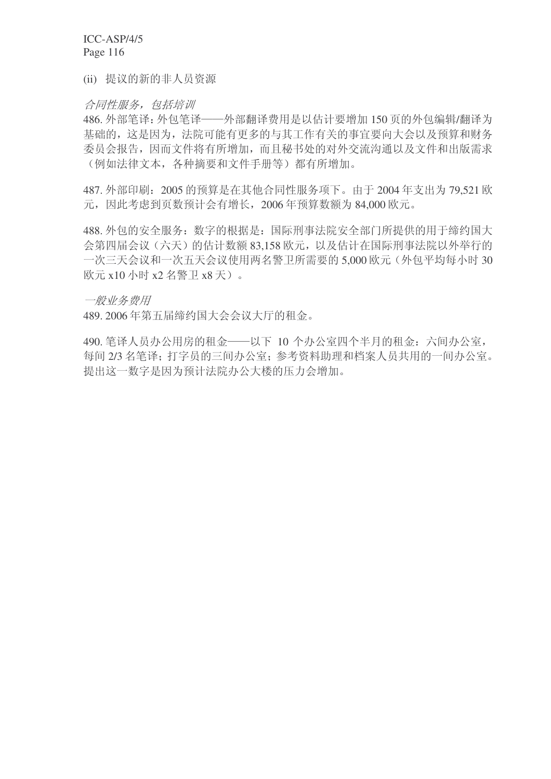(ii) 提议的新的非人员资源

### 合同性服务,包括培训

486. 外部笔译: 外包笔译——外部翻译费用是以估计要增加 150 页的外包编辑/翻译为 基础的, 这是因为, 法院可能有更多的与其工作有关的事宜要向大会以及预算和财务 委员会报告,因而文件将有所增加,而且秘书处的对外交流沟通以及文件和出版需求 (例如法律文本, 各种摘要和文件手册等) 都有所增加。

487. 外部印刷: 2005 的预算是在其他合同性服务项下。由于 2004 年支出为 79.521 欧 元, 因此考虑到页数预计会有增长, 2006年预算数额为 84,000 欧元。

488. 外包的安全服务: 数字的根据是: 国际刑事法院安全部门所提供的用于缔约国大 会第四届会议(六天)的估计数额83,158 欧元,以及估计在国际刑事法院以外举行的 一次三天会议和一次五天会议使用两名警卫所需要的 5,000 欧元 (外包平均每小时 30 欧元 x10 小时 x2 名警卫 x8 天)。

一般业务费用

489. 2006年第五届缔约国大会会议大厅的租金。

490. 笔译人员办公用房的租金——以下 10 个办公室四个半月的租金: 六间办公室, 每间 2/3 名笔译: 打字员的三间办公室; 参考资料助理和档案人员共用的一间办公室。 提出这一数字是因为预计法院办公大楼的压力会增加。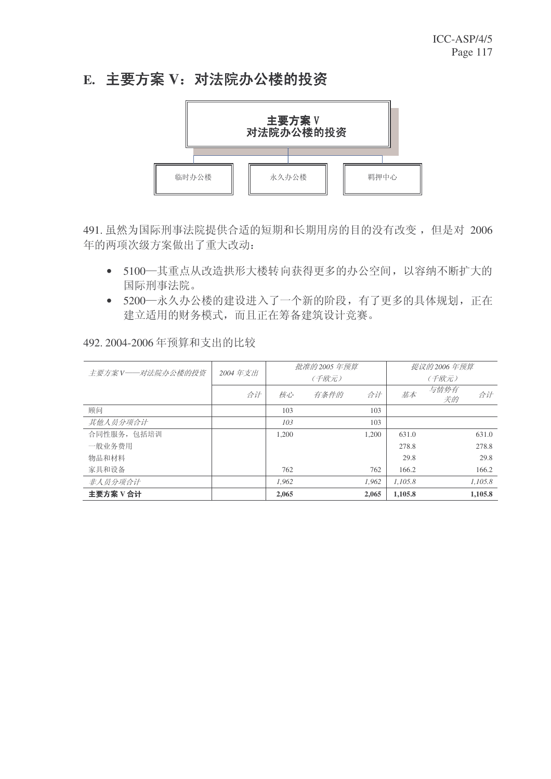# E. 主要方案 V: 对法院办公楼的投资



491. 虽然为国际刑事法院提供合适的短期和长期用房的目的没有改变, 但是对 2006 年的两项次级方案做出了重大改动:

- 5100—其重点从改造拱形大楼转向获得更多的办公空间, 以容纳不断扩大的 国际刑事法院。
- 5200—永久办公楼的建设进入了一个新的阶段,有了更多的具体规划,正在 建立适用的财务模式,而且正在筹备建筑设计竞赛。

### 492. 2004-2006年预算和支出的比较

| 主要方案 V——对法院办公楼的投资 | 2004年支出 |       | 批准的 2005 年预算 |       | 提议的 2006 年预算 |            |         |
|-------------------|---------|-------|--------------|-------|--------------|------------|---------|
|                   |         | (千欧元) |              |       | (千欧元)        |            |         |
|                   | 合计      | 核心    | 有条件的         | 合计    | 基本           | 与情势有<br>关的 | 合计      |
| 顾问                |         | 103   |              | 103   |              |            |         |
| 其他人员分项合计          |         | 103   |              | 103   |              |            |         |
| 合同性服务, 包括培训       |         | 1.200 |              | 1.200 | 631.0        |            | 631.0   |
| 一般业务费用            |         |       |              |       | 278.8        |            | 278.8   |
| 物品和材料             |         |       |              |       | 29.8         |            | 29.8    |
| 家具和设备             |         | 762   |              | 762   | 166.2        |            | 166.2   |
| 非人员分项合计           |         | 1.962 |              | 1.962 | 1.105.8      |            | 1.105.8 |
| 主要方案 V 合计         |         | 2,065 |              | 2,065 | 1,105.8      |            | 1.105.8 |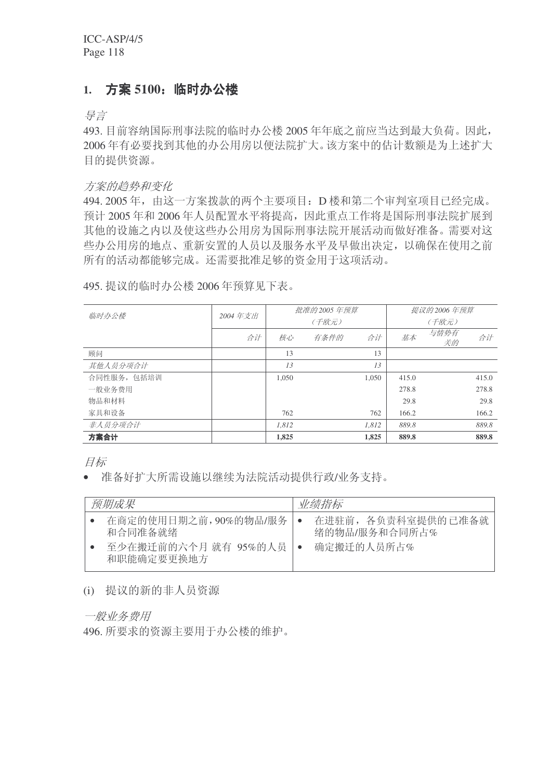## 1. 方案 5100: 临时办公楼

ᇐ㿔

493. 目前容纳国际刑事法院的临时办公楼 2005 年年底之前应当达到最大负荷。因此, 2006年有必要找到其他的办公用房以便法院扩大。该方案中的估计数额是为上述扩大 目的提供资源。

方案的趋势和变化

494. 2005 年, 由这一方案拨款的两个主要项目: D 楼和第二个审判室项目已经完成。 预计 2005 年和 2006 年人员配置水平将提高,因此重点工作将是国际刑事法院扩展到 其他的设施之内以及使这些办公用房为国际刑事法院开展活动而做好准备。需要对这 些办公用房的地点、重新安置的人员以及服务水平及早做出决定,以确保在使用之前 所有的活动都能够完成。还需要批准足够的资金用于这项活动。

495. 提议的临时办公楼 2006 年预算见下表。

| 临时办公楼       | 2004年支出 |       | 批准的 2005 年预算 |       | 提议的 2006 年预算 |            |       |  |
|-------------|---------|-------|--------------|-------|--------------|------------|-------|--|
|             |         |       | (千欧元)        |       |              | (千欧元)      |       |  |
|             | 合计      | 核心    | 有条件的         | 合计    | 基本           | 与情势有<br>关的 | 合计    |  |
| 顾问          |         | 13    |              | 13    |              |            |       |  |
| 其他人员分项合计    |         | 13    |              | 13    |              |            |       |  |
| 合同性服务, 包括培训 |         | 1,050 |              | 1,050 | 415.0        |            | 415.0 |  |
| 一般业务费用      |         |       |              |       | 278.8        |            | 278.8 |  |
| 物品和材料       |         |       |              |       | 29.8         |            | 29.8  |  |
| 家具和设备       |         | 762   |              | 762   | 166.2        |            | 166.2 |  |
| 非人员分项合计     |         | 1.812 |              | 1.812 | 889.8        |            | 889.8 |  |
| 方案合计        |         | 1,825 |              | 1,825 | 889.8        |            | 889.8 |  |

目标

• 准备好扩大所需设施以继续为法院活动提供行政/业务支持。

| 预期成果                                                                  | 业绩指标                                              |
|-----------------------------------------------------------------------|---------------------------------------------------|
| 在商定的使用日期之前,90%的物品/服务<br>和合同准备就绪<br>至少在搬迁前的六个月 就有 95%的人员<br>和职能确定要更换地方 | 在进驻前, 各负责科室提供的已准备就<br>绪的物品/服务和合同所占%<br>确定搬迁的人员所占% |

#### (i) 提议的新的非人员资源

一般业务费用

496. 所要求的资源主要用于办公楼的维护。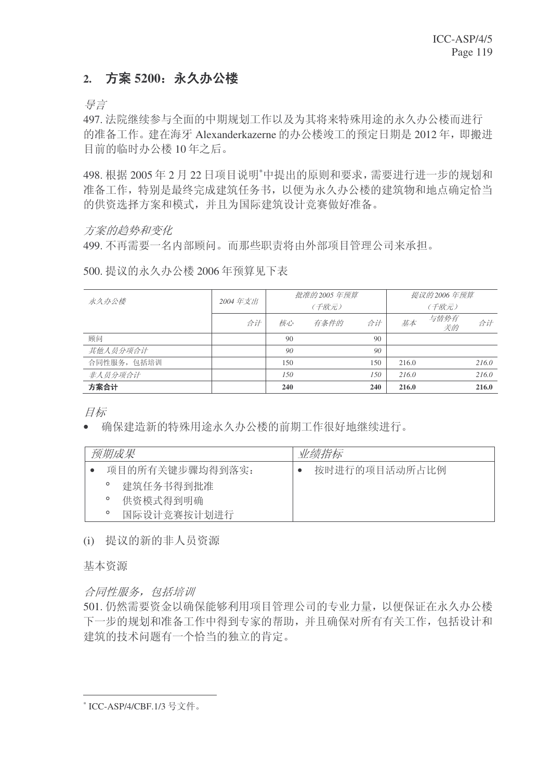### 2. 方案 5200: 永久办公楼

导言

497. 法院继续参与全面的中期规划工作以及为其将来特殊用途的永久办公楼而进行 的准备工作。 建在海牙 Alexanderkazerne 的办公楼竣工的预定日期是 2012年, 即搬进 目前的临时办公楼 10年之后。

498. 根据 2005年2月22日项目说明"中提出的原则和要求, 需要进行进一步的规划和 准备工作,特别是最终完成建筑任务书,以便为永久办公楼的建筑物和地点确定恰当 的供资选择方案和模式,并且为国际建筑设计竞赛做好准备。

### 方案的趋势和变化

499. 不再需要一名内部顾问。而那些职责将由外部项目管理公司来承担。

500. 提议的永久办公楼 2006 年预算见下表

| 永久办公楼       | 2004年支出 |     | 批准的 2005 年预算 | 提议的 2006 年预算 |       |            |       |
|-------------|---------|-----|--------------|--------------|-------|------------|-------|
|             |         |     | (千欧元)        |              | (千欧元) |            |       |
|             | 合计      | 核心  | 有条件的         | 合计           | 基本    | 与情势有<br>关的 | 合计    |
| 顾问          |         | 90  |              | 90           |       |            |       |
| 其他人员分项合计    |         | 90  |              | 90           |       |            |       |
| 合同性服务, 包括培训 |         | 150 |              | 150          | 216.0 |            | 216.0 |
| 非人员分项合计     |         | 150 |              | 150          | 216.0 |            | 216.0 |
| 方案合计        |         | 240 |              | 240          | 216.0 |            | 216.0 |

目标

• 确保建造新的特殊用途永久办公楼的前期工作很好地继续进行。

| 预期成果    |                 | 业绩指标          |
|---------|-----------------|---------------|
|         | 项目的所有关键步骤均得到落实: | 按时进行的项目活动所占比例 |
| $\circ$ | 建筑任务书得到批准       |               |
| $\circ$ | 供资模式得到明确        |               |
| $\circ$ | 国际设计竞赛按计划进行     |               |

(i) 提议的新的非人员资源

基本资源

合同性服务, 包括培训

501. 仍然需要资金以确保能够利用项目管理公司的专业力量, 以便保证在永久办公楼 下一步的规划和准备工作中得到专家的帮助,并且确保对所有有关工作,包括设计和 建筑的技术问题有一个恰当的独立的肯定。

<sup>\*</sup> ICC-ASP/4/CBF.1/3 号文件。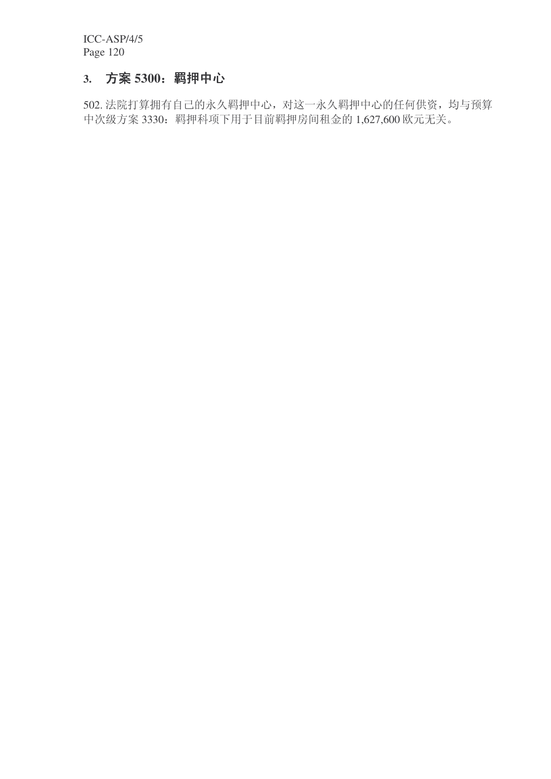### 3. 方案 5300: 羁押中心

502. 法院打算拥有自己的永久羁押中心, 对这一永久羁押中心的任何供资, 均与预算 中次级方案 3330: 羁押科项下用于目前羁押房间租金的 1,627,600 欧元无关。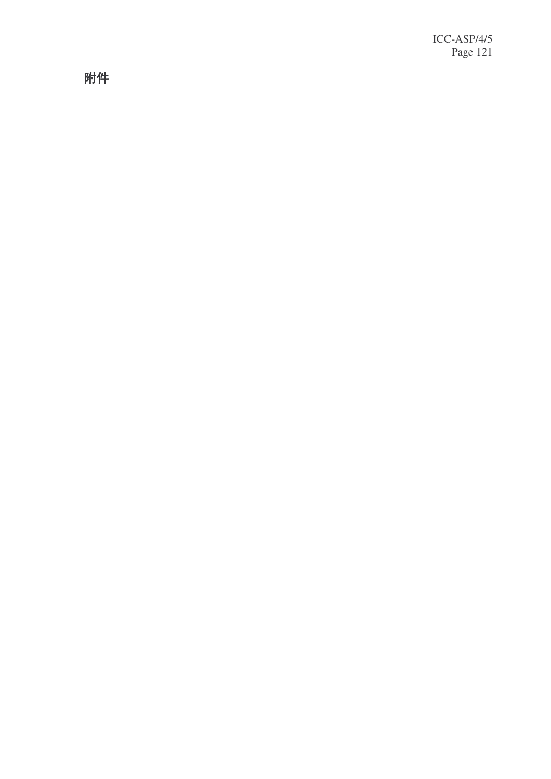附件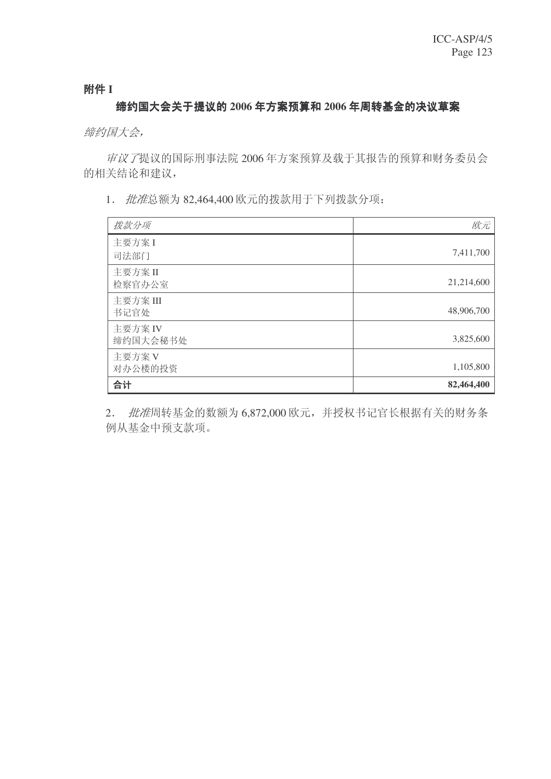附件 I

#### 缔约国大会关于提议的 2006 年方案预算和 2006 年周转基金的决议草案

缔约国大会,

审议了提议的国际刑事法院 2006年方案预算及载于其报告的预算和财务委员会 的相关结论和建议,

1. 批准总额为 82,464,400 欧元的拨款用于下列拨款分项:

| 拨款分项                | 欧元         |
|---------------------|------------|
| 主要方案I<br>司法部门       | 7,411,700  |
| 主要方案 II<br>检察官办公室   | 21,214,600 |
| 主要方案 III<br>书记官处    | 48,906,700 |
| 主要方案 IV<br>缔约国大会秘书处 | 3,825,600  |
| 主要方案 V<br>对办公楼的投资   | 1,105,800  |
| 合计                  | 82,464,400 |

2. *批准*周转基金的数额为 6,872,000 欧元, 并授权书记官长根据有关的财务条 例从基金中预支款项。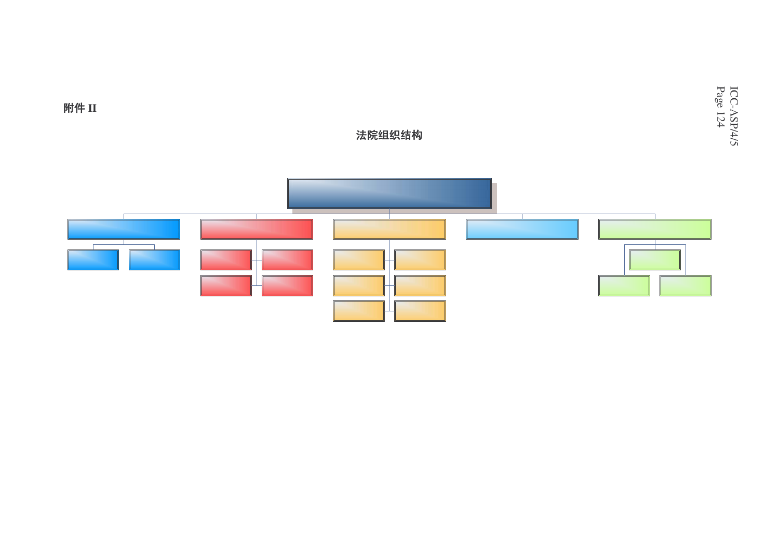附件 II

# 法院组织结构

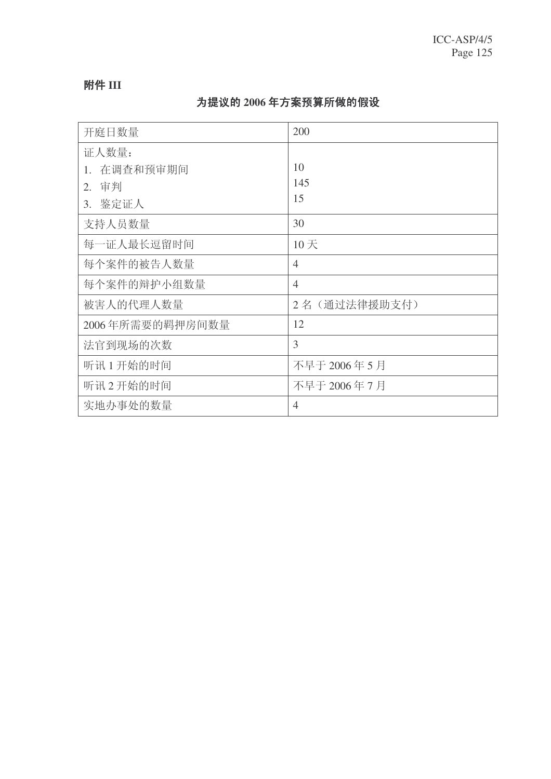### 附件 III

## 为提议的 2006 年方案预算所做的假设

| 开庭日数量           | 200            |
|-----------------|----------------|
| 证人数量:           |                |
| 在调查和预审期间<br>1.  | 10             |
| 审判<br>2.        | 145            |
| 3. 鉴定证人         | 15             |
| 支持人员数量          | 30             |
| 每一证人最长逗留时间      | 10天            |
| 每个案件的被告人数量      | $\overline{4}$ |
| 每个案件的辩护小组数量     | $\overline{4}$ |
| 被害人的代理人数量       | 2名 (通过法律援助支付)  |
| 2006年所需要的羁押房间数量 | 12             |
| 法官到现场的次数        | 3              |
| 听讯1开始的时间        | 不早于 2006年5月    |
| 听讯2开始的时间        | 不早于 2006年7月    |
| 实地办事处的数量        | $\overline{4}$ |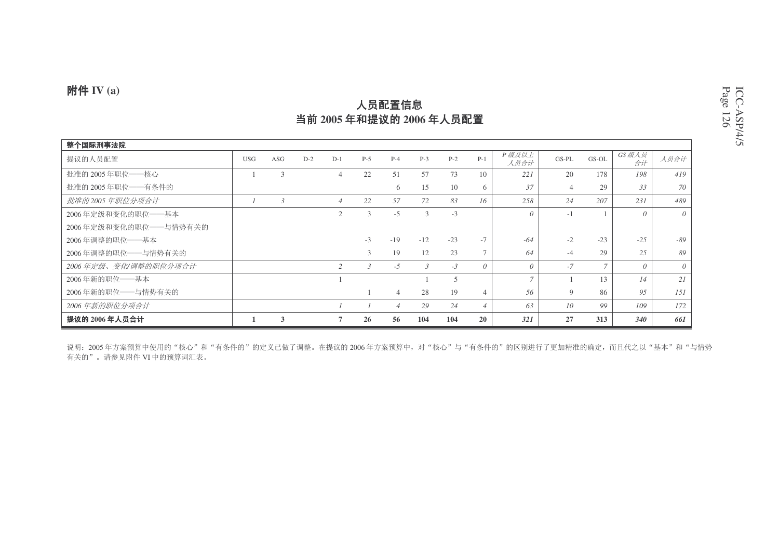### **附件 IV** (a)

#### 整个国际刑事法院 提议的人员配置 <u>置</u> D−2 D−1 P−5 P−4 P−3 P−2 P−1 *P 级及以上*  $\begin{array}{c|c|c|c} \hline \text{L} & & \text{GS-PL} & & \text{GS-OL} & & \hat{\mathcal{B}} \ \hline \text{H} & & \hat{\text{H}} & & \hat{\text{H}} \ \hline \end{array} \begin{array}{c|c} \hline \text{GS-PL} & & \text{GS-OL} & & \hat{\text{G}} \ \hline \text{H} & & \hat{\text{H}} \ \hline \end{array} \begin{array}{c} \hline \text{d} & & \hat{\text{d}} \end{array}$ 扰淮的 2005 年职位——核心 1 3 4 22 51 57 73 10 22*1* | 20 178 *198* | *419* 扰淮的 2005 年职位——有条件的 6 15 10 6 | *37* | 4 29 | *33* | *70* ᡍޚⱘ *<sup>2005</sup>* ᑈ㘠ԡߚ乍ড়䅵 *<sup>1</sup> <sup>3</sup> <sup>4</sup> <sup>22</sup> <sup>57</sup> <sup>72</sup> <sup>83</sup> <sup>16</sup> <sup>258</sup> <sup>24</sup> <sup>207</sup> <sup>231</sup> <sup>489</sup>* 2006 年定级和变化的职位——基本 本 2 3 -5 3 -3 *0* | -1 1 | *0* | *0* 2006 年定级和变化的职位——与情势有关的 2006 年调整的职位――基本 -3 -19 -12 -23 -7 *-64* -2 -23 *-25 -89* 2006 年调整的职位——与情势有关的 3 19 12 23 7 *64* -4 29 *25 89* 2006 年定级、 变化/ 调整的职位分项合计 *<sup>2</sup> <sup>3</sup> -5 <sup>3</sup> -3 <sup>0</sup> <sup>0</sup> -7 <sup>7</sup> <sup>0</sup> <sup>0</sup>* 2006年新的职位——基本 1 1 5 *7* 1 13 *14 21* 2006 年新的职位――与情势有关的 1 4 28 19 4 *56* 9 86 *95 151* 2006 年新的职位分项合计 *<sup>1</sup> <sup>1</sup> <sup>4</sup> <sup>29</sup> <sup>24</sup> <sup>4</sup> <sup>63</sup> <sup>10</sup> <sup>99</sup> <sup>109</sup> <sup>172</sup>* 提议的 2006 年人员合计 1 3 7 26 56 104 104 20 *321* 27 313 *340 661*

说明:2005 年方案预算中使用的"核心"和"有条件的"的定义已做了调整。在提议的 2006 年方案预算中,对"核心"与"有条件的"的区别进行了更加精准的确定,而且代之以"基本"和"与情势 有关的"。请参见附件 VI 中的预算词汇表。

## 人员配置信息 当前 2005 年和提议的 2006 年人员配置

ICC-ASP/4/5 Page 1 2 6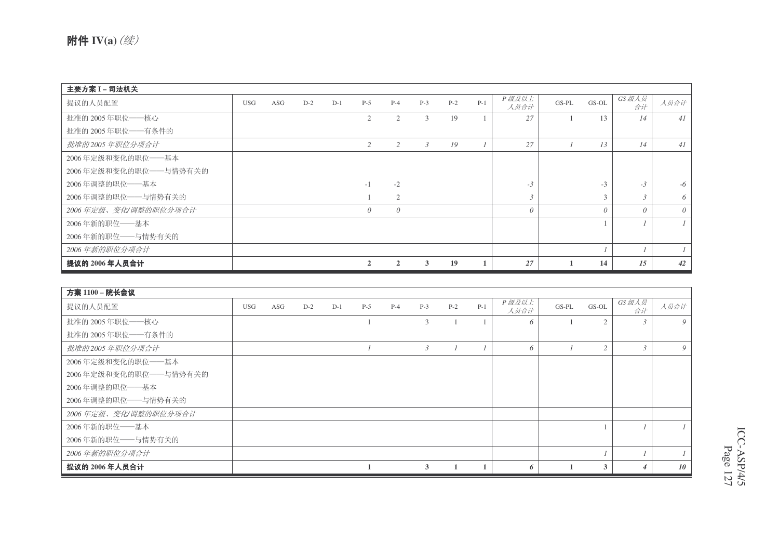| 主要方案 I-司法机关           |            |     |       |       |                |                |                |       |       |               |         |          |               |          |
|-----------------------|------------|-----|-------|-------|----------------|----------------|----------------|-------|-------|---------------|---------|----------|---------------|----------|
| 提议的人员配置               | <b>USG</b> | ASG | $D-2$ | $D-1$ | $P-5$          | $P-4$          | $P-3$          | $P-2$ | $P-1$ | P级及以上<br>人员合计 | $GS-PL$ | GS-OL    | GS 级人员<br>合计  | 人员合计     |
| 批准的 2005年职位——核心       |            |     |       |       | 2              | $\overline{2}$ | 3              | 19    |       | 27            |         | 13       | 14            | 41       |
| 批准的 2005年职位 -- 有条件的   |            |     |       |       |                |                |                |       |       |               |         |          |               |          |
| 批准的2005年职位分项合计        |            |     |       |       | 2              | 2              | $\mathfrak{Z}$ | 19    |       | 27            |         | 13       | 14            | 41       |
| 2006年定级和变化的职位——基本     |            |     |       |       |                |                |                |       |       |               |         |          |               |          |
| 2006年定级和变化的职位——与情势有关的 |            |     |       |       |                |                |                |       |       |               |         |          |               |          |
| 2006年调整的职位——基本        |            |     |       |       | $-1$           | $-2$           |                |       |       | $-3$          |         | $-3$     | $-3$          | -6       |
| 2006年调整的职位——与情势有关的    |            |     |       |       |                | $\overline{2}$ |                |       |       | 3             |         | 3        | $\mathcal{R}$ | 6        |
| 2006年定级、变化/调整的职位分项合计  |            |     |       |       | $\theta$       | $\theta$       |                |       |       | $\theta$      |         | $\theta$ | $\Omega$      | $\theta$ |
| 2006年新的职位 -- 基本       |            |     |       |       |                |                |                |       |       |               |         |          |               |          |
| 2006年新的职位——与情势有关的     |            |     |       |       |                |                |                |       |       |               |         |          |               |          |
| 2006年新的职位分项合计         |            |     |       |       |                |                |                |       |       |               |         |          |               |          |
| 提议的 2006 年人员合计        |            |     |       |       | $\overline{2}$ | $\mathbf{2}$   | 3              | 19    |       | 27            |         | 14       | 15            | 42       |

| 方案 1100 - 院长会议          |            |     |       |       |       |       |                |       |       |               |       |                |              |      |
|-------------------------|------------|-----|-------|-------|-------|-------|----------------|-------|-------|---------------|-------|----------------|--------------|------|
| 提议的人员配置                 | <b>USG</b> | ASG | $D-2$ | $D-1$ | $P-5$ | $P-4$ | $P-3$          | $P-2$ | $P-1$ | P级及以上<br>人员合计 | GS-PL | GS-OL          | GS 级人员<br>合计 | 人员合计 |
| 批准的 2005年职位——核心         |            |     |       |       |       |       | 3              |       |       | 6             |       | $\overline{2}$ |              | 9    |
| 批准的 2005年职位——有条件的       |            |     |       |       |       |       |                |       |       |               |       |                |              |      |
| 批准的2005年职位分项合计          |            |     |       |       |       |       | $\mathfrak{Z}$ |       |       | 6             |       | $\overline{c}$ |              | 9    |
| 2006年定级和变化的职位——基本       |            |     |       |       |       |       |                |       |       |               |       |                |              |      |
| 2006年定级和变化的职位 -- 与情势有关的 |            |     |       |       |       |       |                |       |       |               |       |                |              |      |
| 2006年调整的职位——基本          |            |     |       |       |       |       |                |       |       |               |       |                |              |      |
| 2006年调整的职位 -- 与情势有关的    |            |     |       |       |       |       |                |       |       |               |       |                |              |      |
| 2006年定级、变化/调整的职位分项合计    |            |     |       |       |       |       |                |       |       |               |       |                |              |      |
| 2006年新的职位——基本           |            |     |       |       |       |       |                |       |       |               |       |                |              |      |
| 2006年新的职位 -- 与情势有关的     |            |     |       |       |       |       |                |       |       |               |       |                |              |      |
| 2006年新的职位分项合计           |            |     |       |       |       |       |                |       |       |               |       |                |              |      |
| 提议的 2006 年人员合计          |            |     |       |       |       |       | $\mathbf{3}$   |       |       | 6             |       | 3              |              | 10   |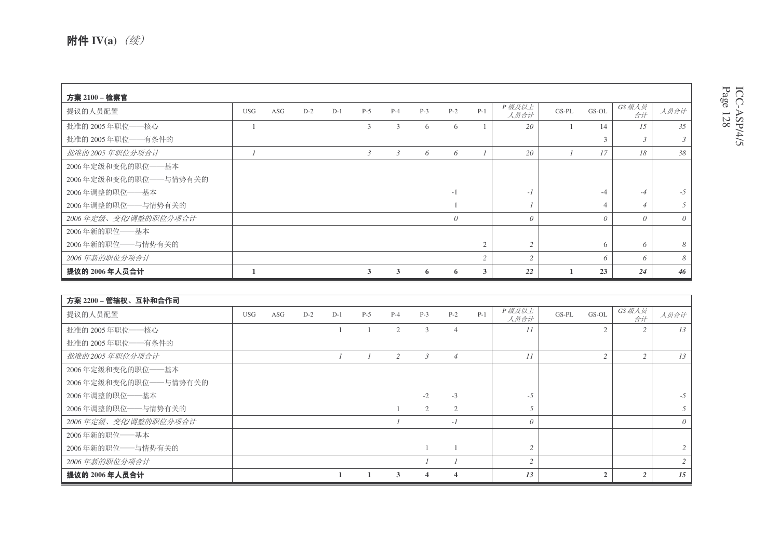| 方案 2100 - 检察官<br>提议的人员配置 | <b>USG</b> | ASG | $D-2$ | $D-1$ | $P-5$          | $P-4$          | $P-3$ | $P-2$    | $P-1$          | P级及以上         | $GS-PL$ | GS-OL    | GS 级人员        | 人员合计           |
|--------------------------|------------|-----|-------|-------|----------------|----------------|-------|----------|----------------|---------------|---------|----------|---------------|----------------|
| 批准的 2005年职位 -- 核心        |            |     |       |       | 3              | 3              | 6     | 6        |                | 人员合计<br>20    |         | 14       | 合计<br>1.5     | 35             |
| 批准的 2005年职位——有条件的        |            |     |       |       |                |                |       |          |                |               |         | 3        | $\mathcal{L}$ | $\mathfrak{Z}$ |
| 批准的2005年职位分项合计           |            |     |       |       | $\mathfrak{Z}$ | $\mathfrak{Z}$ | 6     | 6        |                | 20            |         | 17       | 18            | 38             |
| 2006年定级和变化的职位——基本        |            |     |       |       |                |                |       |          |                |               |         |          |               |                |
| 2006年定级和变化的职位 -- 与情势有关的  |            |     |       |       |                |                |       |          |                |               |         |          |               |                |
| 2006年调整的职位——基本           |            |     |       |       |                |                |       | $-1$     |                | $-1$          |         | -4       | $-4$          | $-5$           |
| 2006年调整的职位——与情势有关的       |            |     |       |       |                |                |       |          |                |               |         |          |               | 5              |
| 2006年定级、变化/调整的职位分项合计     |            |     |       |       |                |                |       | $\theta$ |                | $\theta$      |         | $\theta$ | $\theta$      | $\theta$       |
| 2006年新的职位——基本            |            |     |       |       |                |                |       |          |                |               |         |          |               |                |
| 2006年新的职位——与情势有关的        |            |     |       |       |                |                |       |          | $\mathfrak{2}$ | 2             |         | 6        | 6             | 8              |
| 2006年新的职位分项合计            |            |     |       |       |                |                |       |          | $\overline{2}$ | $\mathcal{L}$ |         | 6        | 6             | 8              |
| 提议的 2006 年人员合计           |            |     |       |       | 3              | 3              | 6     | 0        | 3              | 22            |         | 23       | 24            | 46             |

| 方案 2200-管辖权、互补和合作司      |            |     |       |       |       |                |               |                         |       |               |                  |              |          |
|-------------------------|------------|-----|-------|-------|-------|----------------|---------------|-------------------------|-------|---------------|------------------|--------------|----------|
| 提议的人员配置                 | <b>USG</b> | ASG | $D-2$ | $D-1$ | $P-5$ | $P-4$          | $P-3$         | $P-2$                   | $P-1$ | P级及以上<br>人员合计 | $GS-PL$<br>GS-OL | GS 级人员<br>合计 | 人员合计     |
| 批准的 2005年职位——核心         |            |     |       |       |       | $\overline{2}$ | 3             | $\overline{4}$          |       | 11            | $\overline{2}$   |              | 13       |
| 批准的 2005年职位——有条件的       |            |     |       |       |       |                |               |                         |       |               |                  |              |          |
| 批准的2005年职位分项合计          |            |     |       |       |       | 2              | $\mathcal{E}$ | $\overline{4}$          |       | 11            | $\overline{c}$   |              | 13       |
| 2006年定级和变化的职位——基本       |            |     |       |       |       |                |               |                         |       |               |                  |              |          |
| 2006年定级和变化的职位 -- 与情势有关的 |            |     |       |       |       |                |               |                         |       |               |                  |              |          |
| 2006年调整的职位 -- 基本        |            |     |       |       |       |                | $-2$          | $-3$                    |       | $-5$          |                  |              | $-5$     |
| 2006年调整的职位——与情势有关的      |            |     |       |       |       |                | 2             | $\overline{2}$          |       |               |                  |              | 5        |
| 2006年定级、变化/调整的职位分项合计    |            |     |       |       |       |                |               | $-I$                    |       | $\theta$      |                  |              | $\theta$ |
| 2006年新的职位——基本           |            |     |       |       |       |                |               |                         |       |               |                  |              |          |
| 2006年新的职位——与情势有关的       |            |     |       |       |       |                |               |                         |       | $\gamma$      |                  |              |          |
| 2006年新的职位分项合计           |            |     |       |       |       |                |               |                         |       | 2             |                  |              |          |
| 提议的 2006 年人员合计          |            |     |       |       |       | 3              |               | $\overline{\mathbf{4}}$ |       | 13            | $\overline{2}$   |              | 15       |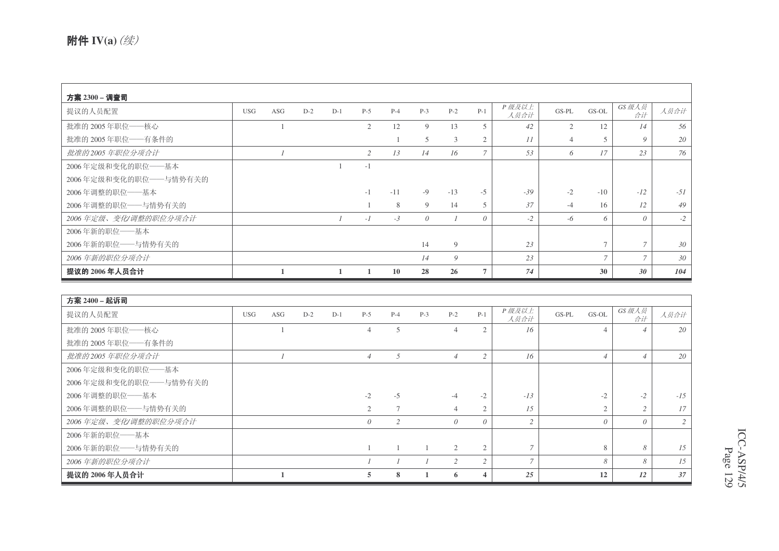| 方案 2300 – 调查司         |            |     |       |       |                |       |          |       |                |               |                |                |                |       |
|-----------------------|------------|-----|-------|-------|----------------|-------|----------|-------|----------------|---------------|----------------|----------------|----------------|-------|
| 提议的人员配置               | <b>USG</b> | ASG | $D-2$ | $D-1$ | $P-5$          | $P-4$ | $P-3$    | $P-2$ | $P-1$          | P级及以上<br>人员合计 | $GS-PL$        | GS-OL          | GS 级人员<br>合计   | 人员合计  |
| 批准的 2005年职位——核心       |            |     |       |       | $\overline{2}$ | 12    | 9        | 13    | 5              | 42            | 2              | 12             | 14             | 56    |
| 批准的 2005年职位——有条件的     |            |     |       |       |                |       | 5        | 3     | 2              | 11            | $\overline{4}$ | 5              | 9              | 20    |
| 批准的2005年职位分项合计        |            |     |       |       | 2              | 13    | 14       | 16    | 7              | 53            | 6              | 17             | 23             | 76    |
| 2006年定级和变化的职位——基本     |            |     |       |       | $-1$           |       |          |       |                |               |                |                |                |       |
| 2006年定级和变化的职位——与情势有关的 |            |     |       |       |                |       |          |       |                |               |                |                |                |       |
| 2006年调整的职位——基本        |            |     |       |       | $-1$           | $-11$ | $-9$     | $-13$ | $-5$           | $-39$         | $-2$           | $-10$          | $-12$          | $-51$ |
| 2006年调整的职位 -- 与情势有关的  |            |     |       |       |                | 8     | 9        | 14    | 5              | 37            | $-4$           | 16             | 12             | 49    |
| 2006年定级、变化/调整的职位分项合计  |            |     |       |       | $-I$           | $-3$  | $\theta$ |       | $\theta$       | $-2$          | $-6$           | 6              | $\Omega$       | $-2$  |
| 2006年新的职位——基本         |            |     |       |       |                |       |          |       |                |               |                |                |                |       |
| 2006年新的职位——与情势有关的     |            |     |       |       |                |       | 14       | 9     |                | 23            |                | $\overline{7}$ |                | 30    |
| 2006年新的职位分项合计         |            |     |       |       |                |       | 14       | 9     |                | 23            |                | $\overline{ }$ | $\overline{ }$ | 30    |
| 提议的 2006 年人员合计        |            |     |       |       |                | 10    | 28       | 26    | $\overline{7}$ | 74            |                | 30             | 30             | 104   |

| 方案 2400 – 起诉司         |            |     |       |       |                |       |       |                |          |                |                  |              |       |
|-----------------------|------------|-----|-------|-------|----------------|-------|-------|----------------|----------|----------------|------------------|--------------|-------|
| 提议的人员配置               | <b>USG</b> | ASG | $D-2$ | $D-1$ | $P-5$          | $P-4$ | $P-3$ | $P-2$          | $P-1$    | P级及以上<br>人员合计  | $GS-PL$<br>GS-OL | GS 级人员<br>合计 | 人员合计  |
| 批准的 2005年职位——核心       |            |     |       |       | $\overline{4}$ | 5     |       | $\overline{4}$ | 2        | 16             |                  |              | 20    |
| 批准的 2005年职位——有条件的     |            |     |       |       |                |       |       |                |          |                |                  |              |       |
| 批准的2005年职位分项合计        |            |     |       |       | $\overline{4}$ | .5    |       | $\overline{4}$ | 2        | 16             | $\overline{4}$   |              | 20    |
| 2006年定级和变化的职位——基本     |            |     |       |       |                |       |       |                |          |                |                  |              |       |
| 2006年定级和变化的职位——与情势有关的 |            |     |       |       |                |       |       |                |          |                |                  |              |       |
| 2006年调整的职位 -- 基本      |            |     |       |       | $-2$           | $-5$  |       | $-4$           | $-2$     | $-13$          | $-2$             | $-2$         | $-15$ |
| 2006年调整的职位——与情势有关的    |            |     |       |       | $\mathfrak{2}$ |       |       |                | 2        | 15             | $\overline{2}$   |              | 17    |
| 2006年定级、变化/调整的职位分项合计  |            |     |       |       | 0              | 2     |       | $\theta$       | $\theta$ | $\overline{c}$ | $\theta$         | $\theta$     | 2     |
| 2006年新的职位——基本         |            |     |       |       |                |       |       |                |          |                |                  |              |       |
| 2006年新的职位——与情势有关的     |            |     |       |       |                |       |       | 2              | 2        |                | 8                | 8            | 15    |
| 2006年新的职位分项合计         |            |     |       |       |                |       |       | 2              | 2        | $\overline{7}$ | 8                | 8            | 1.5   |
| 提议的 2006年人员合计         |            |     |       |       | 5              | 8     |       | 6              | 4        | 25             | 12               | 12           | 37    |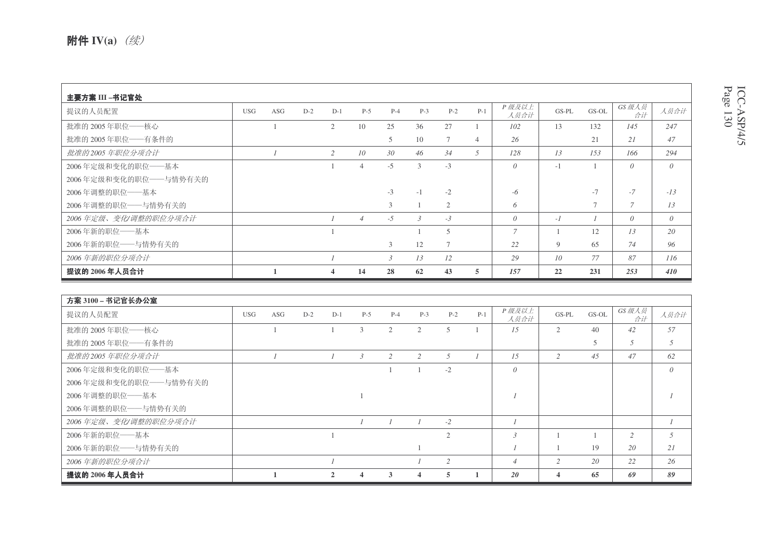| 主要方案 III –书记官处        |            |     |       |                |                 |               |               |                |                |               |       |                |               |          |
|-----------------------|------------|-----|-------|----------------|-----------------|---------------|---------------|----------------|----------------|---------------|-------|----------------|---------------|----------|
| 提议的人员配置               | <b>USG</b> | ASG | $D-2$ | $D-1$          | $P-5$           | $P-4$         | $P-3$         | $P-2$          | $P-1$          | P级及以上<br>人员合计 | GS-PL | GS-OL          | GS 级人员<br>合计  | 人员合计     |
| 批准的 2005年职位——核心       |            |     |       | $\overline{2}$ | 10              | 25            | 36            | 27             |                | 102           | 13    | 132            | 145           | 247      |
| 批准的 2005年职位——有条件的     |            |     |       |                |                 | 5             | 10            | $\tau$         | $\overline{4}$ | 26            |       | 21             | 21            | 47       |
| 批准的2005年职位分项合计        |            |     |       | 2              | 10 <sup>2</sup> | 30            | 46            | 34             | $\overline{5}$ | 128           | 13    | 153            | 166           | 294      |
| 2006年定级和变化的职位——基本     |            |     |       |                | $\overline{4}$  | $-5$          | 3             | $-3$           |                | $\theta$      | $-1$  |                | $\theta$      | $\theta$ |
| 2006年定级和变化的职位——与情势有关的 |            |     |       |                |                 |               |               |                |                |               |       |                |               |          |
| 2006年调整的职位——基本        |            |     |       |                |                 | $-3$          | $-1$          | $-2$           |                | -6            |       | $-7$           | $-7$          | $-13$    |
| 2006年调整的职位——与情势有关的    |            |     |       |                |                 | 3             |               | $\overline{2}$ |                | 6             |       | $\overline{ }$ | $\mathcal{I}$ | 13       |
| 2006年定级、变化/调整的职位分项合计  |            |     |       |                | $\overline{4}$  | $-5$          | $\mathcal{E}$ | $-3$           |                | $\theta$      | $-I$  |                | $\theta$      | $\theta$ |
| 2006年新的职位——基本         |            |     |       |                |                 |               |               | 5              |                | $\tau$        |       | 12             | 13            | 20       |
| 2006年新的职位——与情势有关的     |            |     |       |                |                 | 3             | 12            | 7              |                | 22            | 9     | 65             | 74            | 96       |
| 2006年新的职位分项合计         |            |     |       |                |                 | $\mathcal{E}$ | 13            | 12             |                | 29            | 10    | 77             | 87            | 116      |
| 提议的 2006 年人员合计        |            |     |       | $\overline{4}$ | 14              | 28            | 62            | 43             | 5              | 157           | 22    | 231            | 253           | 410      |

| 方案 3100 – 书记官长办公室     |            |     |       |              |       |       |       |                |       |                |                |       |              |                |
|-----------------------|------------|-----|-------|--------------|-------|-------|-------|----------------|-------|----------------|----------------|-------|--------------|----------------|
| 提议的人员配置               | <b>USG</b> | ASG | $D-2$ | $D-1$        | $P-5$ | $P-4$ | $P-3$ | $P-2$          | $P-1$ | P级及以上<br>人员合计  | GS-PL          | GS-OL | GS 级人员<br>合计 | 人员合计           |
| 批准的 2005年职位——核心       |            |     |       |              | 3     | 2     | 2     | 5              |       | 1.5            | $\overline{2}$ | 40    | 42           | 57             |
| 批准的 2005年职位——有条件的     |            |     |       |              |       |       |       |                |       |                |                | 5     | 5            | 5              |
| 批准的2005年职位分项合计        |            |     |       |              | 3     | 2     | 2     | .5             |       | 15             | $\overline{c}$ | 45    | 47           | 62             |
| 2006年定级和变化的职位——基本     |            |     |       |              |       |       |       | $-2$           |       | $\theta$       |                |       |              | $\theta$       |
| 2006年定级和变化的职位——与情势有关的 |            |     |       |              |       |       |       |                |       |                |                |       |              |                |
| 2006年调整的职位 -- 基本      |            |     |       |              |       |       |       |                |       |                |                |       |              |                |
| 2006年调整的职位——与情势有关的    |            |     |       |              |       |       |       |                |       |                |                |       |              |                |
| 2006年定级、变化/调整的职位分项合计  |            |     |       |              |       |       |       | $-2$           |       |                |                |       |              |                |
| 2006年新的职位 -- 基本       |            |     |       |              |       |       |       | $\overline{2}$ |       | $\overline{3}$ |                |       | 2            | $\overline{5}$ |
| 2006年新的职位——与情势有关的     |            |     |       |              |       |       |       |                |       |                |                | 19    | 20           | 21             |
| 2006年新的职位分项合计         |            |     |       |              |       |       |       | 2              |       | $\overline{4}$ | $\overline{c}$ | 20    | 22           | 26             |
| 提议的 2006 年人员合计        |            |     |       | $\mathbf{2}$ | 4     | 3     | 4     | 5              |       | 20             | $\overline{4}$ | 65    | 69           | 89             |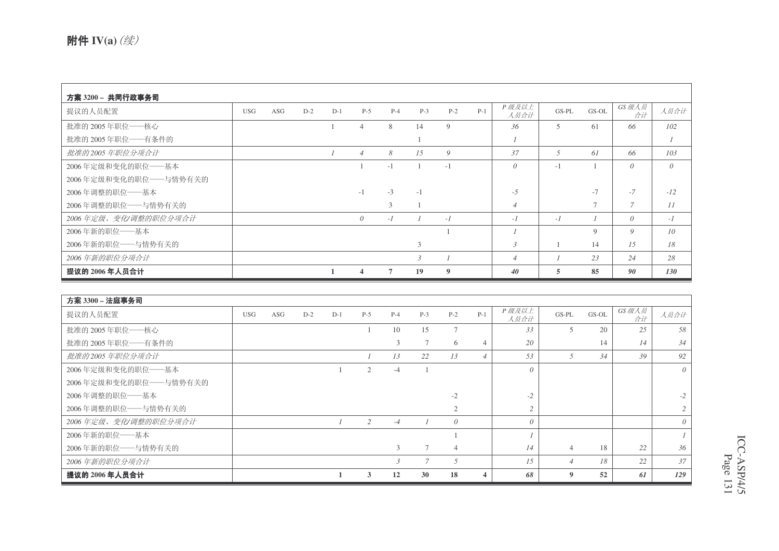| 方案 3200 - 共同行政事务司     |            |     |       |       |                         |       |       |       |       |                |         |        |                |                  |
|-----------------------|------------|-----|-------|-------|-------------------------|-------|-------|-------|-------|----------------|---------|--------|----------------|------------------|
| 提议的人员配置               | <b>USG</b> | ASG | $D-2$ | $D-1$ | $P-5$                   | $P-4$ | $P-3$ | $P-2$ | $P-1$ | P级及以上<br>人员合计  | $GS-PL$ | GS-OL  | GS 级人员<br>合计   | 人员合计             |
| 批准的 2005年职位——核心       |            |     |       |       | $\overline{4}$          | 8     | 14    | 9     |       | 36             | 5       | 61     | 66             | 102              |
| 批准的 2005年职位——有条件的     |            |     |       |       |                         |       |       |       |       |                |         |        |                | $\boldsymbol{I}$ |
| 批准的2005年职位分项合计        |            |     |       |       | $\overline{4}$          | 8     | 15    | 9     |       | 37             | 5       | 61     | 66             | 103              |
| 2006年定级和变化的职位——基本     |            |     |       |       |                         | $-1$  |       | $-1$  |       | $\theta$       | $-1$    |        | $\theta$       | $\theta$         |
| 2006年定级和变化的职位——与情势有关的 |            |     |       |       |                         |       |       |       |       |                |         |        |                |                  |
| 2006年调整的职位——基本        |            |     |       |       | $-1$                    | $-3$  | $-1$  |       |       | $-5$           |         | $-7$   | $-7$           | $-12$            |
| 2006年调整的职位——与情势有关的    |            |     |       |       |                         | 3     |       |       |       | $\overline{4}$ |         | $\tau$ | $\overline{7}$ | 11               |
| 2006年定级、变化/调整的职位分项合计  |            |     |       |       | $\theta$                | $-I$  |       | $-1$  |       | $-1$           | $-I$    |        | $\theta$       | $-I$             |
| 2006年新的职位——基本         |            |     |       |       |                         |       |       |       |       |                |         | 9      | 9              | 10 <sup>2</sup>  |
| 2006年新的职位——与情势有关的     |            |     |       |       |                         |       | 3     |       |       | $\mathfrak{Z}$ |         | 14     | 15             | 18               |
| 2006年新的职位分项合计         |            |     |       |       |                         |       | 3     |       |       | $\overline{4}$ |         | 23     | 24             | 28               |
| 提议的 2006年人员合计         |            |     |       |       | $\overline{\mathbf{4}}$ | 7     | 19    | 9     |       | 40             |         | 85     | 90             | 130              |

| 方案 3300 - 法庭事务司         |            |     |       |       |       |       |       |                 |                |               |                |       |              |          |
|-------------------------|------------|-----|-------|-------|-------|-------|-------|-----------------|----------------|---------------|----------------|-------|--------------|----------|
| 提议的人员配置                 | <b>USG</b> | ASG | $D-2$ | $D-1$ | $P-5$ | $P-4$ | $P-3$ | $P-2$           | $P-1$          | P级及以上<br>人员合计 | $GS-PL$        | GS-OL | GS 级人员<br>合计 | 人员合计     |
| 批准的 2005年职位——核心         |            |     |       |       |       | 10    | 15    | $7\phantom{.0}$ |                | 33            | 5              | 20    | 25           | 58       |
| 批准的 2005年职位——有条件的       |            |     |       |       |       | 3     |       | 6               |                | 20            |                | 14    | 14           | 34       |
| 批准的2005年职位分项合计          |            |     |       |       |       | 13    | 22    | 13              | $\overline{4}$ | 53            | 5              | 34    | 39           | 92       |
| 2006年定级和变化的职位——基本       |            |     |       |       | 2     | $-4$  |       |                 |                | $\theta$      |                |       |              | $\theta$ |
| 2006年定级和变化的职位 -- 与情势有关的 |            |     |       |       |       |       |       |                 |                |               |                |       |              |          |
| 2006年调整的职位 -- 基本        |            |     |       |       |       |       |       | $-2$            |                | $-2$          |                |       |              | $-2$     |
| 2006年调整的职位 -- 与情势有关的    |            |     |       |       |       |       |       | 2               |                | $\mathcal{L}$ |                |       |              |          |
| 2006年定级、变化/调整的职位分项合计    |            |     |       |       | 2     | $-4$  |       | $\theta$        |                | $\theta$      |                |       |              | $\theta$ |
| 2006年新的职位——基本           |            |     |       |       |       |       |       |                 |                |               |                |       |              |          |
| 2006年新的职位——与情势有关的       |            |     |       |       |       | 3     |       | $\overline{4}$  |                | 14            | $\overline{4}$ | 18    | 22           | 36       |
| 2006年新的职位分项合计           |            |     |       |       |       | 3     |       | 5               |                | 15            | $\overline{4}$ | 18    | 22           | 37       |
| 提议的 2006 年人员合计          |            |     |       |       | 3     | 12    | 30    | 18              | 4              | 68            | 9              | 52    | 61           | 129      |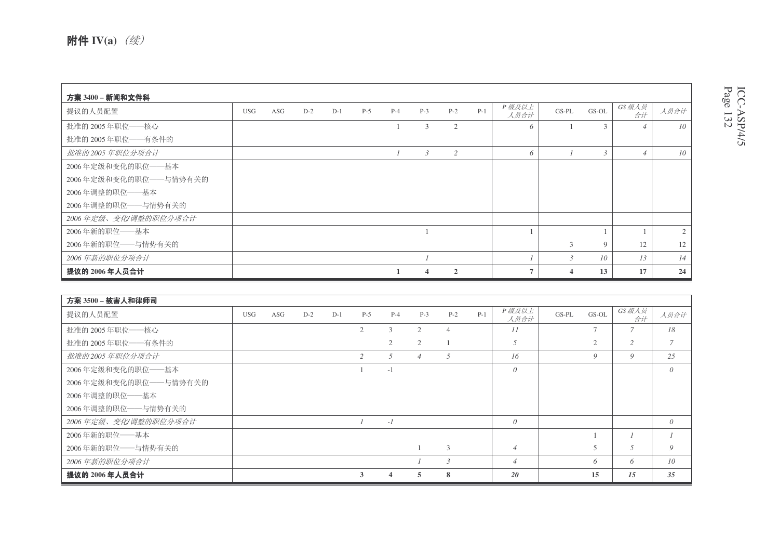| 方案 3400 - 新闻和文件科      |            |     |       |       |       |       |                |                |       |                |               |                 |                          |                  |
|-----------------------|------------|-----|-------|-------|-------|-------|----------------|----------------|-------|----------------|---------------|-----------------|--------------------------|------------------|
| 提议的人员配置               | <b>USG</b> | ASG | $D-2$ | $D-1$ | $P-5$ | $P-4$ | $P-3$          | $P-2$          | $P-1$ | P级及以上<br>人员合计  | $GS-PL$       | GS-OL           | GS 级人员<br>合计             | 人员合计             |
| 批准的 2005年职位——核心       |            |     |       |       |       |       | 3              | 2              |       | 6              |               | $\mathcal{F}$   | $\overline{\mathcal{A}}$ | 10 <sup>10</sup> |
| 批准的 2005年职位——有条件的     |            |     |       |       |       |       |                |                |       |                |               |                 |                          |                  |
| 批准的2005年职位分项合计        |            |     |       |       |       |       | $\mathfrak{Z}$ | $\overline{c}$ |       | 6              |               | $\mathcal{E}$   | $\overline{4}$           | 10               |
| 2006年定级和变化的职位——基本     |            |     |       |       |       |       |                |                |       |                |               |                 |                          |                  |
| 2006年定级和变化的职位——与情势有关的 |            |     |       |       |       |       |                |                |       |                |               |                 |                          |                  |
| 2006年调整的职位——基本        |            |     |       |       |       |       |                |                |       |                |               |                 |                          |                  |
| 2006年调整的职位 -- 与情势有关的  |            |     |       |       |       |       |                |                |       |                |               |                 |                          |                  |
| 2006年定级、变化/调整的职位分项合计  |            |     |       |       |       |       |                |                |       |                |               |                 |                          |                  |
| 2006年新的职位——基本         |            |     |       |       |       |       |                |                |       |                |               |                 |                          | $\overline{2}$   |
| 2006年新的职位——与情势有关的     |            |     |       |       |       |       |                |                |       |                | 3             | 9               | 12                       | 12               |
| 2006年新的职位分项合计         |            |     |       |       |       |       |                |                |       |                | $\mathcal{E}$ | 10 <sup>2</sup> | 13                       | 14               |
| 提议的 2006 年人员合计        |            |     |       |       |       |       | 4              | $\mathbf{2}$   |       | $\overline{ }$ |               | 13              | 17                       | 24               |

| 方案 3500 - 被害人和律师司     |            |     |       |       |       |                |                |                |       |                |       |                |                |                 |
|-----------------------|------------|-----|-------|-------|-------|----------------|----------------|----------------|-------|----------------|-------|----------------|----------------|-----------------|
| 提议的人员配置               | <b>USG</b> | ASG | $D-2$ | $D-1$ | $P-5$ | $P-4$          | $P-3$          | $P-2$          | $P-1$ | P级及以上<br>人员合计  | GS-PL | GS-OL          | GS 级人员<br>合计   | 人员合计            |
| 批准的 2005年职位——核心       |            |     |       |       | 2     | 3              | 2              | $\overline{4}$ |       | 11             |       | $\overline{ }$ | $\overline{7}$ | 18              |
| 批准的 2005年职位——有条件的     |            |     |       |       |       | $\overline{c}$ | 2              |                |       | 5              |       | 2              | $\overline{c}$ | 7               |
| 批准的2005年职位分项合计        |            |     |       |       | 2     | 5              | $\overline{4}$ | .5             |       | 16             |       | 9              | 9              | 25              |
| 2006年定级和变化的职位——基本     |            |     |       |       |       | $-1$           |                |                |       | $\theta$       |       |                |                | $\theta$        |
| 2006年定级和变化的职位——与情势有关的 |            |     |       |       |       |                |                |                |       |                |       |                |                |                 |
| 2006年调整的职位——基本        |            |     |       |       |       |                |                |                |       |                |       |                |                |                 |
| 2006年调整的职位——与情势有关的    |            |     |       |       |       |                |                |                |       |                |       |                |                |                 |
| 2006年定级、变化/调整的职位分项合计  |            |     |       |       |       | $-I$           |                |                |       | $\theta$       |       |                |                | $\theta$        |
| 2006年新的职位——基本         |            |     |       |       |       |                |                |                |       |                |       |                |                |                 |
| 2006年新的职位——与情势有关的     |            |     |       |       |       |                |                | 3              |       | $\overline{4}$ |       |                | 5              | 9               |
| 2006年新的职位分项合计         |            |     |       |       |       |                |                | $\overline{3}$ |       | $\overline{4}$ |       | 6              | 6              | 10 <sup>2</sup> |
| 提议的 2006 年人员合计        |            |     |       |       | 3     | 4              | 5              | 8              |       | 20             |       | 15             | 15             | 35              |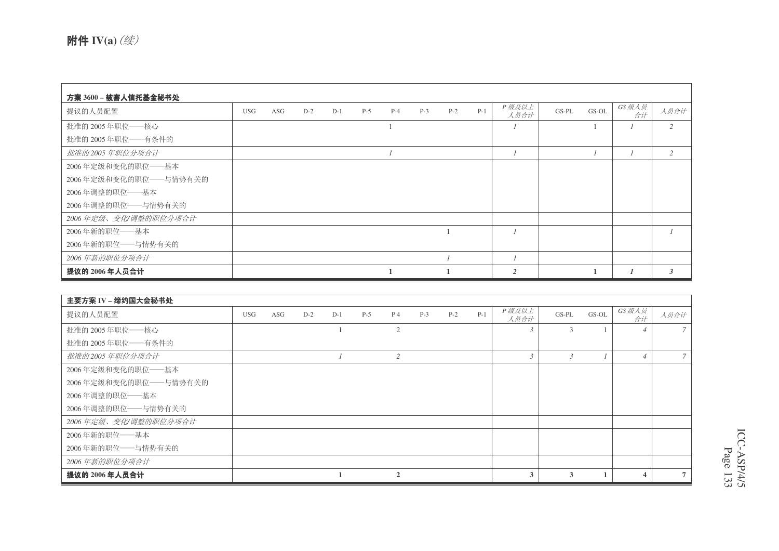| 方案 3600 – 被害人信托基金秘书处  |            |     |       |       |       |       |       |       |       |                |         |       |              |              |
|-----------------------|------------|-----|-------|-------|-------|-------|-------|-------|-------|----------------|---------|-------|--------------|--------------|
| 提议的人员配置               | <b>USG</b> | ASG | $D-2$ | $D-1$ | $P-5$ | $P-4$ | $P-3$ | $P-2$ | $P-1$ | P级及以上<br>人员合计  | $GS-PL$ | GS-OL | GS 级人员<br>合计 | 人员合计         |
| 批准的 2005年职位——核心       |            |     |       |       |       |       |       |       |       |                |         |       |              | 2            |
| 批准的 2005年职位——有条件的     |            |     |       |       |       |       |       |       |       |                |         |       |              |              |
| 批准的2005年职位分项合计        |            |     |       |       |       |       |       |       |       |                |         |       |              | 2            |
| 2006年定级和变化的职位——基本     |            |     |       |       |       |       |       |       |       |                |         |       |              |              |
| 2006年定级和变化的职位——与情势有关的 |            |     |       |       |       |       |       |       |       |                |         |       |              |              |
| 2006年调整的职位——基本        |            |     |       |       |       |       |       |       |       |                |         |       |              |              |
| 2006年调整的职位 -- 与情势有关的  |            |     |       |       |       |       |       |       |       |                |         |       |              |              |
| 2006年定级、变化/调整的职位分项合计  |            |     |       |       |       |       |       |       |       |                |         |       |              |              |
| 2006年新的职位——基本         |            |     |       |       |       |       |       |       |       |                |         |       |              |              |
| 2006年新的职位——与情势有关的     |            |     |       |       |       |       |       |       |       |                |         |       |              |              |
| 2006年新的职位分项合计         |            |     |       |       |       |       |       |       |       |                |         |       |              |              |
| 提议的 2006 年人员合计        |            |     |       |       |       |       |       |       |       | $\overline{2}$ |         |       |              | $\mathbf{3}$ |

| 主要方案 IV – 缔约国大会秘书处    |            |     |       |       |       |                             |       |       |       |                |               |       |                          |               |
|-----------------------|------------|-----|-------|-------|-------|-----------------------------|-------|-------|-------|----------------|---------------|-------|--------------------------|---------------|
| 提议的人员配置               | <b>USG</b> | ASG | $D-2$ | $D-1$ | $P-5$ | $P_4$                       | $P-3$ | $P-2$ | $P-1$ | P级及以上<br>人员合计  | $GS-PL$       | GS-OL | GS 级人员<br>合计             | 人员合计          |
| 批准的 2005年职位——核心       |            |     |       |       |       | $\overline{2}$              |       |       |       |                | 3             |       | $\overline{\mathcal{A}}$ | $\mathcal{I}$ |
| 批准的 2005年职位——有条件的     |            |     |       |       |       |                             |       |       |       |                |               |       |                          |               |
| 批准的2005年职位分项合计        |            |     |       |       |       | 2                           |       |       |       | $\mathfrak{Z}$ | $\mathcal{E}$ |       | $\overline{4}$           | $7^{\circ}$   |
| 2006年定级和变化的职位——基本     |            |     |       |       |       |                             |       |       |       |                |               |       |                          |               |
| 2006年定级和变化的职位——与情势有关的 |            |     |       |       |       |                             |       |       |       |                |               |       |                          |               |
| 2006年调整的职位——基本        |            |     |       |       |       |                             |       |       |       |                |               |       |                          |               |
| 2006年调整的职位——与情势有关的    |            |     |       |       |       |                             |       |       |       |                |               |       |                          |               |
| 2006年定级、变化/调整的职位分项合计  |            |     |       |       |       |                             |       |       |       |                |               |       |                          |               |
| 2006年新的职位——基本         |            |     |       |       |       |                             |       |       |       |                |               |       |                          |               |
| 2006年新的职位——与情势有关的     |            |     |       |       |       |                             |       |       |       |                |               |       |                          |               |
| 2006年新的职位分项合计         |            |     |       |       |       |                             |       |       |       |                |               |       |                          |               |
| 提议的 2006 年人员合计        |            |     |       |       |       | $\mathcal{D}_{\mathcal{L}}$ |       |       |       | 3              | 3             |       | 4                        | $7^{\circ}$   |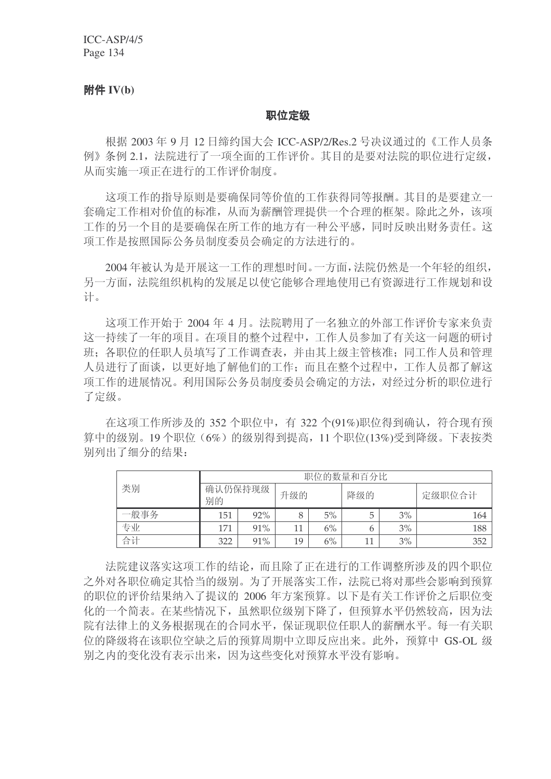### 附件 **IV(b)**

#### 职位定级

根据 2003年 9 月 12 日缔约国大会 ICC-ASP/2/Res.2 号决议通过的《工作人员条 例》条例 2.1, 法院进行了一项全面的工作评价。其目的是要对法院的职位进行定级, 从而实施一项正在讲行的工作评价制度。

这项工作的指导原则是要确保同等价值的工作获得同等报酬。其目的是要建立一 套确定工作相对价值的标准, 从而为薪酬管理提供一个合理的框架。除此之外, 该项 工作的另一个目的是要确保在所工作的地方有一种公平感,同时反映出财务责任。这 项工作是按照国际公务员制度委员会确定的方法讲行的。

2004年被认为是开展这一工作的理想时间。一方面, 法院仍然是一个年轻的组织, 另一方面, 法院组织机构的发展足以使它能够合理地使用已有资源进行工作规划和设 计。

这项工作开始于 2004 年 4 月。法院聘用了一名独立的外部工作评价专家来负责 这一持续了一年的项目。在项目的整个过程中,工作人员参加了有关这一问题的研讨 班: 各职位的任职人员填写了工作调查表, 并由其上级主管核准: 同工作人员和管理 人员进行了面谈,以更好地了解他们的工作;而且在整个过程中,工作人员都了解这 项工作的进展情况。利用国际公务员制度委员会确定的方法,对经过分析的职位进行 了定级。

在这项工作所涉及的 352 个职位中, 有 322 个(91%)职位得到确认, 符合现有预 算中的级别。19个职位(6%)的级别得到提高, 11 个职位(13%)受到降级。下表按类 别列出了细分的结果:

|      | 职位的数量和百分比     |     |     |    |     |    |        |  |  |  |
|------|---------------|-----|-----|----|-----|----|--------|--|--|--|
| 类别   | 确认仍保持现级<br>别的 |     | 升级的 |    | 降级的 |    | 定级职位合计 |  |  |  |
| 一般事务 | 151           | 92% |     | 5% |     | 3% | 164    |  |  |  |
| 专业   | 171           | 91% | 11  | 6% | 6   | 3% | 188    |  |  |  |
| 合计   | 322           | 91% | 19  | 6% | 11  | 3% | 352    |  |  |  |

法院建议落实这项工作的结论,而且除了正在进行的工作调整所涉及的四个职位 之外对各职位确定其恰当的级别。为了开展落实工作,法院已将对那些会影响到预算 的职位的评价结果纳入了提议的 2006 年方案预算。以下是有关工作评价之后职位变 化的一个简表。在某些情况下, 虽然职位级别下降了, 但预算水平仍然较高, 因为法 院有法律上的义务根据现在的合同水平, 保证现职位任职人的薪酬水平。每一有关职 位的降级将在该职位空缺之后的预算周期中立即反应出来。此外, 预算中 GS-OL 级 别之内的变化没有表示出来,因为这些变化对预算水平没有影响。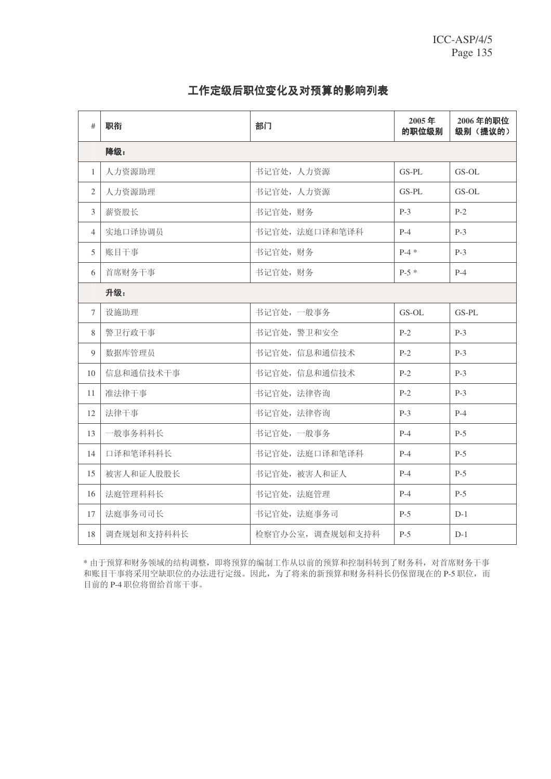### 工作定级后职位变化及对预算的影响列表

| #              | 职衔         | 部门               | 2005年<br>的职位级别 | 2006年的职位<br>级别(提议的) |
|----------------|------------|------------------|----------------|---------------------|
|                | 降级:        |                  |                |                     |
| $\mathbf{1}$   | 人力资源助理     | 书记官处, 人力资源       | GS-PL          | $GS-OL$             |
| 2              | 人力资源助理     | 书记官处, 人力资源       | $GS-PL$        | $GS-OL$             |
| $\overline{3}$ | 薪资股长       | 书记官处, 财务         | $P-3$          | $P-2$               |
| $\overline{4}$ | 实地口译协调员    | 书记官处, 法庭口译和笔译科   | $P-4$          | $P-3$               |
| 5              | 账目干事       | 书记官处,财务          | $P-4*$         | $P-3$               |
| 6              | 首席财务干事     | 书记官处,财务          | $P-5*$         | $P-4$               |
|                | 升级:        |                  |                |                     |
| $\tau$         | 设施助理       | 书记官处,一般事务        | GS-OL          | GS-PL               |
| 8              | 警卫行政干事     | 书记官处, 警卫和安全      | $P-2$          | $P-3$               |
| 9              | 数据库管理员     | 书记官处, 信息和通信技术    | $P-2$          | $P-3$               |
| 10             | 信息和通信技术干事  | 书记官处,信息和通信技术     | $P-2$          | $P-3$               |
| 11             | 准法律干事      | 书记官处, 法律咨询       | $P-2$          | $P-3$               |
| 12             | 法律干事       | 书记官处, 法律咨询       | $P-3$          | $P-4$               |
| 13             | 一般事务科科长    | 书记官处,一般事务        | $P-4$          | $P-5$               |
| 14             | 口译和笔译科科长   | 书记官处, 法庭口译和笔译科   | $P-4$          | $P-5$               |
| 15             | 被害人和证人股股长  | 书记官处, 被害人和证人     | $P-4$          | $P-5$               |
| 16             | 法庭管理科科长    | 书记官处, 法庭管理       | $P-4$          | $P-5$               |
| 17             | 法庭事务司司长    | 书记官处, 法庭事务司      | $P-5$          | $D-1$               |
| 18             | 调查规划和支持科科长 | 检察官办公室, 调查规划和支持科 | $P-5$          | $D-1$               |

\* 由于预算和财务领域的结构调整, 即将预算的编制工作从以前的预算和控制科转到了财务科, 对首席财务干事 和账目干事将采用空缺职位的办法进行定级。因此,为了将来的新预算和财务科科长仍保留现在的P-5 职位,而 目前的 P-4 职位将留给首席干事。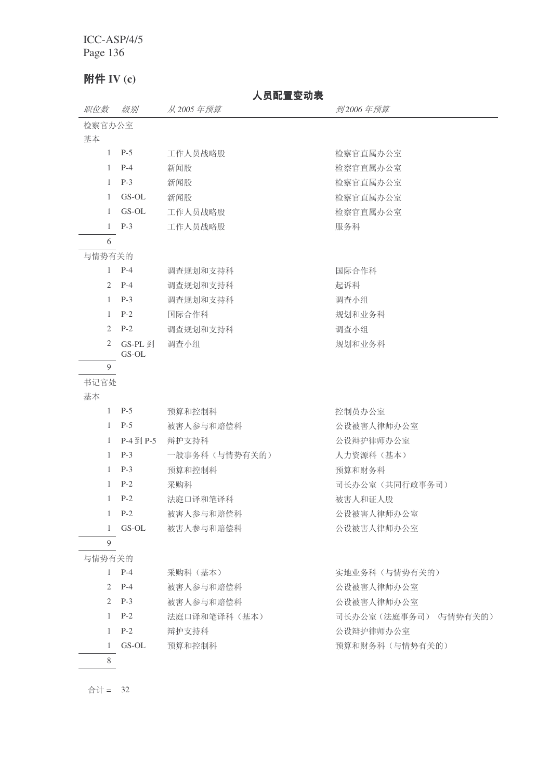# 附件 **IV** (c)

# 人员配置变动表

| 职位数            | 级别               | 从 2005 年预算    | 到2006年预算              |
|----------------|------------------|---------------|-----------------------|
| 检察官办公室         |                  |               |                       |
| 基本             |                  |               |                       |
|                | $1 \quad P-5$    | 工作人员战略股       | 检察官直属办公室              |
|                | $1$ P-4          | 新闻股           | 检察官直属办公室              |
| $\mathbf{1}$   | $P-3$            | 新闻股           | 检察官直属办公室              |
| 1              | GS-OL            | 新闻股           | 检察官直属办公室              |
| $\mathbf{1}$   | GS-OL            | 工作人员战略股       | 检察官直属办公室              |
|                | $1$ P-3          | 工作人员战略股       | 服务科                   |
| 6              |                  |               |                       |
| 与情势有关的         |                  |               |                       |
|                | $1$ P-4          | 调查规划和支持科      | 国际合作科                 |
| $\overline{2}$ | $P-4$            | 调查规划和支持科      | 起诉科                   |
| $\mathbf{1}$   | $P-3$            | 调查规划和支持科      | 调查小组                  |
| $\mathbf{1}$   | $P-2$            | 国际合作科         | 规划和业务科                |
| 2              | $P-2$            | 调查规划和支持科      | 调查小组                  |
| 2              | GS-PL 到<br>GS-OL | 调查小组          | 规划和业务科                |
| 9              |                  |               |                       |
| 书记官处           |                  |               |                       |
| 基本             |                  |               |                       |
|                | $1 \quad P-5$    | 预算和控制科        | 控制员办公室                |
| $\mathbf{1}$   | $P-5$            | 被害人参与和赔偿科     | 公设被害人律师办公室            |
| $\mathbf{1}$   | P-4 到 P-5        | 辩护支持科         | 公设辩护律师办公室             |
| $\mathbf{1}$   | $P-3$            | 一般事务科(与情势有关的) | 人力资源科 (基本)            |
| $\mathbf{1}$   | $P-3$            | 预算和控制科        | 预算和财务科                |
| $\mathbf{1}$   | $P-2$            | 采购科           | 司长办公室(共同行政事务司)        |
| $\mathbf{1}$   | $P-2$            | 法庭口译和笔译科      | 被害人和证人股               |
| $\mathbf{1}$   | $P-2$            | 被害人参与和赔偿科     | 公设被害人律师办公室            |
|                | 1 GS-OL          | 被害人参与和赔偿科     | 公设被害人律师办公室            |
| 9              |                  |               |                       |
| 与情势有关的         |                  |               |                       |
|                | $1$ P-4          | 采购科(基本)       | 实地业务科(与情势有关的)         |
| 2              | $P-4$            | 被害人参与和赔偿科     | 公设被害人律师办公室            |
| 2              | $P-3$            | 被害人参与和赔偿科     | 公设被害人律师办公室            |
| $\mathbf{1}$   | $P-2$            | 法庭口译和笔译科(基本)  | 司长办公室(法庭事务司) (与情势有关的) |
| $\mathbf{1}$   | $P-2$            | 辩护支持科         | 公设辩护律师办公室             |
| 1              | GS-OL            | 预算和控制科        | 预算和财务科(与情势有关的)        |
| 8              |                  |               |                       |
|                |                  |               |                       |

 $\triangle$ 计 = 32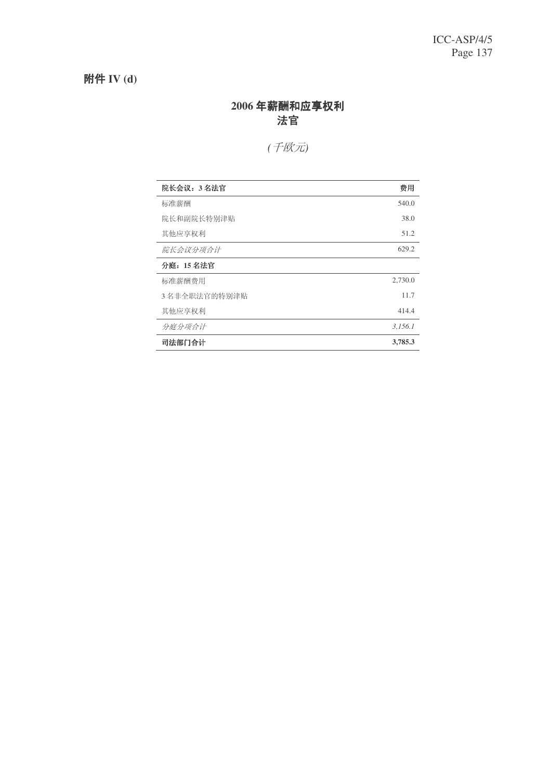# 附件 **IV** (d)

### 2006 年薪酬和应享权利 ⊩ᅬ

# *(*ܗग*(*

| 院长会议: 3名法官   | 费用      |
|--------------|---------|
| 标准薪酬         | 540.0   |
| 院长和副院长特别津贴   | 38.0    |
| 其他应享权利       | 51.2    |
| 院长会议分项合计     | 629.2   |
| 分庭: 15 名法官   |         |
| 标准薪酬费用       | 2,730.0 |
| 3名非全职法官的特别津贴 | 11.7    |
| 其他应享权利       | 414.4   |
| 分庭分项合计       | 3,156.1 |
| 司法部门合计       | 3,785.3 |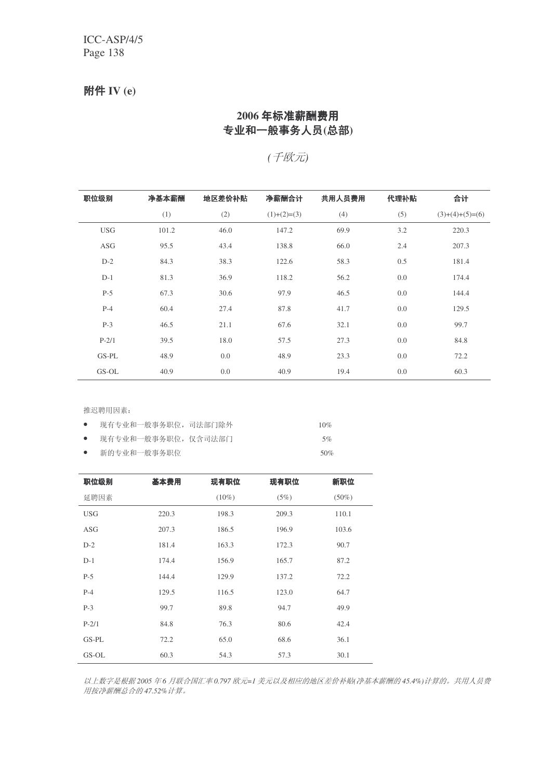### 附件 **IV** (e)

### 2006年标准薪酬费用 专业和一般事务人员(总部)

*(*ܗग*(*

| 职位级别       | 净基本薪酬 | 地区差价补贴 | 净薪酬合计         | 共用人员费用 | 代理补贴 | 合计                |
|------------|-------|--------|---------------|--------|------|-------------------|
|            | (1)   | (2)    | $(1)+(2)=(3)$ | (4)    | (5)  | $(3)+(4)+(5)=(6)$ |
| <b>USG</b> | 101.2 | 46.0   | 147.2         | 69.9   | 3.2  | 220.3             |
| ASG        | 95.5  | 43.4   | 138.8         | 66.0   | 2.4  | 207.3             |
| $D-2$      | 84.3  | 38.3   | 122.6         | 58.3   | 0.5  | 181.4             |
| $D-1$      | 81.3  | 36.9   | 118.2         | 56.2   | 0.0  | 174.4             |
| $P-5$      | 67.3  | 30.6   | 97.9          | 46.5   | 0.0  | 144.4             |
| $P-4$      | 60.4  | 27.4   | 87.8          | 41.7   | 0.0  | 129.5             |
| $P-3$      | 46.5  | 21.1   | 67.6          | 32.1   | 0.0  | 99.7              |
| $P-2/1$    | 39.5  | 18.0   | 57.5          | 27.3   | 0.0  | 84.8              |
| GS-PL      | 48.9  | 0.0    | 48.9          | 23.3   | 0.0  | 72.2              |
| GS-OL      | 40.9  | 0.0    | 40.9          | 19.4   | 0.0  | 60.3              |

推迟聘用因素:

| $\bullet$ | 现有专业和一般事务职位,司法部门除外 | 10% |
|-----------|--------------------|-----|
| $\bullet$ | 现有专业和一般事务职位,仅含司法部门 | 5%  |
| $\bullet$ | 新的专业和一般事务职位        | 50% |

| 职位级别       | 基本费用  | 现有职位     | 现有职位  | 新职位      |
|------------|-------|----------|-------|----------|
| 延聘因素       |       | $(10\%)$ | (5%)  | $(50\%)$ |
| <b>USG</b> | 220.3 | 198.3    | 209.3 | 110.1    |
| <b>ASG</b> | 207.3 | 186.5    | 196.9 | 103.6    |
| $D-2$      | 181.4 | 163.3    | 172.3 | 90.7     |
| $D-1$      | 174.4 | 156.9    | 165.7 | 87.2     |
| $P-5$      | 144.4 | 129.9    | 137.2 | 72.2     |
| $P-4$      | 129.5 | 116.5    | 123.0 | 64.7     |
| $P-3$      | 99.7  | 89.8     | 94.7  | 49.9     |
| $P-2/1$    | 84.8  | 76.3     | 80.6  | 42.4     |
| GS-PL      | 72.2  | 65.0     | 68.6  | 36.1     |
| GS-OL      | 60.3  | 54.3     | 57.3  | 30.1     |

以上数字是根据2005年6月联合国汇率0.797 欧元=1 美元以及相应的地区差价补贴 净基本薪酬的45.4%) 计算的。共用人员费 **用按净薪酬总合的47.52% 计算。**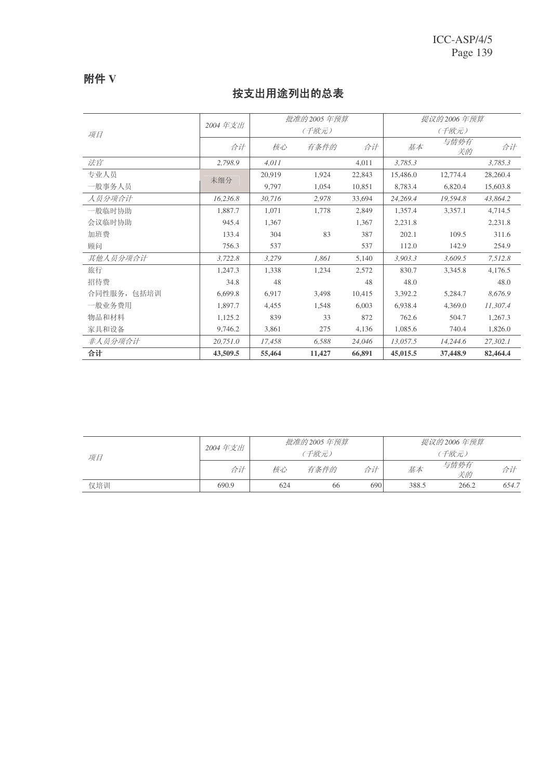## 附件 V

## 按支出用途列出的总表

| 项目          | 2004年支出  | 批准的 2005 年预算 |        |        | 提议的 2006 年预算 |            |          |
|-------------|----------|--------------|--------|--------|--------------|------------|----------|
|             |          | (千欧元)        |        |        | (千欧元)        |            |          |
|             | 合计       | 核心           | 有条件的   | 合计     | 基本           | 与情势有<br>关的 | 合计       |
| 法官          | 2,798.9  | 4,011        |        | 4,011  | 3,785.3      |            | 3,785.3  |
| 专业人员        | 未细分      | 20,919       | 1,924  | 22,843 | 15,486.0     | 12,774.4   | 28,260.4 |
| 一般事务人员      |          | 9,797        | 1,054  | 10,851 | 8,783.4      | 6,820.4    | 15,603.8 |
| 人员分项合计      | 16,236.8 | 30,716       | 2,978  | 33,694 | 24,269.4     | 19,594.8   | 43,864.2 |
| 一般临时协助      | 1,887.7  | 1,071        | 1,778  | 2.849  | 1,357.4      | 3,357.1    | 4,714.5  |
| 会议临时协助      | 945.4    | 1,367        |        | 1,367  | 2,231.8      |            | 2,231.8  |
| 加班费         | 133.4    | 304          | 83     | 387    | 202.1        | 109.5      | 311.6    |
| 顾问          | 756.3    | 537          |        | 537    | 112.0        | 142.9      | 254.9    |
| 其他人员分项合计    | 3,722.8  | 3,279        | 1,861  | 5,140  | 3,903.3      | 3,609.5    | 7,512.8  |
| 旅行          | 1,247.3  | 1.338        | 1,234  | 2,572  | 830.7        | 3.345.8    | 4,176.5  |
| 招待费         | 34.8     | 48           |        | 48     | 48.0         |            | 48.0     |
| 合同性服务, 包括培训 | 6,699.8  | 6,917        | 3,498  | 10,415 | 3,392.2      | 5,284.7    | 8,676.9  |
| 一般业务费用      | 1,897.7  | 4,455        | 1,548  | 6,003  | 6,938.4      | 4,369.0    | 11,307.4 |
| 物品和材料       | 1,125.2  | 839          | 33     | 872    | 762.6        | 504.7      | 1,267.3  |
| 家具和设备       | 9,746.2  | 3,861        | 275    | 4,136  | 1,085.6      | 740.4      | 1,826.0  |
| 非人员分项合计     | 20,751.0 | 17,458       | 6,588  | 24,046 | 13,057.5     | 14,244.6   | 27,302.1 |
| 合计          | 43,509.5 | 55,464       | 11,427 | 66,891 | 45,015.5     | 37,448.9   | 82,464.4 |

| 项目  | 2004 年支出 | 批准的 2005 年预算 |      |     | 提议的 2006 年预算 |            |       |
|-----|----------|--------------|------|-----|--------------|------------|-------|
|     |          | (千欧元)        |      |     | (千欧元)        |            |       |
|     | 合计       | 核心           | 有条件的 | 合计  | 基本           | 与情势有<br>关的 | 合计    |
| 仅培训 | 690.9    | 624          | 66   | 690 | 388.5        | 266.2      | 654.7 |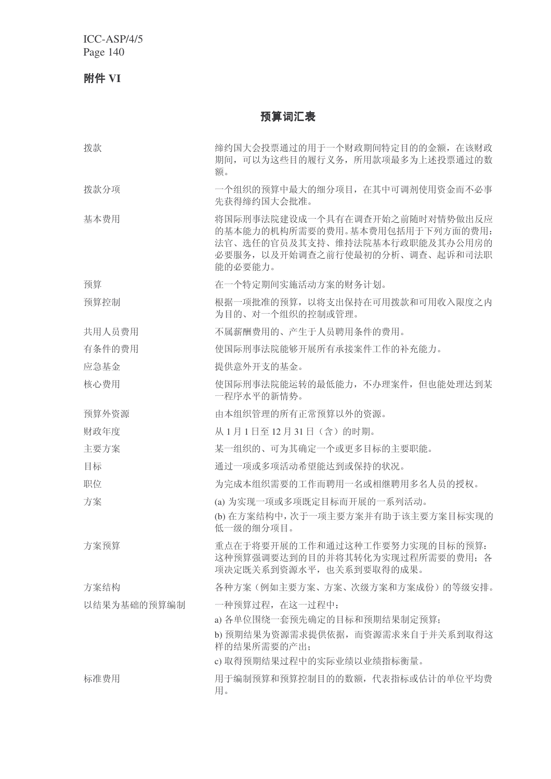ICC-ASP/4/5 Page 140

附件 VI

预算词汇表

| 拨款          | 缔约国大会投票通过的用于一个财政期间特定目的的金额, 在该财政<br>期间,可以为这些目的履行义务,所用款项最多为上述投票通过的数<br>额。                                                                           |
|-------------|---------------------------------------------------------------------------------------------------------------------------------------------------|
| 拨款分项        | 一个组织的预算中最大的细分项目, 在其中可调剂使用资金而不必事<br>先获得缔约国大会批准。                                                                                                    |
| 基本费用        | 将国际刑事法院建设成一个具有在调查开始之前随时对情势做出反应<br>的基本能力的机构所需要的费用。基本费用包括用于下列方面的费用:<br>法官、选任的官员及其支持、维持法院基本行政职能及其办公用房的<br>必要服务, 以及开始调查之前行使最初的分析、调查、起诉和司法职<br>能的必要能力。 |
| 预算          | 在一个特定期间实施活动方案的财务计划。                                                                                                                               |
| 预算控制        | 根据一项批准的预算, 以将支出保持在可用拨款和可用收入限度之内<br>为目的、对一个组织的控制或管理。                                                                                               |
| 共用人员费用      | 不属薪酬费用的、产生于人员聘用条件的费用。                                                                                                                             |
| 有条件的费用      | 使国际刑事法院能够开展所有承接案件工作的补充能力。                                                                                                                         |
| 应急基金        | 提供意外开支的基金。                                                                                                                                        |
| 核心费用        | 使国际刑事法院能运转的最低能力, 不办理案件, 但也能处理达到某<br>一程序水平的新情势。                                                                                                    |
| 预算外资源       | 由本组织管理的所有正常预算以外的资源。                                                                                                                               |
| 财政年度        | 从1月1日至12月31日(含)的时期。                                                                                                                               |
| 主要方案        | 某一组织的、可为其确定一个或更多目标的主要职能。                                                                                                                          |
| 目标          | 通过一项或多项活动希望能达到或保持的状况。                                                                                                                             |
| 职位          | 为完成本组织需要的工作而聘用一名或相继聘用多名人员的授权。                                                                                                                     |
| 方案          | (a) 为实现一项或多项既定目标而开展的一系列活动。                                                                                                                        |
|             | (b) 在方案结构中, 次于一项主要方案并有助于该主要方案目标实现的<br>低一级的细分项目。                                                                                                   |
| 方案预算        | 重点在于将要开展的工作和通过这种工作要努力实现的目标的预算:<br>这种预算强调要达到的目的并将其转化为实现过程所需要的费用; 各<br>项决定既关系到资源水平,也关系到要取得的成果。                                                      |
| 方案结构        | 各种方案(例如主要方案、方案、次级方案和方案成份)的等级安排。                                                                                                                   |
| 以结果为基础的预算编制 | 一种预算过程, 在这一过程中:                                                                                                                                   |
|             | a) 各单位围绕一套预先确定的目标和预期结果制定预算;<br>b) 预期结果为资源需求提供依据, 而资源需求来自于并关系到取得这<br>样的结果所需要的产出;                                                                   |
|             | c) 取得预期结果过程中的实际业绩以业绩指标衡量。                                                                                                                         |
| 标准费用        | 用于编制预算和预算控制目的的数额, 代表指标或估计的单位平均费<br>用。                                                                                                             |